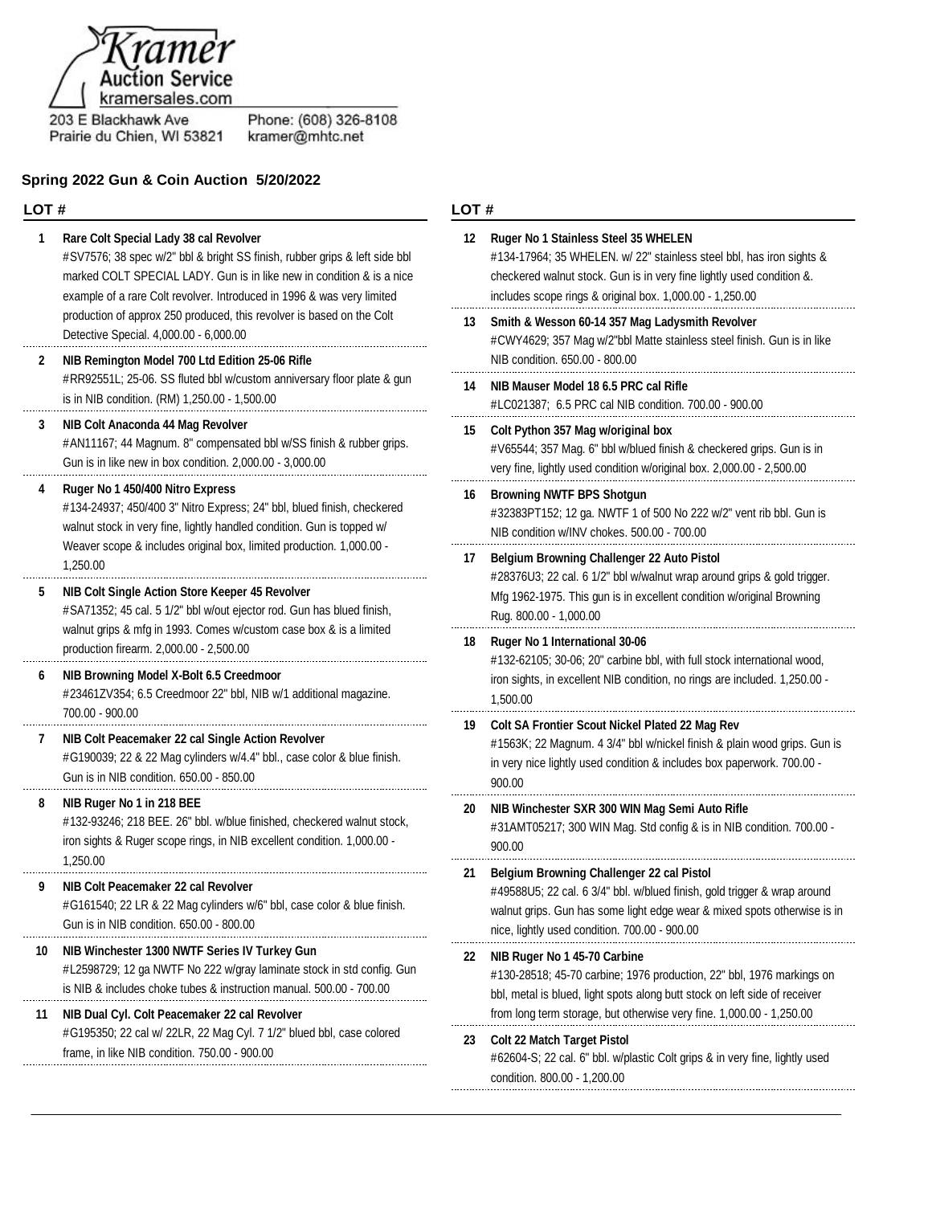

203 E Blackhawk Ave Prairie du Chien, WI 53821 Phone: (608) 326-8108<br>kramer@mhtc.net

## **Spring 2022 Gun & Coin Auction 5/20/2022**

### **LOT #**

| 1  | Rare Colt Special Lady 38 cal Revolver<br>#SV7576; 38 spec w/2" bbl & bright SS finish, rubber grips & left side bbl<br>marked COLT SPECIAL LADY. Gun is in like new in condition & is a nice<br>example of a rare Colt revolver. Introduced in 1996 & was very limited | 12 | <b>Ruger No 1 Stainless Stee</b><br>#134-17964; 35 WHELEN.<br>checkered walnut stock. Gu<br>includes scope rings & origi     |
|----|-------------------------------------------------------------------------------------------------------------------------------------------------------------------------------------------------------------------------------------------------------------------------|----|------------------------------------------------------------------------------------------------------------------------------|
|    | production of approx 250 produced, this revolver is based on the Colt<br>Detective Special. 4,000.00 - 6,000.00                                                                                                                                                         | 13 | Smith & Wesson 60-14 35<br>#CWY4629; 357 Mag w/2"b                                                                           |
| 2  | NIB Remington Model 700 Ltd Edition 25-06 Rifle<br>#RR92551L; 25-06. SS fluted bbl w/custom anniversary floor plate & gun<br>is in NIB condition. (RM) 1,250.00 - 1,500.00                                                                                              | 14 | NIB condition. 650.00 - 800<br>NIB Mauser Model 18 6.5 I<br>#LC021387; 6.5 PRC cal N                                         |
| 3  | NIB Colt Anaconda 44 Mag Revolver<br>#AN11167; 44 Magnum. 8" compensated bbl w/SS finish & rubber grips.<br>Gun is in like new in box condition. 2,000.00 - 3,000.00                                                                                                    | 15 | Colt Python 357 Mag w/ori<br>#V65544; 357 Mag. 6" bbl v<br>very fine, lightly used condit                                    |
| 4  | Ruger No 1 450/400 Nitro Express<br>#134-24937; 450/400 3" Nitro Express; 24" bbl, blued finish, checkered<br>walnut stock in very fine, lightly handled condition. Gun is topped w/                                                                                    | 16 | <b>Browning NWTF BPS Sho</b><br>#32383PT152; 12 ga. NWT<br>NIB condition w/INV chokes                                        |
|    | Weaver scope & includes original box, limited production. 1,000.00 -<br>1,250.00                                                                                                                                                                                        | 17 | <b>Belgium Browning Challe</b>                                                                                               |
| 5  | NIB Colt Single Action Store Keeper 45 Revolver<br>#SA71352; 45 cal. 5 1/2" bbl w/out ejector rod. Gun has blued finish,                                                                                                                                                |    | #28376U3; 22 cal. 6 1/2" bb<br>Mfg 1962-1975. This gun is<br>Rug. 800.00 - 1,000.00                                          |
|    | walnut grips & mfg in 1993. Comes w/custom case box & is a limited<br>production firearm. 2,000.00 - 2,500.00                                                                                                                                                           | 18 | <b>Ruger No 1 International 3</b><br>#132-62105; 30-06; 20" car                                                              |
| 6  | NIB Browning Model X-Bolt 6.5 Creedmoor<br>#23461ZV354; 6.5 Creedmoor 22" bbl, NIB w/1 additional magazine.<br>700.00 - 900.00                                                                                                                                          |    | iron sights, in excellent NIB<br>1,500.00                                                                                    |
| 7  | NIB Colt Peacemaker 22 cal Single Action Revolver<br>#G190039; 22 & 22 Mag cylinders w/4.4" bbl., case color & blue finish.<br>Gun is in NIB condition. 650.00 - 850.00                                                                                                 | 19 | <b>Colt SA Frontier Scout Nio</b><br>#1563K; 22 Magnum. 4 3/4<br>in very nice lightly used con<br>900.00                     |
| 8  | NIB Ruger No 1 in 218 BEE<br>#132-93246; 218 BEE. 26" bbl. w/blue finished, checkered walnut stock,<br>iron sights & Ruger scope rings, in NIB excellent condition. 1,000.00 -<br>1,250.00                                                                              | 20 | NIB Winchester SXR 300 \<br>#31AMT05217; 300 WIN M<br>900.00                                                                 |
| 9  | NIB Colt Peacemaker 22 cal Revolver<br>#G161540; 22 LR & 22 Mag cylinders w/6" bbl, case color & blue finish.<br>Gun is in NIB condition. 650.00 - 800.00                                                                                                               | 21 | <b>Belgium Browning Challe</b><br>#49588U5; 22 cal. 6 3/4" bt<br>walnut grips. Gun has some<br>nice, lightly used condition. |
| 10 | NIB Winchester 1300 NWTF Series IV Turkey Gun<br>#L2598729; 12 ga NWTF No 222 w/gray laminate stock in std config. Gun<br>is NIB & includes choke tubes & instruction manual. 500.00 - 700.00                                                                           | 22 | NIB Ruger No 1 45-70 Carl<br>#130-28518; 45-70 carbine;<br>bbl, metal is blued, light spc                                    |
| 11 | NIB Dual Cyl. Colt Peacemaker 22 cal Revolver<br>#G195350; 22 cal w/ 22LR, 22 Mag Cyl. 7 1/2" blued bbl, case colored<br>frame, in like NIB condition. 750.00 - 900.00                                                                                                  | 23 | from long term storage, but<br><b>Colt 22 Match Target Pisto</b><br>#62604-S; 22 cal. 6" bbl. w/                             |

### **LOT #**

| 12 | Ruger No 1 Stainless Steel 35 WHELEN<br>#134-17964; 35 WHELEN. w/ 22" stainless steel bbl, has iron sights &<br>checkered walnut stock. Gun is in very fine lightly used condition &.<br>includes scope rings & original box. 1,000.00 - 1,250.00           |
|----|-------------------------------------------------------------------------------------------------------------------------------------------------------------------------------------------------------------------------------------------------------------|
| 13 | Smith & Wesson 60-14 357 Mag Ladysmith Revolver<br>#CWY4629; 357 Mag w/2"bbl Matte stainless steel finish. Gun is in like<br>NIB condition. 650.00 - 800.00                                                                                                 |
| 14 | NIB Mauser Model 18 6.5 PRC cal Rifle<br>#LC021387; 6.5 PRC cal NIB condition. 700.00 - 900.00                                                                                                                                                              |
| 15 | Colt Python 357 Mag w/original box<br>#V65544; 357 Mag. 6" bbl w/blued finish & checkered grips. Gun is in<br>very fine, lightly used condition w/original box. 2,000.00 - 2,500.00                                                                         |
| 16 | <b>Browning NWTF BPS Shotgun</b><br>#32383PT152; 12 ga. NWTF 1 of 500 No 222 w/2" vent rib bbl. Gun is<br>NIB condition w/INV chokes. 500.00 - 700.00                                                                                                       |
| 17 | Belgium Browning Challenger 22 Auto Pistol<br>#28376U3; 22 cal. 6 1/2" bbl w/walnut wrap around grips & gold trigger.<br>Mfg 1962-1975. This gun is in excellent condition w/original Browning<br>Rug. 800.00 - 1,000.00                                    |
| 18 | Ruger No 1 International 30-06<br>#132-62105; 30-06; 20" carbine bbl, with full stock international wood,<br>iron sights, in excellent NIB condition, no rings are included. 1,250.00 -<br>1,500.00                                                         |
| 19 | Colt SA Frontier Scout Nickel Plated 22 Mag Rev<br>#1563K; 22 Magnum. 4 3/4" bbl w/nickel finish & plain wood grips. Gun is<br>in very nice lightly used condition & includes box paperwork. 700.00 -<br>900.00                                             |
| 20 | NIB Winchester SXR 300 WIN Mag Semi Auto Rifle<br>#31AMT05217; 300 WIN Mag. Std config & is in NIB condition. 700.00 -<br>900.00                                                                                                                            |
| 21 | Belgium Browning Challenger 22 cal Pistol<br>#49588U5; 22 cal. 6 3/4" bbl. w/blued finish, gold trigger & wrap around<br>walnut grips. Gun has some light edge wear & mixed spots otherwise is in<br>nice, lightly used condition. 700.00 - 900.00          |
| 22 | NIB Ruger No 1 45-70 Carbine<br>#130-28518; 45-70 carbine; 1976 production, 22" bbl, 1976 markings on<br>bbl, metal is blued, light spots along butt stock on left side of receiver<br>from long term storage, but otherwise very fine. 1,000.00 - 1,250.00 |
| 23 | <b>Colt 22 Match Target Pistol</b><br>#62604-S; 22 cal. 6" bbl. w/plastic Colt grips & in very fine, lightly used                                                                                                                                           |

condition. 800.00 - 1,200.00

. . . . . . . . .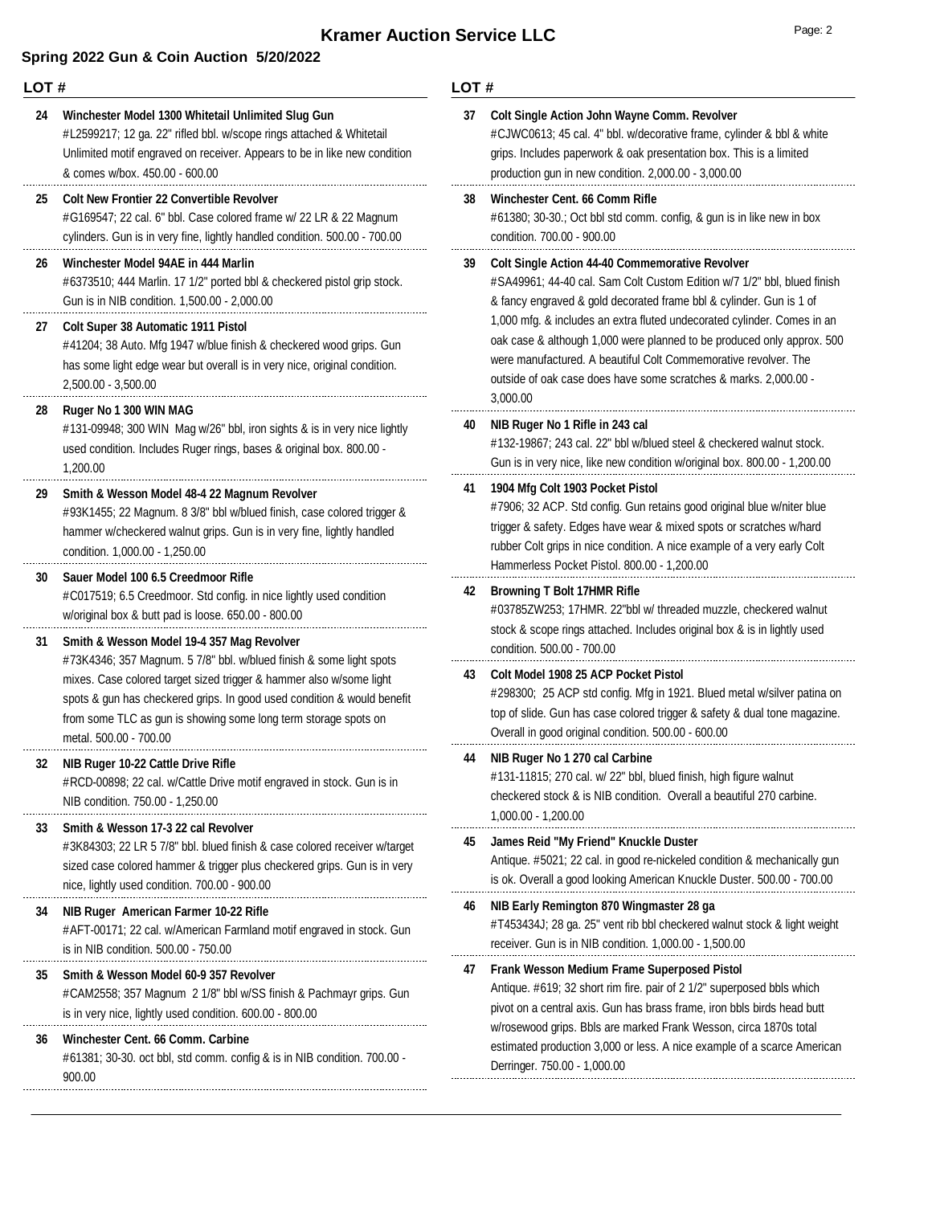### **Spring 2022 Gun & Coin Auction 5/20/2022**

900.00

#### **LOT #** #L2599217; 12 ga. 22" rifled bbl. w/scope rings attached & Whitetail Unlimited motif engraved on receiver. Appears to be in like new condition & comes w/box. 450.00 - 600.00 **24 Winchester Model 1300 Whitetail Unlimited Slug Gun** #G169547; 22 cal. 6" bbl. Case colored frame w/ 22 LR & 22 Magnum cylinders. Gun is in very fine, lightly handled condition. 500.00 - 700.00 **25 Colt New Frontier 22 Convertible Revolver** #6373510; 444 Marlin. 17 1/2" ported bbl & checkered pistol grip stock. Gun is in NIB condition. 1,500.00 - 2,000.00 **26 Winchester Model 94AE in 444 Marlin** #41204; 38 Auto. Mfg 1947 w/blue finish & checkered wood grips. Gun has some light edge wear but overall is in very nice, original condition. 2,500.00 - 3,500.00 **27 Colt Super 38 Automatic 1911 Pistol** #131-09948; 300 WIN Mag w/26" bbl, iron sights & is in very nice lightly used condition. Includes Ruger rings, bases & original box. 800.00 - 1,200.00 **28 Ruger No 1 300 WIN MAG** #93K1455; 22 Magnum. 8 3/8" bbl w/blued finish, case colored trigger & hammer w/checkered walnut grips. Gun is in very fine, lightly handled condition. 1,000.00 - 1,250.00 **29 Smith & Wesson Model 48-4 22 Magnum Revolver** #C017519; 6.5 Creedmoor. Std config. in nice lightly used condition w/original box & butt pad is loose. 650.00 - 800.00 **30 Sauer Model 100 6.5 Creedmoor Rifle** #73K4346; 357 Magnum. 5 7/8" bbl. w/blued finish & some light spots mixes. Case colored target sized trigger & hammer also w/some light spots & gun has checkered grips. In good used condition & would benefit from some TLC as gun is showing some long term storage spots on metal. 500.00 - 700.00 **31 Smith & Wesson Model 19-4 357 Mag Revolver** #RCD-00898; 22 cal. w/Cattle Drive motif engraved in stock. Gun is in NIB condition. 750.00 - 1,250.00 **32 NIB Ruger 10-22 Cattle Drive Rifle** #3K84303; 22 LR 5 7/8" bbl. blued finish & case colored receiver w/target sized case colored hammer & trigger plus checkered grips. Gun is in very nice, lightly used condition. 700.00 - 900.00 **33 Smith & Wesson 17-3 22 cal Revolver** #AFT-00171; 22 cal. w/American Farmland motif engraved in stock. Gun is in NIB condition. 500.00 - 750.00 **34 NIB Ruger American Farmer 10-22 Rifle** #CAM2558; 357 Magnum 2 1/8" bbl w/SS finish & Pachmayr grips. Gun is in very nice, lightly used condition. 600.00 - 800.00 **35 Smith & Wesson Model 60-9 357 Revolver** #61381; 30-30. oct bbl, std comm. config & is in NIB condition. 700.00 - **36 Winchester Cent. 66 Comm. Carbine LOT #** #CJWC0613; 45 cal. 4" bbl. w/decorative frame, cylinder & bbl & white grips. Includes paperwork & oak presentation box. This is a limited production gun in new condition. 2,000.00 - 3,000.00 **37 Colt Single Action John Wayne Comm. Revolver** #61380; 30-30.; Oct bbl std comm. config, & gun is in like new in box condition. 700.00 - 900.00 **38 Winchester Cent. 66 Comm Rifle** #SA49961; 44-40 cal. Sam Colt Custom Edition w/7 1/2" bbl, blued finish & fancy engraved & gold decorated frame bbl & cylinder. Gun is 1 of 1,000 mfg. & includes an extra fluted undecorated cylinder. Comes in an oak case & although 1,000 were planned to be produced only approx. 500 were manufactured. A beautiful Colt Commemorative revolver. The outside of oak case does have some scratches & marks. 2,000.00 - 3,000.00 **39 Colt Single Action 44-40 Commemorative Revolver** #132-19867; 243 cal. 22" bbl w/blued steel & checkered walnut stock. Gun is in very nice, like new condition w/original box. 800.00 - 1,200.00 **40 NIB Ruger No 1 Rifle in 243 cal** #7906; 32 ACP. Std config. Gun retains good original blue w/niter blue trigger & safety. Edges have wear & mixed spots or scratches w/hard rubber Colt grips in nice condition. A nice example of a very early Colt Hammerless Pocket Pistol. 800.00 - 1,200.00 **41 1904 Mfg Colt 1903 Pocket Pistol** #03785ZW253; 17HMR. 22"bbl w/ threaded muzzle, checkered walnut stock & scope rings attached. Includes original box & is in lightly used condition. 500.00 - 700.00 **42 Browning T Bolt 17HMR Rifle** #298300; 25 ACP std config. Mfg in 1921. Blued metal w/silver patina on top of slide. Gun has case colored trigger & safety & dual tone magazine. Overall in good original condition. 500.00 - 600.00 **43 Colt Model 1908 25 ACP Pocket Pistol** #131-11815; 270 cal. w/ 22" bbl, blued finish, high figure walnut checkered stock & is NIB condition. Overall a beautiful 270 carbine. 1,000.00 - 1,200.00 **44 NIB Ruger No 1 270 cal Carbine** Antique. #5021; 22 cal. in good re-nickeled condition & mechanically gun is ok. Overall a good looking American Knuckle Duster. 500.00 - 700.00 **45 James Reid "My Friend" Knuckle Duster** #T453434J; 28 ga. 25" vent rib bbl checkered walnut stock & light weight receiver. Gun is in NIB condition. 1,000.00 - 1,500.00 **46 NIB Early Remington 870 Wingmaster 28 ga** Antique. #619; 32 short rim fire. pair of 2 1/2" superposed bbls which pivot on a central axis. Gun has brass frame, iron bbls birds head butt w/rosewood grips. Bbls are marked Frank Wesson, circa 1870s total estimated production 3,000 or less. A nice example of a scarce American Derringer. 750.00 - 1,000.00 **47 Frank Wesson Medium Frame Superposed Pistol**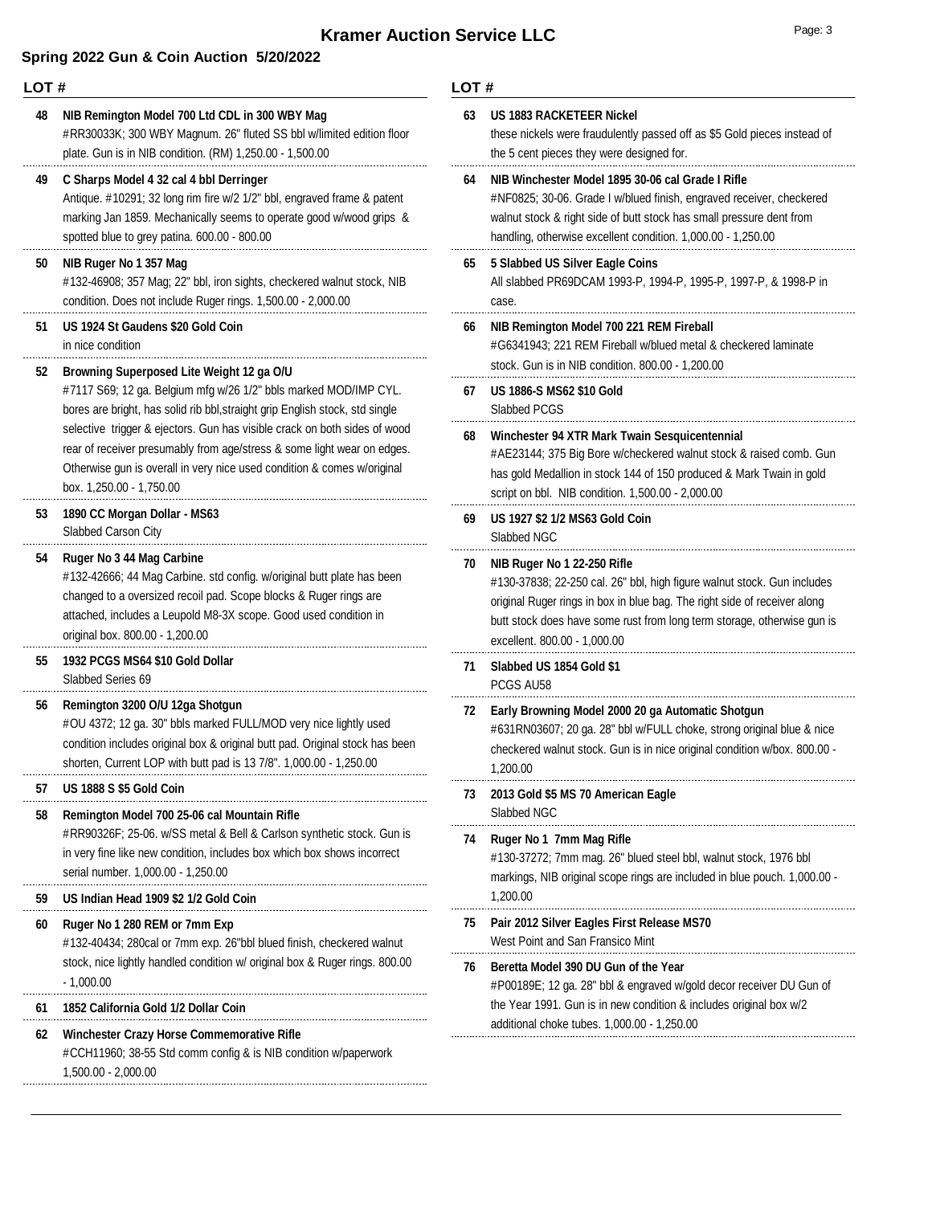## **Kramer Auction Service LLC**

### **Spring 2022 Gun & Coin Auction 5/20/2022**

#### **LOT #**

#RR30033K; 300 WBY Magnum. 26" fluted SS bbl w/limited edition floor plate. Gun is in NIB condition. (RM) 1,250.00 - 1,500.00 **48 NIB Remington Model 700 Ltd CDL in 300 WBY Mag**

#### **49 C Sharps Model 4 32 cal 4 bbl Derringer**

Antique. #10291; 32 long rim fire w/2 1/2" bbl, engraved frame & patent marking Jan 1859. Mechanically seems to operate good w/wood grips & spotted blue to grey patina. 600.00 - 800.00

#### **50 NIB Ruger No 1 357 Mag**

#132-46908; 357 Mag; 22" bbl, iron sights, checkered walnut stock, NIB condition. Does not include Ruger rings. 1,500.00 - 2,000.00

### **51 US 1924 St Gaudens \$20 Gold Coin**

in nice condition

#### **52 Browning Superposed Lite Weight 12 ga O/U**

#7117 S69; 12 ga. Belgium mfg w/26 1/2" bbls marked MOD/IMP CYL. bores are bright, has solid rib bbl,straight grip English stock, std single selective trigger & ejectors. Gun has visible crack on both sides of wood rear of receiver presumably from age/stress & some light wear on edges. Otherwise gun is overall in very nice used condition & comes w/original box. 1,250.00 - 1,750.00

#### Slabbed Carson City **53 1890 CC Morgan Dollar - MS63**

#### **54 Ruger No 3 44 Mag Carbine**

#132-42666; 44 Mag Carbine. std config. w/original butt plate has been changed to a oversized recoil pad. Scope blocks & Ruger rings are attached, includes a Leupold M8-3X scope. Good used condition in original box. 800.00 - 1,200.00

#### **55 1932 PCGS MS64 \$10 Gold Dollar**

Slabbed Series 69

#### **56 Remington 3200 O/U 12ga Shotgun**

#OU 4372; 12 ga. 30" bbls marked FULL/MOD very nice lightly used condition includes original box & original butt pad. Original stock has been shorten, Current LOP with butt pad is 13 7/8". 1,000.00 - 1,250.00

#### **57 US 1888 S \$5 Gold Coin**

#### **58 Remington Model 700 25-06 cal Mountain Rifle**

#RR90326F; 25-06. w/SS metal & Bell & Carlson synthetic stock. Gun is in very fine like new condition, includes box which box shows incorrect serial number. 1,000.00 - 1,250.00

#### **59 US Indian Head 1909 \$2 1/2 Gold Coin**

#### **60 Ruger No 1 280 REM or 7mm Exp**

#132-40434; 280cal or 7mm exp. 26"bbl blued finish, checkered walnut stock, nice lightly handled condition w/ original box & Ruger rings. 800.00 - 1,000.00

#### **61 1852 California Gold 1/2 Dollar Coin**

#### **62 Winchester Crazy Horse Commemorative Rifle** #CCH11960; 38-55 Std comm config & is NIB condition w/paperwork 1,500.00 - 2,000.00

#### **LOT #**

| 63 | <b>US 1883 RACKETEER Nickel</b><br>these nickels were fraudulently passed off as \$5 Gold pieces instead of<br>the 5 cent pieces they were designed for.                                                                                                                                       |
|----|------------------------------------------------------------------------------------------------------------------------------------------------------------------------------------------------------------------------------------------------------------------------------------------------|
| 64 | NIB Winchester Model 1895 30-06 cal Grade I Rifle<br>#NF0825; 30-06. Grade I w/blued finish, engraved receiver, checkered<br>walnut stock & right side of butt stock has small pressure dent from<br>handling, otherwise excellent condition. 1,000.00 - 1,250.00                              |
| 65 | 5 Slabbed US Silver Eagle Coins<br>All slabbed PR69DCAM 1993-P, 1994-P, 1995-P, 1997-P, & 1998-P in<br>case.                                                                                                                                                                                   |
| 66 | NIB Remington Model 700 221 REM Fireball<br>#G6341943; 221 REM Fireball w/blued metal & checkered laminate<br>stock. Gun is in NIB condition. 800.00 - 1,200.00                                                                                                                                |
| 67 | <b>US 1886-S MS62 \$10 Gold</b><br>Slabbed PCGS                                                                                                                                                                                                                                                |
| 68 | Winchester 94 XTR Mark Twain Sesquicentennial<br>#AE23144; 375 Big Bore w/checkered walnut stock & raised comb. Gun<br>has gold Medallion in stock 144 of 150 produced & Mark Twain in gold<br>script on bbl. NIB condition. 1,500.00 - 2,000.00                                               |
| 69 | US 1927 \$2 1/2 MS63 Gold Coin<br>Slabbed NGC                                                                                                                                                                                                                                                  |
| 70 | NIB Ruger No 1 22-250 Rifle<br>#130-37838; 22-250 cal. 26" bbl, high figure walnut stock. Gun includes<br>original Ruger rings in box in blue bag. The right side of receiver along<br>butt stock does have some rust from long term storage, otherwise gun is<br>excellent. 800.00 - 1,000.00 |
| 71 | Slabbed US 1854 Gold \$1<br>PCGS AU58                                                                                                                                                                                                                                                          |
| 72 | Early Browning Model 2000 20 ga Automatic Shotgun<br>#631RN03607; 20 ga. 28" bbl w/FULL choke, strong original blue & nice<br>checkered walnut stock. Gun is in nice original condition w/box. 800.00 -<br>1,200.00                                                                            |
| 73 | 2013 Gold \$5 MS 70 American Eagle<br>Slabbed NGC                                                                                                                                                                                                                                              |
| 74 | Ruger No 1 7mm Mag Rifle<br>#130-37272; 7mm mag. 26" blued steel bbl, walnut stock, 1976 bbl<br>markings, NIB original scope rings are included in blue pouch. 1,000.00 -<br>1,200.00                                                                                                          |
| 75 | Pair 2012 Silver Eagles First Release MS70<br>West Point and San Fransico Mint                                                                                                                                                                                                                 |
| 76 | Beretta Model 390 DU Gun of the Year<br>#P00189E; 12 ga. 28" bbl & engraved w/gold decor receiver DU Gun of<br>the Year 1991. Gun is in new condition & includes original box w/2                                                                                                              |

. . . .

....

. . . .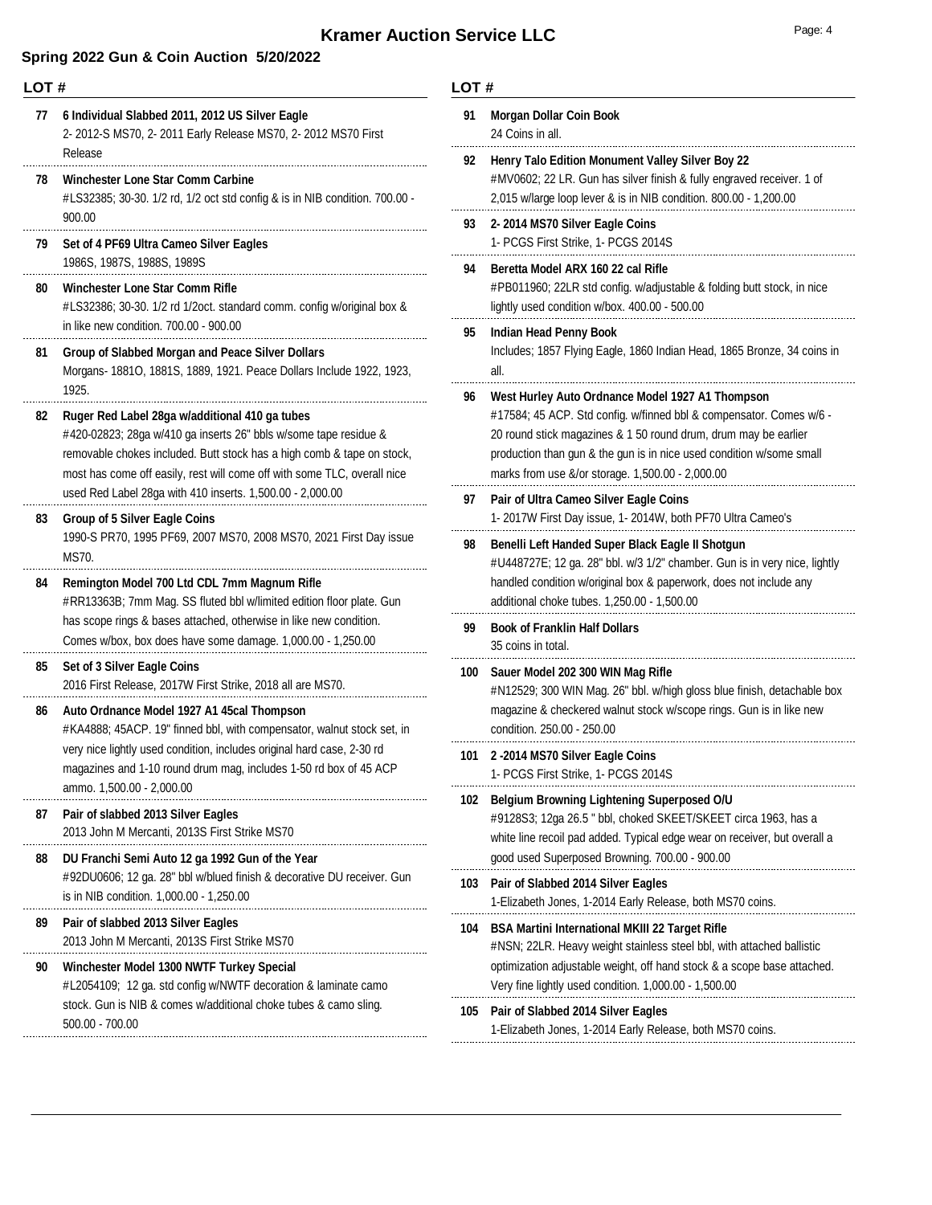## **Spring 2022 Gun & Coin Auction 5/20/2022**

| LOT# |                                                                                                                                                                                                                                                                          | LOT#     |                                            |
|------|--------------------------------------------------------------------------------------------------------------------------------------------------------------------------------------------------------------------------------------------------------------------------|----------|--------------------------------------------|
| 77   | 6 Individual Slabbed 2011, 2012 US Silver Eagle<br>2-2012-S MS70, 2-2011 Early Release MS70, 2-2012 MS70 First<br>Release                                                                                                                                                | 91       | Morg<br>24 Co                              |
| 78   | Winchester Lone Star Comm Carbine<br>#LS32385; 30-30. 1/2 rd, 1/2 oct std config & is in NIB condition. 700.00 -                                                                                                                                                         | 92       | Henr<br>#MV<br>2,015                       |
| 79   | 900.00<br>Set of 4 PF69 Ultra Cameo Silver Eagles                                                                                                                                                                                                                        | 93       | 2-20<br>$1 - PC$                           |
| 80   | 1986S, 1987S, 1988S, 1989S<br>Winchester Lone Star Comm Rifle<br>#LS32386; 30-30. 1/2 rd 1/2oct. standard comm. config w/original box &<br>in like new condition. 700.00 - 900.00                                                                                        | 94       | <b>Bere</b><br>#PB <sub>0</sub><br>lightly |
| 81   | <b>Group of Slabbed Morgan and Peace Silver Dollars</b><br>Morgans- 1881O, 1881S, 1889, 1921. Peace Dollars Include 1922, 1923,<br>1925.                                                                                                                                 | 95       | India<br>Inclu<br>all.                     |
| 82   | Ruger Red Label 28ga w/additional 410 ga tubes<br>#420-02823; 28ga w/410 ga inserts 26" bbls w/some tape residue &<br>removable chokes included. Butt stock has a high comb & tape on stock,<br>most has come off easily, rest will come off with some TLC, overall nice | 96       | West<br>#175<br>20 ro<br>produ<br>mark     |
| 83   | used Red Label 28ga with 410 inserts. 1,500.00 - 2,000.00<br><b>Group of 5 Silver Eagle Coins</b><br>1990-S PR70, 1995 PF69, 2007 MS70, 2008 MS70, 2021 First Day issue                                                                                                  | 97<br>98 | Pair<br>1-20<br><b>Bene</b>                |
| 84   | MS70.<br>Remington Model 700 Ltd CDL 7mm Magnum Rifle<br>#RR13363B; 7mm Mag. SS fluted bbl w/limited edition floor plate. Gun                                                                                                                                            |          | #U44<br>hand<br>additi                     |
|      | has scope rings & bases attached, otherwise in like new condition.<br>Comes w/box, box does have some damage. 1,000.00 - 1,250.00                                                                                                                                        | 99       | <b>Book</b><br>35 cc                       |
| 85   | Set of 3 Silver Eagle Coins<br>2016 First Release, 2017W First Strike, 2018 all are MS70.                                                                                                                                                                                | 100      | Saue<br>#N12                               |
| 86   | Auto Ordnance Model 1927 A1 45cal Thompson<br>#KA4888; 45ACP. 19" finned bbl, with compensator, walnut stock set, in                                                                                                                                                     |          | maga<br>condi                              |
|      | very nice lightly used condition, includes original hard case, 2-30 rd<br>magazines and 1-10 round drum mag, includes 1-50 rd box of 45 ACP<br>ammo. 1,500.00 - 2,000.00                                                                                                 | 101      | $2 - 20$<br>1- PC                          |
| 87   | Pair of slabbed 2013 Silver Eagles<br>2013 John M Mercanti, 2013S First Strike MS70                                                                                                                                                                                      | 102      | Belgi<br>#912<br>white                     |
| 88   | DU Franchi Semi Auto 12 ga 1992 Gun of the Year<br>#92DU0606; 12 ga. 28" bbl w/blued finish & decorative DU receiver. Gun<br>is in NIB condition. 1,000.00 - 1,250.00                                                                                                    | 103      | good<br>Pair<br>1-Eliz                     |
| 89   | Pair of slabbed 2013 Silver Eagles<br>2013 John M Mercanti, 2013S First Strike MS70                                                                                                                                                                                      | 104      | <b>BSA</b><br>#NSI                         |
| 90   | Winchester Model 1300 NWTF Turkey Special<br>#L2054109; 12 ga. std config w/NWTF decoration & laminate camo<br>stock. Gun is NIB & comes w/additional choke tubes & camo sling.                                                                                          | 105      | optim<br>Very<br>Pair                      |
|      | 500.00 - 700.00                                                                                                                                                                                                                                                          |          | 1-Eliz                                     |

### **LOT #**

| 91  | <b>Morgan Dollar Coin Book</b><br>24 Coins in all.                                                                                                                                                                                                                                                                     |
|-----|------------------------------------------------------------------------------------------------------------------------------------------------------------------------------------------------------------------------------------------------------------------------------------------------------------------------|
| 92  | Henry Talo Edition Monument Valley Silver Boy 22<br>#MV0602; 22 LR. Gun has silver finish & fully engraved receiver. 1 of<br>2,015 w/large loop lever & is in NIB condition. 800.00 - 1,200.00                                                                                                                         |
| 93  | 2-2014 MS70 Silver Eagle Coins<br>1- PCGS First Strike, 1- PCGS 2014S                                                                                                                                                                                                                                                  |
| 94  | Beretta Model ARX 160 22 cal Rifle<br>#PB011960; 22LR std config. w/adjustable & folding butt stock, in nice<br>lightly used condition w/box. 400.00 - 500.00                                                                                                                                                          |
| 95  | <b>Indian Head Penny Book</b><br>Includes; 1857 Flying Eagle, 1860 Indian Head, 1865 Bronze, 34 coins in<br>all.                                                                                                                                                                                                       |
| 96  | West Hurley Auto Ordnance Model 1927 A1 Thompson<br>#17584; 45 ACP. Std config. w/finned bbl & compensator. Comes w/6 -<br>20 round stick magazines & 1 50 round drum, drum may be earlier<br>production than gun & the gun is in nice used condition w/some small<br>marks from use &/or storage. 1,500.00 - 2,000.00 |
| 97  | Pair of Ultra Cameo Silver Eagle Coins<br>1- 2017W First Day issue, 1- 2014W, both PF70 Ultra Cameo's                                                                                                                                                                                                                  |
| 98  | Benelli Left Handed Super Black Eagle II Shotgun<br>#U448727E; 12 ga. 28" bbl. w/3 1/2" chamber. Gun is in very nice, lightly<br>handled condition w/original box & paperwork, does not include any<br>additional choke tubes. 1,250.00 - 1,500.00                                                                     |
| 99  | <b>Book of Franklin Half Dollars</b><br>35 coins in total.                                                                                                                                                                                                                                                             |
| 100 | Sauer Model 202 300 WIN Mag Rifle<br>#N12529; 300 WIN Mag. 26" bbl. w/high gloss blue finish, detachable box<br>magazine & checkered walnut stock w/scope rings. Gun is in like new<br>condition. 250.00 - 250.00                                                                                                      |
| 101 | 2-2014 MS70 Silver Eagle Coins<br>1- PCGS First Strike, 1- PCGS 2014S                                                                                                                                                                                                                                                  |
| 102 | <b>Belgium Browning Lightening Superposed O/U</b><br>#9128S3; 12ga 26.5 " bbl, choked SKEET/SKEET circa 1963, has a<br>white line recoil pad added. Typical edge wear on receiver, but overall a<br>good used Superposed Browning. 700.00 - 900.00                                                                     |
| 103 | Pair of Slabbed 2014 Silver Eagles<br>1-Elizabeth Jones, 1-2014 Early Release, both MS70 coins.                                                                                                                                                                                                                        |
| 104 | <b>BSA Martini International MKIII 22 Target Rifle</b><br>#NSN; 22LR. Heavy weight stainless steel bbl, with attached ballistic<br>optimization adjustable weight, off hand stock & a scope base attached.<br>Very fine lightly used condition. 1,000.00 - 1,500.00                                                    |
| 105 | Pair of Slabbed 2014 Silver Eagles                                                                                                                                                                                                                                                                                     |

1-Elizabeth Jones, 1-2014 Early Release, both MS70 coins.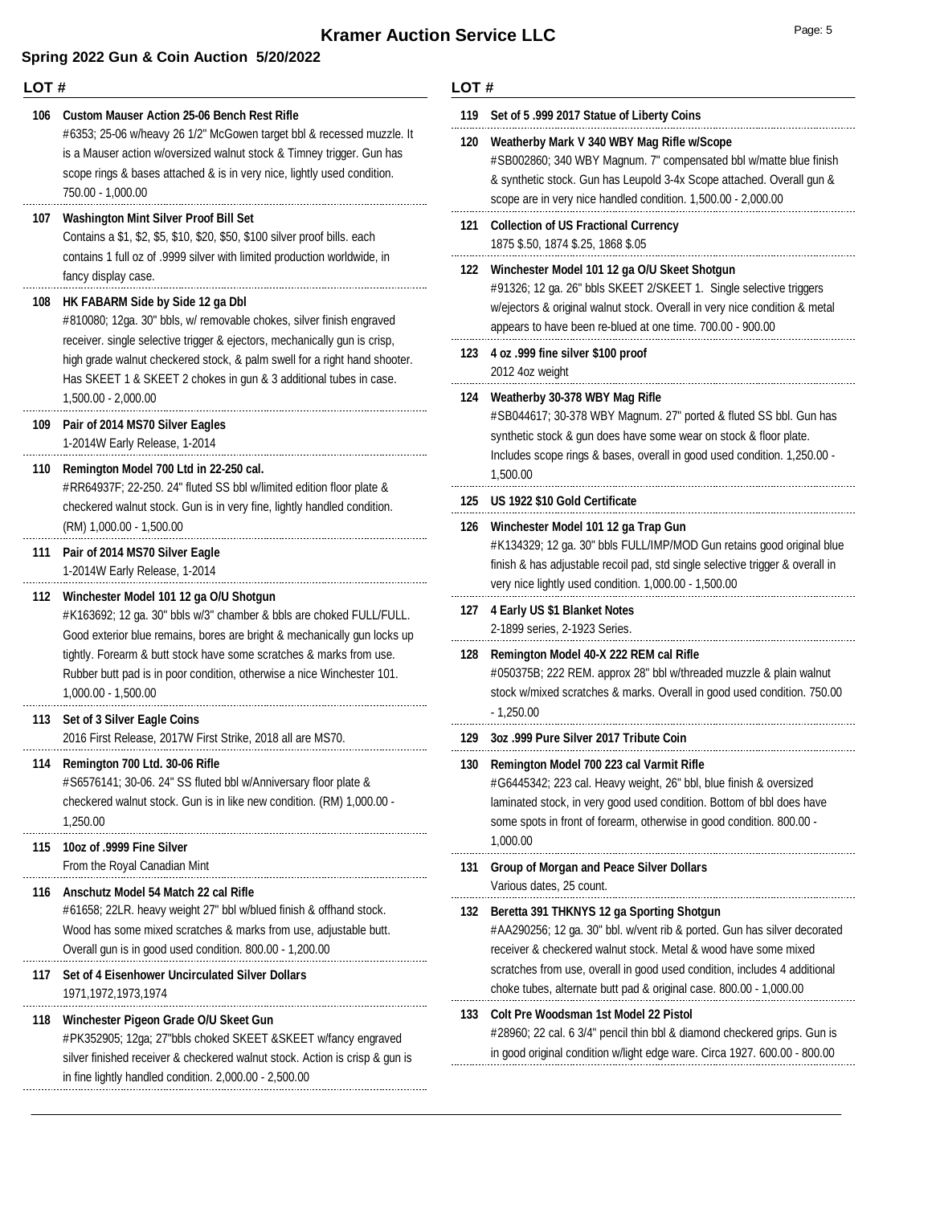## **LOT #**

| ᄂᇰᆝ # |                                                                                                                                                                                                                                                                                                      | ㄴ∪ㅣ #      |                                                                                                                              |
|-------|------------------------------------------------------------------------------------------------------------------------------------------------------------------------------------------------------------------------------------------------------------------------------------------------------|------------|------------------------------------------------------------------------------------------------------------------------------|
| 106   | <b>Custom Mauser Action 25-06 Bench Rest Rifle</b><br>#6353; 25-06 w/heavy 26 1/2" McGowen target bbl & recessed muzzle. It<br>is a Mauser action w/oversized walnut stock & Timney trigger. Gun has<br>scope rings & bases attached & is in very nice, lightly used condition.<br>750.00 - 1,000.00 | 119<br>120 | Set of 5.999 2017 Sta<br>Weatherby Mark V 34<br>#SB002860; 340 WBY<br>& synthetic stock. Gun<br>scope are in very nice       |
| 107   | <b>Washington Mint Silver Proof Bill Set</b><br>Contains a \$1, \$2, \$5, \$10, \$20, \$50, \$100 silver proof bills. each<br>contains 1 full oz of .9999 silver with limited production worldwide, in<br>fancy display case.                                                                        | 122        | 121 Collection of US Frac<br>1875 \$.50, 1874 \$.25,<br><b>Winchester Model 10</b>                                           |
| 108   | HK FABARM Side by Side 12 ga Dbl<br>#810080; 12ga. 30" bbls, w/ removable chokes, silver finish engraved<br>receiver. single selective trigger & ejectors, mechanically gun is crisp,<br>high grade walnut checkered stock, & palm swell for a right hand shooter.                                   |            | #91326; 12 ga. 26" bbl<br>w/ejectors & original w<br>appears to have been<br>123 4 oz .999 fine silver \$<br>2012 4oz weight |
| 109   | Has SKEET 1 & SKEET 2 chokes in gun & 3 additional tubes in case.<br>1,500.00 - 2,000.00<br>Pair of 2014 MS70 Silver Eagles<br>1-2014W Early Release, 1-2014                                                                                                                                         | 124        | Weatherby 30-378 WE<br>#SB044617; 30-378 W<br>synthetic stock & gun<br>Includes scope rings &                                |
| 110   | Remington Model 700 Ltd in 22-250 cal.<br>#RR64937F; 22-250. 24" fluted SS bbl w/limited edition floor plate &<br>checkered walnut stock. Gun is in very fine, lightly handled condition.<br>(RM) 1,000.00 - 1,500.00                                                                                | 125<br>126 | 1,500.00<br><b>US 1922 \$10 Gold Cer</b><br><b>Winchester Model 10</b>                                                       |
| 111   | Pair of 2014 MS70 Silver Eagle<br>1-2014W Early Release, 1-2014<br>112 Winchester Model 101 12 ga O/U Shotgun                                                                                                                                                                                        |            | #K134329; 12 ga. 30"<br>finish & has adjustable<br>very nice lightly used c                                                  |
|       | #K163692; 12 ga. 30" bbls w/3" chamber & bbls are choked FULL/FULL.<br>Good exterior blue remains, bores are bright & mechanically gun locks up                                                                                                                                                      | 127        | 4 Early US \$1 Blanke<br>2-1899 series, 2-1923                                                                               |
|       | tightly. Forearm & butt stock have some scratches & marks from use.<br>Rubber butt pad is in poor condition, otherwise a nice Winchester 101.<br>$1,000.00 - 1,500.00$                                                                                                                               |            | <b>Remington Model 40-</b><br>#050375B; 222 REM.<br>stock w/mixed scratch                                                    |
| 113   | Set of 3 Silver Eagle Coins<br>2016 First Release, 2017W First Strike, 2018 all are MS70.                                                                                                                                                                                                            | 129        | $-1,250.00$<br>3oz .999 Pure Silver 2                                                                                        |
| 114   | Remington 700 Ltd. 30-06 Rifle<br>#S6576141; 30-06. 24" SS fluted bbl w/Anniversary floor plate &<br>checkered walnut stock. Gun is in like new condition. (RM) 1,000.00 -<br>1,250.00                                                                                                               | 130        | <b>Remington Model 700</b><br>#G6445342; 223 cal. I<br>laminated stock, in ver<br>some spots in front of<br>1,000.00         |
| 115   | 10oz of .9999 Fine Silver<br>From the Royal Canadian Mint                                                                                                                                                                                                                                            | 131        | Group of Morgan and                                                                                                          |
| 116   | Anschutz Model 54 Match 22 cal Rifle<br>#61658; 22LR. heavy weight 27" bbl w/blued finish & offhand stock.<br>Wood has some mixed scratches & marks from use, adjustable butt.<br>Overall gun is in good used condition. 800.00 - 1,200.00                                                           | 132        | Various dates, 25 cour<br><b>Beretta 391 THKNYS</b><br>#AA290256; 12 ga. 30<br>receiver & checkered v                        |
| 117   | Set of 4 Eisenhower Uncirculated Silver Dollars<br>1971, 1972, 1973, 1974                                                                                                                                                                                                                            |            | scratches from use, ov<br>choke tubes, alternate                                                                             |
| 118   | Winchester Pigeon Grade O/U Skeet Gun<br>#PK352905; 12ga; 27"bbls choked SKEET & SKEET w/fancy engraved<br>silver finished receiver & checkered walnut stock. Action is crisp & gun is<br>in fine lightly handled condition. 2,000.00 - 2,500.00                                                     | 133        | <b>Colt Pre Woodsman 1</b><br>#28960; 22 cal. 6 3/4"<br>in good original condition                                           |

| 119 | Set of 5.999 2017 Statue of Liberty Coins                                                                                                                                                                                                                                                                                                   |
|-----|---------------------------------------------------------------------------------------------------------------------------------------------------------------------------------------------------------------------------------------------------------------------------------------------------------------------------------------------|
| 120 | Weatherby Mark V 340 WBY Mag Rifle w/Scope<br>#SB002860; 340 WBY Magnum. 7" compensated bbl w/matte blue finish<br>& synthetic stock. Gun has Leupold 3-4x Scope attached. Overall gun &<br>scope are in very nice handled condition. 1,500.00 - 2,000.00                                                                                   |
| 121 | <b>Collection of US Fractional Currency</b><br>1875 \$.50, 1874 \$.25, 1868 \$.05                                                                                                                                                                                                                                                           |
| 122 | Winchester Model 101 12 ga O/U Skeet Shotgun<br>#91326; 12 ga. 26" bbls SKEET 2/SKEET 1. Single selective triggers<br>w/ejectors & original walnut stock. Overall in very nice condition & metal<br>appears to have been re-blued at one time. 700.00 - 900.00                                                                              |
| 123 | 4 oz .999 fine silver \$100 proof<br>2012 4oz weight                                                                                                                                                                                                                                                                                        |
| 124 | Weatherby 30-378 WBY Mag Rifle<br>#SB044617; 30-378 WBY Magnum. 27" ported & fluted SS bbl. Gun has<br>synthetic stock & gun does have some wear on stock & floor plate.<br>Includes scope rings & bases, overall in good used condition. 1,250.00 -<br>1,500.00                                                                            |
| 125 | US 1922 \$10 Gold Certificate                                                                                                                                                                                                                                                                                                               |
| 126 | Winchester Model 101 12 ga Trap Gun<br>#K134329; 12 ga. 30" bbls FULL/IMP/MOD Gun retains good original blue<br>finish & has adjustable recoil pad, std single selective trigger & overall in<br>very nice lightly used condition. 1,000.00 - 1,500.00                                                                                      |
| 127 | 4 Early US \$1 Blanket Notes<br>2-1899 series, 2-1923 Series.                                                                                                                                                                                                                                                                               |
| 128 | Remington Model 40-X 222 REM cal Rifle<br>#050375B; 222 REM. approx 28" bbl w/threaded muzzle & plain walnut<br>stock w/mixed scratches & marks. Overall in good used condition. 750.00<br>$-1,250.00$                                                                                                                                      |
| 129 | 3oz .999 Pure Silver 2017 Tribute Coin                                                                                                                                                                                                                                                                                                      |
| 130 | Remington Model 700 223 cal Varmit Rifle<br>#G6445342; 223 cal. Heavy weight, 26" bbl, blue finish & oversized<br>laminated stock, in very good used condition. Bottom of bbl does have                                                                                                                                                     |
|     | some spots in front of forearm, otherwise in good condition. 800.00 -<br>1,000.00                                                                                                                                                                                                                                                           |
| 131 | <b>Group of Morgan and Peace Silver Dollars</b><br>Various dates, 25 count.                                                                                                                                                                                                                                                                 |
| 132 | Beretta 391 THKNYS 12 ga Sporting Shotgun<br>#AA290256; 12 ga. 30" bbl. w/vent rib & ported. Gun has silver decorated<br>receiver & checkered walnut stock. Metal & wood have some mixed<br>scratches from use, overall in good used condition, includes 4 additional<br>choke tubes, alternate butt pad & original case. 800.00 - 1,000.00 |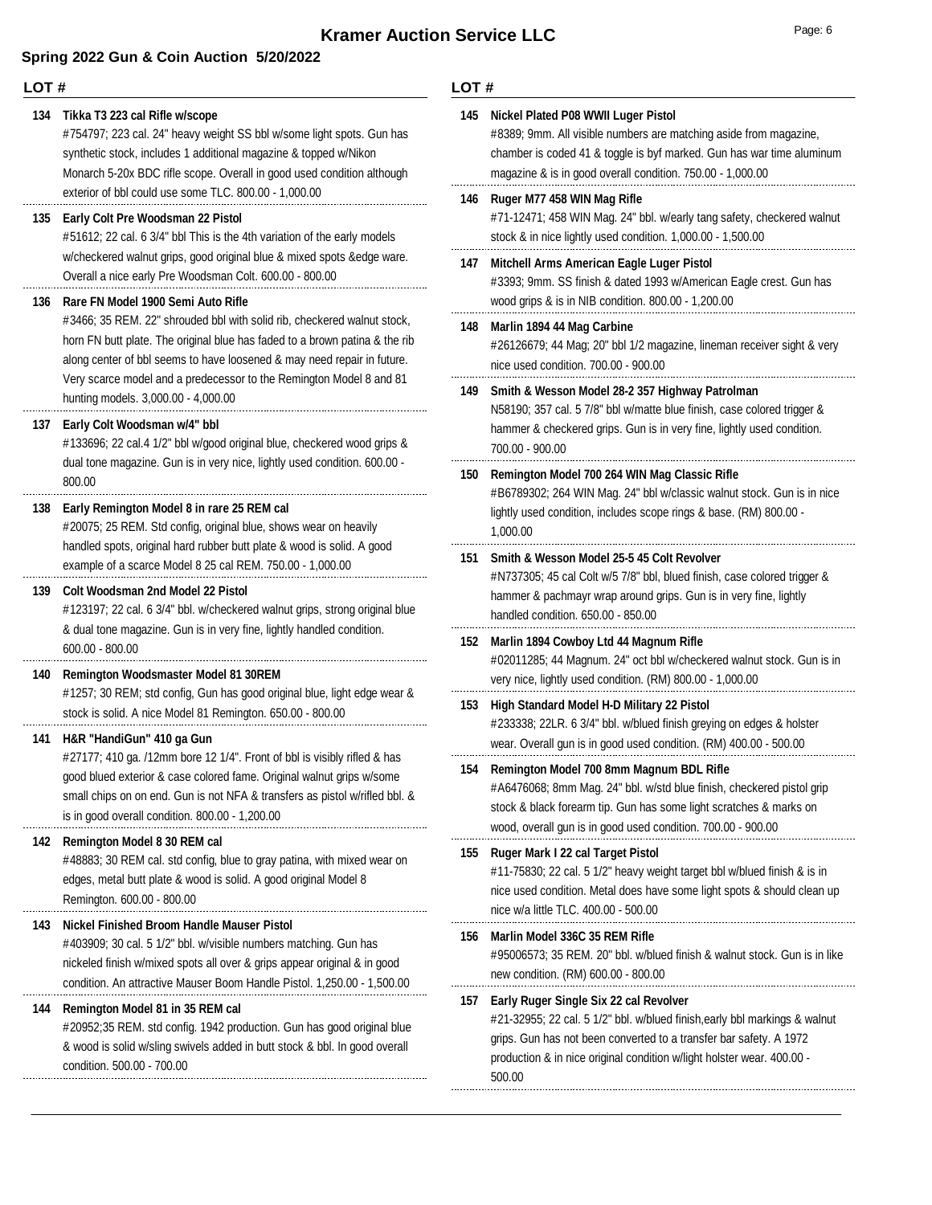### **LOT #**

#### **134 Tikka T3 223 cal Rifle w/scope**

#754797; 223 cal. 24" heavy weight SS bbl w/some light spots. Gun has synthetic stock, includes 1 additional magazine & topped w/Nikon Monarch 5-20x BDC rifle scope. Overall in good used condition although exterior of bbl could use some TLC. 800.00 - 1,000.00

#### **135 Early Colt Pre Woodsman 22 Pistol**

#51612; 22 cal. 6 3/4" bbl This is the 4th variation of the early models w/checkered walnut grips, good original blue & mixed spots &edge ware. Overall a nice early Pre Woodsman Colt. 600.00 - 800.00

#### **136 Rare FN Model 1900 Semi Auto Rifle**

#3466; 35 REM. 22" shrouded bbl with solid rib, checkered walnut stock, horn FN butt plate. The original blue has faded to a brown patina & the rib along center of bbl seems to have loosened & may need repair in future. Very scarce model and a predecessor to the Remington Model 8 and 81 hunting models. 3,000.00 - 4,000.00

#### **137 Early Colt Woodsman w/4" bbl**

#133696; 22 cal.4 1/2" bbl w/good original blue, checkered wood grips & dual tone magazine. Gun is in very nice, lightly used condition. 600.00 - 800.00

#### **138 Early Remington Model 8 in rare 25 REM cal**

#20075; 25 REM. Std config, original blue, shows wear on heavily handled spots, original hard rubber butt plate & wood is solid. A good example of a scarce Model 8 25 cal REM. 750.00 - 1,000.00

#### **139 Colt Woodsman 2nd Model 22 Pistol**

#123197; 22 cal. 6 3/4" bbl. w/checkered walnut grips, strong original blue & dual tone magazine. Gun is in very fine, lightly handled condition. 600.00 - 800.00

#### **140 Remington Woodsmaster Model 81 30REM**

#1257; 30 REM; std config, Gun has good original blue, light edge wear & stock is solid. A nice Model 81 Remington. 650.00 - 800.00

#### **141 H&R "HandiGun" 410 ga Gun**

#27177; 410 ga. /12mm bore 12 1/4". Front of bbl is visibly rifled & has good blued exterior & case colored fame. Original walnut grips w/some small chips on on end. Gun is not NFA & transfers as pistol w/rifled bbl. & is in good overall condition. 800.00 - 1,200.00

#### **142 Remington Model 8 30 REM cal**

#48883; 30 REM cal. std config, blue to gray patina, with mixed wear on edges, metal butt plate & wood is solid. A good original Model 8 Remington. 600.00 - 800.00

#### **143 Nickel Finished Broom Handle Mauser Pistol**

#403909; 30 cal. 5 1/2" bbl. w/visible numbers matching. Gun has nickeled finish w/mixed spots all over & grips appear original & in good condition. An attractive Mauser Boom Handle Pistol. 1,250.00 - 1,500.00

#### **144 Remington Model 81 in 35 REM cal**

#20952;35 REM. std config. 1942 production. Gun has good original blue & wood is solid w/sling swivels added in butt stock & bbl. In good overall condition. 500.00 - 700.00

| 145 | Nickel Plated P08 WWII Luger Pistol<br>#8389; 9mm. All visible numbers are matching aside from magazine,<br>chamber is coded 41 & toggle is byf marked. Gun has war time aluminum<br>magazine & is in good overall condition. 750.00 - 1,000.00                                |
|-----|--------------------------------------------------------------------------------------------------------------------------------------------------------------------------------------------------------------------------------------------------------------------------------|
| 146 | Ruger M77 458 WIN Mag Rifle<br>#71-12471; 458 WIN Mag. 24" bbl. w/early tang safety, checkered walnut<br>stock & in nice lightly used condition. 1,000.00 - 1,500.00                                                                                                           |
| 147 | Mitchell Arms American Eagle Luger Pistol<br>#3393; 9mm. SS finish & dated 1993 w/American Eagle crest. Gun has<br>wood grips & is in NIB condition. 800.00 - 1,200.00                                                                                                         |
| 148 | Marlin 1894 44 Mag Carbine<br>#26126679; 44 Mag; 20" bbl 1/2 magazine, lineman receiver sight & very<br>nice used condition. 700.00 - 900.00                                                                                                                                   |
| 149 | Smith & Wesson Model 28-2 357 Highway Patrolman<br>N58190; 357 cal. 5 7/8" bbl w/matte blue finish, case colored trigger &<br>hammer & checkered grips. Gun is in very fine, lightly used condition.<br>700.00 - 900.00                                                        |
| 150 | Remington Model 700 264 WIN Mag Classic Rifle<br>#B6789302; 264 WIN Mag. 24" bbl w/classic walnut stock. Gun is in nice<br>lightly used condition, includes scope rings & base. (RM) 800.00 -<br>1,000.00                                                                      |
| 151 | Smith & Wesson Model 25-5 45 Colt Revolver<br>#N737305; 45 cal Colt w/5 7/8" bbl, blued finish, case colored trigger &<br>hammer & pachmayr wrap around grips. Gun is in very fine, lightly<br>handled condition. 650.00 - 850.00                                              |
| 152 | Marlin 1894 Cowboy Ltd 44 Magnum Rifle<br>#02011285; 44 Magnum. 24" oct bbl w/checkered walnut stock. Gun is in<br>very nice, lightly used condition. (RM) 800.00 - 1,000.00                                                                                                   |
| 153 | High Standard Model H-D Military 22 Pistol<br>#233338; 22LR. 6 3/4" bbl. w/blued finish greying on edges & holster<br>wear. Overall gun is in good used condition. (RM) 400.00 - 500.00                                                                                        |
| 154 | Remington Model 700 8mm Magnum BDL Rifle<br>#A6476068; 8mm Mag. 24" bbl. w/std blue finish, checkered pistol grip<br>stock & black forearm tip. Gun has some light scratches & marks on<br>wood, overall gun is in good used condition. 700.00 - 900.00                        |
| 155 | Ruger Mark I 22 cal Target Pistol<br>#11-75830; 22 cal. 5 1/2" heavy weight target bbl w/blued finish & is in<br>nice used condition. Metal does have some light spots & should clean up<br>nice w/a little TLC. 400.00 - 500.00                                               |
| 156 | Marlin Model 336C 35 REM Rifle<br>#95006573; 35 REM. 20" bbl. w/blued finish & walnut stock. Gun is in like<br>new condition. (RM) 600.00 - 800.00                                                                                                                             |
| 157 | Early Ruger Single Six 22 cal Revolver<br>#21-32955; 22 cal. 5 1/2" bbl. w/blued finish, early bbl markings & walnut<br>grips. Gun has not been converted to a transfer bar safety. A 1972<br>production & in nice original condition w/light holster wear. 400.00 -<br>500.00 |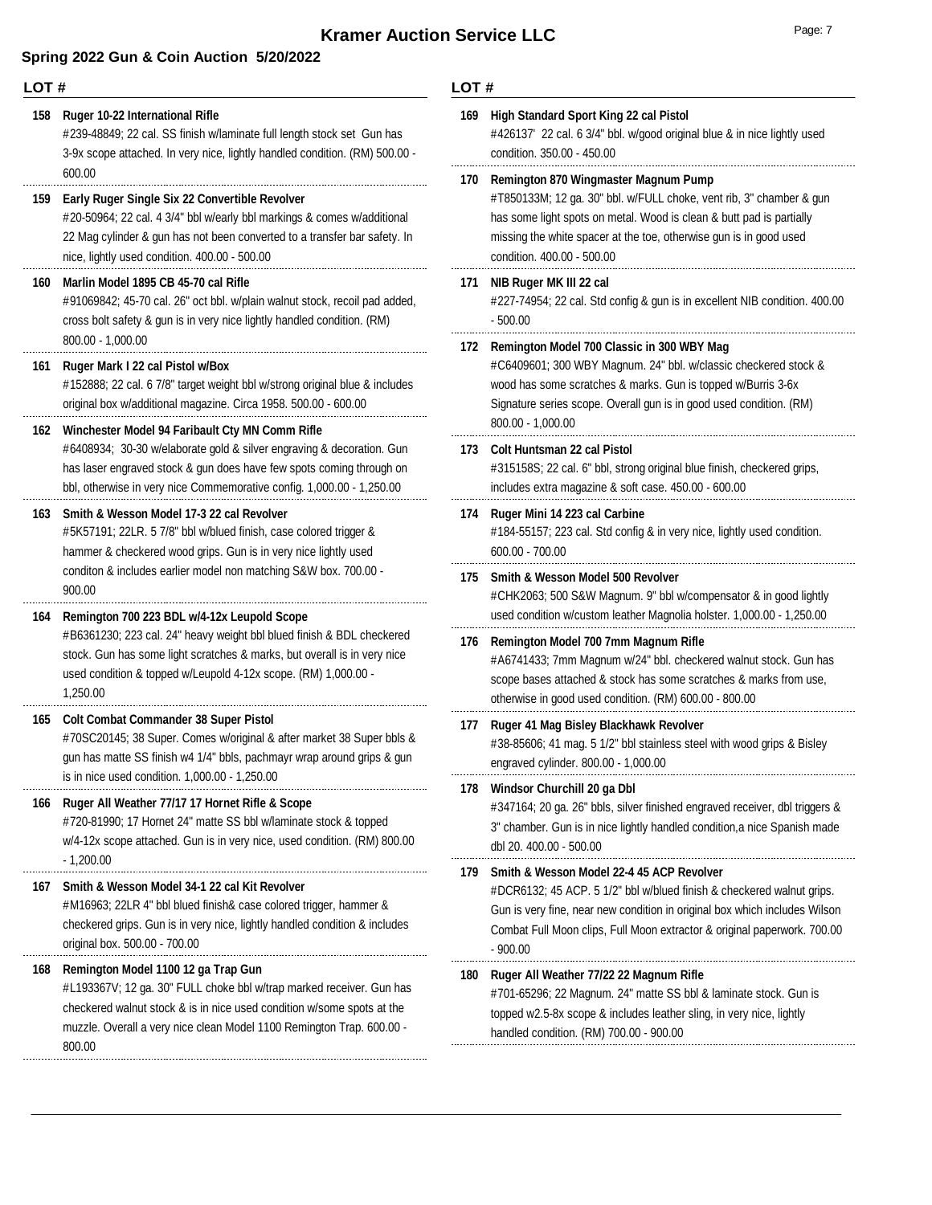| LOT# |                                                                                                                                                                                                                                                                           | LOT# |                                                                                                                                                                                                                                                                                           |  |
|------|---------------------------------------------------------------------------------------------------------------------------------------------------------------------------------------------------------------------------------------------------------------------------|------|-------------------------------------------------------------------------------------------------------------------------------------------------------------------------------------------------------------------------------------------------------------------------------------------|--|
| 158  | Ruger 10-22 International Rifle<br>#239-48849; 22 cal. SS finish w/laminate full length stock set Gun has<br>3-9x scope attached. In very nice, lightly handled condition. (RM) 500.00 -                                                                                  | 169  | High Standard Sport King 22 cal Pistol<br>#426137' 22 cal. 6 3/4" bbl. w/good original blue & in nice lightly used<br>condition. 350.00 - 450.00                                                                                                                                          |  |
| 159  | 600.00<br>Early Ruger Single Six 22 Convertible Revolver<br>#20-50964; 22 cal. 4 3/4" bbl w/early bbl markings & comes w/additional<br>22 Mag cylinder & gun has not been converted to a transfer bar safety. In<br>nice, lightly used condition. 400.00 - 500.00         | 170  | Remington 870 Wingmaster Magnum Pump<br>#T850133M; 12 ga. 30" bbl. w/FULL choke, vent rib, 3" chamber & gun<br>has some light spots on metal. Wood is clean & butt pad is partially<br>missing the white spacer at the toe, otherwise gun is in good used<br>condition. 400.00 - 500.00   |  |
| 160  | Marlin Model 1895 CB 45-70 cal Rifle<br>#91069842; 45-70 cal. 26" oct bbl. w/plain walnut stock, recoil pad added,<br>cross bolt safety & gun is in very nice lightly handled condition. (RM)                                                                             |      | 171 NIB Ruger MK III 22 cal<br>#227-74954; 22 cal. Std config & gun is in excellent NIB condition. 400.00<br>$-500.00$                                                                                                                                                                    |  |
| 161  | 800.00 - 1,000.00<br>Ruger Mark I 22 cal Pistol w/Box<br>#152888; 22 cal. 6 7/8" target weight bbl w/strong original blue & includes<br>original box w/additional magazine. Circa 1958. 500.00 - 600.00                                                                   |      | 172 Remington Model 700 Classic in 300 WBY Mag<br>#C6409601; 300 WBY Magnum. 24" bbl. w/classic checkered stock &<br>wood has some scratches & marks. Gun is topped w/Burris 3-6x<br>Signature series scope. Overall gun is in good used condition. (RM)<br>800.00 - 1,000.00             |  |
| 162  | Winchester Model 94 Faribault Cty MN Comm Rifle<br>#6408934; 30-30 w/elaborate gold & silver engraving & decoration. Gun<br>has laser engraved stock & gun does have few spots coming through on<br>bbl, otherwise in very nice Commemorative config. 1,000.00 - 1,250.00 |      | 173 Colt Huntsman 22 cal Pistol<br>#315158S; 22 cal. 6" bbl, strong original blue finish, checkered grips,<br>includes extra magazine & soft case. 450.00 - 600.00                                                                                                                        |  |
| 163  | Smith & Wesson Model 17-3 22 cal Revolver<br>#5K57191; 22LR. 5 7/8" bbl w/blued finish, case colored trigger &<br>hammer & checkered wood grips. Gun is in very nice lightly used                                                                                         |      | 174 Ruger Mini 14 223 cal Carbine<br>#184-55157; 223 cal. Std config & in very nice, lightly used condition.<br>$600.00 - 700.00$                                                                                                                                                         |  |
| 164  | conditon & includes earlier model non matching S&W box. 700.00 -<br>900.00<br>Remington 700 223 BDL w/4-12x Leupold Scope                                                                                                                                                 |      | 175 Smith & Wesson Model 500 Revolver<br>#CHK2063; 500 S&W Magnum. 9" bbl w/compensator & in good lightly<br>used condition w/custom leather Magnolia holster. 1,000.00 - 1,250.00                                                                                                        |  |
|      | #B6361230; 223 cal. 24" heavy weight bbl blued finish & BDL checkered<br>stock. Gun has some light scratches & marks, but overall is in very nice<br>used condition & topped w/Leupold 4-12x scope. (RM) 1,000.00 -<br>1,250.00                                           |      | 176 Remington Model 700 7mm Magnum Rifle<br>#A6741433; 7mm Magnum w/24" bbl. checkered walnut stock. Gun has<br>scope bases attached & stock has some scratches & marks from use,<br>otherwise in good used condition. (RM) 600.00 - 800.00                                               |  |
| 165  | <b>Colt Combat Commander 38 Super Pistol</b><br>#70SC20145; 38 Super. Comes w/original & after market 38 Super bbls &<br>gun has matte SS finish w4 1/4" bbls, pachmayr wrap around grips & gun                                                                           | 177  | Ruger 41 Mag Bisley Blackhawk Revolver<br>#38-85606; 41 mag. 5 1/2" bbl stainless steel with wood grips & Bisley<br>engraved cylinder. 800.00 - 1,000.00                                                                                                                                  |  |
| 166  | is in nice used condition. 1,000.00 - 1,250.00<br>Ruger All Weather 77/17 17 Hornet Rifle & Scope<br>#720-81990; 17 Hornet 24" matte SS bbl w/laminate stock & topped<br>w/4-12x scope attached. Gun is in very nice, used condition. (RM) 800.00<br>$-1,200.00$          |      | 178 Windsor Churchill 20 ga Dbl<br>#347164; 20 ga. 26" bbls, silver finished engraved receiver, dbl triggers &<br>3" chamber. Gun is in nice lightly handled condition, a nice Spanish made<br>dbl 20. 400.00 - 500.00                                                                    |  |
| 167  | Smith & Wesson Model 34-1 22 cal Kit Revolver<br>#M16963; 22LR 4" bbl blued finish& case colored trigger, hammer &<br>checkered grips. Gun is in very nice, lightly handled condition & includes<br>original box. 500.00 - 700.00                                         | 179  | Smith & Wesson Model 22-4 45 ACP Revolver<br>#DCR6132; 45 ACP. 5 1/2" bbl w/blued finish & checkered walnut grips.<br>Gun is very fine, near new condition in original box which includes Wilson<br>Combat Full Moon clips, Full Moon extractor & original paperwork. 700.00<br>$-900.00$ |  |
| 168  | Remington Model 1100 12 ga Trap Gun<br>#L193367V; 12 ga. 30" FULL choke bbl w/trap marked receiver. Gun has<br>checkered walnut stock & is in nice used condition w/some spots at the<br>muzzle. Overall a very nice clean Model 1100 Remington Trap. 600.00 -<br>800.00  | 180  | Ruger All Weather 77/22 22 Magnum Rifle<br>#701-65296; 22 Magnum. 24" matte SS bbl & laminate stock. Gun is<br>topped w2.5-8x scope & includes leather sling, in very nice, lightly<br>handled condition. (RM) 700.00 - 900.00                                                            |  |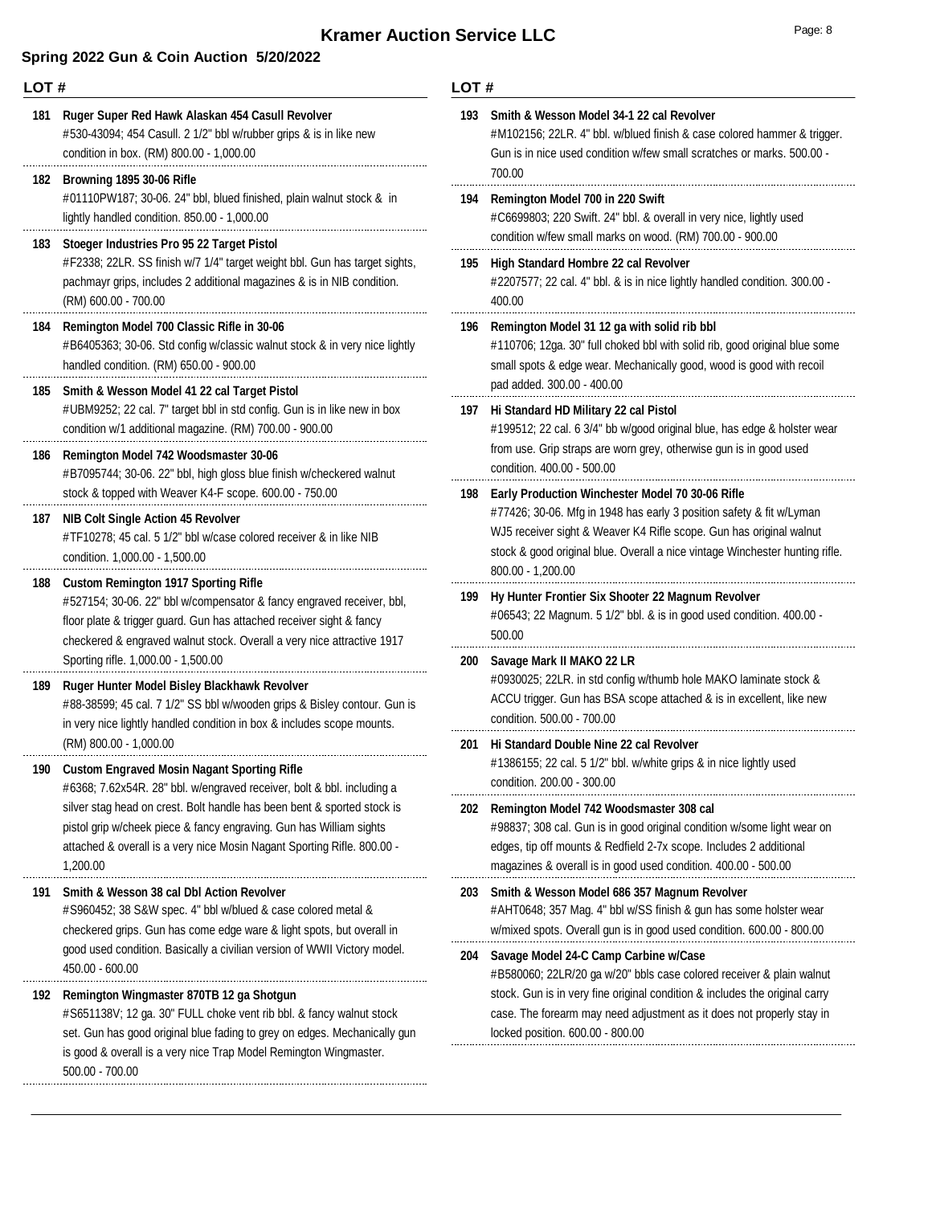### **Spring 2022 Gun & Coin Auction 5/20/2022**

| LOT# |                                                                                                                                                                                                                                                                        | LOT#       |                                                                                                                                               |  |
|------|------------------------------------------------------------------------------------------------------------------------------------------------------------------------------------------------------------------------------------------------------------------------|------------|-----------------------------------------------------------------------------------------------------------------------------------------------|--|
| 181  | Ruger Super Red Hawk Alaskan 454 Casull Revolver<br>#530-43094; 454 Casull. 2 1/2" bbl w/rubber grips & is in like new<br>condition in box. (RM) 800.00 - 1,000.00                                                                                                     | 193        | Smith & Wesson Model 34-1 22<br>#M102156; 22LR. 4" bbl. w/blueo<br>Gun is in nice used condition w/f                                          |  |
| 182  | Browning 1895 30-06 Rifle<br>#01110PW187; 30-06. 24" bbl, blued finished, plain walnut stock & in<br>lightly handled condition. 850.00 - 1,000.00                                                                                                                      | 194        | 700.00<br>Remington Model 700 in 220 St<br>#C6699803; 220 Swift. 24" bbl. 8                                                                   |  |
| 183  | Stoeger Industries Pro 95 22 Target Pistol<br>#F2338; 22LR. SS finish w/7 1/4" target weight bbl. Gun has target sights,<br>pachmayr grips, includes 2 additional magazines & is in NIB condition.<br>(RM) 600.00 - 700.00                                             | 195        | condition w/few small marks on v<br>High Standard Hombre 22 cal I<br>#2207577; 22 cal. 4" bbl. & is in<br>400.00                              |  |
| 184  | Remington Model 700 Classic Rifle in 30-06<br>#B6405363; 30-06. Std config w/classic walnut stock & in very nice lightly<br>handled condition. (RM) 650.00 - 900.00                                                                                                    | 196        | Remington Model 31 12 ga with<br>#110706; 12ga. 30" full choked b<br>small spots & edge wear. Mecha                                           |  |
| 185  | Smith & Wesson Model 41 22 cal Target Pistol<br>#UBM9252; 22 cal. 7" target bbl in std config. Gun is in like new in box<br>condition w/1 additional magazine. (RM) 700.00 - 900.00                                                                                    | 197        | pad added. 300.00 - 400.00<br>Hi Standard HD Military 22 cal<br>#199512; 22 cal. 6 3/4" bb w/goo                                              |  |
| 186  | Remington Model 742 Woodsmaster 30-06<br>#B7095744; 30-06. 22" bbl, high gloss blue finish w/checkered walnut<br>stock & topped with Weaver K4-F scope. 600.00 - 750.00                                                                                                |            | from use. Grip straps are worn gr<br>condition. 400.00 - 500.00<br>198 Early Production Winchester M                                          |  |
| 187  | NIB Colt Single Action 45 Revolver<br>#TF10278; 45 cal. 5 1/2" bbl w/case colored receiver & in like NIB<br>condition. 1,000.00 - 1,500.00                                                                                                                             |            | #77426; 30-06. Mfg in 1948 has<br>WJ5 receiver sight & Weaver K4<br>stock & good original blue. Overa<br>800.00 - 1,200.00                    |  |
| 188  | <b>Custom Remington 1917 Sporting Rifle</b><br>#527154; 30-06. 22" bbl w/compensator & fancy engraved receiver, bbl,<br>floor plate & trigger guard. Gun has attached receiver sight & fancy<br>checkered & engraved walnut stock. Overall a very nice attractive 1917 | 199        | <b>Hy Hunter Frontier Six Shooter</b><br>#06543; 22 Magnum. 5 1/2" bbl.<br>500.00                                                             |  |
| 189  | Sporting rifle. 1,000.00 - 1,500.00<br>Ruger Hunter Model Bisley Blackhawk Revolver<br>#88-38599; 45 cal. 7 1/2" SS bbl w/wooden grips & Bisley contour. Gun is<br>in very nice lightly handled condition in box & includes scope mounts.                              | <b>200</b> | Savage Mark II MAKO 22 LR<br>#0930025; 22LR. in std config w/<br>ACCU trigger. Gun has BSA scop<br>condition. 500.00 - 700.00                 |  |
| 190  | (RM) 800.00 - 1,000.00<br><b>Custom Engraved Mosin Nagant Sporting Rifle</b><br>#6368; 7.62x54R. 28" bbl. w/engraved receiver, bolt & bbl. including a                                                                                                                 |            | 201 Hi Standard Double Nine 22 ca<br>#1386155; 22 cal. 5 1/2" bbl. w/w<br>condition. 200.00 - 300.00                                          |  |
|      | silver stag head on crest. Bolt handle has been bent & sported stock is<br>pistol grip w/cheek piece & fancy engraving. Gun has William sights<br>attached & overall is a very nice Mosin Nagant Sporting Rifle. 800.00 -<br>1,200.00                                  | 202        | <b>Remington Model 742 Woodsm</b><br>#98837; 308 cal. Gun is in good<br>edges, tip off mounts & Redfield<br>magazines & overall is in good us |  |
| 191  | <b>Smith &amp; Wesson 38 cal Dbl Action Revolver</b><br>#S960452; 38 S&W spec. 4" bbl w/blued & case colored metal &<br>checkered grips. Gun has come edge ware & light spots, but overall in                                                                          | 203        | Smith & Wesson Model 686 357<br>#AHT0648; 357 Mag. 4" bbl w/S!<br>w/mixed spots. Overall gun is in                                            |  |
|      | good used condition. Basically a civilian version of WWII Victory model.<br>450.00 - 600.00                                                                                                                                                                            | 204        | Savage Model 24-C Camp Carb<br>#B580060; 22LR/20 ga w/20" bbl                                                                                 |  |
| 192  | Remington Wingmaster 870TB 12 ga Shotgun<br>#S651138V; 12 ga. 30" FULL choke vent rib bbl. & fancy walnut stock<br>set. Gun has good original blue fading to grey on edges. Mechanically gun                                                                           |            | stock. Gun is in very fine original<br>case. The forearm may need adju<br>locked position. 600.00 - 800.00                                    |  |
|      |                                                                                                                                                                                                                                                                        |            |                                                                                                                                               |  |

is good & overall is a very nice Trap Model Remington Wingmaster. 500.00 - 700.00

| 193 | Smith & Wesson Model 34-1 22 cal Revolver<br>#M102156; 22LR. 4" bbl. w/blued finish & case colored hammer & trigger.<br>Gun is in nice used condition w/few small scratches or marks. 500.00 -<br>700.00                                                                                             |
|-----|------------------------------------------------------------------------------------------------------------------------------------------------------------------------------------------------------------------------------------------------------------------------------------------------------|
| 194 | Remington Model 700 in 220 Swift<br>#C6699803; 220 Swift. 24" bbl. & overall in very nice, lightly used<br>condition w/few small marks on wood. (RM) 700.00 - 900.00                                                                                                                                 |
| 195 | <b>High Standard Hombre 22 cal Revolver</b><br>#2207577; 22 cal. 4" bbl. & is in nice lightly handled condition. 300.00 -<br>400.00                                                                                                                                                                  |
| 196 | Remington Model 31 12 ga with solid rib bbl<br>#110706; 12ga. 30" full choked bbl with solid rib, good original blue some<br>small spots & edge wear. Mechanically good, wood is good with recoil<br>pad added. 300.00 - 400.00                                                                      |
| 197 | Hi Standard HD Military 22 cal Pistol<br>#199512; 22 cal. 6 3/4" bb w/good original blue, has edge & holster wear<br>from use. Grip straps are worn grey, otherwise gun is in good used<br>condition. 400.00 - 500.00                                                                                |
| 198 | Early Production Winchester Model 70 30-06 Rifle<br>#77426; 30-06. Mfg in 1948 has early 3 position safety & fit w/Lyman<br>WJ5 receiver sight & Weaver K4 Rifle scope. Gun has original walnut<br>stock & good original blue. Overall a nice vintage Winchester hunting rifle.<br>800.00 - 1,200.00 |
| 199 | Hy Hunter Frontier Six Shooter 22 Magnum Revolver<br>#06543; 22 Magnum. 5 1/2" bbl. & is in good used condition. 400.00 -<br>500.00                                                                                                                                                                  |
| 200 | Savage Mark II MAKO 22 LR<br>#0930025; 22LR. in std config w/thumb hole MAKO laminate stock &<br>ACCU trigger. Gun has BSA scope attached & is in excellent, like new<br>condition. 500.00 - 700.00                                                                                                  |
| 201 | <b>Hi Standard Double Nine 22 cal Revolver</b><br>#1386155; 22 cal. 5 1/2" bbl. w/white grips & in nice lightly used<br>condition. 200.00 - 300.00                                                                                                                                                   |
| 202 | Remington Model 742 Woodsmaster 308 cal<br>#98837; 308 cal. Gun is in good original condition w/some light wear on<br>edges, tip off mounts & Redfield 2-7x scope. Includes 2 additional<br>magazines & overall is in good used condition. 400.00 - 500.00                                           |
| 203 | Smith & Wesson Model 686 357 Magnum Revolver<br>#AHT0648; 357 Mag. 4" bbl w/SS finish & gun has some holster wear<br>w/mixed spots. Overall gun is in good used condition. 600.00 - 800.00                                                                                                           |
| 204 | Savage Model 24-C Camp Carbine w/Case<br>#B580060; 22LR/20 ga w/20" bbls case colored receiver & plain walnut<br>stock. Gun is in very fine original condition & includes the original carry<br>case. The forearm may need adjustment as it does not properly stay in                                |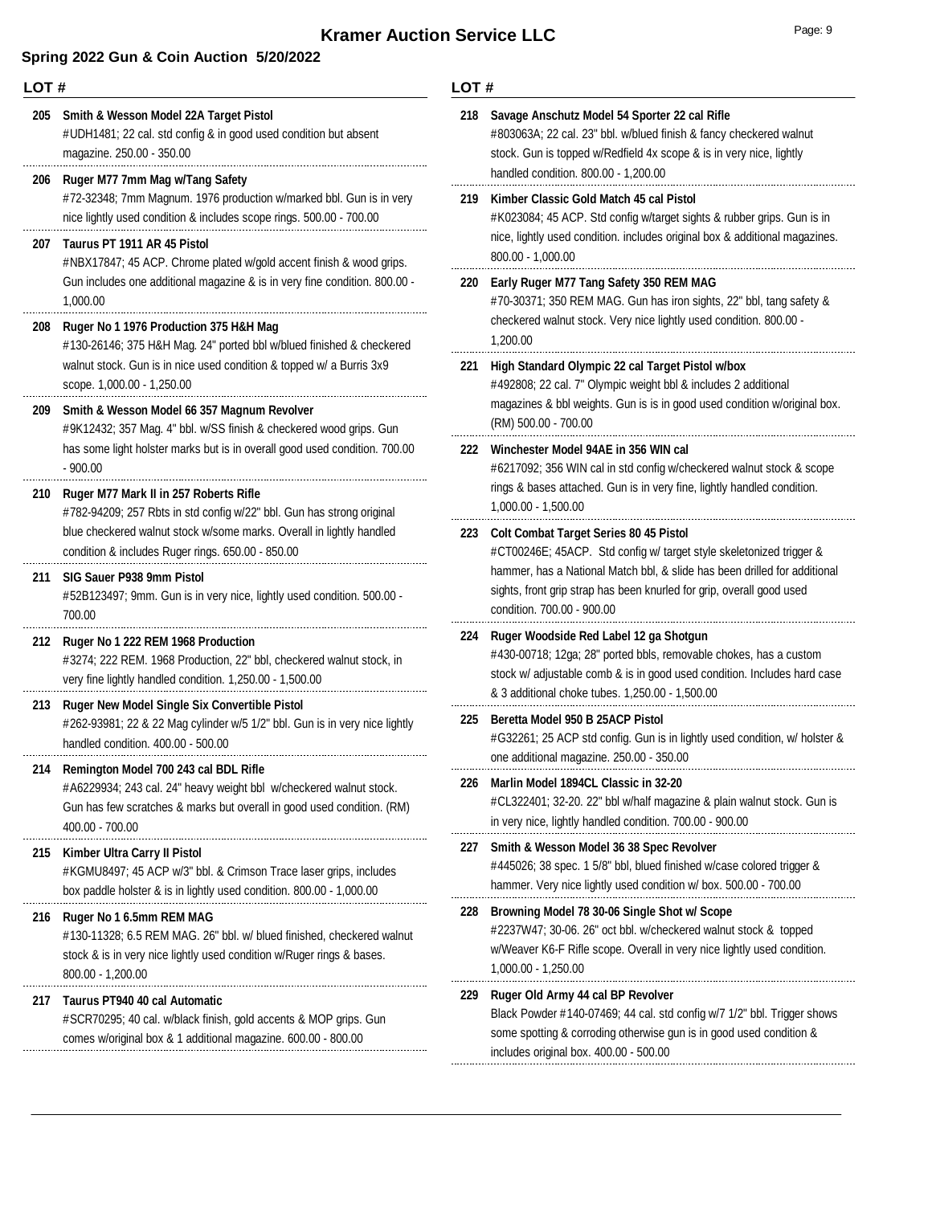| LOT# |                                                                                                                                                                                                                                              | LOT# |                                                                                                                                                                                                                                        |  |
|------|----------------------------------------------------------------------------------------------------------------------------------------------------------------------------------------------------------------------------------------------|------|----------------------------------------------------------------------------------------------------------------------------------------------------------------------------------------------------------------------------------------|--|
|      | 205 Smith & Wesson Model 22A Target Pistol<br>#UDH1481; 22 cal. std config & in good used condition but absent<br>magazine. 250.00 - 350.00                                                                                                  |      | 218 Savage Anschutz Model 54 Sporter 22 cal Rifle<br>#803063A; 22 cal. 23" bbl. w/blued finish & fancy checkered walnut<br>stock. Gun is topped w/Redfield 4x scope & is in very nice, lightly<br>handled condition. 800.00 - 1,200.00 |  |
| 206  | Ruger M77 7mm Mag w/Tang Safety<br>#72-32348; 7mm Magnum. 1976 production w/marked bbl. Gun is in very<br>nice lightly used condition & includes scope rings. 500.00 - 700.00                                                                | 219  | Kimber Classic Gold Match 45 cal Pistol<br>#K023084; 45 ACP. Std config w/target sights & rubber grips. Gun is in                                                                                                                      |  |
| 207  | Taurus PT 1911 AR 45 Pistol<br>#NBX17847; 45 ACP. Chrome plated w/gold accent finish & wood grips.<br>Gun includes one additional magazine & is in very fine condition. 800.00 -<br>1,000.00                                                 | 220  | nice, lightly used condition. includes original box & additional magazines.<br>800.00 - 1,000.00<br>Early Ruger M77 Tang Safety 350 REM MAG<br>#70-30371; 350 REM MAG. Gun has iron sights, 22" bbl, tang safety &                     |  |
| 208  | Ruger No 1 1976 Production 375 H&H Mag<br>#130-26146; 375 H&H Mag. 24" ported bbl w/blued finished & checkered<br>walnut stock. Gun is in nice used condition & topped w/ a Burris 3x9                                                       | 221  | checkered walnut stock. Very nice lightly used condition. 800.00 -<br>1,200.00<br>High Standard Olympic 22 cal Target Pistol w/box                                                                                                     |  |
| 209  | scope. 1,000.00 - 1,250.00<br>Smith & Wesson Model 66 357 Magnum Revolver<br>#9K12432; 357 Mag. 4" bbl. w/SS finish & checkered wood grips. Gun                                                                                              |      | #492808; 22 cal. 7" Olympic weight bbl & includes 2 additional<br>magazines & bbl weights. Gun is is in good used condition w/original box.<br>(RM) 500.00 - 700.00                                                                    |  |
|      | has some light holster marks but is in overall good used condition. 700.00<br>$-900.00$                                                                                                                                                      | 222  | Winchester Model 94AE in 356 WIN cal<br>#6217092; 356 WIN cal in std config w/checkered walnut stock & scope<br>rings & bases attached. Gun is in very fine, lightly handled condition.                                                |  |
| 210  | Ruger M77 Mark II in 257 Roberts Rifle<br>#782-94209; 257 Rbts in std config w/22" bbl. Gun has strong original<br>blue checkered walnut stock w/some marks. Overall in lightly handled<br>condition & includes Ruger rings. 650.00 - 850.00 | 223  | 1,000.00 - 1,500.00<br><b>Colt Combat Target Series 80 45 Pistol</b><br>#CT00246E; 45ACP. Std config w/ target style skeletonized trigger &                                                                                            |  |
| 211  | SIG Sauer P938 9mm Pistol<br>#52B123497; 9mm. Gun is in very nice, lightly used condition. 500.00 -<br>700.00                                                                                                                                |      | hammer, has a National Match bbl, & slide has been drilled for additional<br>sights, front grip strap has been knurled for grip, overall good used<br>condition. 700.00 - 900.00                                                       |  |
| 212  | Ruger No 1 222 REM 1968 Production<br>#3274; 222 REM. 1968 Production, 22" bbl, checkered walnut stock, in<br>very fine lightly handled condition. 1,250.00 - 1,500.00                                                                       | 224  | Ruger Woodside Red Label 12 ga Shotgun<br>#430-00718; 12ga; 28" ported bbls, removable chokes, has a custom<br>stock w/ adjustable comb & is in good used condition. Includes hard case                                                |  |
| 213  | <b>Ruger New Model Single Six Convertible Pistol</b><br>#262-93981; 22 & 22 Mag cylinder w/5 1/2" bbl. Gun is in very nice lightly<br>handled condition. 400.00 - 500.00                                                                     | 225  | & 3 additional choke tubes. 1,250.00 - 1,500.00<br>Beretta Model 950 B 25ACP Pistol<br>#G32261; 25 ACP std config. Gun is in lightly used condition, w/ holster &<br>one additional magazine. 250.00 - 350.00                          |  |
|      | 214 Remington Model 700 243 cal BDL Rifle<br>#A6229934; 243 cal. 24" heavy weight bbl w/checkered walnut stock.<br>Gun has few scratches & marks but overall in good used condition. (RM)<br>400.00 - 700.00                                 |      | 226 Marlin Model 1894CL Classic in 32-20<br>#CL322401; 32-20. 22" bbl w/half magazine & plain walnut stock. Gun is<br>in very nice, lightly handled condition. 700.00 - 900.00                                                         |  |
| 215  | Kimber Ultra Carry II Pistol<br>#KGMU8497; 45 ACP w/3" bbl. & Crimson Trace laser grips, includes<br>box paddle holster & is in lightly used condition. 800.00 - 1,000.00                                                                    |      | 227 Smith & Wesson Model 36 38 Spec Revolver<br>#445026; 38 spec. 1 5/8" bbl, blued finished w/case colored trigger &<br>hammer. Very nice lightly used condition w/ box. 500.00 - 700.00                                              |  |
| 216  | Ruger No 1 6.5mm REM MAG<br>#130-11328; 6.5 REM MAG. 26" bbl. w/ blued finished, checkered walnut<br>stock & is in very nice lightly used condition w/Ruger rings & bases.<br>800.00 - 1,200.00                                              | 228  | Browning Model 78 30-06 Single Shot w/ Scope<br>#2237W47; 30-06. 26" oct bbl. w/checkered walnut stock & topped<br>w/Weaver K6-F Rifle scope. Overall in very nice lightly used condition.<br>$1,000.00 - 1,250.00$                    |  |
| 217  | Taurus PT940 40 cal Automatic<br>#SCR70295; 40 cal. w/black finish, gold accents & MOP grips. Gun<br>comes w/original box & 1 additional magazine. 600.00 - 800.00                                                                           | 229  | Ruger Old Army 44 cal BP Revolver<br>Black Powder #140-07469; 44 cal. std config w/7 1/2" bbl. Trigger shows<br>some spotting & corroding otherwise gun is in good used condition &<br>includes original box. 400.00 - 500.00          |  |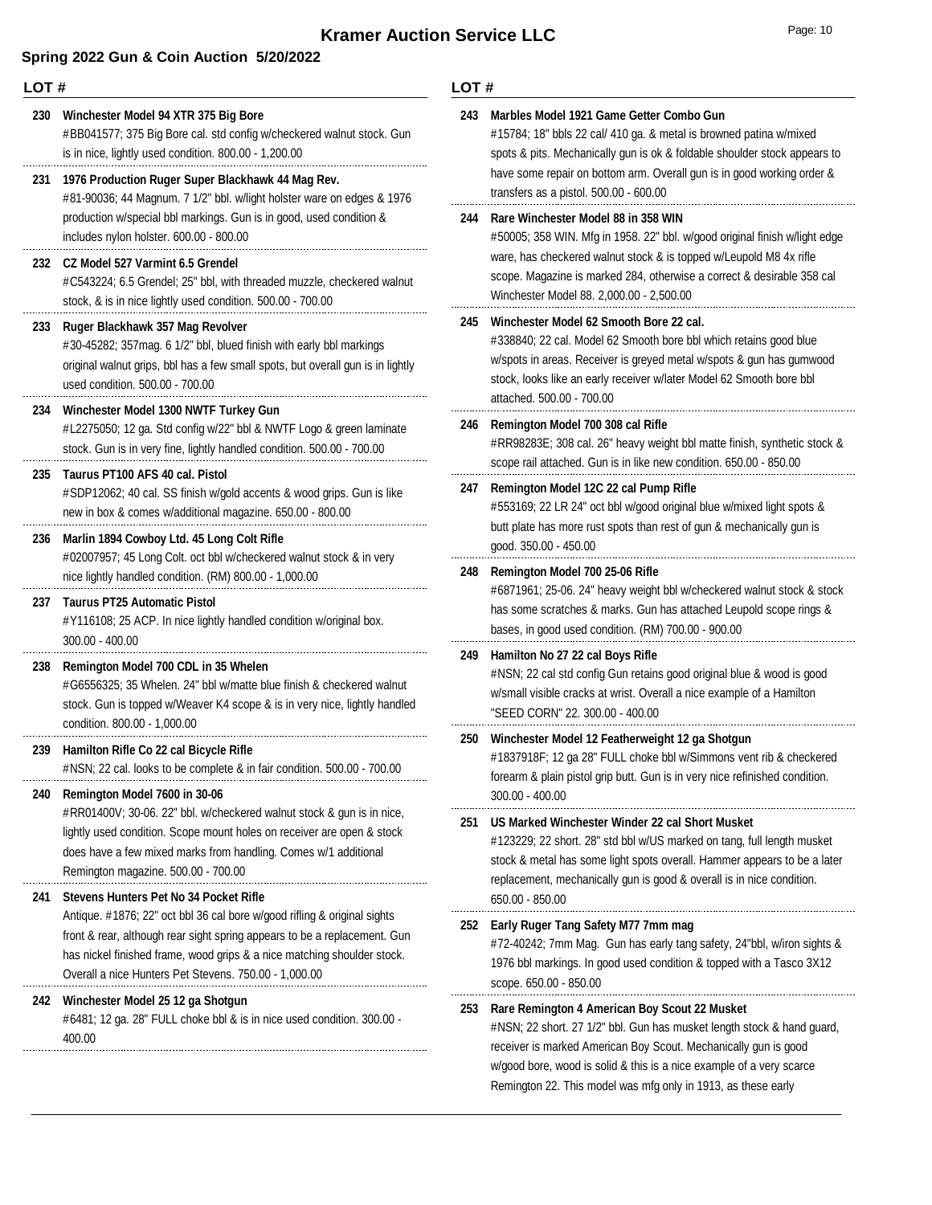### **Spring 2022 Gun & Coin Auction 5/20/2022**

**LOT #** #BB041577; 375 Big Bore cal. std config w/checkered walnut stock. Gun is in nice, lightly used condition. 800.00 - 1,200.00 **230 Winchester Model 94 XTR 375 Big Bore** #81-90036; 44 Magnum. 7 1/2" bbl. w/light holster ware on edges & 1976 production w/special bbl markings. Gun is in good, used condition & includes nylon holster. 600.00 - 800.00 **231 1976 Production Ruger Super Blackhawk 44 Mag Rev.** #C543224; 6.5 Grendel; 25" bbl, with threaded muzzle, checkered walnut stock, & is in nice lightly used condition. 500.00 - 700.00 **232 CZ Model 527 Varmint 6.5 Grendel** #30-45282; 357mag. 6 1/2" bbl, blued finish with early bbl markings original walnut grips, bbl has a few small spots, but overall gun is in lightly used condition. 500.00 - 700.00 **233 Ruger Blackhawk 357 Mag Revolver** #L2275050; 12 ga. Std config w/22" bbl & NWTF Logo & green laminate stock. Gun is in very fine, lightly handled condition. 500.00 - 700.00 **234 Winchester Model 1300 NWTF Turkey Gun** #SDP12062; 40 cal. SS finish w/gold accents & wood grips. Gun is like new in box & comes w/additional magazine. 650.00 - 800.00 **235 Taurus PT100 AFS 40 cal. Pistol** #02007957; 45 Long Colt. oct bbl w/checkered walnut stock & in very nice lightly handled condition. (RM) 800.00 - 1,000.00 **236 Marlin 1894 Cowboy Ltd. 45 Long Colt Rifle** #Y116108; 25 ACP. In nice lightly handled condition w/original box. 300.00 - 400.00 **237 Taurus PT25 Automatic Pistol** #G6556325; 35 Whelen. 24" bbl w/matte blue finish & checkered walnut stock. Gun is topped w/Weaver K4 scope & is in very nice, lightly handled condition. 800.00 - 1,000.00 **238 Remington Model 700 CDL in 35 Whelen** #NSN; 22 cal. looks to be complete & in fair condition. 500.00 - 700.00 **239 Hamilton Rifle Co 22 cal Bicycle Rifle** #RR01400V; 30-06. 22" bbl. w/checkered walnut stock & gun is in nice, lightly used condition. Scope mount holes on receiver are open & stock does have a few mixed marks from handling. Comes w/1 additional Remington magazine. 500.00 - 700.00 **240 Remington Model 7600 in 30-06 241 Stevens Hunters Pet No 34 Pocket Rifle LOT #**

### Antique. #1876; 22" oct bbl 36 cal bore w/good rifling & original sights front & rear, although rear sight spring appears to be a replacement. Gun has nickel finished frame, wood grips & a nice matching shoulder stock. Overall a nice Hunters Pet Stevens. 750.00 - 1,000.00

**242 Winchester Model 25 12 ga Shotgun**

#6481; 12 ga. 28" FULL choke bbl & is in nice used condition. 300.00 - 400.00

| 243 | Marbles Model 1921 Game Getter Combo Gun<br>#15784; 18" bbls 22 cal/ 410 ga. & metal is browned patina w/mixed<br>spots & pits. Mechanically gun is ok & foldable shoulder stock appears to<br>have some repair on bottom arm. Overall gun is in good working order &<br>transfers as a pistol. 500.00 - 600.00                     |
|-----|-------------------------------------------------------------------------------------------------------------------------------------------------------------------------------------------------------------------------------------------------------------------------------------------------------------------------------------|
| 244 | Rare Winchester Model 88 in 358 WIN<br>#50005; 358 WIN. Mfg in 1958. 22" bbl. w/good original finish w/light edge<br>ware, has checkered walnut stock & is topped w/Leupold M8 4x rifle<br>scope. Magazine is marked 284, otherwise a correct & desirable 358 cal<br>Winchester Model 88. 2,000.00 - 2,500.00                       |
| 245 | Winchester Model 62 Smooth Bore 22 cal.<br>#338840; 22 cal. Model 62 Smooth bore bbl which retains good blue<br>w/spots in areas. Receiver is greyed metal w/spots & gun has gumwood<br>stock, looks like an early receiver w/later Model 62 Smooth bore bbl<br>attached. 500.00 - 700.00                                           |
| 246 | Remington Model 700 308 cal Rifle<br>#RR98283E; 308 cal. 26" heavy weight bbl matte finish, synthetic stock &<br>scope rail attached. Gun is in like new condition. 650.00 - 850.00                                                                                                                                                 |
| 247 | Remington Model 12C 22 cal Pump Rifle<br>#553169; 22 LR 24" oct bbl w/good original blue w/mixed light spots &<br>butt plate has more rust spots than rest of gun & mechanically gun is<br>good. 350.00 - 450.00                                                                                                                    |
| 248 | Remington Model 700 25-06 Rifle<br>#6871961; 25-06. 24" heavy weight bbl w/checkered walnut stock & stock<br>has some scratches & marks. Gun has attached Leupold scope rings &<br>bases, in good used condition. (RM) 700.00 - 900.00                                                                                              |
| 249 | Hamilton No 27 22 cal Boys Rifle<br>#NSN; 22 cal std config Gun retains good original blue & wood is good<br>w/small visible cracks at wrist. Overall a nice example of a Hamilton<br>"SEED CORN" 22. 300.00 - 400.00                                                                                                               |
| 250 | Winchester Model 12 Featherweight 12 ga Shotgun<br>#1837918F; 12 ga 28" FULL choke bbl w/Simmons vent rib & checkered<br>forearm & plain pistol grip butt. Gun is in very nice refinished condition.<br>$300.00 - 400.00$                                                                                                           |
| 251 | US Marked Winchester Winder 22 cal Short Musket<br>#123229; 22 short. 28" std bbl w/US marked on tang, full length musket<br>stock & metal has some light spots overall. Hammer appears to be a later<br>replacement, mechanically gun is good & overall is in nice condition.<br>650.00 - 850.00                                   |
| 252 | Early Ruger Tang Safety M77 7mm mag<br>#72-40242; 7mm Mag. Gun has early tang safety, 24"bbl, w/iron sights &<br>1976 bbl markings. In good used condition & topped with a Tasco 3X12<br>scope. 650.00 - 850.00                                                                                                                     |
| 253 | Rare Remington 4 American Boy Scout 22 Musket<br>#NSN; 22 short. 27 1/2" bbl. Gun has musket length stock & hand guard,<br>receiver is marked American Boy Scout. Mechanically gun is good<br>w/good bore, wood is solid & this is a nice example of a very scarce<br>Remington 22. This model was mfg only in 1913, as these early |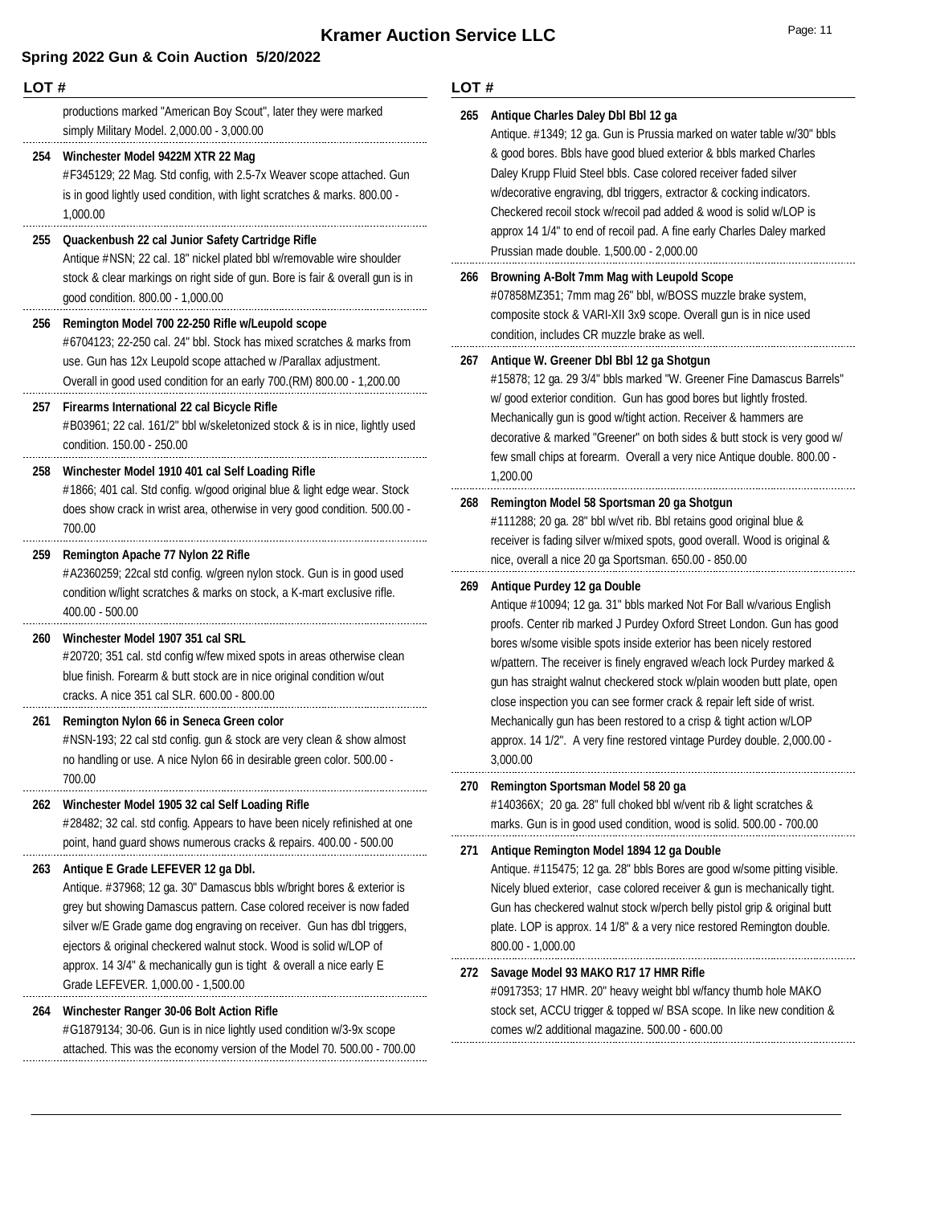| LOT# |                                                                                                                                                                                                                                                                                                 | LOT#                                              |                                                                                                                                                                                                                                                                                                                                                                                                                                                                                                                              |
|------|-------------------------------------------------------------------------------------------------------------------------------------------------------------------------------------------------------------------------------------------------------------------------------------------------|---------------------------------------------------|------------------------------------------------------------------------------------------------------------------------------------------------------------------------------------------------------------------------------------------------------------------------------------------------------------------------------------------------------------------------------------------------------------------------------------------------------------------------------------------------------------------------------|
|      | productions marked "American Boy Scout", later they were marked<br>simply Military Model. 2,000.00 - 3,000.00                                                                                                                                                                                   | 265                                               | Antique Charles Daley Dbl Bbl 12 ga<br>Antique. #1349; 12 ga. Gun is Prussia marked on water table w/30" bbls<br>& good bores. Bbls have good blued exterior & bbls marked Charles<br>Daley Krupp Fluid Steel bbls. Case colored receiver faded silver<br>w/decorative engraving, dbl triggers, extractor & cocking indicators.<br>Checkered recoil stock w/recoil pad added & wood is solid w/LOP is<br>approx 14 1/4" to end of recoil pad. A fine early Charles Daley marked<br>Prussian made double. 1,500.00 - 2,000.00 |
| 254  | Winchester Model 9422M XTR 22 Mag<br>#F345129; 22 Mag. Std config, with 2.5-7x Weaver scope attached. Gun<br>is in good lightly used condition, with light scratches & marks. 800.00 -<br>1,000.00                                                                                              |                                                   |                                                                                                                                                                                                                                                                                                                                                                                                                                                                                                                              |
| 255  | Quackenbush 22 cal Junior Safety Cartridge Rifle<br>Antique #NSN; 22 cal. 18" nickel plated bbl w/removable wire shoulder                                                                                                                                                                       |                                                   |                                                                                                                                                                                                                                                                                                                                                                                                                                                                                                                              |
|      | stock & clear markings on right side of gun. Bore is fair & overall gun is in<br>good condition. 800.00 - 1,000.00                                                                                                                                                                              | Browning A-Bolt 7mm Mag with Leupold Scope<br>266 | #07858MZ351; 7mm mag 26" bbl, w/BOSS muzzle brake system,<br>composite stock & VARI-XII 3x9 scope. Overall gun is in nice used                                                                                                                                                                                                                                                                                                                                                                                               |
| 256  | Remington Model 700 22-250 Rifle w/Leupold scope<br>#6704123; 22-250 cal. 24" bbl. Stock has mixed scratches & marks from                                                                                                                                                                       |                                                   | condition, includes CR muzzle brake as well.                                                                                                                                                                                                                                                                                                                                                                                                                                                                                 |
|      | use. Gun has 12x Leupold scope attached w /Parallax adjustment.<br>Overall in good used condition for an early 700.(RM) 800.00 - 1,200.00                                                                                                                                                       | 267                                               | Antique W. Greener Dbl Bbl 12 ga Shotgun<br>#15878; 12 ga. 29 3/4" bbls marked "W. Greener Fine Damascus Barrels"                                                                                                                                                                                                                                                                                                                                                                                                            |
|      | 257 Firearms International 22 cal Bicycle Rifle<br>#B03961; 22 cal. 161/2" bbl w/skeletonized stock & is in nice, lightly used<br>condition. 150.00 - 250.00                                                                                                                                    |                                                   | w/ good exterior condition. Gun has good bores but lightly frosted.<br>Mechanically gun is good w/tight action. Receiver & hammers are<br>decorative & marked "Greener" on both sides & butt stock is very good w/                                                                                                                                                                                                                                                                                                           |
| 258  | Winchester Model 1910 401 cal Self Loading Rifle                                                                                                                                                                                                                                                |                                                   | few small chips at forearm. Overall a very nice Antique double. 800.00 -<br>1,200.00                                                                                                                                                                                                                                                                                                                                                                                                                                         |
|      | #1866; 401 cal. Std config. w/good original blue & light edge wear. Stock<br>does show crack in wrist area, otherwise in very good condition. 500.00 -<br>700.00                                                                                                                                | 268                                               | Remington Model 58 Sportsman 20 ga Shotgun<br>#111288; 20 ga. 28" bbl w/vet rib. Bbl retains good original blue &<br>receiver is fading silver w/mixed spots, good overall. Wood is original &                                                                                                                                                                                                                                                                                                                               |
| 259  | Remington Apache 77 Nylon 22 Rifle<br>#A2360259; 22cal std config. w/green nylon stock. Gun is in good used                                                                                                                                                                                     |                                                   | nice, overall a nice 20 ga Sportsman. 650.00 - 850.00                                                                                                                                                                                                                                                                                                                                                                                                                                                                        |
|      | condition w/light scratches & marks on stock, a K-mart exclusive rifle.<br>$400.00 - 500.00$                                                                                                                                                                                                    | 269                                               | Antique Purdey 12 ga Double<br>Antique #10094; 12 ga. 31" bbls marked Not For Ball w/various English                                                                                                                                                                                                                                                                                                                                                                                                                         |
| 260  | Winchester Model 1907 351 cal SRL<br>#20720; 351 cal. std config w/few mixed spots in areas otherwise clean<br>blue finish. Forearm & butt stock are in nice original condition w/out<br>cracks. A nice 351 cal SLR. 600.00 - 800.00                                                            |                                                   | proofs. Center rib marked J Purdey Oxford Street London. Gun has good<br>bores w/some visible spots inside exterior has been nicely restored<br>w/pattern. The receiver is finely engraved w/each lock Purdey marked &<br>gun has straight walnut checkered stock w/plain wooden butt plate, open<br>close inspection you can see former crack & repair left side of wrist.                                                                                                                                                  |
| 261  | Remington Nylon 66 in Seneca Green color<br>#NSN-193; 22 cal std config. gun & stock are very clean & show almost<br>no handling or use. A nice Nylon 66 in desirable green color. 500.00 -                                                                                                     |                                                   | Mechanically gun has been restored to a crisp & tight action w/LOP<br>approx. 14 1/2". A very fine restored vintage Purdey double. 2,000.00 -<br>3,000.00                                                                                                                                                                                                                                                                                                                                                                    |
| 262  | 700.00<br>Winchester Model 1905 32 cal Self Loading Rifle<br>#28482; 32 cal. std config. Appears to have been nicely refinished at one                                                                                                                                                          | 270                                               | Remington Sportsman Model 58 20 ga<br>#140366X; 20 ga. 28" full choked bbl w/vent rib & light scratches &<br>marks. Gun is in good used condition, wood is solid. 500.00 - 700.00                                                                                                                                                                                                                                                                                                                                            |
| 263  | point, hand guard shows numerous cracks & repairs. 400.00 - 500.00<br>Antique E Grade LEFEVER 12 ga Dbl.                                                                                                                                                                                        | 271                                               | Antique Remington Model 1894 12 ga Double<br>Antique. #115475; 12 ga. 28" bbls Bores are good w/some pitting visible.                                                                                                                                                                                                                                                                                                                                                                                                        |
|      | Antique. #37968; 12 ga. 30" Damascus bbls w/bright bores & exterior is<br>grey but showing Damascus pattern. Case colored receiver is now faded<br>silver w/E Grade game dog engraving on receiver. Gun has dbl triggers,<br>ejectors & original checkered walnut stock. Wood is solid w/LOP of |                                                   | Nicely blued exterior, case colored receiver & gun is mechanically tight.<br>Gun has checkered walnut stock w/perch belly pistol grip & original butt<br>plate. LOP is approx. 14 1/8" & a very nice restored Remington double.<br>800.00 - 1,000.00                                                                                                                                                                                                                                                                         |
|      | approx. 14 3/4" & mechanically gun is tight & overall a nice early E<br>Grade LEFEVER. 1,000.00 - 1,500.00                                                                                                                                                                                      | 272                                               | Savage Model 93 MAKO R17 17 HMR Rifle<br>#0917353; 17 HMR. 20" heavy weight bbl w/fancy thumb hole MAKO                                                                                                                                                                                                                                                                                                                                                                                                                      |
| 264  | Winchester Ranger 30-06 Bolt Action Rifle<br>#G1879134; 30-06. Gun is in nice lightly used condition w/3-9x scope<br>attached. This was the economy version of the Model 70. 500.00 - 700.00                                                                                                    |                                                   | stock set, ACCU trigger & topped w/ BSA scope. In like new condition &<br>comes w/2 additional magazine. 500.00 - 600.00                                                                                                                                                                                                                                                                                                                                                                                                     |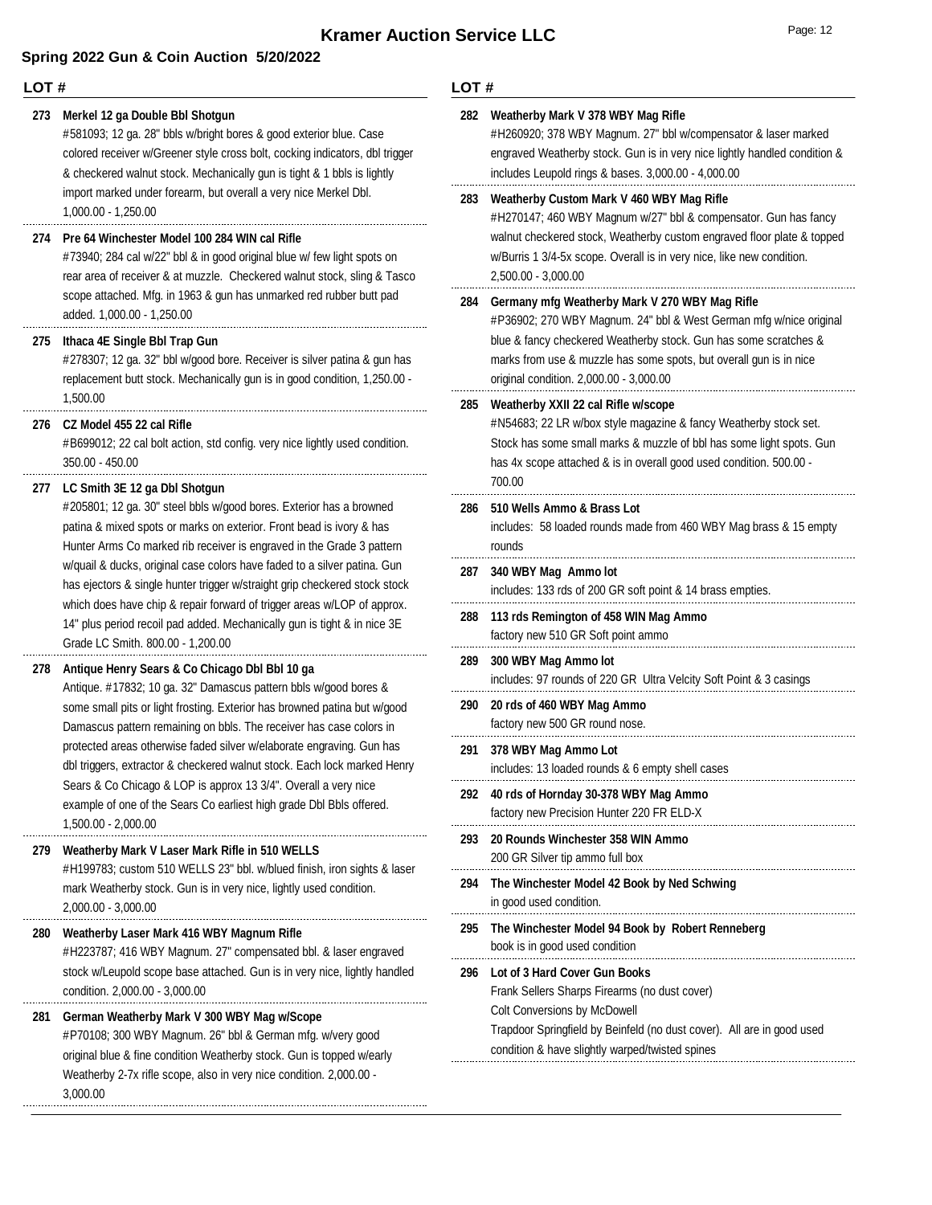### **LOT #**

#### **273 Merkel 12 ga Double Bbl Shotgun**

#581093; 12 ga. 28" bbls w/bright bores & good exterior blue. Case colored receiver w/Greener style cross bolt, cocking indicators, dbl trigger & checkered walnut stock. Mechanically gun is tight & 1 bbls is lightly import marked under forearm, but overall a very nice Merkel Dbl. 1,000.00 - 1,250.00

#### **274 Pre 64 Winchester Model 100 284 WIN cal Rifle**

#73940; 284 cal w/22" bbl & in good original blue w/ few light spots on rear area of receiver & at muzzle. Checkered walnut stock, sling & Tasco scope attached. Mfg. in 1963 & gun has unmarked red rubber butt pad added. 1,000.00 - 1,250.00

#### **275 Ithaca 4E Single Bbl Trap Gun**

#278307; 12 ga. 32" bbl w/good bore. Receiver is silver patina & gun has replacement butt stock. Mechanically gun is in good condition, 1,250.00 - 1,500.00

#### **276 CZ Model 455 22 cal Rifle**

#B699012; 22 cal bolt action, std config. very nice lightly used condition. 350.00 - 450.00

#### **277 LC Smith 3E 12 ga Dbl Shotgun**

#205801; 12 ga. 30" steel bbls w/good bores. Exterior has a browned patina & mixed spots or marks on exterior. Front bead is ivory & has Hunter Arms Co marked rib receiver is engraved in the Grade 3 pattern w/quail & ducks, original case colors have faded to a silver patina. Gun has ejectors & single hunter trigger w/straight grip checkered stock stock which does have chip & repair forward of trigger areas w/LOP of approx. 14" plus period recoil pad added. Mechanically gun is tight & in nice 3E Grade LC Smith. 800.00 - 1,200.00

#### **278 Antique Henry Sears & Co Chicago Dbl Bbl 10 ga**

Antique. #17832; 10 ga. 32" Damascus pattern bbls w/good bores & some small pits or light frosting. Exterior has browned patina but w/good Damascus pattern remaining on bbls. The receiver has case colors in protected areas otherwise faded silver w/elaborate engraving. Gun has dbl triggers, extractor & checkered walnut stock. Each lock marked Henry Sears & Co Chicago & LOP is approx 13 3/4". Overall a very nice example of one of the Sears Co earliest high grade Dbl Bbls offered. 1,500.00 - 2,000.00

### #H199783; custom 510 WELLS 23" bbl. w/blued finish, iron sights & laser mark Weatherby stock. Gun is in very nice, lightly used condition. **279 Weatherby Mark V Laser Mark Rifle in 510 WELLS**

2,000.00 - 3,000.00

#### **280 Weatherby Laser Mark 416 WBY Magnum Rifle**

#H223787; 416 WBY Magnum. 27" compensated bbl. & laser engraved stock w/Leupold scope base attached. Gun is in very nice, lightly handled condition. 2,000.00 - 3,000.00

### **281 German Weatherby Mark V 300 WBY Mag w/Scope**

#P70108; 300 WBY Magnum. 26" bbl & German mfg. w/very good original blue & fine condition Weatherby stock. Gun is topped w/early Weatherby 2-7x rifle scope, also in very nice condition. 2,000.00 - 3,000.00

#### **LOT #**

ă.

 $\cdots$ 

 $\ddotsc$ 

 $\sim$   $\sim$ 

 $\ddotsc$ 

| 282 | Weatherby Mark V 378 WBY Mag Rifle<br>#H260920; 378 WBY Magnum. 27" bbl w/compensator & laser marked<br>engraved Weatherby stock. Gun is in very nice lightly handled condition &<br>includes Leupold rings & bases. 3,000.00 - 4,000.00                                                                  |
|-----|-----------------------------------------------------------------------------------------------------------------------------------------------------------------------------------------------------------------------------------------------------------------------------------------------------------|
| 283 | Weatherby Custom Mark V 460 WBY Mag Rifle<br>#H270147; 460 WBY Magnum w/27" bbl & compensator. Gun has fancy<br>walnut checkered stock, Weatherby custom engraved floor plate & topped<br>w/Burris 1 3/4-5x scope. Overall is in very nice, like new condition.<br>2,500.00 - 3,000.00                    |
| 284 | Germany mfg Weatherby Mark V 270 WBY Mag Rifle<br>#P36902; 270 WBY Magnum. 24" bbl & West German mfg w/nice original<br>blue & fancy checkered Weatherby stock. Gun has some scratches &<br>marks from use & muzzle has some spots, but overall gun is in nice<br>original condition. 2,000.00 - 3,000.00 |
| 285 | Weatherby XXII 22 cal Rifle w/scope<br>#N54683; 22 LR w/box style magazine & fancy Weatherby stock set.<br>Stock has some small marks & muzzle of bbl has some light spots. Gun<br>has 4x scope attached & is in overall good used condition. 500.00 -<br>700.00                                          |
| 286 | 510 Wells Ammo & Brass Lot<br>includes: 58 loaded rounds made from 460 WBY Mag brass & 15 empty<br>rounds                                                                                                                                                                                                 |
| 287 | 340 WBY Mag Ammo lot<br>includes: 133 rds of 200 GR soft point & 14 brass empties.                                                                                                                                                                                                                        |
| 288 | 113 rds Remington of 458 WIN Mag Ammo<br>factory new 510 GR Soft point ammo                                                                                                                                                                                                                               |
| 289 | 300 WBY Mag Ammo lot<br>includes: 97 rounds of 220 GR Ultra Velcity Soft Point & 3 casings                                                                                                                                                                                                                |
| 290 | 20 rds of 460 WBY Mag Ammo<br>factory new 500 GR round nose.                                                                                                                                                                                                                                              |
| 291 | 378 WBY Mag Ammo Lot<br>includes: 13 loaded rounds & 6 empty shell cases                                                                                                                                                                                                                                  |
| 292 | 40 rds of Hornday 30-378 WBY Mag Ammo<br>factory new Precision Hunter 220 FR ELD-X                                                                                                                                                                                                                        |
| 293 | 20 Rounds Winchester 358 WIN Ammo<br>200 GR Silver tip ammo full box                                                                                                                                                                                                                                      |
| 294 | The Winchester Model 42 Book by Ned Schwing<br>in good used condition.                                                                                                                                                                                                                                    |
| 295 | The Winchester Model 94 Book by Robert Renneberg<br>book is in good used condition                                                                                                                                                                                                                        |
| 296 | Lot of 3 Hard Cover Gun Books<br>Frank Sellers Sharps Firearms (no dust cover)<br>Colt Conversions by McDowell<br>Trapdoor Springfield by Beinfeld (no dust cover). All are in good used<br>condition & have slightly warped/twisted spines                                                               |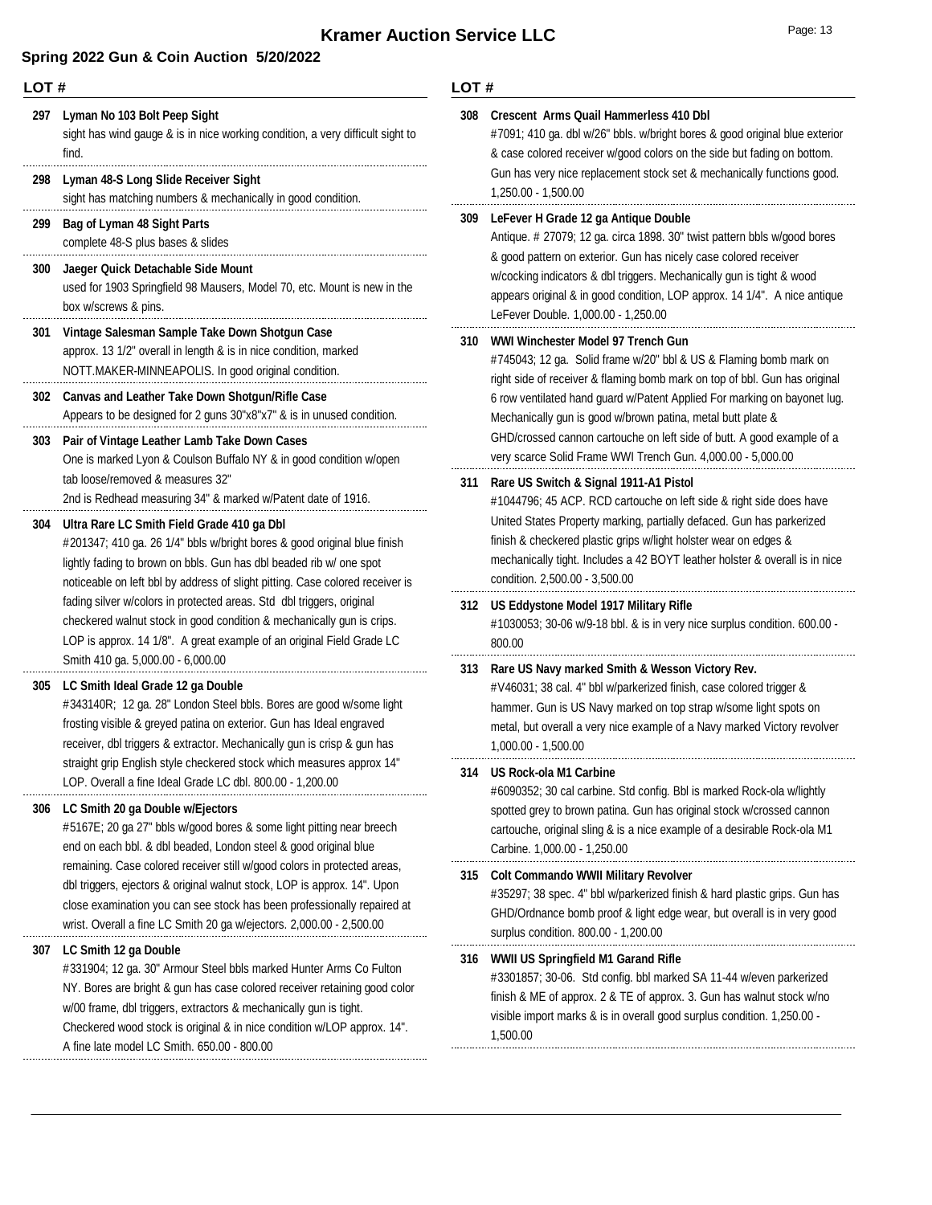### **Spring 2022 Gun & Coin Auction 5/20/2022**

**297 Lyman No 103 Bolt Peep Sight** sight has wind gauge & is in nice working condition, a very difficult sight to find. **298 Lyman 48-S Long Slide Receiver Sight** sight has matching numbers & mechanically in good condition. **299 Bag of Lyman 48 Sight Parts** complete 48-S plus bases & slides **300 Jaeger Quick Detachable Side Mount** used for 1903 Springfield 98 Mausers, Model 70, etc. Mount is new in the box w/screws & pins. **301 Vintage Salesman Sample Take Down Shotgun Case** approx. 13 1/2" overall in length & is in nice condition, marked NOTT.MAKER-MINNEAPOLIS. In good original condition. **302 Canvas and Leather Take Down Shotgun/Rifle Case** Appears to be designed for 2 guns 30"x8"x7" & is in unused condition. **303 Pair of Vintage Leather Lamb Take Down Cases** One is marked Lyon & Coulson Buffalo NY & in good condition w/open tab loose/removed & measures 32" 2nd is Redhead measuring 34" & marked w/Patent date of 1916. **304 Ultra Rare LC Smith Field Grade 410 ga Dbl** #201347; 410 ga. 26 1/4" bbls w/bright bores & good original blue finish lightly fading to brown on bbls. Gun has dbl beaded rib w/ one spot noticeable on left bbl by address of slight pitting. Case colored receiver is fading silver w/colors in protected areas. Std dbl triggers, original checkered walnut stock in good condition & mechanically gun is crips. LOP is approx. 14 1/8". A great example of an original Field Grade LC 800.00 Smith 410 ga. 5,000.00 - 6,000.00 **305 LC Smith Ideal Grade 12 ga Double** #343140R; 12 ga. 28" London Steel bbls. Bores are good w/some light frosting visible & greyed patina on exterior. Gun has Ideal engraved receiver, dbl triggers & extractor. Mechanically gun is crisp & gun has straight grip English style checkered stock which measures approx 14" LOP. Overall a fine Ideal Grade LC dbl. 800.00 - 1,200.00 **306 LC Smith 20 ga Double w/Ejectors** #5167E; 20 ga 27" bbls w/good bores & some light pitting near breech end on each bbl. & dbl beaded, London steel & good original blue remaining. Case colored receiver still w/good colors in protected areas, dbl triggers, ejectors & original walnut stock, LOP is approx. 14". Upon close examination you can see stock has been professionally repaired at wrist. Overall a fine LC Smith 20 ga w/ejectors. 2,000.00 - 2,500.00 **307 LC Smith 12 ga Double** #331904; 12 ga. 30" Armour Steel bbls marked Hunter Arms Co Fulton NY. Bores are bright & gun has case colored receiver retaining good color w/00 frame, dbl triggers, extractors & mechanically gun is tight. Checkered wood stock is original & in nice condition w/LOP approx. 14". 1,500.00 A fine late model LC Smith. 650.00 - 800.00

| 308 | <b>Crescent Arms Quail Hammerless 410 Dbl</b><br>#7091; 410 ga. dbl w/26" bbls. w/bright bores & good original blue exterior<br>& case colored receiver w/good colors on the side but fading on bottom.<br>Gun has very nice replacement stock set & mechanically functions good.<br>1,250.00 - 1,500.00                                                                                                                                                                  |
|-----|---------------------------------------------------------------------------------------------------------------------------------------------------------------------------------------------------------------------------------------------------------------------------------------------------------------------------------------------------------------------------------------------------------------------------------------------------------------------------|
| 309 | LeFever H Grade 12 ga Antique Double<br>Antique. # 27079; 12 ga. circa 1898. 30" twist pattern bbls w/good bores<br>& good pattern on exterior. Gun has nicely case colored receiver<br>w/cocking indicators & dbl triggers. Mechanically gun is tight & wood<br>appears original & in good condition, LOP approx. 14 1/4". A nice antique<br>LeFever Double. 1,000.00 - 1,250.00                                                                                         |
| 310 | WWI Winchester Model 97 Trench Gun<br>#745043; 12 ga. Solid frame w/20" bbl & US & Flaming bomb mark on<br>right side of receiver & flaming bomb mark on top of bbl. Gun has original<br>6 row ventilated hand guard w/Patent Applied For marking on bayonet lug.<br>Mechanically gun is good w/brown patina, metal butt plate &<br>GHD/crossed cannon cartouche on left side of butt. A good example of a<br>very scarce Solid Frame WWI Trench Gun. 4,000.00 - 5,000.00 |
| 311 | Rare US Switch & Signal 1911-A1 Pistol<br>#1044796; 45 ACP. RCD cartouche on left side & right side does have<br>United States Property marking, partially defaced. Gun has parkerized<br>finish & checkered plastic grips w/light holster wear on edges &<br>mechanically tight. Includes a 42 BOYT leather holster & overall is in nice<br>condition. 2,500.00 - 3,500.00                                                                                               |
| 312 | US Eddystone Model 1917 Military Rifle<br>#1030053; 30-06 w/9-18 bbl. & is in very nice surplus condition. 600.00 -<br>800.00                                                                                                                                                                                                                                                                                                                                             |
| 313 | Rare US Navy marked Smith & Wesson Victory Rev.<br>#V46031; 38 cal. 4" bbl w/parkerized finish, case colored trigger &<br>hammer. Gun is US Navy marked on top strap w/some light spots on<br>metal, but overall a very nice example of a Navy marked Victory revolver<br>1,000.00 - 1,500.00                                                                                                                                                                             |
| 314 | US Rock-ola M1 Carbine<br>#6090352; 30 cal carbine. Std config. Bbl is marked Rock-ola w/lightly                                                                                                                                                                                                                                                                                                                                                                          |
|     | spotted grey to brown patina. Gun has original stock w/crossed cannon<br>cartouche, original sling & is a nice example of a desirable Rock-ola M1<br>Carbine. 1,000.00 - 1,250.00                                                                                                                                                                                                                                                                                         |
| 315 | <b>Colt Commando WWII Military Revolver</b><br>#35297; 38 spec. 4" bbl w/parkerized finish & hard plastic grips. Gun has<br>GHD/Ordnance bomb proof & light edge wear, but overall is in very good<br>surplus condition. 800.00 - 1,200.00                                                                                                                                                                                                                                |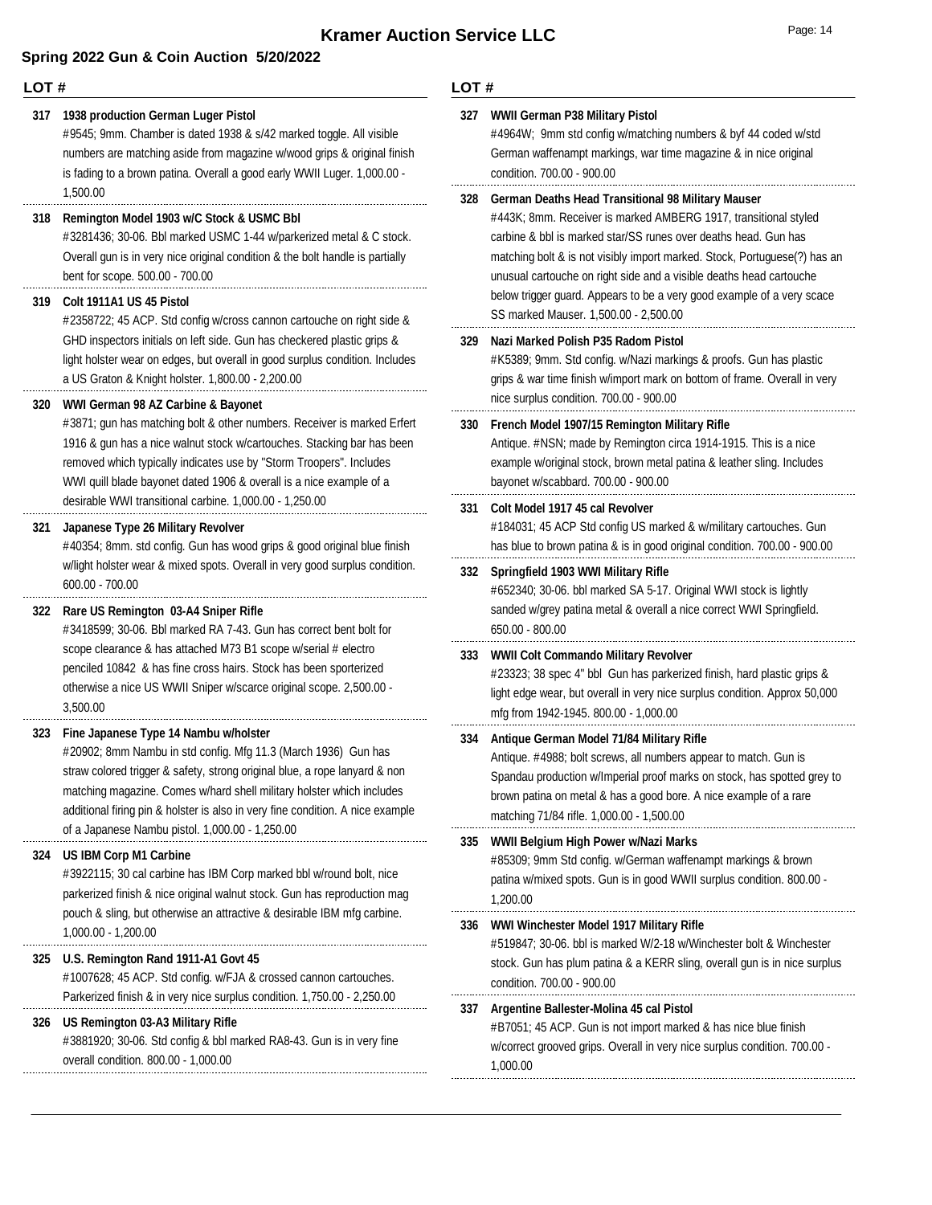### **LOT #**

#### **317 1938 production German Luger Pistol**

#9545; 9mm. Chamber is dated 1938 & s/42 marked toggle. All visible numbers are matching aside from magazine w/wood grips & original finish is fading to a brown patina. Overall a good early WWII Luger. 1,000.00 - 1,500.00

### **318 Remington Model 1903 w/C Stock & USMC Bbl**

#3281436; 30-06. Bbl marked USMC 1-44 w/parkerized metal & C stock. Overall gun is in very nice original condition & the bolt handle is partially bent for scope. 500.00 - 700.00

#### **319 Colt 1911A1 US 45 Pistol**

#2358722; 45 ACP. Std config w/cross cannon cartouche on right side & GHD inspectors initials on left side. Gun has checkered plastic grips & light holster wear on edges, but overall in good surplus condition. Includes a US Graton & Knight holster. 1,800.00 - 2,200.00

#### **320 WWI German 98 AZ Carbine & Bayonet**

#3871; gun has matching bolt & other numbers. Receiver is marked Erfert 1916 & gun has a nice walnut stock w/cartouches. Stacking bar has been removed which typically indicates use by "Storm Troopers". Includes WWI quill blade bayonet dated 1906 & overall is a nice example of a desirable WWI transitional carbine. 1,000.00 - 1,250.00

#### **321 Japanese Type 26 Military Revolver**

#40354; 8mm. std config. Gun has wood grips & good original blue finish w/light holster wear & mixed spots. Overall in very good surplus condition. 600.00 - 700.00

### **322 Rare US Remington 03-A4 Sniper Rifle**

#3418599; 30-06. Bbl marked RA 7-43. Gun has correct bent bolt for scope clearance & has attached M73 B1 scope w/serial # electro penciled 10842 & has fine cross hairs. Stock has been sporterized otherwise a nice US WWII Sniper w/scarce original scope. 2,500.00 - 3,500.00

#### **323 Fine Japanese Type 14 Nambu w/holster**

#20902; 8mm Nambu in std config. Mfg 11.3 (March 1936) Gun has straw colored trigger & safety, strong original blue, a rope lanyard & non matching magazine. Comes w/hard shell military holster which includes additional firing pin & holster is also in very fine condition. A nice example of a Japanese Nambu pistol. 1,000.00 - 1,250.00

#### **324 US IBM Corp M1 Carbine**

#3922115; 30 cal carbine has IBM Corp marked bbl w/round bolt, nice parkerized finish & nice original walnut stock. Gun has reproduction mag pouch & sling, but otherwise an attractive & desirable IBM mfg carbine. 1,000.00 - 1,200.00

#### **325 U.S. Remington Rand 1911-A1 Govt 45**

#1007628; 45 ACP. Std config. w/FJA & crossed cannon cartouches. Parkerized finish & in very nice surplus condition. 1,750.00 - 2,250.00

#### **326 US Remington 03-A3 Military Rifle**

#3881920; 30-06. Std config & bbl marked RA8-43. Gun is in very fine overall condition. 800.00 - 1,000.00

| 327 | WWII German P38 Military Pistol<br>#4964W; 9mm std config w/matching numbers & byf 44 coded w/std<br>German waffenampt markings, war time magazine & in nice original<br>condition. 700.00 - 900.00                                                                                                                                                                                                                                                                    |
|-----|------------------------------------------------------------------------------------------------------------------------------------------------------------------------------------------------------------------------------------------------------------------------------------------------------------------------------------------------------------------------------------------------------------------------------------------------------------------------|
| 328 | <b>German Deaths Head Transitional 98 Military Mauser</b><br>#443K; 8mm. Receiver is marked AMBERG 1917, transitional styled<br>carbine & bbl is marked star/SS runes over deaths head. Gun has<br>matching bolt & is not visibly import marked. Stock, Portuguese(?) has an<br>unusual cartouche on right side and a visible deaths head cartouche<br>below trigger guard. Appears to be a very good example of a very scace<br>SS marked Mauser. 1,500.00 - 2,500.00 |
| 329 | Nazi Marked Polish P35 Radom Pistol<br>#K5389; 9mm. Std config. w/Nazi markings & proofs. Gun has plastic<br>grips & war time finish w/import mark on bottom of frame. Overall in very<br>nice surplus condition. 700.00 - 900.00                                                                                                                                                                                                                                      |
| 330 | French Model 1907/15 Remington Military Rifle<br>Antique. #NSN; made by Remington circa 1914-1915. This is a nice<br>example w/original stock, brown metal patina & leather sling. Includes<br>bayonet w/scabbard. 700.00 - 900.00                                                                                                                                                                                                                                     |
| 331 | Colt Model 1917 45 cal Revolver<br>#184031; 45 ACP Std config US marked & w/military cartouches. Gun<br>has blue to brown patina & is in good original condition. 700.00 - 900.00                                                                                                                                                                                                                                                                                      |
| 332 | Springfield 1903 WWI Military Rifle<br>#652340; 30-06. bbl marked SA 5-17. Original WWI stock is lightly<br>sanded w/grey patina metal & overall a nice correct WWI Springfield.<br>650.00 - 800.00                                                                                                                                                                                                                                                                    |
| 333 | <b>WWII Colt Commando Military Revolver</b><br>#23323; 38 spec 4" bbl Gun has parkerized finish, hard plastic grips &<br>light edge wear, but overall in very nice surplus condition. Approx 50,000<br>mfg from 1942-1945. 800.00 - 1,000.00                                                                                                                                                                                                                           |
| 334 | Antique German Model 71/84 Military Rifle<br>Antique. #4988; bolt screws, all numbers appear to match. Gun is<br>Spandau production w/Imperial proof marks on stock, has spotted grey to<br>brown patina on metal & has a good bore. A nice example of a rare<br>matching 71/84 rifle. 1,000.00 - 1,500.00                                                                                                                                                             |
| 335 | WWII Belgium High Power w/Nazi Marks<br>#85309; 9mm Std config. w/German waffenampt markings & brown<br>patina w/mixed spots. Gun is in good WWII surplus condition. 800.00 -<br>1.200.00                                                                                                                                                                                                                                                                              |
| 336 | WWI Winchester Model 1917 Military Rifle<br>#519847; 30-06. bbl is marked W/2-18 w/Winchester bolt & Winchester<br>stock. Gun has plum patina & a KERR sling, overall gun is in nice surplus<br>condition. 700.00 - 900.00                                                                                                                                                                                                                                             |
| 337 | Argentine Ballester-Molina 45 cal Pistol<br>#B7051; 45 ACP. Gun is not import marked & has nice blue finish<br>w/correct grooved grips. Overall in very nice surplus condition. 700.00 -<br>1,000.00                                                                                                                                                                                                                                                                   |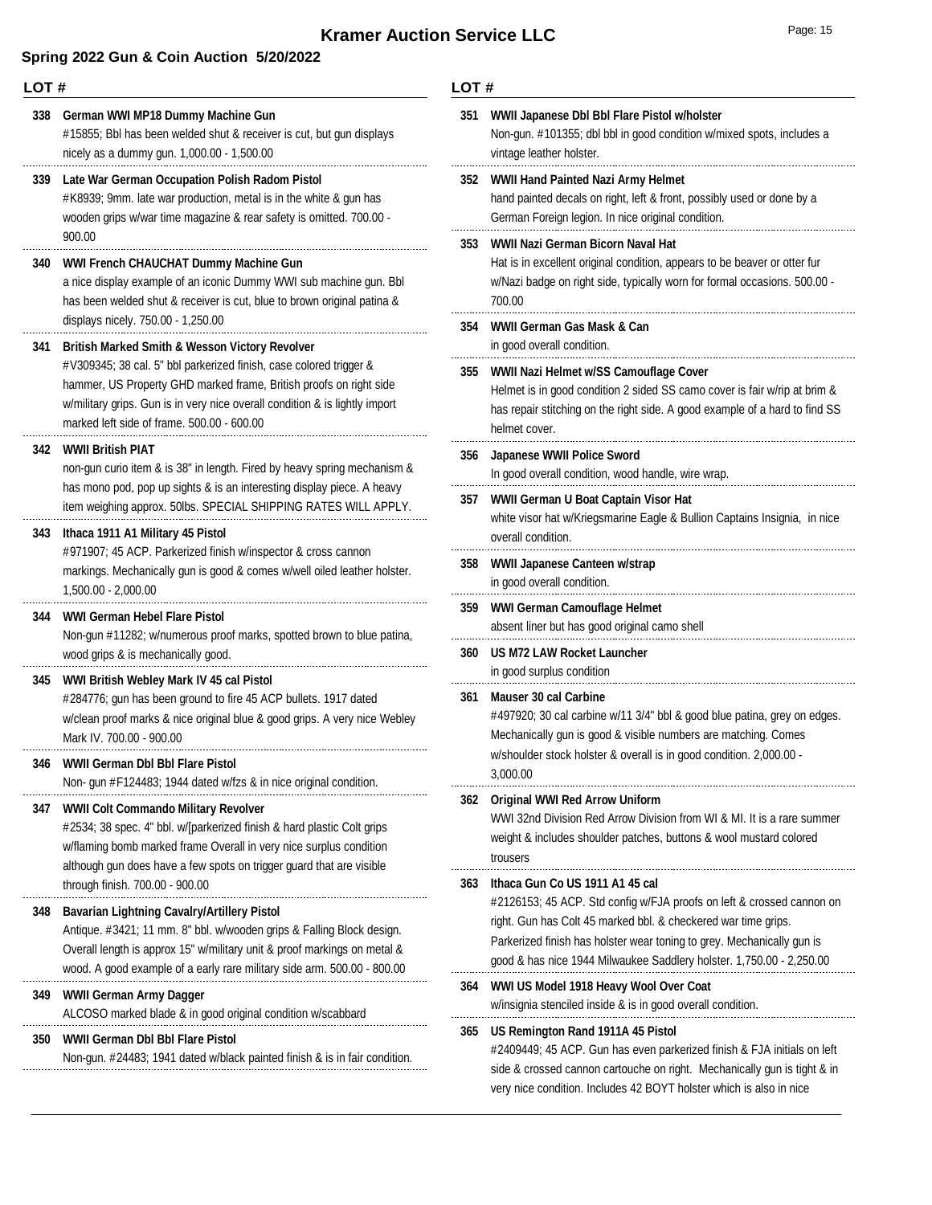### **Spring 2022 Gun & Coin Auction 5/20/2022**

#### **LOT #**

#15855; Bbl has been welded shut & receiver is cut, but gun displays nicely as a dummy gun. 1,000.00 - 1,500.00 **338 German WWI MP18 Dummy Machine Gun** #K8939; 9mm. late war production, metal is in the white & gun has wooden grips w/war time magazine & rear safety is omitted. 700.00 - **339 Late War German Occupation Polish Radom Pistol**

#### **340 WWI French CHAUCHAT Dummy Machine Gun**

a nice display example of an iconic Dummy WWI sub machine gun. Bbl has been welded shut & receiver is cut, blue to brown original patina & displays nicely. 750.00 - 1,250.00

#### **341 British Marked Smith & Wesson Victory Revolver**

#V309345; 38 cal. 5" bbl parkerized finish, case colored trigger & hammer, US Property GHD marked frame, British proofs on right side w/military grips. Gun is in very nice overall condition & is lightly import marked left side of frame. 500.00 - 600.00

#### **342 WWII British PIAT**

900.00

non-gun curio item & is 38" in length. Fired by heavy spring mechanism & has mono pod, pop up sights & is an interesting display piece. A heavy item weighing approx. 50lbs. SPECIAL SHIPPING RATES WILL APPLY.

#### **343 Ithaca 1911 A1 Military 45 Pistol**

#971907; 45 ACP. Parkerized finish w/inspector & cross cannon markings. Mechanically gun is good & comes w/well oiled leather holster. 1,500.00 - 2,000.00

#### **344 WWI German Hebel Flare Pistol**

Non-gun #11282; w/numerous proof marks, spotted brown to blue patina, wood grips & is mechanically good. 

#### **345 WWI British Webley Mark IV 45 cal Pistol**

#284776; gun has been ground to fire 45 ACP bullets. 1917 dated w/clean proof marks & nice original blue & good grips. A very nice Webley Mark IV. 700.00 - 900.00 

**346 WWII German Dbl Bbl Flare Pistol**

Non- gun #F124483; 1944 dated w/fzs & in nice original condition.

#### **347 WWII Colt Commando Military Revolver**

#2534; 38 spec. 4" bbl. w/[parkerized finish & hard plastic Colt grips w/flaming bomb marked frame Overall in very nice surplus condition although gun does have a few spots on trigger guard that are visible through finish. 700.00 - 900.00

#### **348 Bavarian Lightning Cavalry/Artillery Pistol**

Antique. #3421; 11 mm. 8" bbl. w/wooden grips & Falling Block design. Overall length is approx 15" w/military unit & proof markings on metal & wood. A good example of a early rare military side arm. 500.00 - 800.00

#### **349 WWII German Army Dagger**

ALCOSO marked blade & in good original condition w/scabbard

#### **350 WWII German Dbl Bbl Flare Pistol**

Non-gun. #24483; 1941 dated w/black painted finish & is in fair condition.

| 351 | WWII Japanese Dbl Bbl Flare Pistol w/holster<br>Non-gun. #101355; dbl bbl in good condition w/mixed spots, includes a<br>vintage leather holster.                                                                                                                                                                            |
|-----|------------------------------------------------------------------------------------------------------------------------------------------------------------------------------------------------------------------------------------------------------------------------------------------------------------------------------|
| 352 | WWII Hand Painted Nazi Army Helmet<br>hand painted decals on right, left & front, possibly used or done by a<br>German Foreign legion. In nice original condition.                                                                                                                                                           |
| 353 | WWII Nazi German Bicorn Naval Hat<br>Hat is in excellent original condition, appears to be beaver or otter fur<br>w/Nazi badge on right side, typically worn for formal occasions. 500.00 -<br>700.00                                                                                                                        |
| 354 | WWII German Gas Mask & Can<br>in good overall condition.                                                                                                                                                                                                                                                                     |
| 355 | WWII Nazi Helmet w/SS Camouflage Cover<br>Helmet is in good condition 2 sided SS camo cover is fair w/rip at brim &<br>has repair stitching on the right side. A good example of a hard to find SS<br>helmet cover.                                                                                                          |
| 356 | Japanese WWII Police Sword<br>In good overall condition, wood handle, wire wrap.                                                                                                                                                                                                                                             |
| 357 | WWII German U Boat Captain Visor Hat<br>white visor hat w/Kriegsmarine Eagle & Bullion Captains Insignia, in nice<br>overall condition.                                                                                                                                                                                      |
| 358 | WWII Japanese Canteen w/strap<br>in good overall condition.                                                                                                                                                                                                                                                                  |
|     |                                                                                                                                                                                                                                                                                                                              |
| 359 | WWI German Camouflage Helmet<br>absent liner but has good original camo shell                                                                                                                                                                                                                                                |
| 360 | <b>US M72 LAW Rocket Launcher</b><br>in good surplus condition                                                                                                                                                                                                                                                               |
| 361 | Mauser 30 cal Carbine<br>#497920; 30 cal carbine w/11 3/4" bbl & good blue patina, grey on edges.<br>Mechanically gun is good & visible numbers are matching. Comes<br>w/shoulder stock holster & overall is in good condition. 2,000.00 -<br>3,000.00                                                                       |
| 362 | <b>Original WWI Red Arrow Uniform</b><br>WWI 32nd Division Red Arrow Division from WI & MI. It is a rare summer<br>weight & includes shoulder patches, buttons & wool mustard colored<br>trousers                                                                                                                            |
| 363 | Ithaca Gun Co US 1911 A1 45 cal<br>#2126153; 45 ACP. Std config w/FJA proofs on left & crossed cannon on<br>right. Gun has Colt 45 marked bbl. & checkered war time grips.<br>Parkerized finish has holster wear toning to grey. Mechanically gun is<br>good & has nice 1944 Milwaukee Saddlery holster. 1,750.00 - 2,250.00 |
| 364 | WWI US Model 1918 Heavy Wool Over Coat<br>w/insignia stenciled inside & is in good overall condition.                                                                                                                                                                                                                        |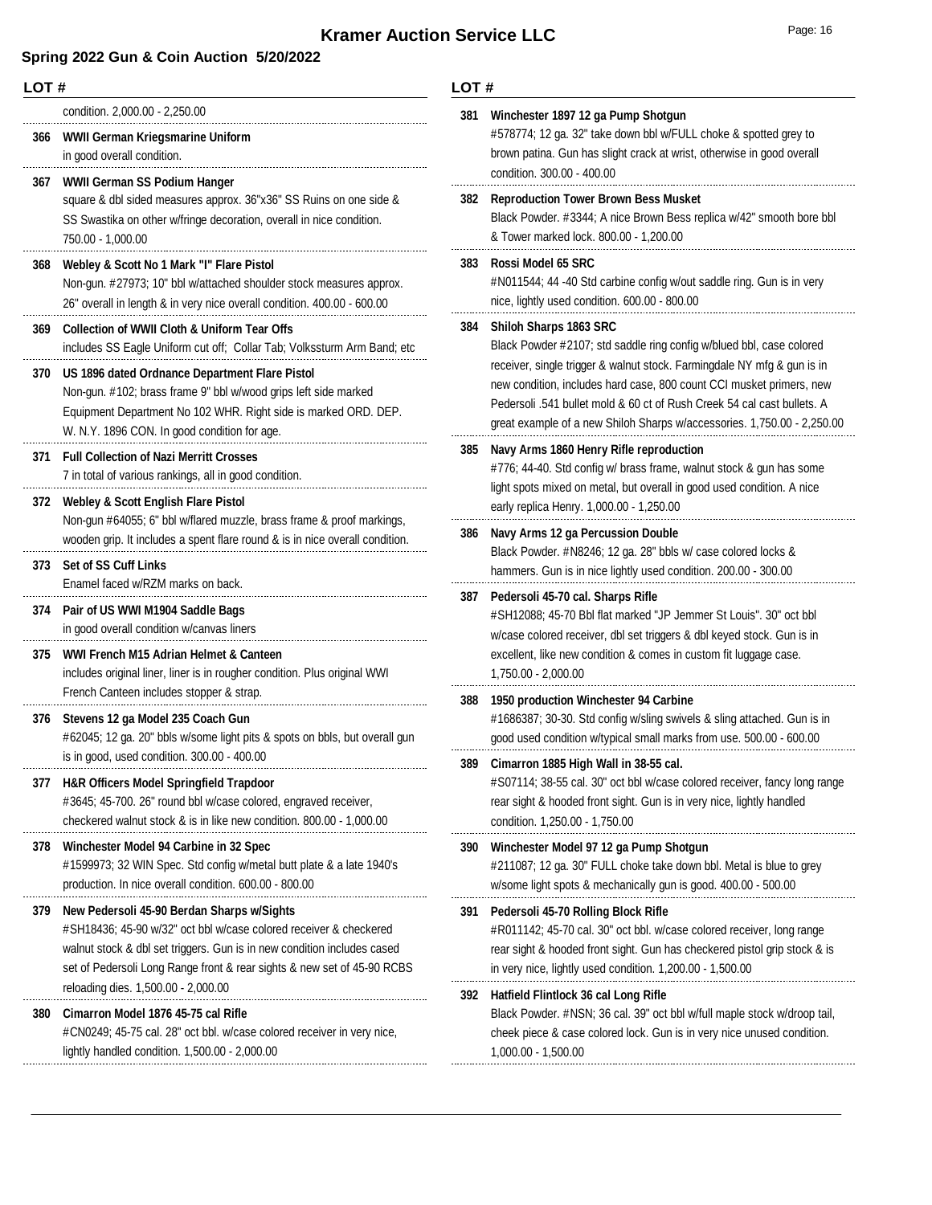## **Kramer Auction Service LLC**

| 'a∩e: | 14 |
|-------|----|
|-------|----|

| LOT# |                                                                                                                                                                                                                                                                       | LOT# |                                                                                                                                                                                                                                                                                                       |
|------|-----------------------------------------------------------------------------------------------------------------------------------------------------------------------------------------------------------------------------------------------------------------------|------|-------------------------------------------------------------------------------------------------------------------------------------------------------------------------------------------------------------------------------------------------------------------------------------------------------|
| 366  | condition. 2,000.00 - 2,250.00<br>WWII German Kriegsmarine Uniform<br>in good overall condition.                                                                                                                                                                      | 381  | Winchester 1897 12 ga Pump Shotgun<br>#578774; 12 ga. 32" take down bbl w/FULL choke & spotted grey to<br>brown patina. Gun has slight crack at wrist, otherwise in good overall<br>condition. 300.00 - 400.00                                                                                        |
| 367  | <b>WWII German SS Podium Hanger</b><br>square & dbl sided measures approx. 36"x36" SS Ruins on one side &<br>SS Swastika on other w/fringe decoration, overall in nice condition.<br>750.00 - 1,000.00                                                                | 382  | <b>Reproduction Tower Brown Bess Musket</b><br>Black Powder. #3344; A nice Brown Bess replica w/42" smooth bore bbl<br>& Tower marked lock. 800.00 - 1,200.00                                                                                                                                         |
| 368  | Webley & Scott No 1 Mark "I" Flare Pistol<br>Non-gun. #27973; 10" bbl w/attached shoulder stock measures approx.<br>26" overall in length & in very nice overall condition. 400.00 - 600.00                                                                           | 383  | Rossi Model 65 SRC<br>#N011544; 44 -40 Std carbine config w/out saddle ring. Gun is in very<br>nice, lightly used condition. 600.00 - 800.00                                                                                                                                                          |
| 369  | <b>Collection of WWII Cloth &amp; Uniform Tear Offs</b><br>includes SS Eagle Uniform cut off; Collar Tab; Volkssturm Arm Band; etc                                                                                                                                    | 384  | <b>Shiloh Sharps 1863 SRC</b><br>Black Powder #2107; std saddle ring config w/blued bbl, case colored                                                                                                                                                                                                 |
| 370  | US 1896 dated Ordnance Department Flare Pistol<br>Non-gun. #102; brass frame 9" bbl w/wood grips left side marked<br>Equipment Department No 102 WHR. Right side is marked ORD. DEP.<br>W. N.Y. 1896 CON. In good condition for age.                                  |      | receiver, single trigger & walnut stock. Farmingdale NY mfg & gun is in<br>new condition, includes hard case, 800 count CCI musket primers, new<br>Pedersoli .541 bullet mold & 60 ct of Rush Creek 54 cal cast bullets. A<br>great example of a new Shiloh Sharps w/accessories. 1,750.00 - 2,250.00 |
| 371  | <b>Full Collection of Nazi Merritt Crosses</b><br>7 in total of various rankings, all in good condition.<br>372 Webley & Scott English Flare Pistol                                                                                                                   | 385  | Navy Arms 1860 Henry Rifle reproduction<br>#776; 44-40. Std config w/ brass frame, walnut stock & gun has some<br>light spots mixed on metal, but overall in good used condition. A nice                                                                                                              |
|      | Non-gun #64055; 6" bbl w/flared muzzle, brass frame & proof markings,<br>wooden grip. It includes a spent flare round & is in nice overall condition.                                                                                                                 | 386  | early replica Henry. 1,000.00 - 1,250.00<br>Navy Arms 12 ga Percussion Double<br>Black Powder. #N8246; 12 ga. 28" bbls w/ case colored locks &                                                                                                                                                        |
| 373  | <b>Set of SS Cuff Links</b><br>Enamel faced w/RZM marks on back.                                                                                                                                                                                                      |      | hammers. Gun is in nice lightly used condition. 200.00 - 300.00                                                                                                                                                                                                                                       |
| 374  | Pair of US WWI M1904 Saddle Bags<br>in good overall condition w/canvas liners                                                                                                                                                                                         |      | 387 Pedersoli 45-70 cal. Sharps Rifle<br>#SH12088; 45-70 Bbl flat marked "JP Jemmer St Louis". 30" oct bbl<br>w/case colored receiver, dbl set triggers & dbl keyed stock. Gun is in                                                                                                                  |
| 375  | WWI French M15 Adrian Helmet & Canteen<br>includes original liner, liner is in rougher condition. Plus original WWI<br>French Canteen includes stopper & strap.                                                                                                       |      | excellent, like new condition & comes in custom fit luggage case.<br>1,750.00 - 2,000.00                                                                                                                                                                                                              |
| 376  | Stevens 12 ga Model 235 Coach Gun<br>#62045; 12 ga. 20" bbls w/some light pits & spots on bbls, but overall gun<br>is in good, used condition. 300.00 - 400.00                                                                                                        | 388  | 1950 production Winchester 94 Carbine<br>#1686387; 30-30. Std config w/sling swivels & sling attached. Gun is in<br>good used condition w/typical small marks from use. 500.00 - 600.00                                                                                                               |
|      | 377 H&R Officers Model Springfield Trapdoor<br>#3645; 45-700. 26" round bbl w/case colored, engraved receiver,<br>checkered walnut stock & is in like new condition. 800.00 - 1.000.00                                                                                |      | 389 Cimarron 1885 High Wall in 38-55 cal.<br>#S07114; 38-55 cal. 30" oct bbl w/case colored receiver, fancy long range<br>rear sight & hooded front sight. Gun is in very nice, lightly handled<br>condition. 1,250.00 - 1,750.00                                                                     |
| 378  | Winchester Model 94 Carbine in 32 Spec<br>#1599973; 32 WIN Spec. Std config w/metal butt plate & a late 1940's<br>production. In nice overall condition. 600.00 - 800.00                                                                                              | 390  | Winchester Model 97 12 ga Pump Shotgun<br>#211087; 12 ga. 30" FULL choke take down bbl. Metal is blue to grey<br>w/some light spots & mechanically gun is good. 400.00 - 500.00                                                                                                                       |
| 379  | New Pedersoli 45-90 Berdan Sharps w/Sights<br>#SH18436; 45-90 w/32" oct bbl w/case colored receiver & checkered<br>walnut stock & dbl set triggers. Gun is in new condition includes cased<br>set of Pedersoli Long Range front & rear sights & new set of 45-90 RCBS | 391  | Pedersoli 45-70 Rolling Block Rifle<br>#R011142; 45-70 cal. 30" oct bbl. w/case colored receiver, long range<br>rear sight & hooded front sight. Gun has checkered pistol grip stock & is<br>in very nice, lightly used condition. 1,200.00 - 1,500.00                                                |
| 380  | reloading dies. 1,500.00 - 2,000.00<br>Cimarron Model 1876 45-75 cal Rifle<br>#CN0249; 45-75 cal. 28" oct bbl. w/case colored receiver in very nice,<br>lightly handled condition. 1,500.00 - 2,000.00                                                                | 392  | Hatfield Flintlock 36 cal Long Rifle<br>Black Powder. #NSN; 36 cal. 39" oct bbl w/full maple stock w/droop tail,<br>cheek piece & case colored lock. Gun is in very nice unused condition.<br>$1,000.00 - 1,500.00$                                                                                   |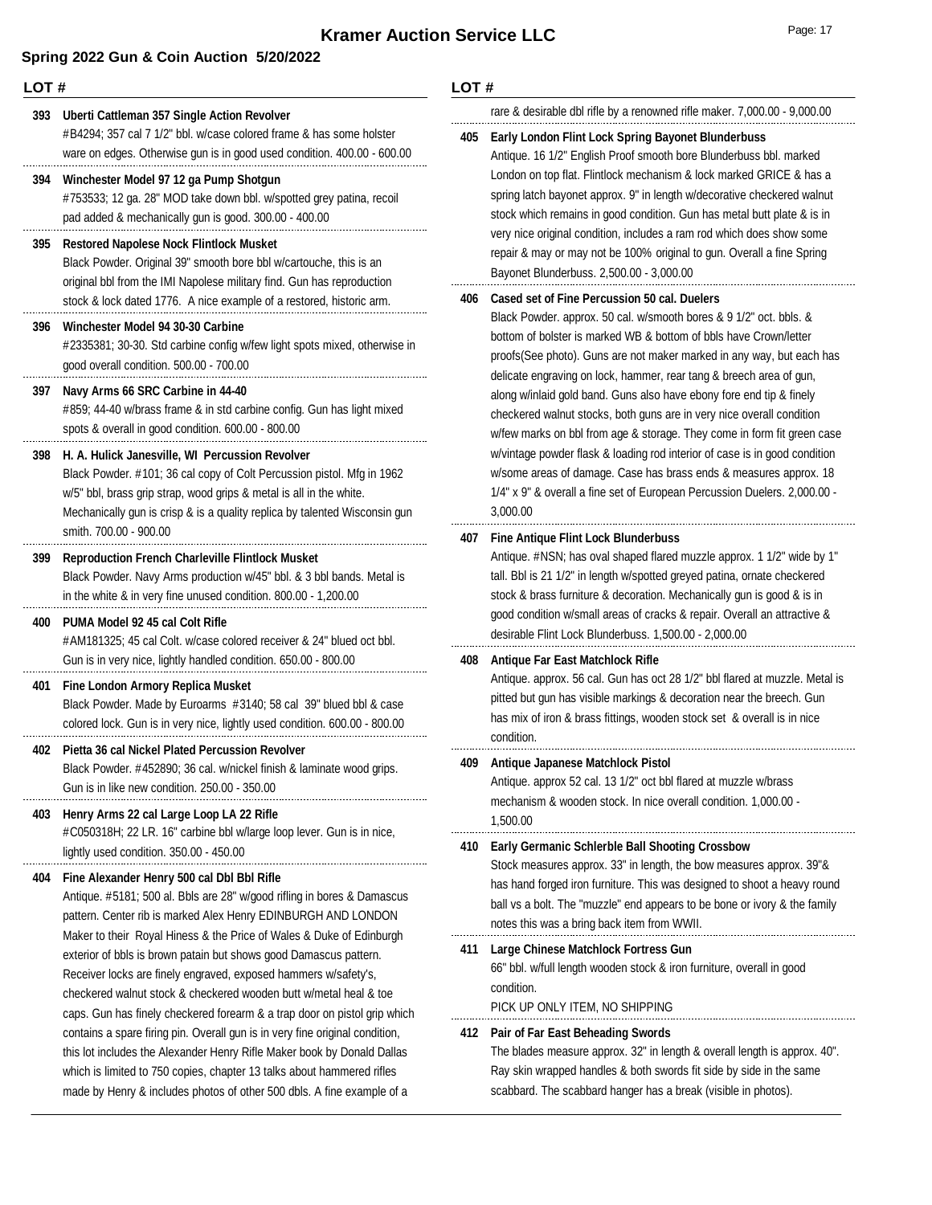#### **LOT #**

### #B4294; 357 cal 7 1/2" bbl. w/case colored frame & has some holster ware on edges. Otherwise gun is in good used condition. 400.00 - 600.00 **393 Uberti Cattleman 357 Single Action Revolver** #753533; 12 ga. 28" MOD take down bbl. w/spotted grey patina, recoil pad added & mechanically gun is good. 300.00 - 400.00 **394 Winchester Model 97 12 ga Pump Shotgun** Black Powder. Original 39" smooth bore bbl w/cartouche, this is an original bbl from the IMI Napolese military find. Gun has reproduction stock & lock dated 1776. A nice example of a restored, historic arm. **395 Restored Napolese Nock Flintlock Musket** #2335381; 30-30. Std carbine config w/few light spots mixed, otherwise in good overall condition. 500.00 - 700.00 **396 Winchester Model 94 30-30 Carbine** #859; 44-40 w/brass frame & in std carbine config. Gun has light mixed spots & overall in good condition. 600.00 - 800.00 **397 Navy Arms 66 SRC Carbine in 44-40** Black Powder. #101; 36 cal copy of Colt Percussion pistol. Mfg in 1962 w/5" bbl, brass grip strap, wood grips & metal is all in the white. Mechanically gun is crisp & is a quality replica by talented Wisconsin gun smith. 700.00 - 900.00 **398 H. A. Hulick Janesville, WI Percussion Revolver** Black Powder. Navy Arms production w/45" bbl. & 3 bbl bands. Metal is in the white & in very fine unused condition. 800.00 - 1,200.00 **399 Reproduction French Charleville Flintlock Musket** #AM181325; 45 cal Colt. w/case colored receiver & 24" blued oct bbl. Gun is in very nice, lightly handled condition. 650.00 - 800.00 **400 PUMA Model 92 45 cal Colt Rifle** Black Powder. Made by Euroarms #3140; 58 cal 39" blued bbl & case colored lock. Gun is in very nice, lightly used condition. 600.00 - 800.00 **401 Fine London Armory Replica Musket** Black Powder. #452890; 36 cal. w/nickel finish & laminate wood grips. Gun is in like new condition. 250.00 - 350.00 **402 Pietta 36 cal Nickel Plated Percussion Revolver** #C050318H; 22 LR. 16" carbine bbl w/large loop lever. Gun is in nice, lightly used condition. 350.00 - 450.00 **403 Henry Arms 22 cal Large Loop LA 22 Rifle** Antique. #5181; 500 al. Bbls are 28" w/good rifling in bores & Damascus pattern. Center rib is marked Alex Henry EDINBURGH AND LONDON Maker to their Royal Hiness & the Price of Wales & Duke of Edinburgh exterior of bbls is brown patain but shows good Damascus pattern. Receiver locks are finely engraved, exposed hammers w/safety's, checkered walnut stock & checkered wooden butt w/metal heal & toe caps. Gun has finely checkered forearm & a trap door on pistol grip which contains a spare firing pin. Overall gun is in very fine original condition, this lot includes the Alexander Henry Rifle Maker book by Donald Dallas which is limited to 750 copies, chapter 13 talks about hammered rifles made by Henry & includes photos of other 500 dbls. A fine example of a **404 Fine Alexander Henry 500 cal Dbl Bbl Rifle LOT #** 3,000.00 condition. 1,500.00 condition.

# rare & desirable dbl rifle by a renowned rifle maker. 7,000.00 - 9,000.00

### **405 Early London Flint Lock Spring Bayonet Blunderbuss**

Antique. 16 1/2" English Proof smooth bore Blunderbuss bbl. marked London on top flat. Flintlock mechanism & lock marked GRICE & has a spring latch bayonet approx. 9" in length w/decorative checkered walnut stock which remains in good condition. Gun has metal butt plate & is in very nice original condition, includes a ram rod which does show some repair & may or may not be 100% original to gun. Overall a fine Spring Bayonet Blunderbuss. 2,500.00 - 3,000.00

#### **406 Cased set of Fine Percussion 50 cal. Duelers**

Black Powder. approx. 50 cal. w/smooth bores & 9 1/2" oct. bbls. & bottom of bolster is marked WB & bottom of bbls have Crown/letter proofs(See photo). Guns are not maker marked in any way, but each has delicate engraving on lock, hammer, rear tang & breech area of gun, along w/inlaid gold band. Guns also have ebony fore end tip & finely checkered walnut stocks, both guns are in very nice overall condition w/few marks on bbl from age & storage. They come in form fit green case w/vintage powder flask & loading rod interior of case is in good condition w/some areas of damage. Case has brass ends & measures approx. 18 1/4" x 9" & overall a fine set of European Percussion Duelers. 2,000.00 -

#### **407 Fine Antique Flint Lock Blunderbuss**

Antique. #NSN; has oval shaped flared muzzle approx. 1 1/2" wide by 1" tall. Bbl is 21 1/2" in length w/spotted greyed patina, ornate checkered stock & brass furniture & decoration. Mechanically gun is good & is in good condition w/small areas of cracks & repair. Overall an attractive & desirable Flint Lock Blunderbuss. 1,500.00 - 2,000.00

#### **408 Antique Far East Matchlock Rifle**

Antique. approx. 56 cal. Gun has oct 28 1/2" bbl flared at muzzle. Metal is pitted but gun has visible markings & decoration near the breech. Gun has mix of iron & brass fittings, wooden stock set & overall is in nice

#### **409 Antique Japanese Matchlock Pistol**

Antique. approx 52 cal. 13 1/2" oct bbl flared at muzzle w/brass mechanism & wooden stock. In nice overall condition. 1,000.00 -

#### **410 Early Germanic Schlerble Ball Shooting Crossbow**

Stock measures approx. 33" in length, the bow measures approx. 39"& has hand forged iron furniture. This was designed to shoot a heavy round ball vs a bolt. The "muzzle" end appears to be bone or ivory & the family notes this was a bring back item from WWII.

## **411 Large Chinese Matchlock Fortress Gun**

66" bbl. w/full length wooden stock & iron furniture, overall in good

PICK UP ONLY ITEM, NO SHIPPING

#### **412 Pair of Far East Beheading Swords**

The blades measure approx. 32" in length & overall length is approx. 40". Ray skin wrapped handles & both swords fit side by side in the same scabbard. The scabbard hanger has a break (visible in photos).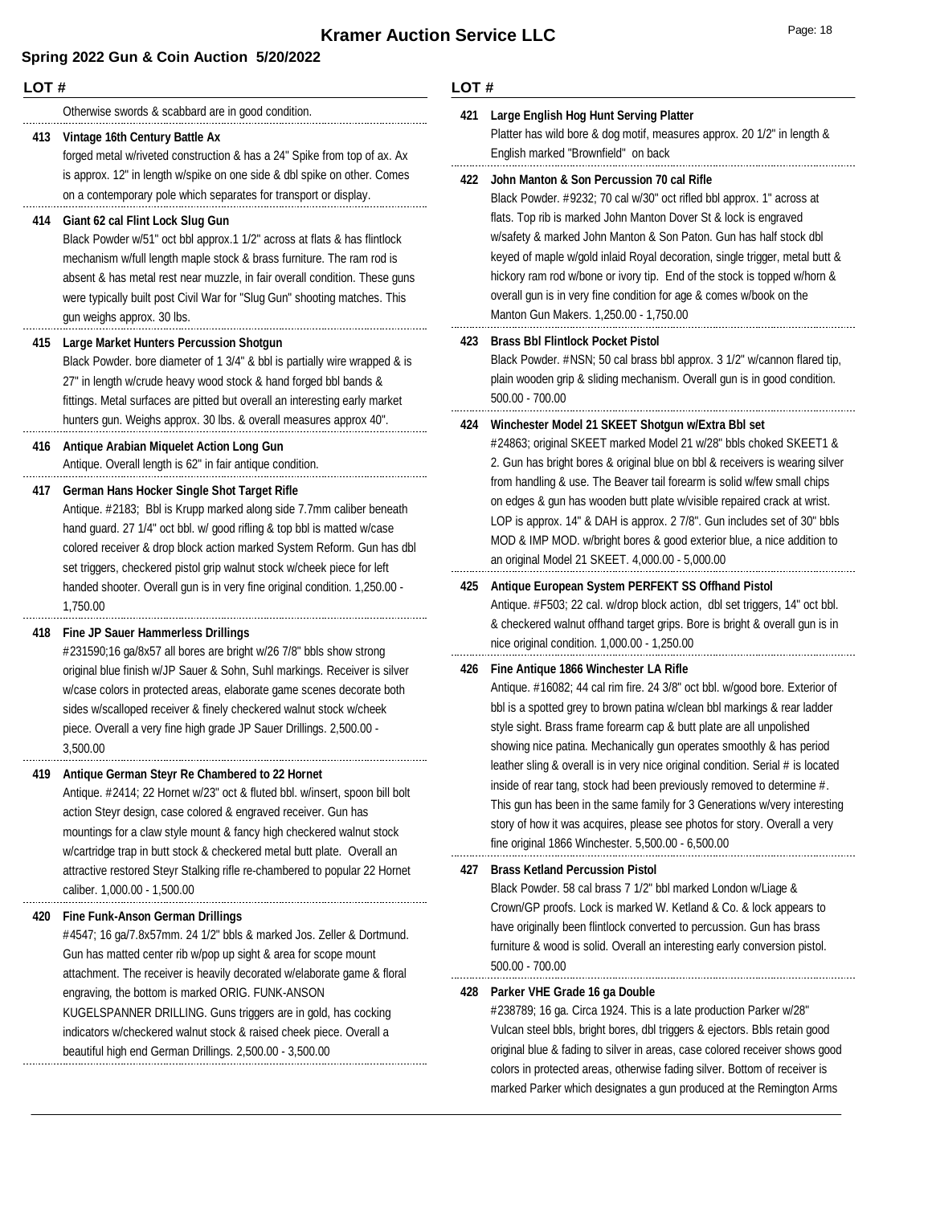#### **LOT #**

Otherwise swords & scabbard are in good condition.

#### **413 Vintage 16th Century Battle Ax**

forged metal w/riveted construction & has a 24" Spike from top of ax. Ax is approx. 12" in length w/spike on one side & dbl spike on other. Comes on a contemporary pole which separates for transport or display.

#### **414 Giant 62 cal Flint Lock Slug Gun**

Black Powder w/51" oct bbl approx.1 1/2" across at flats & has flintlock mechanism w/full length maple stock & brass furniture. The ram rod is absent & has metal rest near muzzle, in fair overall condition. These guns were typically built post Civil War for "Slug Gun" shooting matches. This gun weighs approx. 30 lbs.

#### **415 Large Market Hunters Percussion Shotgun**

Black Powder. bore diameter of 1 3/4" & bbl is partially wire wrapped & is 27" in length w/crude heavy wood stock & hand forged bbl bands & fittings. Metal surfaces are pitted but overall an interesting early market hunters gun. Weighs approx. 30 lbs. & overall measures approx 40".

# **416 Antique Arabian Miquelet Action Long Gun**

Antique. Overall length is 62" in fair antique condition.

#### **417 German Hans Hocker Single Shot Target Rifle**

Antique. #2183; Bbl is Krupp marked along side 7.7mm caliber beneath hand guard. 27 1/4" oct bbl. w/ good rifling & top bbl is matted w/case colored receiver & drop block action marked System Reform. Gun has dbl set triggers, checkered pistol grip walnut stock w/cheek piece for left handed shooter. Overall gun is in very fine original condition. 1,250.00 - 1,750.00

#### **418 Fine JP Sauer Hammerless Drillings**

#231590;16 ga/8x57 all bores are bright w/26 7/8" bbls show strong original blue finish w/JP Sauer & Sohn, Suhl markings. Receiver is silver w/case colors in protected areas, elaborate game scenes decorate both sides w/scalloped receiver & finely checkered walnut stock w/cheek piece. Overall a very fine high grade JP Sauer Drillings. 2,500.00 - 3,500.00

#### **419 Antique German Steyr Re Chambered to 22 Hornet**

Antique. #2414; 22 Hornet w/23" oct & fluted bbl. w/insert, spoon bill bolt action Steyr design, case colored & engraved receiver. Gun has mountings for a claw style mount & fancy high checkered walnut stock w/cartridge trap in butt stock & checkered metal butt plate. Overall an attractive restored Steyr Stalking rifle re-chambered to popular 22 Hornet caliber. 1,000.00 - 1,500.00

#### **420 Fine Funk-Anson German Drillings**

#4547; 16 ga/7.8x57mm. 24 1/2" bbls & marked Jos. Zeller & Dortmund. Gun has matted center rib w/pop up sight & area for scope mount attachment. The receiver is heavily decorated w/elaborate game & floral engraving, the bottom is marked ORIG. FUNK-ANSON KUGELSPANNER DRILLING. Guns triggers are in gold, has cocking indicators w/checkered walnut stock & raised cheek piece. Overall a beautiful high end German Drillings. 2,500.00 - 3,500.00

#### **LOT #**

## **421 Large English Hog Hunt Serving Platter**

Platter has wild bore & dog motif, measures approx. 20 1/2" in length & English marked "Brownfield" on back

#### **422 John Manton & Son Percussion 70 cal Rifle**

Black Powder. #9232; 70 cal w/30" oct rifled bbl approx. 1" across at flats. Top rib is marked John Manton Dover St & lock is engraved w/safety & marked John Manton & Son Paton. Gun has half stock dbl keyed of maple w/gold inlaid Royal decoration, single trigger, metal butt & hickory ram rod w/bone or ivory tip. End of the stock is topped w/horn & overall gun is in very fine condition for age & comes w/book on the Manton Gun Makers. 1,250.00 - 1,750.00

#### **423 Brass Bbl Flintlock Pocket Pistol**

Black Powder. #NSN; 50 cal brass bbl approx. 3 1/2" w/cannon flared tip, plain wooden grip & sliding mechanism. Overall gun is in good condition. 500.00 - 700.00

#### **424 Winchester Model 21 SKEET Shotgun w/Extra Bbl set**

#24863; original SKEET marked Model 21 w/28" bbls choked SKEET1 & 2. Gun has bright bores & original blue on bbl & receivers is wearing silver from handling & use. The Beaver tail forearm is solid w/few small chips on edges & gun has wooden butt plate w/visible repaired crack at wrist. LOP is approx. 14" & DAH is approx. 2 7/8". Gun includes set of 30" bbls MOD & IMP MOD. w/bright bores & good exterior blue, a nice addition to an original Model 21 SKEET. 4,000.00 - 5,000.00

#### **425 Antique European System PERFEKT SS Offhand Pistol**

Antique. #F503; 22 cal. w/drop block action, dbl set triggers, 14" oct bbl. & checkered walnut offhand target grips. Bore is bright & overall gun is in nice original condition. 1,000.00 - 1,250.00

#### **426 Fine Antique 1866 Winchester LA Rifle**

Antique. #16082; 44 cal rim fire. 24 3/8" oct bbl. w/good bore. Exterior of bbl is a spotted grey to brown patina w/clean bbl markings & rear ladder style sight. Brass frame forearm cap & butt plate are all unpolished showing nice patina. Mechanically gun operates smoothly & has period leather sling & overall is in very nice original condition. Serial # is located inside of rear tang, stock had been previously removed to determine #. This gun has been in the same family for 3 Generations w/very interesting story of how it was acquires, please see photos for story. Overall a very fine original 1866 Winchester. 5,500.00 - 6,500.00

#### **427 Brass Ketland Percussion Pistol**

Black Powder. 58 cal brass 7 1/2" bbl marked London w/Liage & Crown/GP proofs. Lock is marked W. Ketland & Co. & lock appears to have originally been flintlock converted to percussion. Gun has brass furniture & wood is solid. Overall an interesting early conversion pistol. 500.00 - 700.00

#### **428 Parker VHE Grade 16 ga Double**

#238789; 16 ga. Circa 1924. This is a late production Parker w/28" Vulcan steel bbls, bright bores, dbl triggers & ejectors. Bbls retain good original blue & fading to silver in areas, case colored receiver shows good colors in protected areas, otherwise fading silver. Bottom of receiver is marked Parker which designates a gun produced at the Remington Arms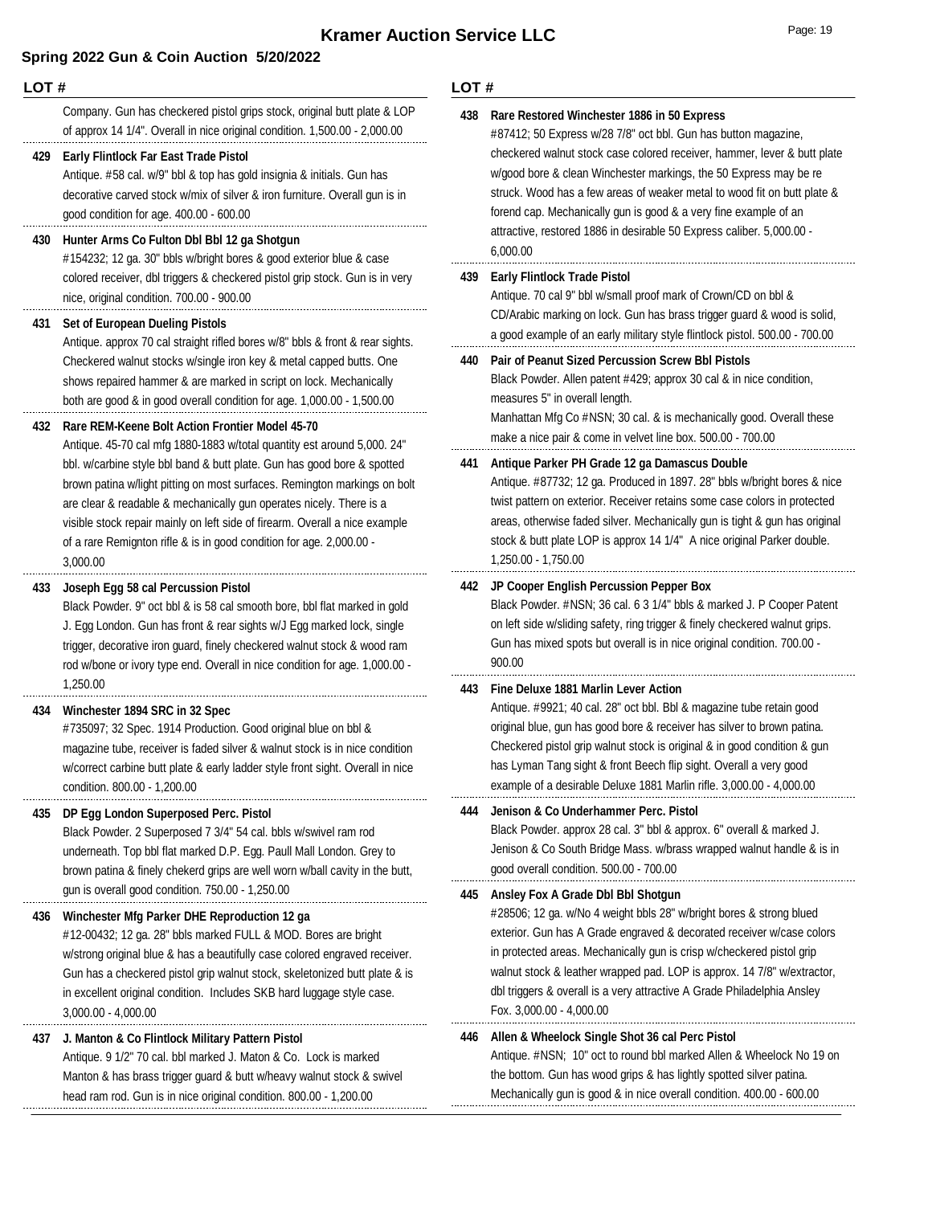#### **LOT #**

Company. Gun has checkered pistol grips stock, original butt plate & LOP of approx 14 1/4". Overall in nice original condition. 1,500.00 - 2,000.00

#### **429 Early Flintlock Far East Trade Pistol**

Antique. #58 cal. w/9" bbl & top has gold insignia & initials. Gun has decorative carved stock w/mix of silver & iron furniture. Overall gun is in good condition for age. 400.00 - 600.00

#### **430 Hunter Arms Co Fulton Dbl Bbl 12 ga Shotgun**

#154232; 12 ga. 30" bbls w/bright bores & good exterior blue & case colored receiver, dbl triggers & checkered pistol grip stock. Gun is in very nice, original condition. 700.00 - 900.00

#### **431 Set of European Dueling Pistols**

Antique. approx 70 cal straight rifled bores w/8" bbls & front & rear sights. Checkered walnut stocks w/single iron key & metal capped butts. One shows repaired hammer & are marked in script on lock. Mechanically both are good & in good overall condition for age. 1,000.00 - 1,500.00

#### **432 Rare REM-Keene Bolt Action Frontier Model 45-70**

Antique. 45-70 cal mfg 1880-1883 w/total quantity est around 5,000. 24" bbl. w/carbine style bbl band & butt plate. Gun has good bore & spotted brown patina w/light pitting on most surfaces. Remington markings on bolt are clear & readable & mechanically gun operates nicely. There is a visible stock repair mainly on left side of firearm. Overall a nice example of a rare Remignton rifle & is in good condition for age. 2,000.00 - 3,000.00

#### **433 Joseph Egg 58 cal Percussion Pistol**

Black Powder. 9" oct bbl & is 58 cal smooth bore, bbl flat marked in gold J. Egg London. Gun has front & rear sights w/J Egg marked lock, single trigger, decorative iron guard, finely checkered walnut stock & wood ram rod w/bone or ivory type end. Overall in nice condition for age. 1,000.00 - 1,250.00

#### **434 Winchester 1894 SRC in 32 Spec**

#735097; 32 Spec. 1914 Production. Good original blue on bbl & magazine tube, receiver is faded silver & walnut stock is in nice condition w/correct carbine butt plate & early ladder style front sight. Overall in nice condition. 800.00 - 1,200.00

#### **435 DP Egg London Superposed Perc. Pistol**

Black Powder. 2 Superposed 7 3/4" 54 cal. bbls w/swivel ram rod underneath. Top bbl flat marked D.P. Egg. Paull Mall London. Grey to brown patina & finely chekerd grips are well worn w/ball cavity in the butt, gun is overall good condition. 750.00 - 1,250.00

#### **436 Winchester Mfg Parker DHE Reproduction 12 ga**

#12-00432; 12 ga. 28" bbls marked FULL & MOD. Bores are bright w/strong original blue & has a beautifully case colored engraved receiver. Gun has a checkered pistol grip walnut stock, skeletonized butt plate & is in excellent original condition. Includes SKB hard luggage style case. 3,000.00 - 4,000.00

### **437 J. Manton & Co Flintlock Military Pattern Pistol**

Antique. 9 1/2" 70 cal. bbl marked J. Maton & Co. Lock is marked Manton & has brass trigger guard & butt w/heavy walnut stock & swivel head ram rod. Gun is in nice original condition. 800.00 - 1,200.00

#### **LOT #**

| 438 | Rare Restored Winchester 1886 in 50 Express<br>#87412; 50 Express w/28 7/8" oct bbl. Gun has button magazine,<br>checkered walnut stock case colored receiver, hammer, lever & butt plate<br>w/good bore & clean Winchester markings, the 50 Express may be re<br>struck. Wood has a few areas of weaker metal to wood fit on butt plate &<br>forend cap. Mechanically gun is good & a very fine example of an<br>attractive, restored 1886 in desirable 50 Express caliber. 5,000.00 -<br>6,000.00 |
|-----|-----------------------------------------------------------------------------------------------------------------------------------------------------------------------------------------------------------------------------------------------------------------------------------------------------------------------------------------------------------------------------------------------------------------------------------------------------------------------------------------------------|
| 439 | <b>Early Flintlock Trade Pistol</b><br>Antique. 70 cal 9" bbl w/small proof mark of Crown/CD on bbl &<br>CD/Arabic marking on lock. Gun has brass trigger guard & wood is solid,<br>a good example of an early military style flintlock pistol. 500.00 - 700.00                                                                                                                                                                                                                                     |
| 440 | <b>Pair of Peanut Sized Percussion Screw Bbl Pistols</b><br>Black Powder. Allen patent #429; approx 30 cal & in nice condition,<br>measures 5" in overall length.<br>Manhattan Mfg Co #NSN; 30 cal. & is mechanically good. Overall these<br>make a nice pair & come in velvet line box. 500.00 - 700.00                                                                                                                                                                                            |
| 441 | Antique Parker PH Grade 12 ga Damascus Double<br>Antique. #87732; 12 ga. Produced in 1897. 28" bbls w/bright bores & nice<br>twist pattern on exterior. Receiver retains some case colors in protected<br>areas, otherwise faded silver. Mechanically gun is tight & gun has original<br>stock & butt plate LOP is approx 14 1/4" A nice original Parker double.<br>1,250.00 - 1,750.00                                                                                                             |
| 442 | JP Cooper English Percussion Pepper Box<br>Black Powder. #NSN; 36 cal. 6 3 1/4" bbls & marked J. P Cooper Patent<br>on left side w/sliding safety, ring trigger & finely checkered walnut grips.<br>Gun has mixed spots but overall is in nice original condition. 700.00 -<br>900.00                                                                                                                                                                                                               |
| 443 | Fine Deluxe 1881 Marlin Lever Action<br>Antique. #9921; 40 cal. 28" oct bbl. Bbl & magazine tube retain good<br>original blue, gun has good bore & receiver has silver to brown patina.<br>Checkered pistol grip walnut stock is original & in good condition & gun<br>has Lyman Tang sight & front Beech flip sight. Overall a very good<br>example of a desirable Deluxe 1881 Marlin rifle. 3,000.00 - 4,000.00                                                                                   |
| 444 | Jenison & Co Underhammer Perc. Pistol<br>Black Powder. approx 28 cal. 3" bbl & approx. 6" overall & marked J.<br>Jenison & Co South Bridge Mass. w/brass wrapped walnut handle & is in<br>good overall condition. 500.00 - 700.00                                                                                                                                                                                                                                                                   |
| 445 | Ansley Fox A Grade Dbl Bbl Shotqun<br>#28506; 12 ga. w/No 4 weight bbls 28" w/bright bores & strong blued<br>exterior. Gun has A Grade engraved & decorated receiver w/case colors<br>in protected areas. Mechanically gun is crisp w/checkered pistol grip<br>walnut stock & leather wrapped pad. LOP is approx. 14 7/8" w/extractor,<br>dbl triggers & overall is a very attractive A Grade Philadelphia Ansley<br>Fox. 3,000.00 - 4,000.00                                                       |
| 446 | Allen & Wheelock Single Shot 36 cal Perc Pistol<br>Antique. #NSN; 10" oct to round bbl marked Allen & Wheelock No 19 on<br>the bottom. Gun has wood grips & has lightly spotted silver patina.                                                                                                                                                                                                                                                                                                      |

Mechanically gun is good & in nice overall condition. 400.00 - 600.00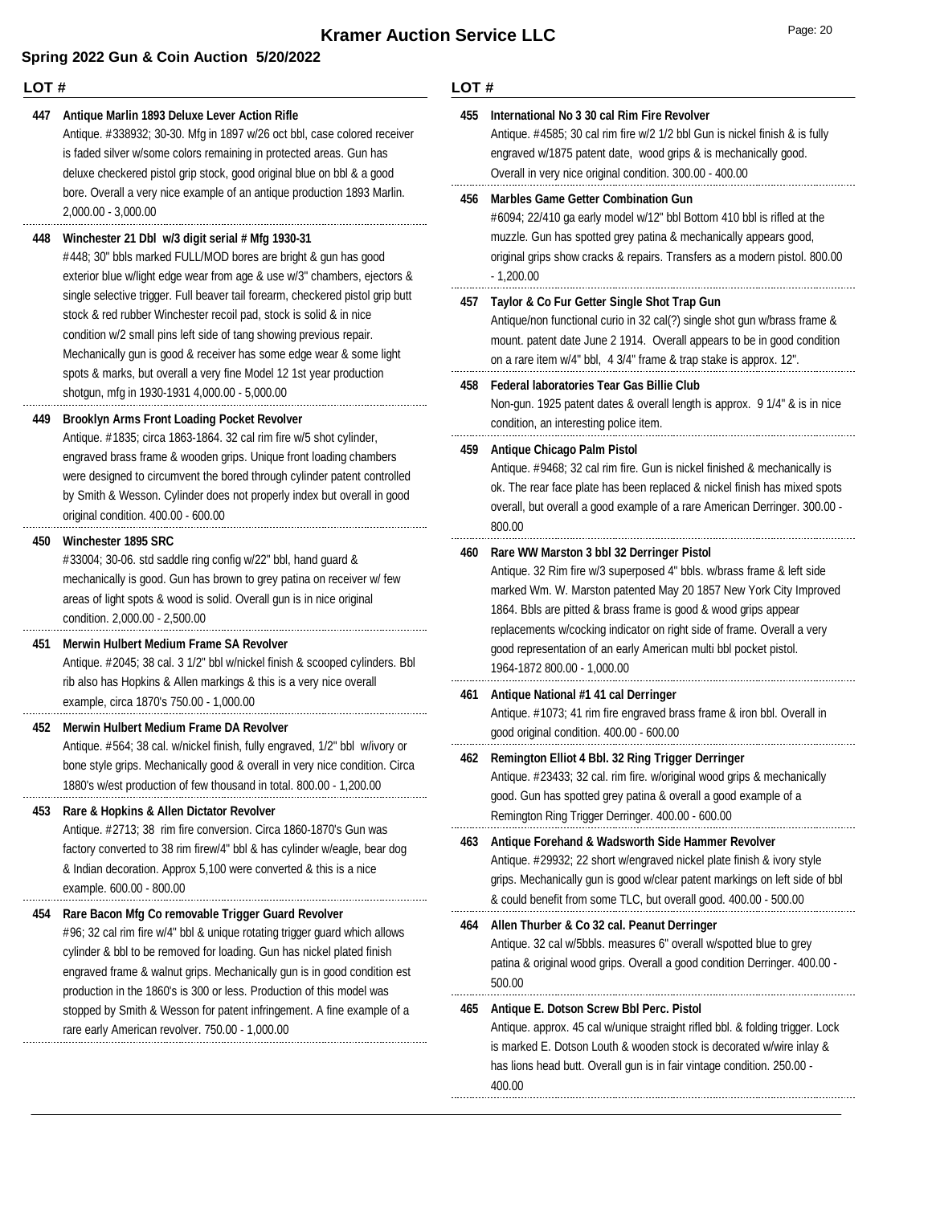### **LOT #**

#### **447 Antique Marlin 1893 Deluxe Lever Action Rifle**

Antique. #338932; 30-30. Mfg in 1897 w/26 oct bbl, case colored receiver is faded silver w/some colors remaining in protected areas. Gun has deluxe checkered pistol grip stock, good original blue on bbl & a good bore. Overall a very nice example of an antique production 1893 Marlin. 2,000.00 - 3,000.00

#### **448 Winchester 21 Dbl w/3 digit serial # Mfg 1930-31**

#448; 30" bbls marked FULL/MOD bores are bright & gun has good exterior blue w/light edge wear from age & use w/3" chambers, ejectors & single selective trigger. Full beaver tail forearm, checkered pistol grip butt stock & red rubber Winchester recoil pad, stock is solid & in nice condition w/2 small pins left side of tang showing previous repair. Mechanically gun is good & receiver has some edge wear & some light spots & marks, but overall a very fine Model 12 1st year production shotgun, mfg in 1930-1931 4,000.00 - 5,000.00

#### **449 Brooklyn Arms Front Loading Pocket Revolver**

Antique. #1835; circa 1863-1864. 32 cal rim fire w/5 shot cylinder, engraved brass frame & wooden grips. Unique front loading chambers were designed to circumvent the bored through cylinder patent controlled by Smith & Wesson. Cylinder does not properly index but overall in good original condition. 400.00 - 600.00

#### **450 Winchester 1895 SRC**

#33004; 30-06. std saddle ring config w/22" bbl, hand guard & mechanically is good. Gun has brown to grey patina on receiver w/ few areas of light spots & wood is solid. Overall gun is in nice original condition. 2,000.00 - 2,500.00

#### **451 Merwin Hulbert Medium Frame SA Revolver**

Antique. #2045; 38 cal. 3 1/2" bbl w/nickel finish & scooped cylinders. Bbl rib also has Hopkins & Allen markings & this is a very nice overall example, circa 1870's 750.00 - 1,000.00

#### **452 Merwin Hulbert Medium Frame DA Revolver**

Antique. #564; 38 cal. w/nickel finish, fully engraved, 1/2" bbl w/ivory or bone style grips. Mechanically good & overall in very nice condition. Circa 1880's w/est production of few thousand in total. 800.00 - 1,200.00

#### **453 Rare & Hopkins & Allen Dictator Revolver**

Antique. #2713; 38 rim fire conversion. Circa 1860-1870's Gun was factory converted to 38 rim firew/4" bbl & has cylinder w/eagle, bear dog & Indian decoration. Approx 5,100 were converted & this is a nice example. 600.00 - 800.00

#### **454 Rare Bacon Mfg Co removable Trigger Guard Revolver**

#96; 32 cal rim fire w/4" bbl & unique rotating trigger guard which allows cylinder & bbl to be removed for loading. Gun has nickel plated finish engraved frame & walnut grips. Mechanically gun is in good condition est production in the 1860's is 300 or less. Production of this model was stopped by Smith & Wesson for patent infringement. A fine example of a rare early American revolver. 750.00 - 1,000.00

| 455 | International No 3 30 cal Rim Fire Revolver<br>Antique. #4585; 30 cal rim fire w/2 1/2 bbl Gun is nickel finish & is fully<br>engraved w/1875 patent date, wood grips & is mechanically good.<br>Overall in very nice original condition. 300.00 - 400.00                                                                                                                                                                                  |
|-----|--------------------------------------------------------------------------------------------------------------------------------------------------------------------------------------------------------------------------------------------------------------------------------------------------------------------------------------------------------------------------------------------------------------------------------------------|
| 456 | <b>Marbles Game Getter Combination Gun</b><br>#6094; 22/410 ga early model w/12" bbl Bottom 410 bbl is rifled at the<br>muzzle. Gun has spotted grey patina & mechanically appears good,<br>original grips show cracks & repairs. Transfers as a modern pistol. 800.00<br>$-1,200.00$                                                                                                                                                      |
| 457 | Taylor & Co Fur Getter Single Shot Trap Gun<br>Antique/non functional curio in 32 cal(?) single shot gun w/brass frame &<br>mount. patent date June 2 1914. Overall appears to be in good condition<br>on a rare item w/4" bbl, 4 3/4" frame & trap stake is approx. 12".                                                                                                                                                                  |
| 458 | <b>Federal laboratories Tear Gas Billie Club</b><br>Non-gun. 1925 patent dates & overall length is approx. 9 1/4" & is in nice<br>condition, an interesting police item.                                                                                                                                                                                                                                                                   |
| 459 | Antique Chicago Palm Pistol<br>Antique. #9468; 32 cal rim fire. Gun is nickel finished & mechanically is<br>ok. The rear face plate has been replaced & nickel finish has mixed spots<br>overall, but overall a good example of a rare American Derringer. 300.00 -<br>800.00                                                                                                                                                              |
| 460 | Rare WW Marston 3 bbl 32 Derringer Pistol<br>Antique. 32 Rim fire w/3 superposed 4" bbls. w/brass frame & left side<br>marked Wm. W. Marston patented May 20 1857 New York City Improved<br>1864. Bbls are pitted & brass frame is good & wood grips appear<br>replacements w/cocking indicator on right side of frame. Overall a very<br>good representation of an early American multi bbl pocket pistol.<br>1964-1872 800.00 - 1,000.00 |
| 461 | Antique National #1 41 cal Derringer<br>Antique. #1073; 41 rim fire engraved brass frame & iron bbl. Overall in<br>good original condition. 400.00 - 600.00                                                                                                                                                                                                                                                                                |
| 462 | Remington Elliot 4 Bbl. 32 Ring Trigger Derringer<br>Antique. #23433; 32 cal. rim fire. w/original wood grips & mechanically<br>good. Gun has spotted grey patina & overall a good example of a<br>Remington Ring Trigger Derringer. 400.00 - 600.00                                                                                                                                                                                       |
| 463 | Antique Forehand & Wadsworth Side Hammer Revolver<br>Antique. #29932; 22 short w/engraved nickel plate finish & ivory style<br>grips. Mechanically gun is good w/clear patent markings on left side of bbl<br>& could benefit from some TLC, but overall good. 400.00 - 500.00                                                                                                                                                             |
| 464 | Allen Thurber & Co 32 cal. Peanut Derringer<br>Antique. 32 cal w/5bbls. measures 6" overall w/spotted blue to grey<br>patina & original wood grips. Overall a good condition Derringer. 400.00 -<br>500.00                                                                                                                                                                                                                                 |
| 465 | Antique E. Dotson Screw Bbl Perc. Pistol<br>Antique. approx. 45 cal w/unique straight rifled bbl. & folding trigger. Lock<br>is marked E. Dotson Louth & wooden stock is decorated w/wire inlay &<br>has lions head butt. Overall gun is in fair vintage condition. 250.00 -<br>400.00                                                                                                                                                     |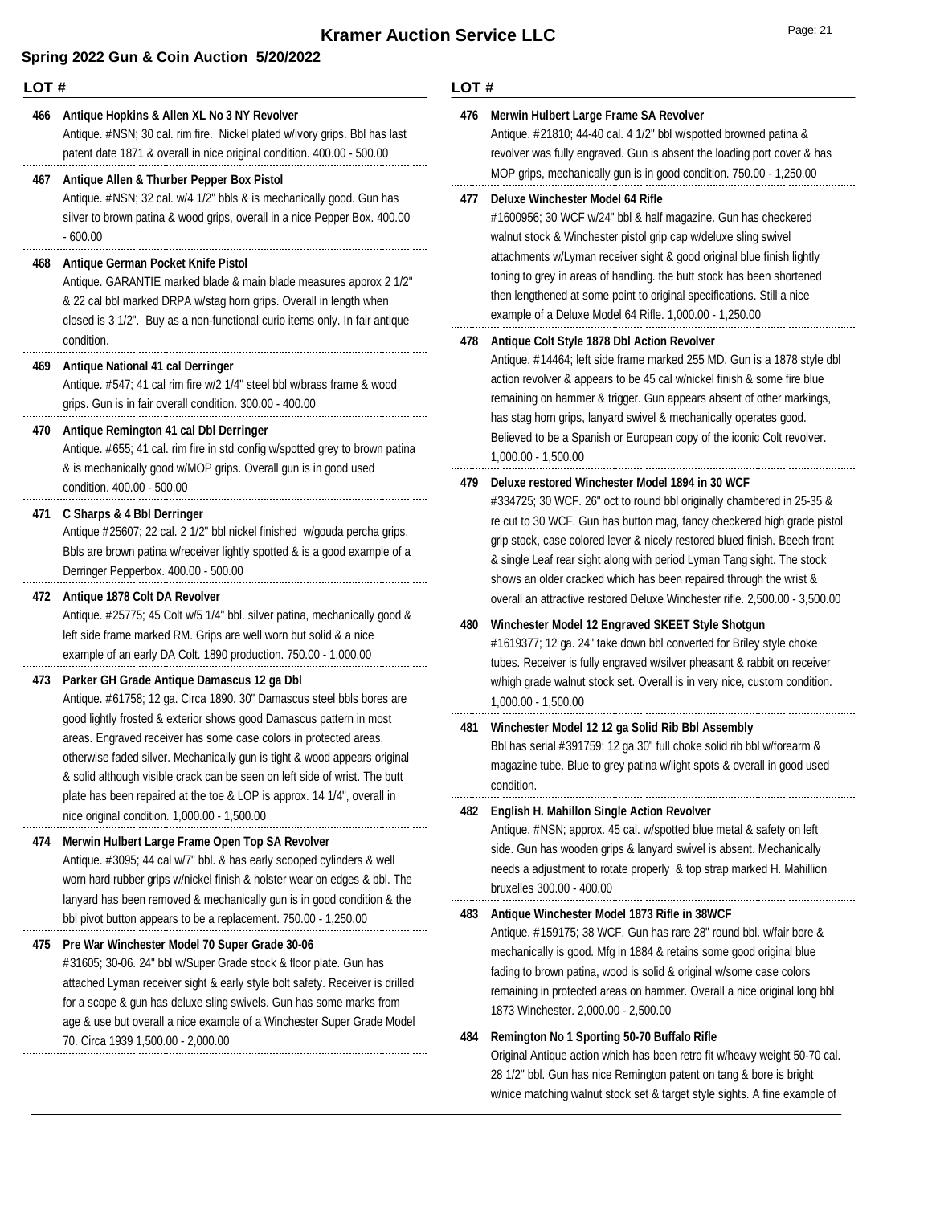#### **LOT #**

#### **466 Antique Hopkins & Allen XL No 3 NY Revolver**

Antique. #NSN; 30 cal. rim fire. Nickel plated w/ivory grips. Bbl has last patent date 1871 & overall in nice original condition. 400.00 - 500.00

#### **467 Antique Allen & Thurber Pepper Box Pistol**

Antique. #NSN; 32 cal. w/4 1/2" bbls & is mechanically good. Gun has silver to brown patina & wood grips, overall in a nice Pepper Box. 400.00 - 600.00

#### **468 Antique German Pocket Knife Pistol**

Antique. GARANTIE marked blade & main blade measures approx 2 1/2" & 22 cal bbl marked DRPA w/stag horn grips. Overall in length when closed is 3 1/2". Buy as a non-functional curio items only. In fair antique condition.

#### **469 Antique National 41 cal Derringer**

Antique. #547; 41 cal rim fire w/2 1/4" steel bbl w/brass frame & wood grips. Gun is in fair overall condition. 300.00 - 400.00

#### **470 Antique Remington 41 cal Dbl Derringer**

Antique. #655; 41 cal. rim fire in std config w/spotted grey to brown patina & is mechanically good w/MOP grips. Overall gun is in good used condition. 400.00 - 500.00

#### **471 C Sharps & 4 Bbl Derringer**

Antique #25607; 22 cal. 2 1/2" bbl nickel finished w/gouda percha grips. Bbls are brown patina w/receiver lightly spotted & is a good example of a Derringer Pepperbox. 400.00 - 500.00

#### **472 Antique 1878 Colt DA Revolver**

Antique. #25775; 45 Colt w/5 1/4" bbl. silver patina, mechanically good & left side frame marked RM. Grips are well worn but solid & a nice example of an early DA Colt. 1890 production. 750.00 - 1,000.00

#### **473 Parker GH Grade Antique Damascus 12 ga Dbl**

Antique. #61758; 12 ga. Circa 1890. 30" Damascus steel bbls bores are good lightly frosted & exterior shows good Damascus pattern in most areas. Engraved receiver has some case colors in protected areas, otherwise faded silver. Mechanically gun is tight & wood appears original & solid although visible crack can be seen on left side of wrist. The butt plate has been repaired at the toe & LOP is approx. 14 1/4", overall in nice original condition. 1,000.00 - 1,500.00

#### **474 Merwin Hulbert Large Frame Open Top SA Revolver**

Antique. #3095; 44 cal w/7" bbl. & has early scooped cylinders & well worn hard rubber grips w/nickel finish & holster wear on edges & bbl. The lanyard has been removed & mechanically gun is in good condition & the bbl pivot button appears to be a replacement. 750.00 - 1,250.00

#### **475 Pre War Winchester Model 70 Super Grade 30-06**

#31605; 30-06. 24" bbl w/Super Grade stock & floor plate. Gun has attached Lyman receiver sight & early style bolt safety. Receiver is drilled for a scope & gun has deluxe sling swivels. Gun has some marks from age & use but overall a nice example of a Winchester Super Grade Model 70. Circa 1939 1,500.00 - 2,000.00

#### **LOT #**

### **476 Merwin Hulbert Large Frame SA Revolver**

Antique. #21810; 44-40 cal. 4 1/2" bbl w/spotted browned patina & revolver was fully engraved. Gun is absent the loading port cover & has MOP grips, mechanically gun is in good condition. 750.00 - 1,250.00

#### **477 Deluxe Winchester Model 64 Rifle**

#1600956; 30 WCF w/24" bbl & half magazine. Gun has checkered walnut stock & Winchester pistol grip cap w/deluxe sling swivel attachments w/Lyman receiver sight & good original blue finish lightly toning to grey in areas of handling. the butt stock has been shortened then lengthened at some point to original specifications. Still a nice example of a Deluxe Model 64 Rifle. 1,000.00 - 1,250.00

#### **478 Antique Colt Style 1878 Dbl Action Revolver**

Antique. #14464; left side frame marked 255 MD. Gun is a 1878 style dbl action revolver & appears to be 45 cal w/nickel finish & some fire blue remaining on hammer & trigger. Gun appears absent of other markings, has stag horn grips, lanyard swivel & mechanically operates good. Believed to be a Spanish or European copy of the iconic Colt revolver. 1,000.00 - 1,500.00

#### **479 Deluxe restored Winchester Model 1894 in 30 WCF**

#334725; 30 WCF. 26" oct to round bbl originally chambered in 25-35 & re cut to 30 WCF. Gun has button mag, fancy checkered high grade pistol grip stock, case colored lever & nicely restored blued finish. Beech front & single Leaf rear sight along with period Lyman Tang sight. The stock shows an older cracked which has been repaired through the wrist & overall an attractive restored Deluxe Winchester rifle. 2,500.00 - 3,500.00

#### **480 Winchester Model 12 Engraved SKEET Style Shotgun**

#1619377; 12 ga. 24" take down bbl converted for Briley style choke tubes. Receiver is fully engraved w/silver pheasant & rabbit on receiver w/high grade walnut stock set. Overall is in very nice, custom condition. 1,000.00 - 1,500.00

### Bbl has serial #391759; 12 ga 30" full choke solid rib bbl w/forearm & magazine tube. Blue to grey patina w/light spots & overall in good used condition. **481 Winchester Model 12 12 ga Solid Rib Bbl Assembly**

#### **482 English H. Mahillon Single Action Revolver**

Antique. #NSN; approx. 45 cal. w/spotted blue metal & safety on left side. Gun has wooden grips & lanyard swivel is absent. Mechanically needs a adjustment to rotate properly & top strap marked H. Mahillion bruxelles 300.00 - 400.00

#### **483 Antique Winchester Model 1873 Rifle in 38WCF**

Antique. #159175; 38 WCF. Gun has rare 28" round bbl. w/fair bore & mechanically is good. Mfg in 1884 & retains some good original blue fading to brown patina, wood is solid & original w/some case colors remaining in protected areas on hammer. Overall a nice original long bbl 1873 Winchester. 2,000.00 - 2,500.00

#### **484 Remington No 1 Sporting 50-70 Buffalo Rifle**

Original Antique action which has been retro fit w/heavy weight 50-70 cal. 28 1/2" bbl. Gun has nice Remington patent on tang & bore is bright w/nice matching walnut stock set & target style sights. A fine example of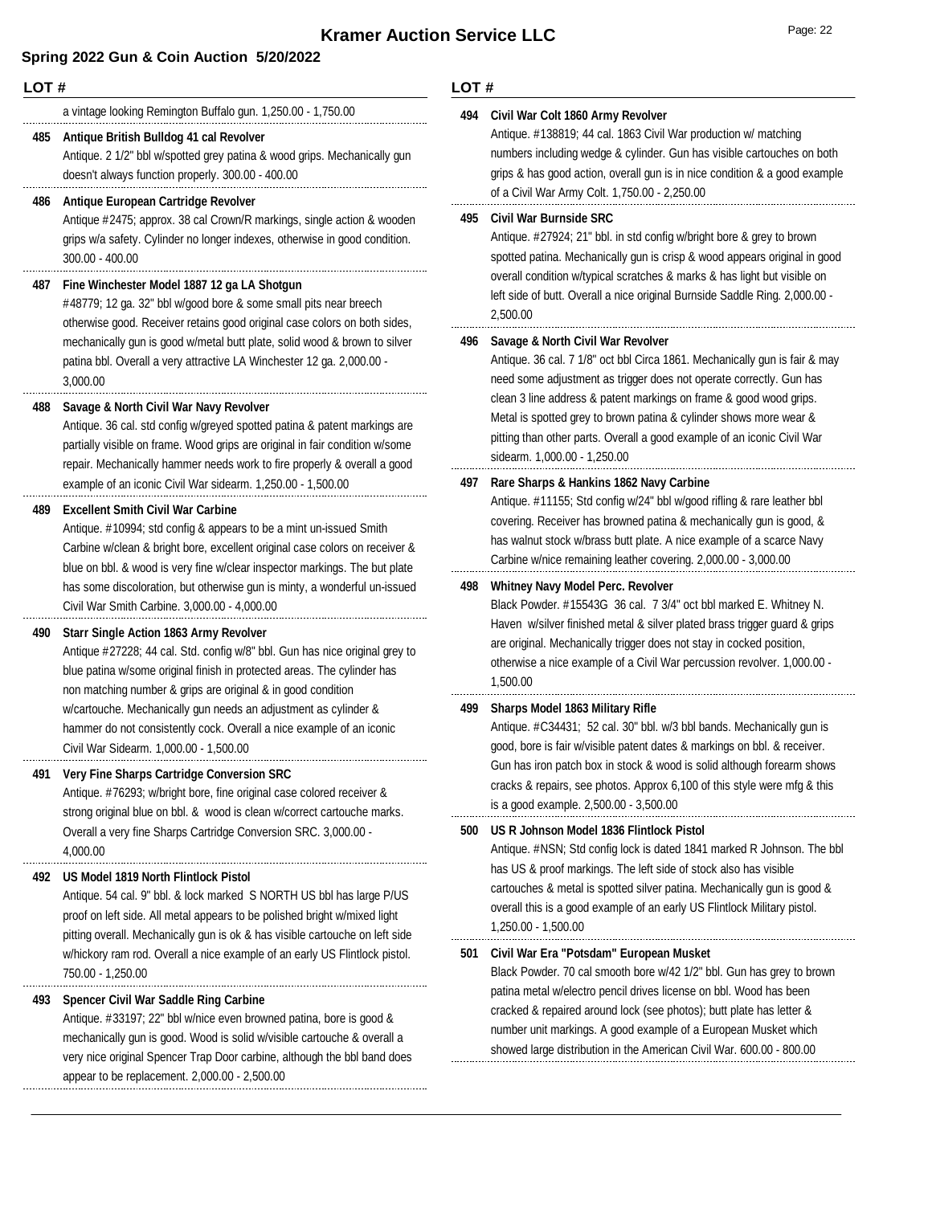#### **LOT #**

a vintage looking Remington Buffalo gun. 1,250.00 - 1,750.00

#### **485 Antique British Bulldog 41 cal Revolver**

Antique. 2 1/2" bbl w/spotted grey patina & wood grips. Mechanically gun doesn't always function properly. 300.00 - 400.00

#### **486 Antique European Cartridge Revolver**

Antique #2475; approx. 38 cal Crown/R markings, single action & wooden grips w/a safety. Cylinder no longer indexes, otherwise in good condition. 300.00 - 400.00

#### **487 Fine Winchester Model 1887 12 ga LA Shotgun**

#48779; 12 ga. 32" bbl w/good bore & some small pits near breech otherwise good. Receiver retains good original case colors on both sides, mechanically gun is good w/metal butt plate, solid wood & brown to silver patina bbl. Overall a very attractive LA Winchester 12 ga. 2,000.00 - 3,000.00

#### **488 Savage & North Civil War Navy Revolver**

Antique. 36 cal. std config w/greyed spotted patina & patent markings are partially visible on frame. Wood grips are original in fair condition w/some repair. Mechanically hammer needs work to fire properly & overall a good example of an iconic Civil War sidearm. 1,250.00 - 1,500.00

#### **489 Excellent Smith Civil War Carbine**

Antique. #10994; std config & appears to be a mint un-issued Smith Carbine w/clean & bright bore, excellent original case colors on receiver & blue on bbl. & wood is very fine w/clear inspector markings. The but plate has some discoloration, but otherwise gun is minty, a wonderful un-issued Civil War Smith Carbine. 3,000.00 - 4,000.00

#### **490 Starr Single Action 1863 Army Revolver**

Antique #27228; 44 cal. Std. config w/8" bbl. Gun has nice original grey to blue patina w/some original finish in protected areas. The cylinder has non matching number & grips are original & in good condition w/cartouche. Mechanically gun needs an adjustment as cylinder & hammer do not consistently cock. Overall a nice example of an iconic Civil War Sidearm. 1,000.00 - 1,500.00

#### **491 Very Fine Sharps Cartridge Conversion SRC**

Antique. #76293; w/bright bore, fine original case colored receiver & strong original blue on bbl. & wood is clean w/correct cartouche marks. Overall a very fine Sharps Cartridge Conversion SRC. 3,000.00 - 4,000.00

#### **492 US Model 1819 North Flintlock Pistol**

Antique. 54 cal. 9" bbl. & lock marked S NORTH US bbl has large P/US proof on left side. All metal appears to be polished bright w/mixed light pitting overall. Mechanically gun is ok & has visible cartouche on left side w/hickory ram rod. Overall a nice example of an early US Flintlock pistol. 750.00 - 1,250.00

#### **493 Spencer Civil War Saddle Ring Carbine**

Antique. #33197; 22" bbl w/nice even browned patina, bore is good & mechanically gun is good. Wood is solid w/visible cartouche & overall a very nice original Spencer Trap Door carbine, although the bbl band does appear to be replacement. 2,000.00 - 2,500.00

#### **LOT #**

### **494 Civil War Colt 1860 Army Revolver**

Antique. #138819; 44 cal. 1863 Civil War production w/ matching numbers including wedge & cylinder. Gun has visible cartouches on both grips & has good action, overall gun is in nice condition & a good example of a Civil War Army Colt. 1,750.00 - 2,250.00

#### **495 Civil War Burnside SRC**

Antique. #27924; 21" bbl. in std config w/bright bore & grey to brown spotted patina. Mechanically gun is crisp & wood appears original in good overall condition w/typical scratches & marks & has light but visible on left side of butt. Overall a nice original Burnside Saddle Ring. 2,000.00 - 2,500.00

#### **496 Savage & North Civil War Revolver**

Antique. 36 cal. 7 1/8" oct bbl Circa 1861. Mechanically gun is fair & may need some adjustment as trigger does not operate correctly. Gun has clean 3 line address & patent markings on frame & good wood grips. Metal is spotted grey to brown patina & cylinder shows more wear & pitting than other parts. Overall a good example of an iconic Civil War sidearm. 1,000.00 - 1,250.00

#### **497 Rare Sharps & Hankins 1862 Navy Carbine**

Antique. #11155; Std config w/24" bbl w/good rifling & rare leather bbl covering. Receiver has browned patina & mechanically gun is good, & has walnut stock w/brass butt plate. A nice example of a scarce Navy Carbine w/nice remaining leather covering. 2,000.00 - 3,000.00

#### **498 Whitney Navy Model Perc. Revolver**

Black Powder. #15543G 36 cal. 7 3/4" oct bbl marked E. Whitney N. Haven w/silver finished metal & silver plated brass trigger guard & grips are original. Mechanically trigger does not stay in cocked position, otherwise a nice example of a Civil War percussion revolver. 1,000.00 - 1,500.00

#### **499 Sharps Model 1863 Military Rifle**

Antique. #C34431; 52 cal. 30" bbl. w/3 bbl bands. Mechanically gun is good, bore is fair w/visible patent dates & markings on bbl. & receiver. Gun has iron patch box in stock & wood is solid although forearm shows cracks & repairs, see photos. Approx 6,100 of this style were mfg & this is a good example. 2,500.00 - 3,500.00

#### **500 US R Johnson Model 1836 Flintlock Pistol**

Antique. #NSN; Std config lock is dated 1841 marked R Johnson. The bbl has US & proof markings. The left side of stock also has visible cartouches & metal is spotted silver patina. Mechanically gun is good & overall this is a good example of an early US Flintlock Military pistol. 1,250.00 - 1,500.00

### **501 Civil War Era "Potsdam" European Musket**

Black Powder. 70 cal smooth bore w/42 1/2" bbl. Gun has grey to brown patina metal w/electro pencil drives license on bbl. Wood has been cracked & repaired around lock (see photos); butt plate has letter & number unit markings. A good example of a European Musket which showed large distribution in the American Civil War. 600.00 - 800.00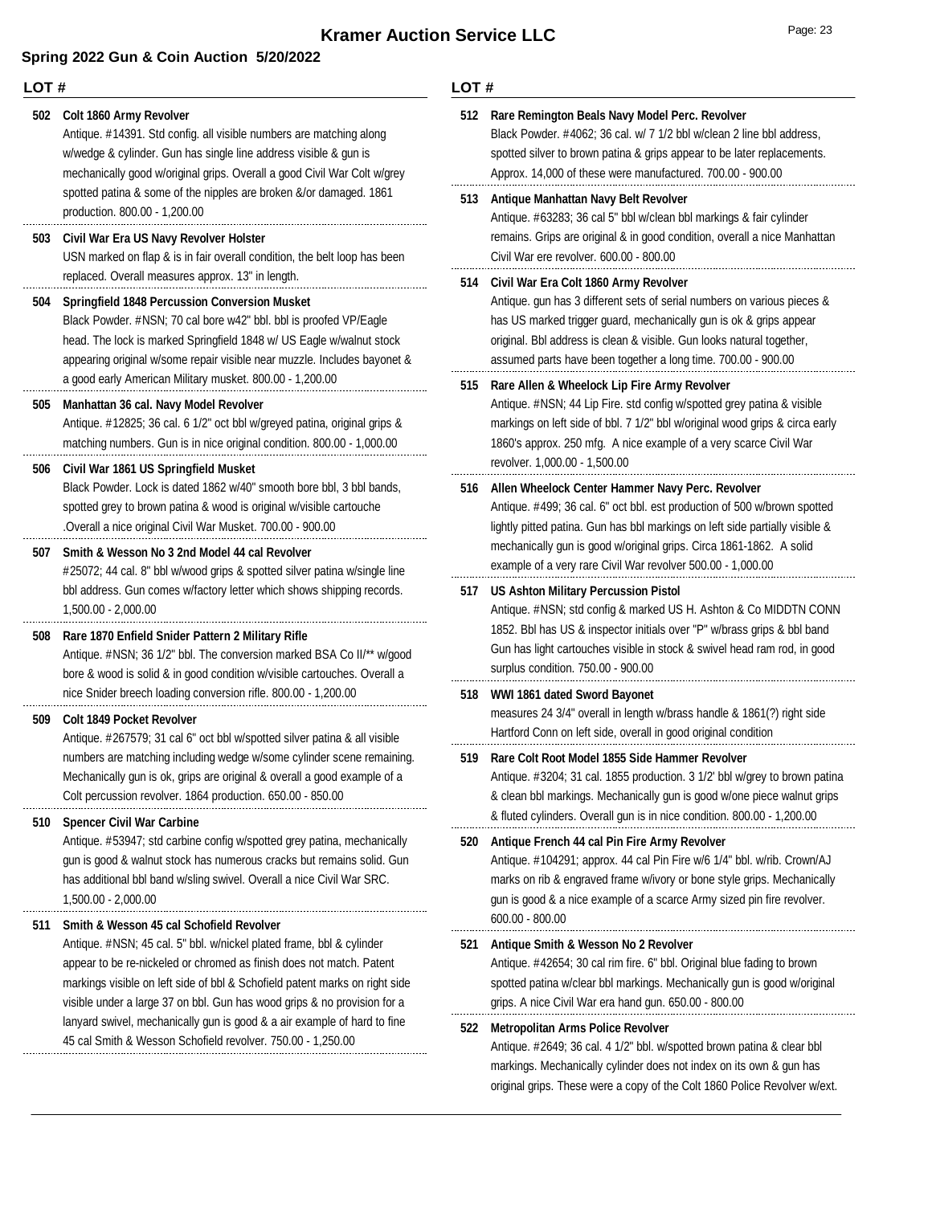#### **LOT #** Antique. #14391. Std config. all visible numbers are matching along w/wedge & cylinder. Gun has single line address visible & gun is mechanically good w/original grips. Overall a good Civil War Colt w/grey spotted patina & some of the nipples are broken &/or damaged. 1861 production. 800.00 - 1,200.00 **502 Colt 1860 Army Revolver** USN marked on flap & is in fair overall condition, the belt loop has been replaced. Overall measures approx. 13" in length. **503 Civil War Era US Navy Revolver Holster** Black Powder. #NSN; 70 cal bore w42" bbl. bbl is proofed VP/Eagle head. The lock is marked Springfield 1848 w/ US Eagle w/walnut stock appearing original w/some repair visible near muzzle. Includes bayonet & a good early American Military musket. 800.00 - 1,200.00 **504 Springfield 1848 Percussion Conversion Musket** Antique. #12825; 36 cal. 6 1/2" oct bbl w/greyed patina, original grips & matching numbers. Gun is in nice original condition. 800.00 - 1,000.00 **505 Manhattan 36 cal. Navy Model Revolver** Black Powder. Lock is dated 1862 w/40" smooth bore bbl, 3 bbl bands, spotted grey to brown patina & wood is original w/visible cartouche .Overall a nice original Civil War Musket. 700.00 - 900.00 **506 Civil War 1861 US Springfield Musket** #25072; 44 cal. 8" bbl w/wood grips & spotted silver patina w/single line bbl address. Gun comes w/factory letter which shows shipping records. 1,500.00 - 2,000.00 **507 Smith & Wesson No 3 2nd Model 44 cal Revolver** Antique. #NSN; 36 1/2" bbl. The conversion marked BSA Co II/\*\* w/good bore & wood is solid & in good condition w/visible cartouches. Overall a nice Snider breech loading conversion rifle. 800.00 - 1,200.00 **508 Rare 1870 Enfield Snider Pattern 2 Military Rifle** Antique. #267579; 31 cal 6" oct bbl w/spotted silver patina & all visible numbers are matching including wedge w/some cylinder scene remaining. Mechanically gun is ok, grips are original & overall a good example of a Colt percussion revolver. 1864 production. 650.00 - 850.00 **509 Colt 1849 Pocket Revolver** Antique. #53947; std carbine config w/spotted grey patina, mechanically gun is good & walnut stock has numerous cracks but remains solid. Gun has additional bbl band w/sling swivel. Overall a nice Civil War SRC. 1,500.00 - 2,000.00 **510 Spencer Civil War Carbine** Antique. #NSN; 45 cal. 5" bbl. w/nickel plated frame, bbl & cylinder appear to be re-nickeled or chromed as finish does not match. Patent markings visible on left side of bbl & Schofield patent marks on right side visible under a large 37 on bbl. Gun has wood grips & no provision for a lanyard swivel, mechanically gun is good & a air example of hard to fine 45 cal Smith & Wesson Schofield revolver. 750.00 - 1,250.00 **511 Smith & Wesson 45 cal Schofield Revolver LOT #** Black Powder. #4062; 36 cal. w/ 7 1/2 bbl w/clean 2 line bbl address, spotted silver to brown patina & grips appear to be later replacements. Approx. 14,000 of these were manufactured. 700.00 - 900.00 **512 Rare Remington Beals Navy Model Perc. Revolver** Antique. #63283; 36 cal 5" bbl w/clean bbl markings & fair cylinder remains. Grips are original & in good condition, overall a nice Manhattan Civil War ere revolver. 600.00 - 800.00 **513 Antique Manhattan Navy Belt Revolver** Antique. gun has 3 different sets of serial numbers on various pieces & has US marked trigger guard, mechanically gun is ok & grips appear original. Bbl address is clean & visible. Gun looks natural together, assumed parts have been together a long time. 700.00 - 900.00 **514 Civil War Era Colt 1860 Army Revolver** Antique. #NSN; 44 Lip Fire. std config w/spotted grey patina & visible markings on left side of bbl. 7 1/2" bbl w/original wood grips & circa early 1860's approx. 250 mfg. A nice example of a very scarce Civil War revolver. 1,000.00 - 1,500.00 **515 Rare Allen & Wheelock Lip Fire Army Revolver** Antique. #499; 36 cal. 6" oct bbl. est production of 500 w/brown spotted lightly pitted patina. Gun has bbl markings on left side partially visible & mechanically gun is good w/original grips. Circa 1861-1862. A solid example of a very rare Civil War revolver 500.00 - 1,000.00 **516 Allen Wheelock Center Hammer Navy Perc. Revolver** Antique. #NSN; std config & marked US H. Ashton & Co MIDDTN CONN 1852. Bbl has US & inspector initials over "P" w/brass grips & bbl band Gun has light cartouches visible in stock & swivel head ram rod, in good surplus condition. 750.00 - 900.00 **517 US Ashton Military Percussion Pistol** measures 24 3/4" overall in length w/brass handle & 1861(?) right side Hartford Conn on left side, overall in good original condition **518 WWI 1861 dated Sword Bayonet** Antique. #3204; 31 cal. 1855 production. 3 1/2' bbl w/grey to brown patina & clean bbl markings. Mechanically gun is good w/one piece walnut grips & fluted cylinders. Overall gun is in nice condition. 800.00 - 1,200.00 **519 Rare Colt Root Model 1855 Side Hammer Revolver** Antique. #104291; approx. 44 cal Pin Fire w/6 1/4" bbl. w/rib. Crown/AJ marks on rib & engraved frame w/ivory or bone style grips. Mechanically gun is good & a nice example of a scarce Army sized pin fire revolver. 600.00 - 800.00 **520 Antique French 44 cal Pin Fire Army Revolver** Antique. #42654; 30 cal rim fire. 6" bbl. Original blue fading to brown spotted patina w/clear bbl markings. Mechanically gun is good w/original grips. A nice Civil War era hand gun. 650.00 - 800.00 **521 Antique Smith & Wesson No 2 Revolver** Antique. #2649; 36 cal. 4 1/2" bbl. w/spotted brown patina & clear bbl markings. Mechanically cylinder does not index on its own & gun has **522 Metropolitan Arms Police Revolver**

original grips. These were a copy of the Colt 1860 Police Revolver w/ext.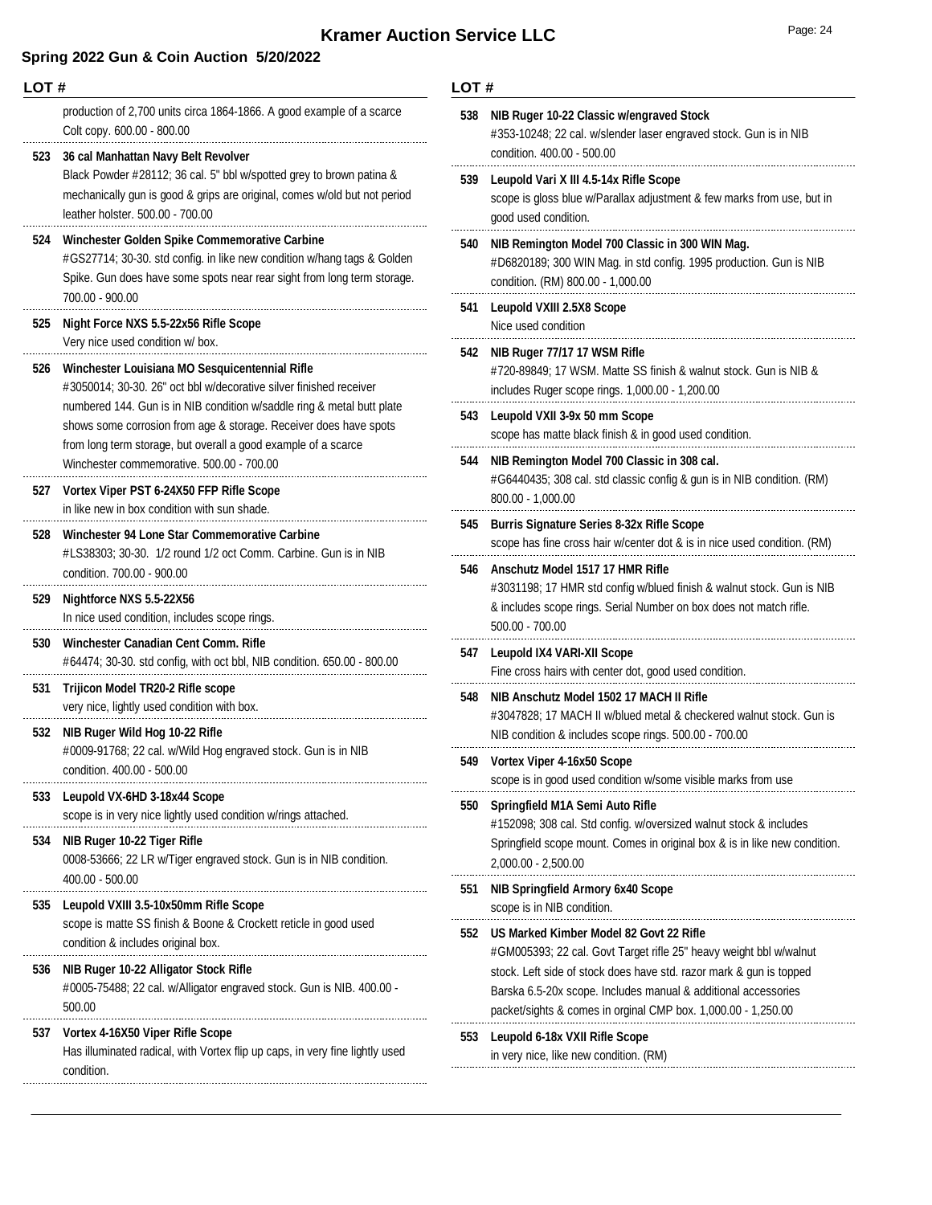## **Kramer Auction Service LLC**

### **Spring 2022 Gun & Coin Auction 5/20/2022**

condition.

| LOT# |                                                                                                                                                                                                                                  | LOT# |                                                                                                                                                                                                        |  |
|------|----------------------------------------------------------------------------------------------------------------------------------------------------------------------------------------------------------------------------------|------|--------------------------------------------------------------------------------------------------------------------------------------------------------------------------------------------------------|--|
|      | production of 2,700 units circa 1864-1866. A good example of a scarce<br>Colt copy. 600.00 - 800.00                                                                                                                              | 538  | NIB Ruger 10-22 Classic w/engraved Stock<br>#353-10248; 22 cal. w/slender laser engraved stock. Gun is in NIB<br>condition. 400.00 - 500.00                                                            |  |
|      | 523 36 cal Manhattan Navy Belt Revolver<br>Black Powder #28112; 36 cal. 5" bbl w/spotted grey to brown patina &<br>mechanically gun is good & grips are original, comes w/old but not period<br>leather holster. 500.00 - 700.00 | 539  | Leupold Vari X III 4.5-14x Rifle Scope<br>scope is gloss blue w/Parallax adjustment & few marks from use, but in<br>good used condition.                                                               |  |
| 524  | Winchester Golden Spike Commemorative Carbine<br>#GS27714; 30-30. std config. in like new condition w/hang tags & Golden<br>Spike. Gun does have some spots near rear sight from long term storage.<br>700.00 - 900.00           | 540  | NIB Remington Model 700 Classic in 300 WIN Mag.<br>#D6820189; 300 WIN Mag. in std config. 1995 production. Gun is NIB<br>condition. (RM) 800.00 - 1,000.00                                             |  |
| 525  | Night Force NXS 5.5-22x56 Rifle Scope                                                                                                                                                                                            | 541  | <b>Leupold VXIII 2.5X8 Scope</b><br>Nice used condition                                                                                                                                                |  |
| 526  | Very nice used condition w/ box.<br>Winchester Louisiana MO Sesquicentennial Rifle<br>#3050014; 30-30. 26" oct bbl w/decorative silver finished receiver                                                                         | 542  | NIB Ruger 77/17 17 WSM Rifle<br>#720-89849; 17 WSM. Matte SS finish & walnut stock. Gun is NIB &<br>includes Ruger scope rings. 1,000.00 - 1,200.00                                                    |  |
|      | numbered 144. Gun is in NIB condition w/saddle ring & metal butt plate<br>shows some corrosion from age & storage. Receiver does have spots<br>from long term storage, but overall a good example of a scarce                    |      | 543 Leupold VXII 3-9x 50 mm Scope<br>scope has matte black finish & in good used condition.                                                                                                            |  |
| 527  | Winchester commemorative. 500.00 - 700.00<br>Vortex Viper PST 6-24X50 FFP Rifle Scope                                                                                                                                            | 544  | NIB Remington Model 700 Classic in 308 cal.<br>#G6440435; 308 cal. std classic config & gun is in NIB condition. (RM)<br>$800.00 - 1,000.00$                                                           |  |
| 528  | in like new in box condition with sun shade.<br>Winchester 94 Lone Star Commemorative Carbine                                                                                                                                    | 545  | <b>Burris Signature Series 8-32x Rifle Scope</b><br>scope has fine cross hair w/center dot & is in nice used condition. (RM)                                                                           |  |
|      | #LS38303; 30-30. 1/2 round 1/2 oct Comm. Carbine. Gun is in NIB<br>condition. 700.00 - 900.00                                                                                                                                    | 546  | Anschutz Model 1517 17 HMR Rifle                                                                                                                                                                       |  |
| 529  | Nightforce NXS 5.5-22X56<br>In nice used condition, includes scope rings.                                                                                                                                                        |      | #3031198; 17 HMR std config w/blued finish & walnut stock. Gun is NIB<br>& includes scope rings. Serial Number on box does not match rifle.<br>$500.00 - 700.00$                                       |  |
| 530  | Winchester Canadian Cent Comm. Rifle<br>#64474; 30-30. std config, with oct bbl, NIB condition. 650.00 - 800.00                                                                                                                  | 547  | Leupold IX4 VARI-XII Scope<br>Fine cross hairs with center dot, good used condition.                                                                                                                   |  |
| 531  | Trijicon Model TR20-2 Rifle scope<br>very nice, lightly used condition with box.                                                                                                                                                 | 548  | NIB Anschutz Model 1502 17 MACH II Rifle<br>#3047828; 17 MACH II w/blued metal & checkered walnut stock. Gun is                                                                                        |  |
|      | 532 NIB Ruger Wild Hog 10-22 Rifle<br>#0009-91768; 22 cal. w/Wild Hog engraved stock. Gun is in NIB<br>condition. 400.00 - 500.00                                                                                                | 549  | NIB condition & includes scope rings. 500.00 - 700.00<br>Vortex Viper 4-16x50 Scope                                                                                                                    |  |
|      | 533 Leupold VX-6HD 3-18x44 Scope<br>scope is in very nice lightly used condition w/rings attached.                                                                                                                               | 550  | scope is in good used condition w/some visible marks from use<br>Springfield M1A Semi Auto Rifle<br>#152098; 308 cal. Std config. w/oversized walnut stock & includes                                  |  |
| 534  | NIB Ruger 10-22 Tiger Rifle<br>0008-53666; 22 LR w/Tiger engraved stock. Gun is in NIB condition.<br>$400.00 - 500.00$                                                                                                           |      | Springfield scope mount. Comes in original box & is in like new condition.<br>2,000.00 - 2,500.00                                                                                                      |  |
| 535  | Leupold VXIII 3.5-10x50mm Rifle Scope                                                                                                                                                                                            | 551  | NIB Springfield Armory 6x40 Scope<br>scope is in NIB condition.                                                                                                                                        |  |
|      | scope is matte SS finish & Boone & Crockett reticle in good used<br>condition & includes original box.                                                                                                                           |      | 552 US Marked Kimber Model 82 Govt 22 Rifle<br>#GM005393; 22 cal. Govt Target rifle 25" heavy weight bbl w/walnut                                                                                      |  |
| 536  | NIB Ruger 10-22 Alligator Stock Rifle<br>#0005-75488; 22 cal. w/Alligator engraved stock. Gun is NIB. 400.00 -<br>500.00                                                                                                         |      | stock. Left side of stock does have std. razor mark & gun is topped<br>Barska 6.5-20x scope. Includes manual & additional accessories<br>packet/sights & comes in orginal CMP box. 1,000.00 - 1,250.00 |  |
| 537  | Vortex 4-16X50 Viper Rifle Scope<br>Has illuminated radical, with Vortex flip up caps, in very fine lightly used<br>condition.                                                                                                   | 553  | Leupold 6-18x VXII Rifle Scope<br>in very nice, like new condition. (RM)                                                                                                                               |  |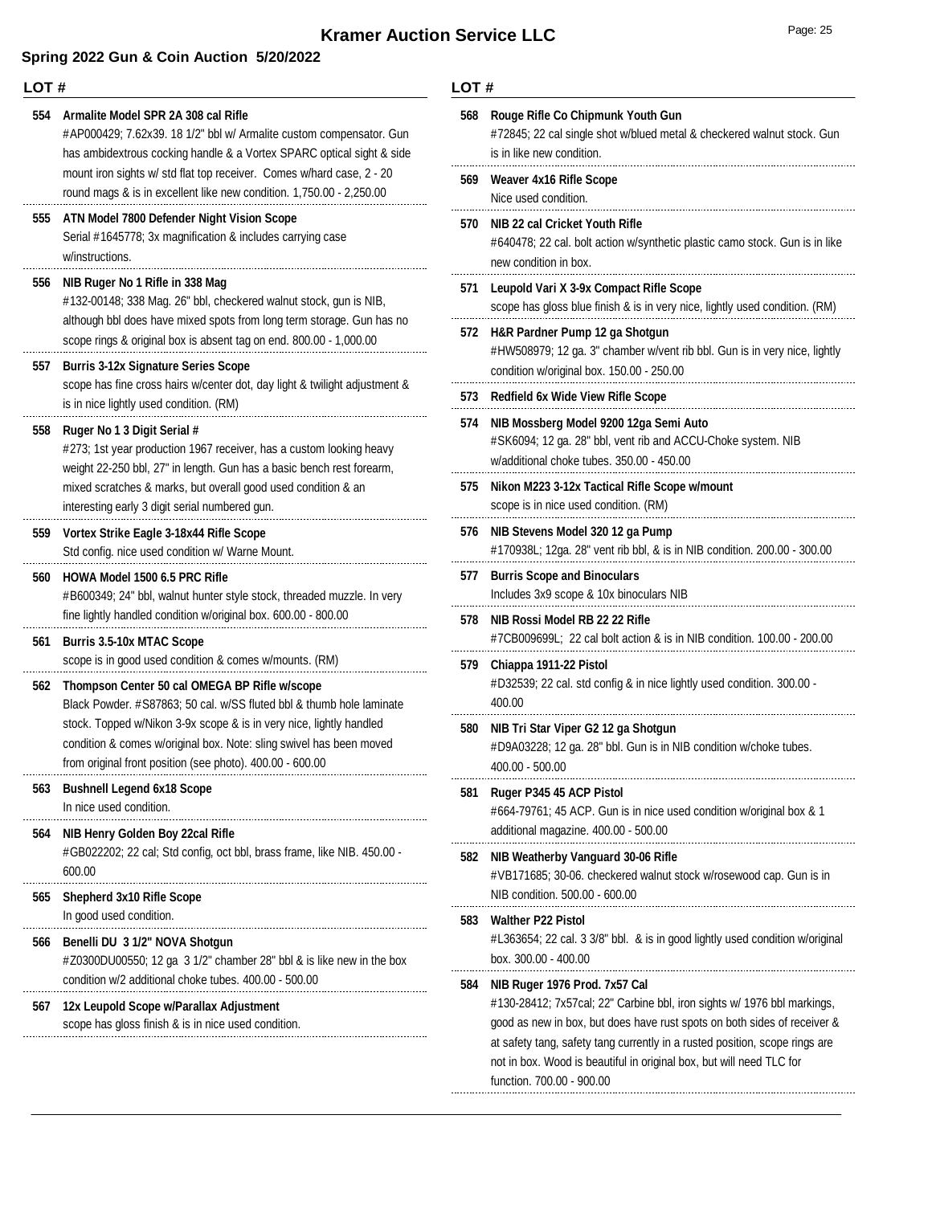### **Spring 2022 Gun & Coin Auction 5/20/2022**

#### **LOT #**

**554 Armalite Model SPR 2A 308 cal Rifle** #AP000429; 7.62x39. 18 1/2" bbl w/ Armalite custom compensator. Gun has ambidextrous cocking handle & a Vortex SPARC optical sight & side mount iron sights w/ std flat top receiver. Comes w/hard case, 2 - 20 round mags & is in excellent like new condition. 1,750.00 - 2,250.00 **555 ATN Model 7800 Defender Night Vision Scope** Serial #1645778; 3x magnification & includes carrying case w/instructions. **556 NIB Ruger No 1 Rifle in 338 Mag** #132-00148; 338 Mag. 26" bbl, checkered walnut stock, gun is NIB, although bbl does have mixed spots from long term storage. Gun has no scope rings & original box is absent tag on end. 800.00 - 1,000.00 **557 Burris 3-12x Signature Series Scope** scope has fine cross hairs w/center dot, day light & twilight adjustment & is in nice lightly used condition. (RM) **558 Ruger No 1 3 Digit Serial #** #273; 1st year production 1967 receiver, has a custom looking heavy weight 22-250 bbl, 27" in length. Gun has a basic bench rest forearm, mixed scratches & marks, but overall good used condition & an interesting early 3 digit serial numbered gun. **559 Vortex Strike Eagle 3-18x44 Rifle Scope** Std config. nice used condition w/ Warne Mount. **560 HOWA Model 1500 6.5 PRC Rifle** #B600349; 24" bbl, walnut hunter style stock, threaded muzzle. In very fine lightly handled condition w/original box. 600.00 - 800.00 **561 Burris 3.5-10x MTAC Scope** scope is in good used condition & comes w/mounts. (RM) **562 Thompson Center 50 cal OMEGA BP Rifle w/scope** Black Powder. #S87863; 50 cal. w/SS fluted bbl & thumb hole laminate stock. Topped w/Nikon 3-9x scope & is in very nice, lightly handled condition & comes w/original box. Note: sling swivel has been moved from original front position (see photo). 400.00 - 600.00 **563 Bushnell Legend 6x18 Scope** In nice used condition. **564 NIB Henry Golden Boy 22cal Rifle** #GB022202; 22 cal; Std config, oct bbl, brass frame, like NIB. 450.00 - 600.00 . . . . . . . . . . . . **565 Shepherd 3x10 Rifle Scope** In good used condition. **566 Benelli DU 3 1/2" NOVA Shotgun** #Z0300DU00550; 12 ga 3 1/2" chamber 28" bbl & is like new in the box condition w/2 additional choke tubes. 400.00 - 500.00 **567 12x Leupold Scope w/Parallax Adjustment** scope has gloss finish & is in nice used condition.

#### **LOT #**

**568 Rouge Rifle Co Chipmunk Youth Gun**

| วดช | Rouge Rille Co Chipmunk Youth Gun<br>#72845; 22 cal single shot w/blued metal & checkered walnut stock. Gun<br>is in like new condition.                                                                                                                                                                                                                                 |
|-----|--------------------------------------------------------------------------------------------------------------------------------------------------------------------------------------------------------------------------------------------------------------------------------------------------------------------------------------------------------------------------|
| 569 | Weaver 4x16 Rifle Scope<br>Nice used condition.                                                                                                                                                                                                                                                                                                                          |
| 570 | NIB 22 cal Cricket Youth Rifle<br>#640478; 22 cal. bolt action w/synthetic plastic camo stock. Gun is in like<br>new condition in box.                                                                                                                                                                                                                                   |
| 571 | Leupold Vari X 3-9x Compact Rifle Scope<br>scope has gloss blue finish & is in very nice, lightly used condition. (RM)                                                                                                                                                                                                                                                   |
| 572 | H&R Pardner Pump 12 ga Shotgun<br>#HW508979; 12 ga. 3" chamber w/vent rib bbl. Gun is in very nice, lightly<br>condition w/original box. 150.00 - 250.00                                                                                                                                                                                                                 |
| 573 | <b>Redfield 6x Wide View Rifle Scope</b>                                                                                                                                                                                                                                                                                                                                 |
| 574 | NIB Mossberg Model 9200 12ga Semi Auto<br>#SK6094; 12 ga. 28" bbl, vent rib and ACCU-Choke system. NIB<br>w/additional choke tubes, 350.00 - 450.00                                                                                                                                                                                                                      |
| 575 | Nikon M223 3-12x Tactical Rifle Scope w/mount<br>scope is in nice used condition. (RM)                                                                                                                                                                                                                                                                                   |
| 576 | NIB Stevens Model 320 12 ga Pump<br>#170938L; 12ga. 28" vent rib bbl, & is in NIB condition. 200.00 - 300.00                                                                                                                                                                                                                                                             |
| 577 | <b>Burris Scope and Binoculars</b><br>Includes 3x9 scope & 10x binoculars NIB                                                                                                                                                                                                                                                                                            |
| 578 | NIB Rossi Model RB 22 22 Rifle<br>#7CB009699L; 22 cal bolt action & is in NIB condition. 100.00 - 200.00                                                                                                                                                                                                                                                                 |
| 579 | Chiappa 1911-22 Pistol<br>#D32539; 22 cal. std config & in nice lightly used condition. 300.00 -<br>400.00                                                                                                                                                                                                                                                               |
| 580 | NIB Tri Star Viper G2 12 ga Shotgun<br>#D9A03228; 12 ga. 28" bbl. Gun is in NIB condition w/choke tubes.<br>400.00 - 500.00                                                                                                                                                                                                                                              |
| 581 | Ruger P345 45 ACP Pistol<br>#664-79761; 45 ACP. Gun is in nice used condition w/original box & 1<br>additional magazine. 400.00 - 500.00                                                                                                                                                                                                                                 |
| 582 | NIB Weatherby Vanguard 30-06 Rifle<br>#VB171685; 30-06. checkered walnut stock w/rosewood cap. Gun is in<br>NIB condition. 500.00 - 600.00                                                                                                                                                                                                                               |
| 583 | <b>Walther P22 Pistol</b><br>#L363654; 22 cal. 3 3/8" bbl. & is in good lightly used condition w/original<br>box. 300.00 - 400.00                                                                                                                                                                                                                                        |
| 584 | NIB Ruger 1976 Prod. 7x57 Cal<br>#130-28412; 7x57cal; 22" Carbine bbl, iron sights w/ 1976 bbl markings,<br>good as new in box, but does have rust spots on both sides of receiver &<br>at safety tang, safety tang currently in a rusted position, scope rings are<br>not in box. Wood is beautiful in original box, but will need TLC for<br>function, 700,00 - 900,00 |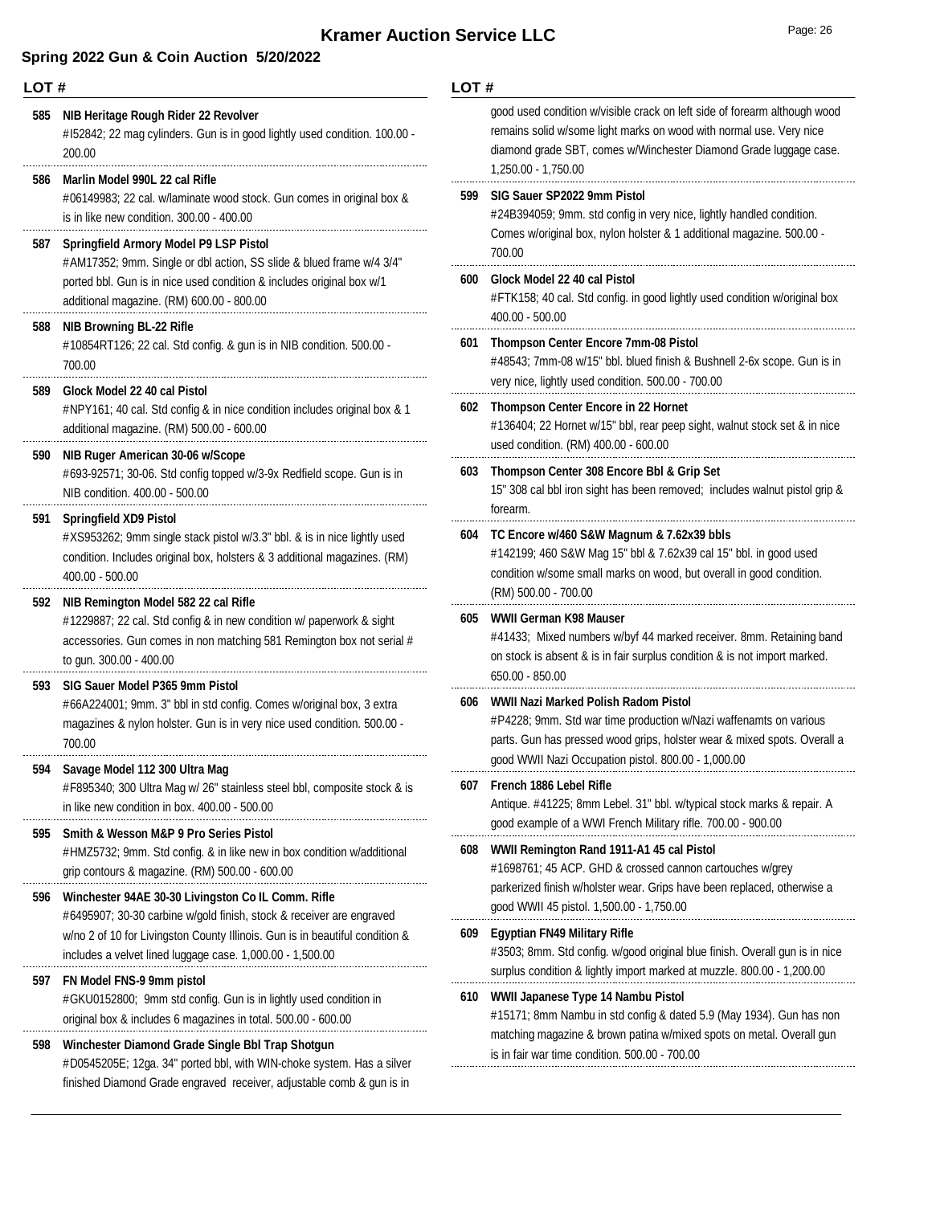**LOT #**

### **Spring 2022 Gun & Coin Auction 5/20/2022**

| 585 | NIB Heritage Rough Rider 22 Revolver<br>#152842; 22 mag cylinders. Gun is in good lightly used condition. 100.00 -<br>200.00                                                                                                            |     | good used condition w/visible crack on left side of forearm although wood<br>remains solid w/some light marks on wood with normal use. Very nice<br>diamond grade SBT, comes w/Winchester Diamond Grade luggage case.<br>1,250.00 - 1,750.00 |  |
|-----|-----------------------------------------------------------------------------------------------------------------------------------------------------------------------------------------------------------------------------------------|-----|----------------------------------------------------------------------------------------------------------------------------------------------------------------------------------------------------------------------------------------------|--|
| 586 | Marlin Model 990L 22 cal Rifle<br>#06149983; 22 cal. w/laminate wood stock. Gun comes in original box &<br>is in like new condition. 300.00 - 400.00                                                                                    |     | SIG Sauer SP2022 9mm Pistol<br>#24B394059; 9mm. std config in very nice, lightly handled condition.                                                                                                                                          |  |
| 587 | Springfield Armory Model P9 LSP Pistol<br>#AM17352; 9mm. Single or dbl action, SS slide & blued frame w/4 3/4"                                                                                                                          |     | Comes w/original box, nylon holster & 1 additional magazine. 500.00 -<br>700.00                                                                                                                                                              |  |
|     | ported bbl. Gun is in nice used condition & includes original box w/1<br>additional magazine. (RM) 600.00 - 800.00<br><b>NIB Browning BL-22 Rifle</b><br>#10854RT126; 22 cal. Std config. & gun is in NIB condition. 500.00 -<br>700.00 |     | Glock Model 22 40 cal Pistol<br>#FTK158; 40 cal. Std config. in good lightly used condition w/original box<br>$400.00 - 500.00$                                                                                                              |  |
| 588 |                                                                                                                                                                                                                                         |     | <b>Thompson Center Encore 7mm-08 Pistol</b><br>#48543; 7mm-08 w/15" bbl. blued finish & Bushnell 2-6x scope. Gun is in                                                                                                                       |  |
| 589 | Glock Model 22 40 cal Pistol<br>#NPY161; 40 cal. Std config & in nice condition includes original box & 1                                                                                                                               |     | very nice, lightly used condition. 500.00 - 700.00<br>602 Thompson Center Encore in 22 Hornet                                                                                                                                                |  |
|     | additional magazine. (RM) 500.00 - 600.00                                                                                                                                                                                               |     | #136404; 22 Hornet w/15" bbl, rear peep sight, walnut stock set & in nice<br>used condition. (RM) 400.00 - 600.00                                                                                                                            |  |
| 590 | NIB Ruger American 30-06 w/Scope<br>#693-92571; 30-06. Std config topped w/3-9x Redfield scope. Gun is in<br>NIB condition. 400.00 - 500.00                                                                                             |     | Thompson Center 308 Encore Bbl & Grip Set<br>15" 308 cal bbl iron sight has been removed; includes walnut pistol grip &                                                                                                                      |  |
| 591 | <b>Springfield XD9 Pistol</b><br>#XS953262; 9mm single stack pistol w/3.3" bbl. & is in nice lightly used<br>condition. Includes original box, holsters & 3 additional magazines. (RM)<br>$400.00 - 500.00$                             |     | forearm.<br>TC Encore w/460 S&W Magnum & 7.62x39 bbls<br>#142199; 460 S&W Mag 15" bbl & 7.62x39 cal 15" bbl. in good used<br>condition w/some small marks on wood, but overall in good condition.                                            |  |
| 592 | NIB Remington Model 582 22 cal Rifle<br>#1229887; 22 cal. Std config & in new condition w/ paperwork & sight<br>accessories. Gun comes in non matching 581 Remington box not serial #<br>to gun. 300.00 - 400.00                        |     | (RM) 500.00 - 700.00<br>WWII German K98 Mauser                                                                                                                                                                                               |  |
|     |                                                                                                                                                                                                                                         |     | #41433; Mixed numbers w/byf 44 marked receiver. 8mm. Retaining band<br>on stock is absent & is in fair surplus condition & is not import marked.                                                                                             |  |
| 593 | SIG Sauer Model P365 9mm Pistol<br>#66A224001; 9mm. 3" bbl in std config. Comes w/original box, 3 extra<br>magazines & nylon holster. Gun is in very nice used condition. 500.00 -<br>700.00                                            |     | 650.00 - 850.00<br>WWII Nazi Marked Polish Radom Pistol                                                                                                                                                                                      |  |
|     |                                                                                                                                                                                                                                         |     | #P4228; 9mm. Std war time production w/Nazi waffenamts on various<br>parts. Gun has pressed wood grips, holster wear & mixed spots. Overall a<br>good WWII Nazi Occupation pistol. 800.00 - 1,000.00                                         |  |
|     | 594 Savage Model 112 300 Ultra Mag<br>#F895340; 300 Ultra Mag w/ 26" stainless steel bbl, composite stock & is                                                                                                                          | 607 | French 1886 Lebel Rifle                                                                                                                                                                                                                      |  |
|     | in like new condition in box. 400.00 - 500.00                                                                                                                                                                                           |     | Antique. #41225; 8mm Lebel. 31" bbl. w/typical stock marks & repair. A<br>good example of a WWI French Military rifle. 700.00 - 900.00                                                                                                       |  |
| 595 | Smith & Wesson M&P 9 Pro Series Pistol<br>#HMZ5732; 9mm. Std config. & in like new in box condition w/additional<br>grip contours & magazine. (RM) 500.00 - 600.00                                                                      | 608 | WWII Remington Rand 1911-A1 45 cal Pistol<br>#1698761; 45 ACP. GHD & crossed cannon cartouches w/grey                                                                                                                                        |  |
| 596 | Winchester 94AE 30-30 Livingston Co IL Comm. Rifle                                                                                                                                                                                      |     | parkerized finish w/holster wear. Grips have been replaced, otherwise a<br>good WWII 45 pistol. 1,500.00 - 1,750.00                                                                                                                          |  |
|     | #6495907; 30-30 carbine w/gold finish, stock & receiver are engraved<br>w/no 2 of 10 for Livingston County Illinois. Gun is in beautiful condition &<br>includes a velvet lined luggage case. 1,000.00 - 1,500.00                       |     | <b>Egyptian FN49 Military Rifle</b><br>#3503; 8mm. Std config. w/good original blue finish. Overall gun is in nice<br>surplus condition & lightly import marked at muzzle. 800.00 - 1,200.00                                                 |  |
| 597 | FN Model FNS-9 9mm pistol<br>#GKU0152800; 9mm std config. Gun is in lightly used condition in<br>original box & includes 6 magazines in total. 500.00 - 600.00                                                                          | 610 | WWII Japanese Type 14 Nambu Pistol<br>#15171; 8mm Nambu in std config & dated 5.9 (May 1934). Gun has non                                                                                                                                    |  |
| 598 | Winchester Diamond Grade Single Bbl Trap Shotgun<br>#D0545205E; 12ga. 34" ported bbl, with WIN-choke system. Has a silver<br>finished Diamond Grade engraved receiver, adjustable comb & gun is in                                      |     | matching magazine & brown patina w/mixed spots on metal. Overall gun<br>is in fair war time condition. 500.00 - 700.00                                                                                                                       |  |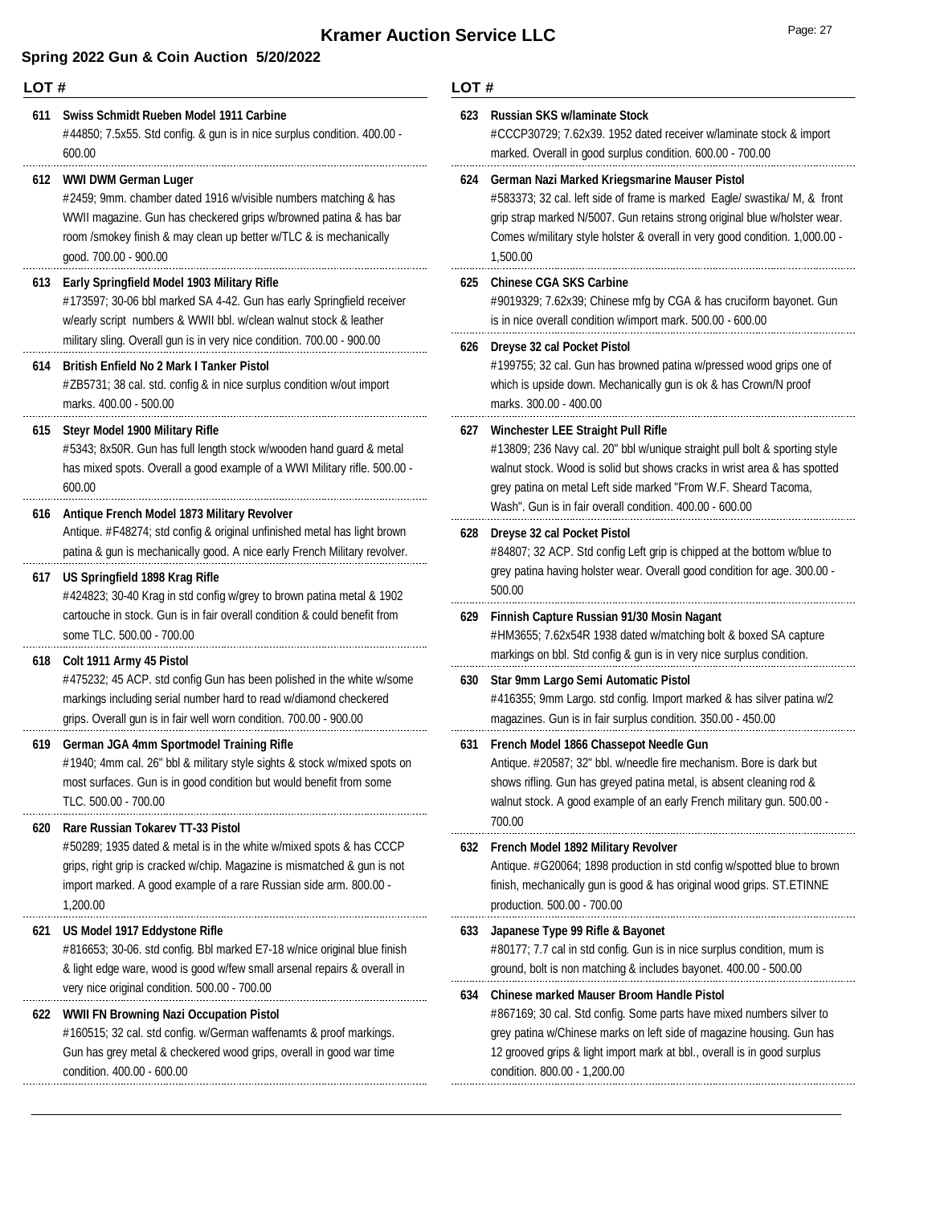| LOT# |                                                                                                                                                                                                                                                                               | LOT# |                                    |
|------|-------------------------------------------------------------------------------------------------------------------------------------------------------------------------------------------------------------------------------------------------------------------------------|------|------------------------------------|
| 611  | Swiss Schmidt Rueben Model 1911 Carbine<br>#44850; 7.5x55. Std config. & gun is in nice surplus condition. 400.00 -<br>600.00                                                                                                                                                 | 623  | Ru<br>#C<br>ma                     |
| 612  | WWI DWM German Luger<br>#2459; 9mm. chamber dated 1916 w/visible numbers matching & has<br>WWII magazine. Gun has checkered grips w/browned patina & has bar<br>room /smokey finish & may clean up better w/TLC & is mechanically<br>good. 700.00 - 900.00                    | 624  | Ge<br>#5<br>grij<br>Cо<br>1,5      |
| 613  | Early Springfield Model 1903 Military Rifle<br>#173597; 30-06 bbl marked SA 4-42. Gun has early Springfield receiver<br>w/early script numbers & WWII bbl. w/clean walnut stock & leather<br>military sling. Overall gun is in very nice condition. 700.00 - 900.00           | 625  | Ch<br>#9<br>is i                   |
| 614  | <b>British Enfield No 2 Mark I Tanker Pistol</b><br>#ZB5731; 38 cal. std. config & in nice surplus condition w/out import<br>marks. 400.00 - 500.00                                                                                                                           | 626  | Dr<br>#1'<br>wh<br>ma              |
| 615  | Steyr Model 1900 Military Rifle<br>#5343; 8x50R. Gun has full length stock w/wooden hand guard & metal<br>has mixed spots. Overall a good example of a WWI Military rifle. 500.00 -<br>600.00                                                                                 | 627  | Wi<br>#1<br>wa<br>gre              |
| 616  | Antique French Model 1873 Military Revolver<br>Antique. #F48274; std config & original unfinished metal has light brown<br>patina & gun is mechanically good. A nice early French Military revolver.                                                                          | 628  | Wε<br>Dr<br>#8                     |
| 617  | US Springfield 1898 Krag Rifle<br>#424823; 30-40 Krag in std config w/grey to brown patina metal & 1902<br>cartouche in stock. Gun is in fair overall condition & could benefit from                                                                                          | 629  | gre<br>50<br>Fir                   |
| 618  | some TLC. 500.00 - 700.00<br>Colt 1911 Army 45 Pistol<br>#475232; 45 ACP. std config Gun has been polished in the white w/some<br>markings including serial number hard to read w/diamond checkered<br>grips. Overall gun is in fair well worn condition. 700.00 - 900.00     | 630  | #H<br>ma<br>Sta<br>#4<br>ma        |
| 619  | German JGA 4mm Sportmodel Training Rifle<br>#1940; 4mm cal. 26" bbl & military style sights & stock w/mixed spots on<br>most surfaces. Gun is in good condition but would benefit from some<br>TLC. 500.00 - 700.00                                                           | 631  | Fr <sub>o</sub><br>An<br>sho<br>wa |
| 620  | <b>Rare Russian Tokarev TT-33 Pistol</b><br>#50289; 1935 dated & metal is in the white w/mixed spots & has CCCP<br>grips, right grip is cracked w/chip. Magazine is mismatched & gun is not<br>import marked. A good example of a rare Russian side arm. 800.00 -<br>1,200.00 | 632  | 70<br>Fre<br>An<br>fini<br>pro     |
| 621  | US Model 1917 Eddystone Rifle<br>#816653; 30-06. std config. Bbl marked E7-18 w/nice original blue finish<br>& light edge ware, wood is good w/few small arsenal repairs & overall in<br>very nice original condition. 500.00 - 700.00                                        | 633  | Jaj<br>#8<br>gr <sub>o</sub>       |
| 622  | WWII FN Browning Nazi Occupation Pistol<br>#160515; 32 cal. std config. w/German waffenamts & proof markings.<br>Gun has grey metal & checkered wood grips, overall in good war time                                                                                          | 634  | Сh<br>#8<br>gre<br>12              |

| 623 | <b>Russian SKS w/laminate Stock</b><br>#CCCP30729; 7.62x39. 1952 dated receiver w/laminate stock & import<br>marked. Overall in good surplus condition. 600.00 - 700.00                                                                                                                                                     |
|-----|-----------------------------------------------------------------------------------------------------------------------------------------------------------------------------------------------------------------------------------------------------------------------------------------------------------------------------|
| 624 | German Nazi Marked Kriegsmarine Mauser Pistol<br>#583373; 32 cal. left side of frame is marked Eagle/ swastika/ M, & front<br>grip strap marked N/5007. Gun retains strong original blue w/holster wear.<br>Comes w/military style holster & overall in very good condition. 1,000.00 -<br>1,500.00                         |
| 625 | <b>Chinese CGA SKS Carbine</b><br>#9019329; 7.62x39; Chinese mfg by CGA & has cruciform bayonet. Gun<br>is in nice overall condition w/import mark. 500.00 - 600.00                                                                                                                                                         |
| 626 | <b>Dreyse 32 cal Pocket Pistol</b><br>#199755; 32 cal. Gun has browned patina w/pressed wood grips one of<br>which is upside down. Mechanically gun is ok & has Crown/N proof<br>marks. 300.00 - 400.00                                                                                                                     |
| 627 | Winchester LEE Straight Pull Rifle<br>#13809; 236 Navy cal. 20" bbl w/unique straight pull bolt & sporting style<br>walnut stock. Wood is solid but shows cracks in wrist area & has spotted<br>grey patina on metal Left side marked "From W.F. Sheard Tacoma,<br>Wash". Gun is in fair overall condition. 400.00 - 600.00 |
| 628 | Dreyse 32 cal Pocket Pistol<br>#84807; 32 ACP. Std config Left grip is chipped at the bottom w/blue to<br>grey patina having holster wear. Overall good condition for age. 300.00 -<br>500.00                                                                                                                               |
| 629 | Finnish Capture Russian 91/30 Mosin Nagant<br>#HM3655; 7.62x54R 1938 dated w/matching bolt & boxed SA capture<br>markings on bbl. Std config & gun is in very nice surplus condition.                                                                                                                                       |
| 630 | Star 9mm Largo Semi Automatic Pistol<br>#416355; 9mm Largo. std config. Import marked & has silver patina w/2<br>magazines. Gun is in fair surplus condition. 350.00 - 450.00                                                                                                                                               |
| 631 | French Model 1866 Chassepot Needle Gun<br>Antique. #20587; 32" bbl. w/needle fire mechanism. Bore is dark but<br>shows rifling. Gun has greyed patina metal, is absent cleaning rod &<br>walnut stock. A good example of an early French military gun. 500.00 -<br>700.00                                                   |
| 632 | French Model 1892 Military Revolver<br>Antique. #G20064; 1898 production in std config w/spotted blue to brown<br>finish, mechanically gun is good & has original wood grips. ST.ETINNE<br>production. 500.00 - 700.00                                                                                                      |
| 633 | Japanese Type 99 Rifle & Bayonet<br>#80177; 7.7 cal in std config. Gun is in nice surplus condition, mum is<br>ground, bolt is non matching & includes bayonet. 400.00 - 500.00                                                                                                                                             |
| 634 | Chinese marked Mauser Broom Handle Pistol<br>#867169; 30 cal. Std config. Some parts have mixed numbers silver to<br>grey patina w/Chinese marks on left side of magazine housing. Gun has<br>12 grooved grips & light import mark at bbl., overall is in good surplus<br>condition. 800.00 - 1,200.00                      |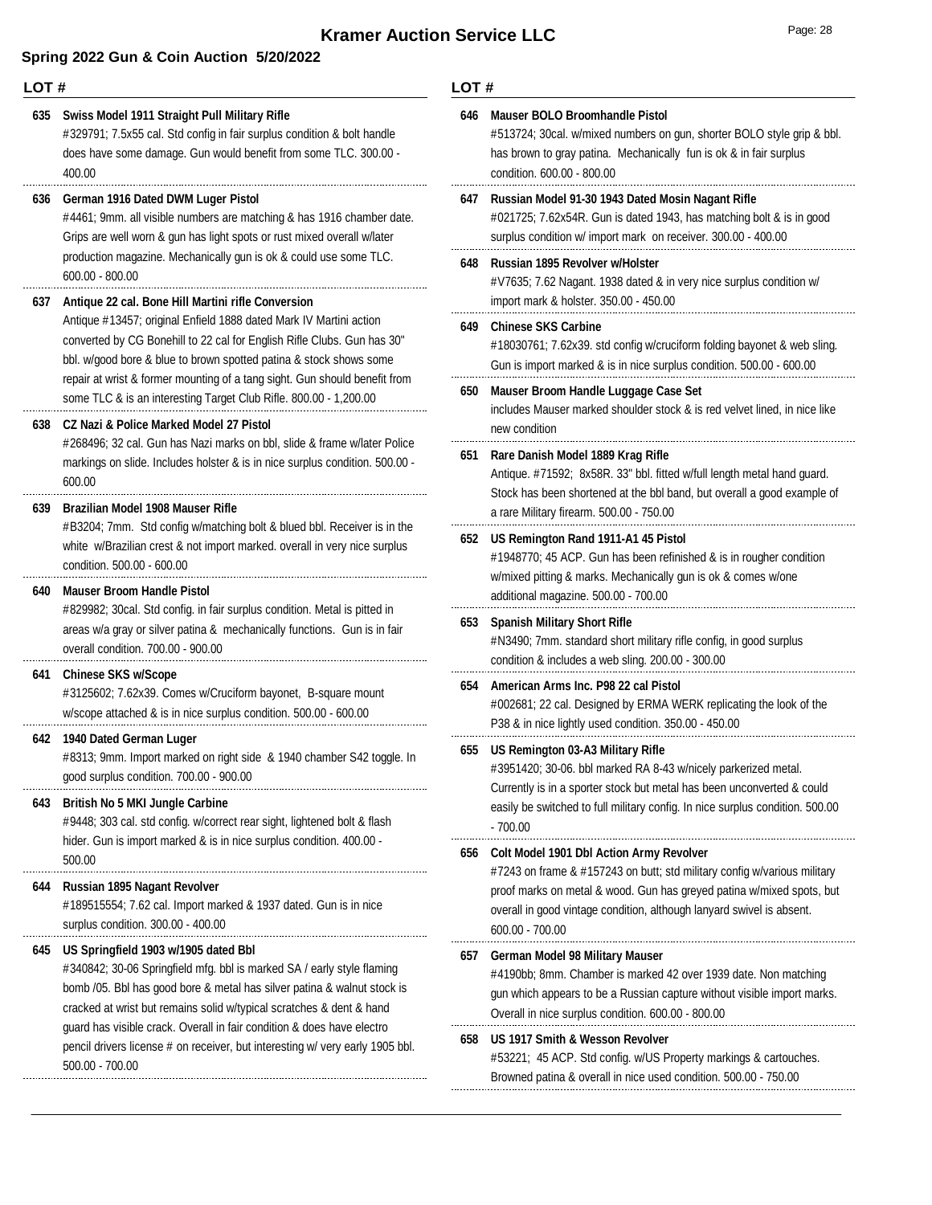#### **LOT #** #329791; 7.5x55 cal. Std config in fair surplus condition & bolt handle does have some damage. Gun would benefit from some TLC. 300.00 - 400.00 **635 Swiss Model 1911 Straight Pull Military Rifle** #4461; 9mm. all visible numbers are matching & has 1916 chamber date. Grips are well worn & gun has light spots or rust mixed overall w/later production magazine. Mechanically gun is ok & could use some TLC. 600.00 - 800.00 **636 German 1916 Dated DWM Luger Pistol** Antique #13457; original Enfield 1888 dated Mark IV Martini action converted by CG Bonehill to 22 cal for English Rifle Clubs. Gun has 30" bbl. w/good bore & blue to brown spotted patina & stock shows some repair at wrist & former mounting of a tang sight. Gun should benefit from some TLC & is an interesting Target Club Rifle. 800.00 - 1,200.00 **637 Antique 22 cal. Bone Hill Martini rifle Conversion** #268496; 32 cal. Gun has Nazi marks on bbl, slide & frame w/later Police markings on slide. Includes holster & is in nice surplus condition. 500.00 - 600.00 **638 CZ Nazi & Police Marked Model 27 Pistol** #B3204; 7mm. Std config w/matching bolt & blued bbl. Receiver is in the white w/Brazilian crest & not import marked. overall in very nice surplus condition. 500.00 - 600.00 **639 Brazilian Model 1908 Mauser Rifle** #829982; 30cal. Std config. in fair surplus condition. Metal is pitted in areas w/a gray or silver patina & mechanically functions. Gun is in fair overall condition. 700.00 - 900.00 **640 Mauser Broom Handle Pistol** #3125602; 7.62x39. Comes w/Cruciform bayonet, B-square mount w/scope attached & is in nice surplus condition. 500.00 - 600.00 **641 Chinese SKS w/Scope** #8313; 9mm. Import marked on right side & 1940 chamber S42 toggle. In good surplus condition. 700.00 - 900.00 **642 1940 Dated German Luger** #9448; 303 cal. std config. w/correct rear sight, lightened bolt & flash hider. Gun is import marked & is in nice surplus condition. 400.00 - 500.00 **643 British No 5 MKI Jungle Carbine** #189515554; 7.62 cal. Import marked & 1937 dated. Gun is in nice surplus condition. 300.00 - 400.00 **644 Russian 1895 Nagant Revolver** #340842; 30-06 Springfield mfg. bbl is marked SA / early style flaming bomb /05. Bbl has good bore & metal has silver patina & walnut stock is cracked at wrist but remains solid w/typical scratches & dent & hand guard has visible crack. Overall in fair condition & does have electro pencil drivers license # on receiver, but interesting w/ very early 1905 bbl. 500.00 - 700.00 **645 US Springfield 1903 w/1905 dated Bbl LOT #** #513724; 30cal. w/mixed numbers on gun, shorter BOLO style grip & bbl. has brown to gray patina. Mechanically fun is ok & in fair surplus condition. 600.00 - 800.00 **646 Mauser BOLO Broomhandle Pistol** #021725; 7.62x54R. Gun is dated 1943, has matching bolt & is in good surplus condition w/ import mark on receiver. 300.00 - 400.00 **647 Russian Model 91-30 1943 Dated Mosin Nagant Rifle** #V7635; 7.62 Nagant. 1938 dated & in very nice surplus condition w/ import mark & holster. 350.00 - 450.00 **648 Russian 1895 Revolver w/Holster** #18030761; 7.62x39. std config w/cruciform folding bayonet & web sling. Gun is import marked & is in nice surplus condition. 500.00 - 600.00 **649 Chinese SKS Carbine** includes Mauser marked shoulder stock & is red velvet lined, in nice like new condition **650 Mauser Broom Handle Luggage Case Set** Antique. #71592; 8x58R. 33" bbl. fitted w/full length metal hand guard. Stock has been shortened at the bbl band, but overall a good example of a rare Military firearm. 500.00 - 750.00 **651 Rare Danish Model 1889 Krag Rifle** #1948770; 45 ACP. Gun has been refinished & is in rougher condition w/mixed pitting & marks. Mechanically gun is ok & comes w/one additional magazine. 500.00 - 700.00 **652 US Remington Rand 1911-A1 45 Pistol** #N3490; 7mm. standard short military rifle config, in good surplus condition & includes a web sling. 200.00 - 300.00 **653 Spanish Military Short Rifle** #002681; 22 cal. Designed by ERMA WERK replicating the look of the P38 & in nice lightly used condition. 350.00 - 450.00 **654 American Arms Inc. P98 22 cal Pistol** #3951420; 30-06. bbl marked RA 8-43 w/nicely parkerized metal. Currently is in a sporter stock but metal has been unconverted & could easily be switched to full military config. In nice surplus condition. 500.00 - 700.00 **655 US Remington 03-A3 Military Rifle** #7243 on frame & #157243 on butt; std military config w/various military proof marks on metal & wood. Gun has greyed patina w/mixed spots, but overall in good vintage condition, although lanyard swivel is absent. 600.00 - 700.00 **656 Colt Model 1901 Dbl Action Army Revolver** #4190bb; 8mm. Chamber is marked 42 over 1939 date. Non matching gun which appears to be a Russian capture without visible import marks. Overall in nice surplus condition. 600.00 - 800.00 **657 German Model 98 Military Mauser** #53221; 45 ACP. Std config. w/US Property markings & cartouches. Browned patina & overall in nice used condition. 500.00 - 750.00 **658 US 1917 Smith & Wesson Revolver**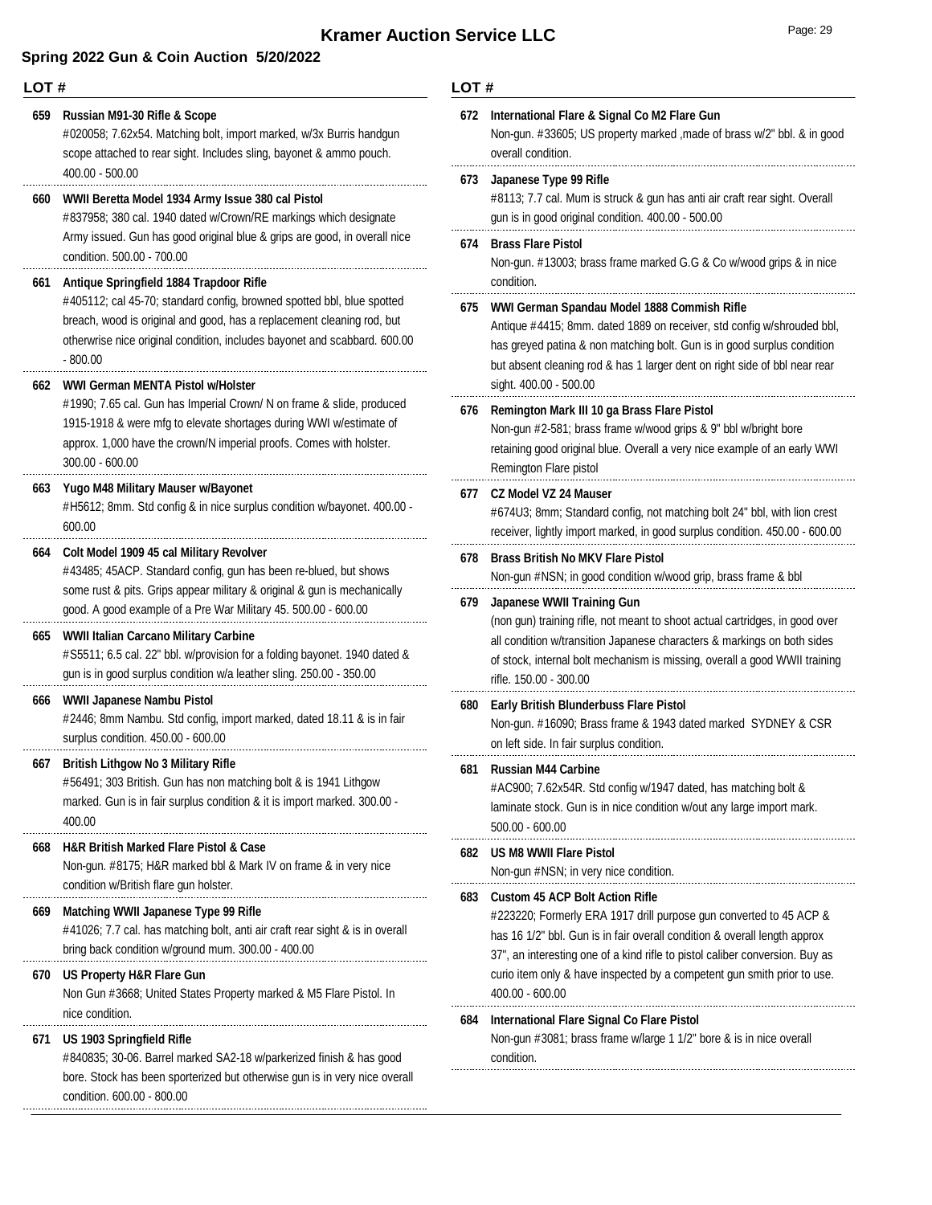| LOT# |                                                                                                                                                                                                                                                                              |                                                                                              | LOT#                                                                                                                                                                                                                                                                                          |  |  |
|------|------------------------------------------------------------------------------------------------------------------------------------------------------------------------------------------------------------------------------------------------------------------------------|----------------------------------------------------------------------------------------------|-----------------------------------------------------------------------------------------------------------------------------------------------------------------------------------------------------------------------------------------------------------------------------------------------|--|--|
| 659  | Russian M91-30 Rifle & Scope<br>#020058; 7.62x54. Matching bolt, import marked, w/3x Burris handgun<br>scope attached to rear sight. Includes sling, bayonet & ammo pouch.                                                                                                   | 672                                                                                          | International Flare & Signal Co M2 Flare Gun<br>Non-gun. #33605; US property marked , made of brass w/2" bbl. & in good<br>overall condition.                                                                                                                                                 |  |  |
| 660  | $400.00 - 500.00$<br>WWII Beretta Model 1934 Army Issue 380 cal Pistol<br>#837958; 380 cal. 1940 dated w/Crown/RE markings which designate                                                                                                                                   |                                                                                              | 673<br>Japanese Type 99 Rifle<br>#8113; 7.7 cal. Mum is struck & gun has anti air craft rear sight. Overall<br>gun is in good original condition. 400.00 - 500.00                                                                                                                             |  |  |
| 661  | Army issued. Gun has good original blue & grips are good, in overall nice<br>condition. 500.00 - 700.00<br>Antique Springfield 1884 Trapdoor Rifle                                                                                                                           | 674                                                                                          | <b>Brass Flare Pistol</b><br>Non-gun. #13003; brass frame marked G.G & Co w/wood grips & in nice<br>condition.                                                                                                                                                                                |  |  |
|      | #405112; cal 45-70; standard config, browned spotted bbl, blue spotted<br>breach, wood is original and good, has a replacement cleaning rod, but<br>otherwrise nice original condition, includes bayonet and scabbard. 600.00<br>$-800.00$                                   |                                                                                              | WWI German Spandau Model 1888 Commish Rifle<br>Antique #4415; 8mm. dated 1889 on receiver, std config w/shrouded bbl,<br>has greyed patina & non matching bolt. Gun is in good surplus condition<br>but absent cleaning rod & has 1 larger dent on right side of bbl near rear                |  |  |
| 662  | WWI German MENTA Pistol w/Holster<br>#1990; 7.65 cal. Gun has Imperial Crown/ N on frame & slide, produced<br>1915-1918 & were mfg to elevate shortages during WWI w/estimate of<br>approx. 1,000 have the crown/N imperial proofs. Comes with holster.<br>$300.00 - 600.00$ | 676                                                                                          | sight. 400.00 - 500.00<br>Remington Mark III 10 ga Brass Flare Pistol<br>Non-gun #2-581; brass frame w/wood grips & 9" bbl w/bright bore<br>retaining good original blue. Overall a very nice example of an early WWI<br>Remington Flare pistol                                               |  |  |
| 663  | Yugo M48 Military Mauser w/Bayonet<br>#H5612; 8mm. Std config & in nice surplus condition w/bayonet. 400.00 -<br>600.00                                                                                                                                                      | 677                                                                                          | <b>CZ Model VZ 24 Mauser</b><br>#674U3; 8mm; Standard config, not matching bolt 24" bbl, with lion crest<br>receiver, lightly import marked, in good surplus condition. 450.00 - 600.00                                                                                                       |  |  |
| 664  | Colt Model 1909 45 cal Military Revolver<br>#43485; 45ACP. Standard config, gun has been re-blued, but shows<br>some rust & pits. Grips appear military & original & gun is mechanically                                                                                     | 678                                                                                          | <b>Brass British No MKV Flare Pistol</b><br>Non-gun #NSN; in good condition w/wood grip, brass frame & bbl                                                                                                                                                                                    |  |  |
| 665  | good. A good example of a Pre War Military 45. 500.00 - 600.00<br>WWII Italian Carcano Military Carbine<br>#S5511; 6.5 cal. 22" bbl. w/provision for a folding bayonet. 1940 dated &<br>gun is in good surplus condition w/a leather sling. 250.00 - 350.00                  | 679                                                                                          | Japanese WWII Training Gun<br>(non gun) training rifle, not meant to shoot actual cartridges, in good over<br>all condition w/transition Japanese characters & markings on both sides<br>of stock, internal bolt mechanism is missing, overall a good WWII training<br>rifle. 150.00 - 300.00 |  |  |
| 666  | WWII Japanese Nambu Pistol<br>#2446; 8mm Nambu. Std config, import marked, dated 18.11 & is in fair<br>surplus condition. 450.00 - 600.00                                                                                                                                    | 680                                                                                          | <b>Early British Blunderbuss Flare Pistol</b><br>Non-gun. #16090; Brass frame & 1943 dated marked SYDNEY & CSR<br>on left side. In fair surplus condition.                                                                                                                                    |  |  |
| 66 / | <b>British Lithgow No 3 Military Rifle</b><br>#56491; 303 British. Gun has non matching bolt & is 1941 Lithgow<br>marked. Gun is in fair surplus condition & it is import marked. 300.00 -<br>400.00                                                                         | 681                                                                                          | <b>Russian M44 Carbine</b><br>#AC900; 7.62x54R. Std config w/1947 dated, has matching bolt &<br>laminate stock. Gun is in nice condition w/out any large import mark.<br>$500.00 - 600.00$                                                                                                    |  |  |
| 668  | <b>H&amp;R British Marked Flare Pistol &amp; Case</b><br>Non-gun. #8175; H&R marked bbl & Mark IV on frame & in very nice<br>condition w/British flare gun holster.                                                                                                          |                                                                                              | 682 US M8 WWII Flare Pistol<br>Non-gun #NSN; in very nice condition.                                                                                                                                                                                                                          |  |  |
| 669  | Matching WWII Japanese Type 99 Rifle<br>#41026; 7.7 cal. has matching bolt, anti air craft rear sight & is in overall<br>bring back condition w/ground mum. 300.00 - 400.00                                                                                                  |                                                                                              | 683 Custom 45 ACP Bolt Action Rifle<br>#223220; Formerly ERA 1917 drill purpose gun converted to 45 ACP &<br>has 16 1/2" bbl. Gun is in fair overall condition & overall length approx<br>37", an interesting one of a kind rifle to pistol caliber conversion. Buy as                        |  |  |
| 670  | US Property H&R Flare Gun<br>Non Gun #3668; United States Property marked & M5 Flare Pistol. In                                                                                                                                                                              | curio item only & have inspected by a competent gun smith prior to use.<br>$400.00 - 600.00$ |                                                                                                                                                                                                                                                                                               |  |  |
| 671  | nice condition.<br>US 1903 Springfield Rifle<br>#840835; 30-06. Barrel marked SA2-18 w/parkerized finish & has good<br>bore. Stock has been sporterized but otherwise gun is in very nice overall<br>condition. 600.00 - 800.00                                              |                                                                                              | International Flare Signal Co Flare Pistol<br>Non-gun #3081; brass frame w/large 1 1/2" bore & is in nice overall<br>condition.                                                                                                                                                               |  |  |
|      |                                                                                                                                                                                                                                                                              |                                                                                              |                                                                                                                                                                                                                                                                                               |  |  |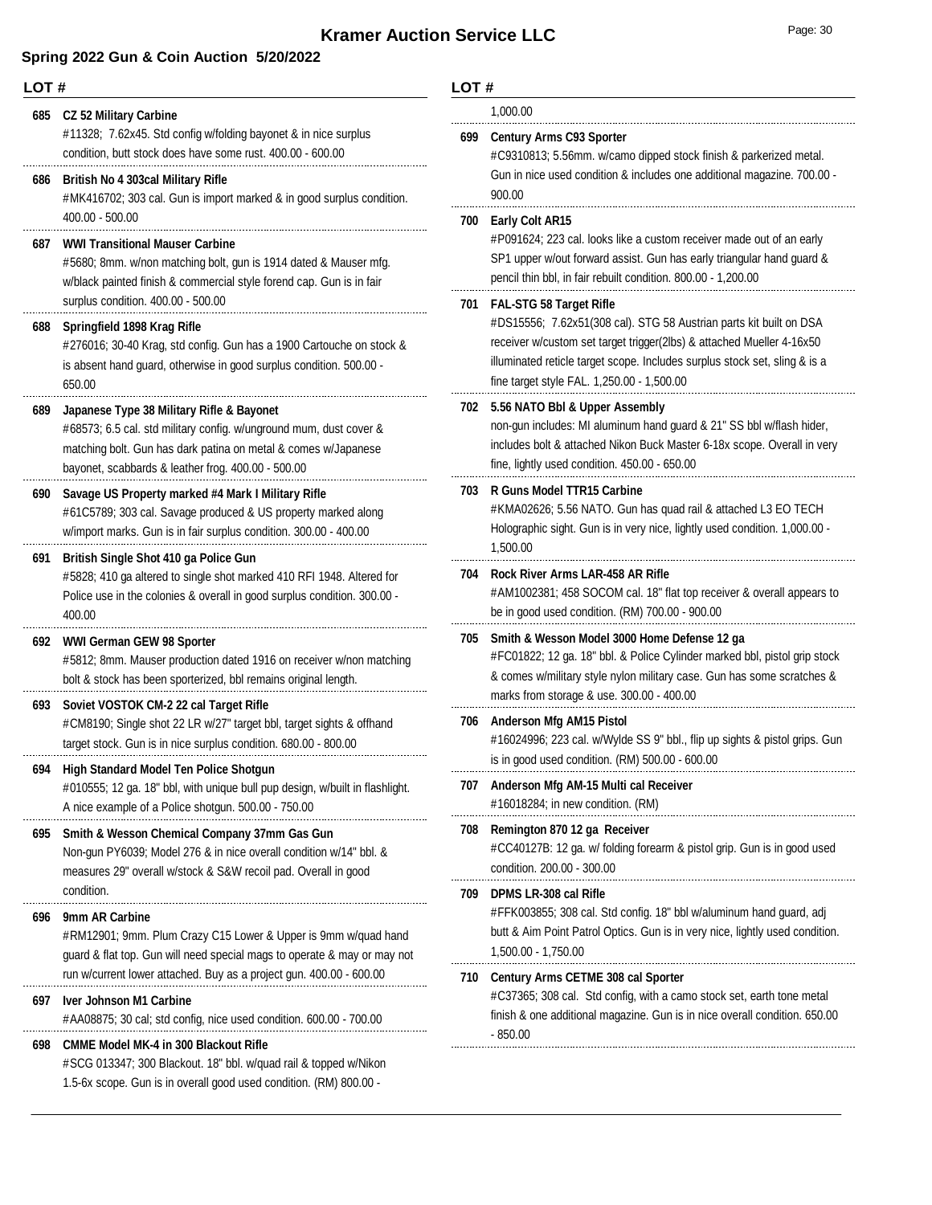|     | LOT#                                                                                                                                                                                                                                        |          | LOT#                                                                                                                                                                                                                                                                                                   |  |  |
|-----|---------------------------------------------------------------------------------------------------------------------------------------------------------------------------------------------------------------------------------------------|----------|--------------------------------------------------------------------------------------------------------------------------------------------------------------------------------------------------------------------------------------------------------------------------------------------------------|--|--|
|     | 685 CZ 52 Military Carbine                                                                                                                                                                                                                  | 1,000.00 |                                                                                                                                                                                                                                                                                                        |  |  |
|     | #11328; 7.62x45. Std config w/folding bayonet & in nice surplus<br>condition, butt stock does have some rust. 400.00 - 600.00                                                                                                               |          | 699 Century Arms C93 Sporter<br>#C9310813; 5.56mm. w/camo dipped stock finish & parkerized metal.                                                                                                                                                                                                      |  |  |
| 686 | <b>British No 4 303cal Military Rifle</b><br>#MK416702; 303 cal. Gun is import marked & in good surplus condition.                                                                                                                          |          | Gun in nice used condition & includes one additional magazine. 700.00 -<br>900.00                                                                                                                                                                                                                      |  |  |
| 687 | 400.00 - 500.00<br><b>WWI Transitional Mauser Carbine</b><br>#5680; 8mm. w/non matching bolt, gun is 1914 dated & Mauser mfg.<br>w/black painted finish & commercial style forend cap. Gun is in fair<br>surplus condition. 400.00 - 500.00 |          | 700 Early Colt AR15<br>#P091624; 223 cal. looks like a custom receiver made out of an early<br>SP1 upper w/out forward assist. Gun has early triangular hand guard &<br>pencil thin bbl, in fair rebuilt condition. 800.00 - 1,200.00                                                                  |  |  |
| 688 | Springfield 1898 Krag Rifle<br>#276016; 30-40 Krag, std config. Gun has a 1900 Cartouche on stock &<br>is absent hand guard, otherwise in good surplus condition. 500.00 -<br>650.00                                                        |          | 701 FAL-STG 58 Target Rifle<br>#DS15556; 7.62x51(308 cal). STG 58 Austrian parts kit built on DSA<br>receiver w/custom set target trigger(2lbs) & attached Mueller 4-16x50<br>illuminated reticle target scope. Includes surplus stock set, sling & is a<br>fine target style FAL. 1,250.00 - 1,500.00 |  |  |
| 689 | Japanese Type 38 Military Rifle & Bayonet<br>#68573; 6.5 cal. std military config. w/unground mum, dust cover &<br>matching bolt. Gun has dark patina on metal & comes w/Japanese<br>bayonet, scabbards & leather frog. 400.00 - 500.00     |          | 702 5.56 NATO Bbl & Upper Assembly<br>non-gun includes: MI aluminum hand guard & 21" SS bbl w/flash hider,<br>includes bolt & attached Nikon Buck Master 6-18x scope. Overall in very<br>fine, lightly used condition. 450.00 - 650.00                                                                 |  |  |
|     | 690 Savage US Property marked #4 Mark I Military Rifle<br>#61C5789; 303 cal. Savage produced & US property marked along<br>w/import marks. Gun is in fair surplus condition. 300.00 - 400.00                                                | 703      | R Guns Model TTR15 Carbine<br>#KMA02626; 5.56 NATO. Gun has quad rail & attached L3 EO TECH<br>Holographic sight. Gun is in very nice, lightly used condition. 1,000.00 -<br>1,500.00                                                                                                                  |  |  |
|     | 691 British Single Shot 410 ga Police Gun<br>#5828; 410 ga altered to single shot marked 410 RFI 1948. Altered for<br>Police use in the colonies & overall in good surplus condition. 300.00 -<br>400.00                                    | 704      | Rock River Arms LAR-458 AR Rifle<br>#AM1002381; 458 SOCOM cal. 18" flat top receiver & overall appears to<br>be in good used condition. (RM) 700.00 - 900.00                                                                                                                                           |  |  |
|     | 692 WWI German GEW 98 Sporter<br>#5812; 8mm. Mauser production dated 1916 on receiver w/non matching<br>bolt & stock has been sporterized, bbl remains original length.                                                                     | 705      | Smith & Wesson Model 3000 Home Defense 12 ga<br>#FC01822; 12 ga. 18" bbl. & Police Cylinder marked bbl, pistol grip stock<br>& comes w/military style nylon military case. Gun has some scratches &<br>marks from storage & use. 300.00 - 400.00                                                       |  |  |
| 693 | Soviet VOSTOK CM-2 22 cal Target Rifle<br>#CM8190; Single shot 22 LR w/27" target bbl, target sights & offhand<br>target stock. Gun is in nice surplus condition. 680.00 - 800.00                                                           |          | 706 Anderson Mfg AM15 Pistol<br>#16024996; 223 cal. w/Wylde SS 9" bbl., flip up sights & pistol grips. Gun<br>is in good used condition. (RM) 500.00 - 600.00                                                                                                                                          |  |  |
| 694 | High Standard Model Ten Police Shotgun<br>#010555; 12 ga. 18" bbl, with unique bull pup design, w/built in flashlight.<br>A nice example of a Police shotgun. 500.00 - 750.00                                                               |          | 707 Anderson Mfg AM-15 Multi cal Receiver<br>#16018284; in new condition. (RM)                                                                                                                                                                                                                         |  |  |
|     | 695 Smith & Wesson Chemical Company 37mm Gas Gun<br>Non-gun PY6039; Model 276 & in nice overall condition w/14" bbl. &<br>measures 29" overall w/stock & S&W recoil pad. Overall in good                                                    | 708      | Remington 870 12 ga Receiver<br>#CC40127B: 12 ga. w/ folding forearm & pistol grip. Gun is in good used<br>condition. 200.00 - 300.00                                                                                                                                                                  |  |  |
| 696 | condition.<br>9mm AR Carbine<br>#RM12901; 9mm. Plum Crazy C15 Lower & Upper is 9mm w/quad hand<br>guard & flat top. Gun will need special mags to operate & may or may not                                                                  | 709      | <b>DPMS LR-308 cal Rifle</b><br>#FFK003855; 308 cal. Std config. 18" bbl w/aluminum hand guard, adj<br>butt & Aim Point Patrol Optics. Gun is in very nice, lightly used condition.<br>1,500.00 - 1,750.00                                                                                             |  |  |
| 697 | run w/current lower attached. Buy as a project gun. 400.00 - 600.00<br><b>Iver Johnson M1 Carbine</b><br>#AA08875; 30 cal; std config, nice used condition. 600.00 - 700.00                                                                 |          | 710 Century Arms CETME 308 cal Sporter<br>#C37365; 308 cal. Std config, with a camo stock set, earth tone metal<br>finish & one additional magazine. Gun is in nice overall condition. 650.00                                                                                                          |  |  |
| 698 | <b>CMME Model MK-4 in 300 Blackout Rifle</b><br>#SCG 013347; 300 Blackout. 18" bbl. w/quad rail & topped w/Nikon<br>1.5-6x scope. Gun is in overall good used condition. (RM) 800.00 -                                                      |          | - 850.00                                                                                                                                                                                                                                                                                               |  |  |

|     | #C9310813; 5.56mm. w/camo dipped stock finish & parkerized metal.<br>Gun in nice used condition & includes one additional magazine. 700.00 -<br>900.00                                                                                                                                                    |
|-----|-----------------------------------------------------------------------------------------------------------------------------------------------------------------------------------------------------------------------------------------------------------------------------------------------------------|
| 700 | <b>Early Colt AR15</b><br>#P091624; 223 cal. looks like a custom receiver made out of an early<br>SP1 upper w/out forward assist. Gun has early triangular hand guard &<br>pencil thin bbl, in fair rebuilt condition. 800.00 - 1,200.00                                                                  |
| 701 | <b>FAL-STG 58 Target Rifle</b><br>#DS15556; 7.62x51(308 cal). STG 58 Austrian parts kit built on DSA<br>receiver w/custom set target trigger(2lbs) & attached Mueller 4-16x50<br>illuminated reticle target scope. Includes surplus stock set, sling & is a<br>fine target style FAL. 1,250.00 - 1,500.00 |
| 702 | 5.56 NATO Bbl & Upper Assembly<br>non-gun includes: MI aluminum hand guard & 21" SS bbl w/flash hider,<br>includes bolt & attached Nikon Buck Master 6-18x scope. Overall in very<br>fine, lightly used condition. 450.00 - 650.00                                                                        |
| 703 | <b>R Guns Model TTR15 Carbine</b><br>#KMA02626; 5.56 NATO. Gun has quad rail & attached L3 EO TECH<br>Holographic sight. Gun is in very nice, lightly used condition. 1,000.00 -<br>1,500.00                                                                                                              |
| 704 | <b>Rock River Arms LAR-458 AR Rifle</b><br>#AM1002381; 458 SOCOM cal. 18" flat top receiver & overall appears to<br>be in good used condition. (RM) 700.00 - 900.00                                                                                                                                       |
| 705 | Smith & Wesson Model 3000 Home Defense 12 ga<br>#FC01822; 12 ga. 18" bbl. & Police Cylinder marked bbl, pistol grip stock<br>& comes w/military style nylon military case. Gun has some scratches &<br>marks from storage & use. 300.00 - 400.00                                                          |
| 706 | <b>Anderson Mfg AM15 Pistol</b><br>#16024996; 223 cal. w/Wylde SS 9" bbl., flip up sights & pistol grips. Gun<br>is in good used condition. (RM) 500.00 - 600.00                                                                                                                                          |
| 707 | Anderson Mfg AM-15 Multi cal Receiver<br>#16018284; in new condition. (RM)                                                                                                                                                                                                                                |
| 708 | Remington 870 12 ga Receiver<br>#CC40127B: 12 ga. w/ folding forearm & pistol grip. Gun is in good used<br>condition. 200.00 - 300.00                                                                                                                                                                     |
| 709 | <b>DPMS LR-308 cal Rifle</b><br>#FFK003855; 308 cal. Std config. 18" bbl w/aluminum hand guard, adj<br>butt & Aim Point Patrol Optics. Gun is in very nice, lightly used condition.<br>1,500.00 - 1,750.00                                                                                                |
| 710 | Century Arms CETME 308 cal Sporter<br>#C37365; 308 cal. Std config, with a camo stock set, earth tone metal<br>finish & one additional magazine. Gun is in nice overall condition. 650.00<br>- 850.00                                                                                                     |
|     |                                                                                                                                                                                                                                                                                                           |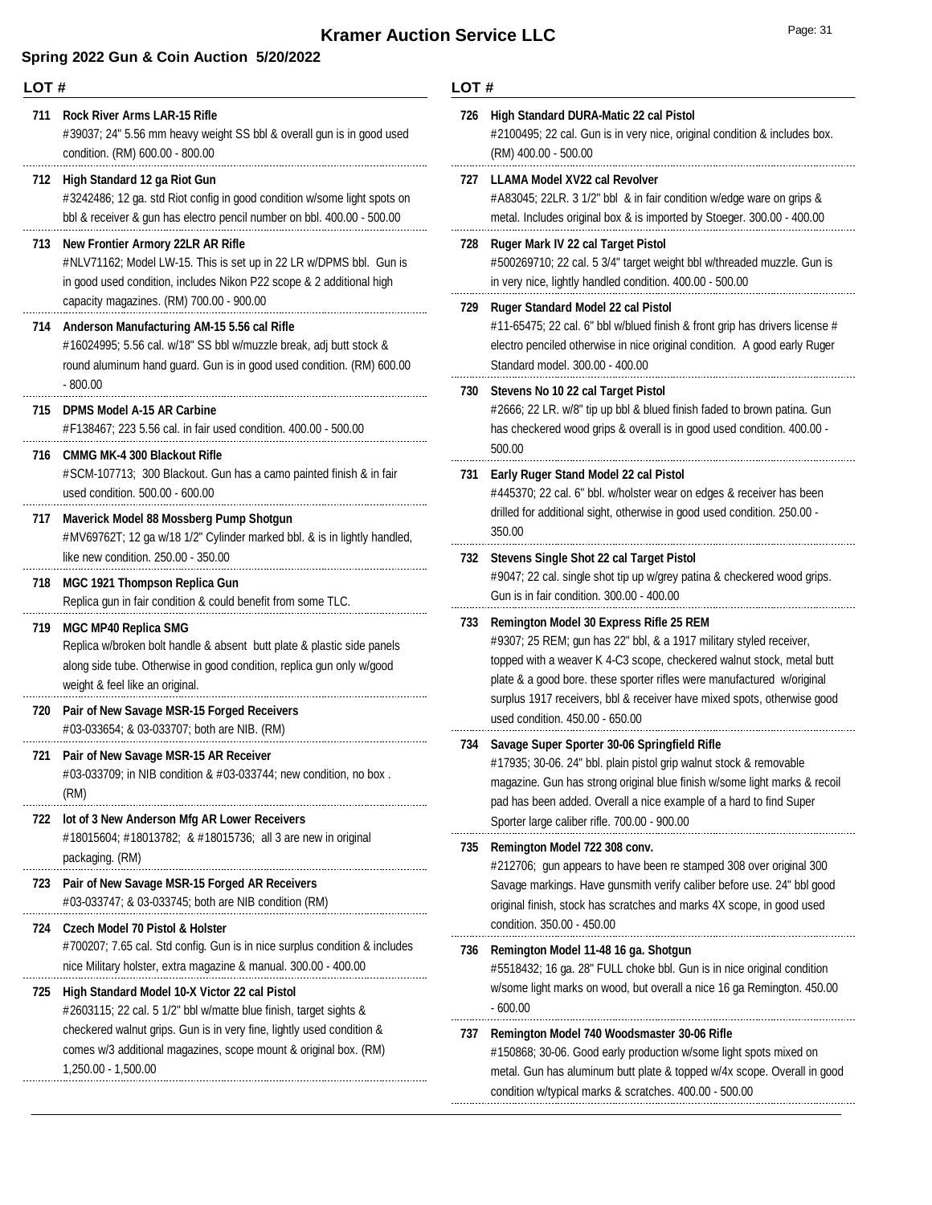## **Spring 2022 Gun & Coin Auction 5/20/2022**

# **LOT #**

| 711 | <b>Rock River Arms LAR-15 Rifle</b><br>#39037; 24" 5.56 mm heavy weight SS bbl & overall gun is in good used<br>condition. (RM) 600.00 - 800.00                                                                                                                 | 72(        |
|-----|-----------------------------------------------------------------------------------------------------------------------------------------------------------------------------------------------------------------------------------------------------------------|------------|
| 712 | High Standard 12 ga Riot Gun<br>#3242486; 12 ga. std Riot config in good condition w/some light spots on<br>bbl & receiver & gun has electro pencil number on bbl. 400.00 - 500.00                                                                              | 727        |
| 713 | <b>New Frontier Armory 22LR AR Rifle</b><br>#NLV71162; Model LW-15. This is set up in 22 LR w/DPMS bbl. Gun is<br>in good used condition, includes Nikon P22 scope & 2 additional high<br>capacity magazines. (RM) 700.00 - 900.00                              | 728<br>729 |
| 714 | Anderson Manufacturing AM-15 5.56 cal Rifle<br>#16024995; 5.56 cal. w/18" SS bbl w/muzzle break, adj butt stock &<br>round aluminum hand guard. Gun is in good used condition. (RM) 600.00<br>$-800.00$                                                         | 730        |
| 715 | <b>DPMS Model A-15 AR Carbine</b><br>#F138467; 223 5.56 cal. in fair used condition. 400.00 - 500.00                                                                                                                                                            |            |
| 716 | <b>CMMG MK-4 300 Blackout Rifle</b><br>#SCM-107713; 300 Blackout. Gun has a camo painted finish & in fair<br>used condition. 500.00 - 600.00                                                                                                                    | 731        |
| 717 | Maverick Model 88 Mossberg Pump Shotgun<br>#MV69762T; 12 ga w/18 1/2" Cylinder marked bbl. & is in lightly handled,<br>like new condition. 250.00 - 350.00                                                                                                      | 732        |
| 718 | MGC 1921 Thompson Replica Gun<br>Replica gun in fair condition & could benefit from some TLC.                                                                                                                                                                   |            |
| 719 | <b>MGC MP40 Replica SMG</b><br>Replica w/broken bolt handle & absent butt plate & plastic side panels<br>along side tube. Otherwise in good condition, replica gun only w/good<br>weight & feel like an original.                                               | 733        |
| 720 | Pair of New Savage MSR-15 Forged Receivers<br>#03-033654; & 03-033707; both are NIB. (RM)                                                                                                                                                                       |            |
| 721 | Pair of New Savage MSR-15 AR Receiver<br>#03-033709; in NIB condition & #03-033744; new condition, no box.<br>(RM)                                                                                                                                              |            |
| 722 | lot of 3 New Anderson Mfg AR Lower Receivers<br>#18015604; #18013782; & #18015736; all 3 are new in original<br>packaging. (RM)                                                                                                                                 | 735        |
| 723 | Pair of New Savage MSR-15 Forged AR Receivers<br>#03-033747; & 03-033745; both are NIB condition (RM)                                                                                                                                                           |            |
| 724 | Czech Model 70 Pistol & Holster<br>#700207; 7.65 cal. Std config. Gun is in nice surplus condition & includes<br>nice Military holster, extra magazine & manual. 300.00 - 400.00                                                                                | 730        |
| 725 | High Standard Model 10-X Victor 22 cal Pistol<br>#2603115; 22 cal. 5 1/2" bbl w/matte blue finish, target sights &<br>checkered walnut grips. Gun is in very fine, lightly used condition &<br>comes w/3 additional magazines, scope mount & original box. (RM) | 737        |
|     | 1,250.00 - 1,500.00                                                                                                                                                                                                                                             |            |

## **LOT #**

| 726 | High Standard DURA-Matic 22 cal Pistol<br>#2100495; 22 cal. Gun is in very nice, original condition & includes box.<br>(RM) 400.00 - 500.00                                                                                                                                                                           |  |  |  |  |  |
|-----|-----------------------------------------------------------------------------------------------------------------------------------------------------------------------------------------------------------------------------------------------------------------------------------------------------------------------|--|--|--|--|--|
| 727 | LLAMA Model XV22 cal Revolver<br>#A83045; 22LR. 3 1/2" bbl & in fair condition w/edge ware on grips &<br>metal. Includes original box & is imported by Stoeger. 300.00 - 400.00                                                                                                                                       |  |  |  |  |  |
| 728 | Ruger Mark IV 22 cal Target Pistol<br>#500269710; 22 cal. 5 3/4" target weight bbl w/threaded muzzle. Gun is<br>in very nice, lightly handled condition. 400.00 - 500.00                                                                                                                                              |  |  |  |  |  |
| 729 | Ruger Standard Model 22 cal Pistol<br>#11-65475; 22 cal. 6" bbl w/blued finish & front grip has drivers license #<br>electro penciled otherwise in nice original condition. A good early Ruger<br>Standard model. 300.00 - 400.00                                                                                     |  |  |  |  |  |
| 730 | Stevens No 10 22 cal Target Pistol<br>#2666; 22 LR. w/8" tip up bbl & blued finish faded to brown patina. Gun<br>has checkered wood grips & overall is in good used condition. 400.00 -<br>500.00                                                                                                                     |  |  |  |  |  |
| 731 | Early Ruger Stand Model 22 cal Pistol<br>#445370; 22 cal. 6" bbl. w/holster wear on edges & receiver has been<br>drilled for additional sight, otherwise in good used condition. 250.00 -<br>350.00                                                                                                                   |  |  |  |  |  |
| 732 | Stevens Single Shot 22 cal Target Pistol<br>#9047; 22 cal. single shot tip up w/grey patina & checkered wood grips.<br>Gun is in fair condition. 300.00 - 400.00                                                                                                                                                      |  |  |  |  |  |
| 733 | <b>Remington Model 30 Express Rifle 25 REM</b><br>#9307; 25 REM; gun has 22" bbl, & a 1917 military styled receiver,                                                                                                                                                                                                  |  |  |  |  |  |
|     | topped with a weaver K 4-C3 scope, checkered walnut stock, metal butt<br>plate & a good bore. these sporter rifles were manufactured w/original<br>surplus 1917 receivers, bbl & receiver have mixed spots, otherwise good<br>used condition. 450.00 - 650.00                                                         |  |  |  |  |  |
| 734 | Savage Super Sporter 30-06 Springfield Rifle<br>#17935; 30-06. 24" bbl. plain pistol grip walnut stock & removable<br>magazine. Gun has strong original blue finish w/some light marks & recoil<br>pad has been added. Overall a nice example of a hard to find Super<br>Sporter large caliber rifle. 700.00 - 900.00 |  |  |  |  |  |
| 735 | Remington Model 722 308 conv.<br>#212706; gun appears to have been re stamped 308 over original 300<br>Savage markings. Have gunsmith verify caliber before use. 24" bbl good<br>original finish, stock has scratches and marks 4X scope, in good used<br>condition. 350.00 - 450.00                                  |  |  |  |  |  |
| 736 | Remington Model 11-48 16 ga. Shotgun<br>#5518432; 16 ga. 28" FULL choke bbl. Gun is in nice original condition<br>w/some light marks on wood, but overall a nice 16 ga Remington. 450.00<br>$-600.00$                                                                                                                 |  |  |  |  |  |
| 737 | Remington Model 740 Woodsmaster 30-06 Rifle<br>#150868; 30-06. Good early production w/some light spots mixed on<br>metal. Gun has aluminum butt plate & topped w/4x scope. Overall in good<br>condition w/typical marks & scratches. 400.00 - 500.00                                                                 |  |  |  |  |  |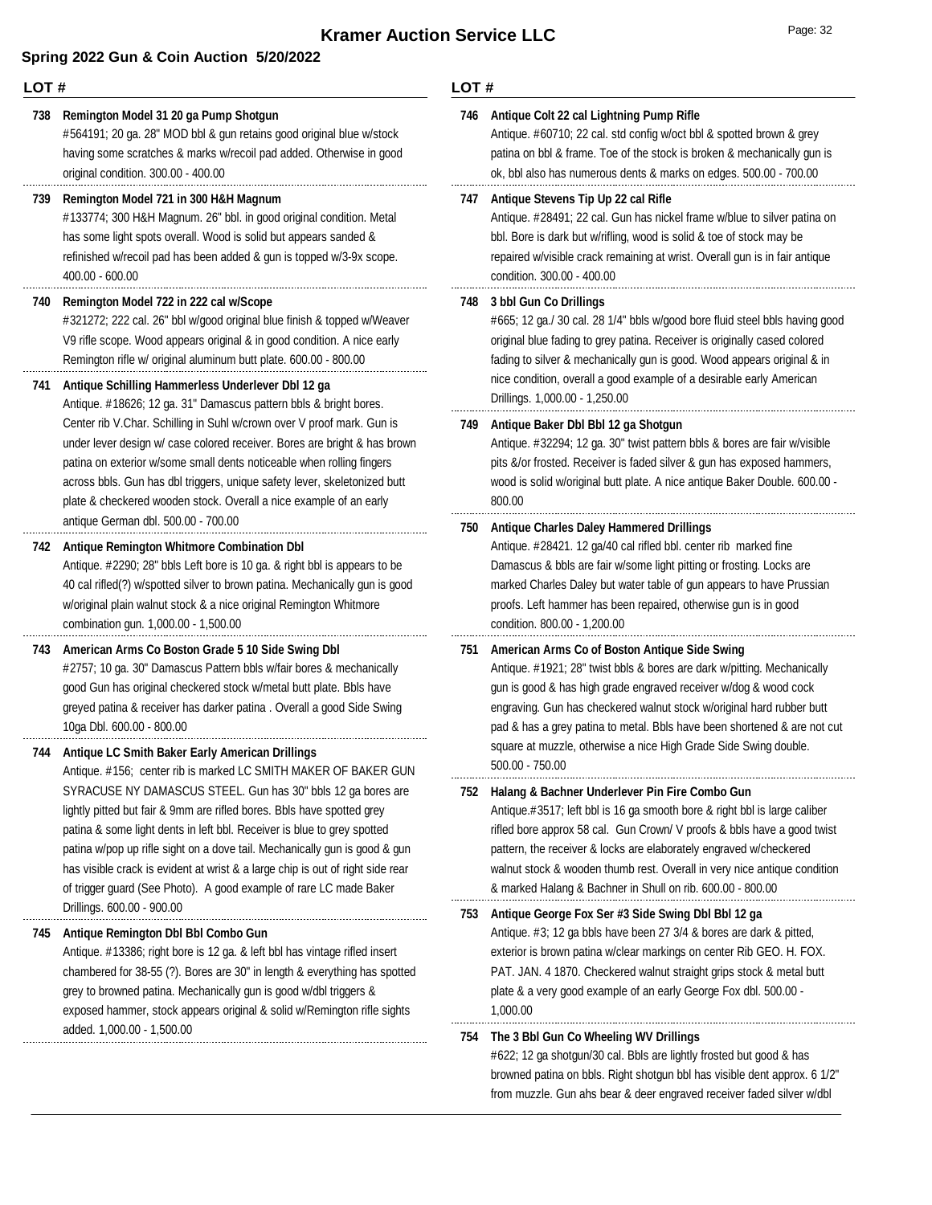### **LOT #**

### **738 Remington Model 31 20 ga Pump Shotgun**

#564191; 20 ga. 28" MOD bbl & gun retains good original blue w/stock having some scratches & marks w/recoil pad added. Otherwise in good original condition. 300.00 - 400.00

### **739 Remington Model 721 in 300 H&H Magnum**

#133774; 300 H&H Magnum. 26" bbl. in good original condition. Metal has some light spots overall. Wood is solid but appears sanded & refinished w/recoil pad has been added & gun is topped w/3-9x scope. 400.00 - 600.00

### **740 Remington Model 722 in 222 cal w/Scope**

#321272; 222 cal. 26" bbl w/good original blue finish & topped w/Weaver V9 rifle scope. Wood appears original & in good condition. A nice early Remington rifle w/ original aluminum butt plate. 600.00 - 800.00

### **741 Antique Schilling Hammerless Underlever Dbl 12 ga**

Antique. #18626; 12 ga. 31" Damascus pattern bbls & bright bores. Center rib V.Char. Schilling in Suhl w/crown over V proof mark. Gun is under lever design w/ case colored receiver. Bores are bright & has brown patina on exterior w/some small dents noticeable when rolling fingers across bbls. Gun has dbl triggers, unique safety lever, skeletonized butt plate & checkered wooden stock. Overall a nice example of an early antique German dbl. 500.00 - 700.00

#### Antique. #2290; 28" bbls Left bore is 10 ga. & right bbl is appears to be **742 Antique Remington Whitmore Combination Dbl**

40 cal rifled(?) w/spotted silver to brown patina. Mechanically gun is good w/original plain walnut stock & a nice original Remington Whitmore combination gun. 1,000.00 - 1,500.00

### **743 American Arms Co Boston Grade 5 10 Side Swing Dbl**

#2757; 10 ga. 30" Damascus Pattern bbls w/fair bores & mechanically good Gun has original checkered stock w/metal butt plate. Bbls have greyed patina & receiver has darker patina . Overall a good Side Swing 10ga Dbl. 600.00 - 800.00

### **744 Antique LC Smith Baker Early American Drillings**

Antique. #156; center rib is marked LC SMITH MAKER OF BAKER GUN SYRACUSE NY DAMASCUS STEEL. Gun has 30" bbls 12 ga bores are lightly pitted but fair & 9mm are rifled bores. Bbls have spotted grey patina & some light dents in left bbl. Receiver is blue to grey spotted patina w/pop up rifle sight on a dove tail. Mechanically gun is good & gun has visible crack is evident at wrist & a large chip is out of right side rear of trigger guard (See Photo). A good example of rare LC made Baker Drillings. 600.00 - 900.00

### **745 Antique Remington Dbl Bbl Combo Gun**

Antique. #13386; right bore is 12 ga. & left bbl has vintage rifled insert chambered for 38-55 (?). Bores are 30" in length & everything has spotted grey to browned patina. Mechanically gun is good w/dbl triggers & exposed hammer, stock appears original & solid w/Remington rifle sights added. 1,000.00 - 1,500.00

|     | LOT #                                                                                                                                                                                                                                                                                                                                                                                                                                    |  |  |
|-----|------------------------------------------------------------------------------------------------------------------------------------------------------------------------------------------------------------------------------------------------------------------------------------------------------------------------------------------------------------------------------------------------------------------------------------------|--|--|
| 746 | Antique Colt 22 cal Lightning Pump Rifle<br>Antique. #60710; 22 cal. std config w/oct bbl & spotted brown & grey<br>patina on bbl & frame. Toe of the stock is broken & mechanically gun is<br>ok, bbl also has numerous dents & marks on edges. 500.00 - 700.00                                                                                                                                                                         |  |  |
| 747 | Antique Stevens Tip Up 22 cal Rifle<br>Antique. #28491; 22 cal. Gun has nickel frame w/blue to silver patina on<br>bbl. Bore is dark but w/rifling, wood is solid & toe of stock may be<br>repaired w/visible crack remaining at wrist. Overall gun is in fair antique<br>condition. 300.00 - 400.00                                                                                                                                     |  |  |
| 748 | 3 bbl Gun Co Drillings<br>#665; 12 ga./ 30 cal. 28 1/4" bbls w/good bore fluid steel bbls having good<br>original blue fading to grey patina. Receiver is originally cased colored<br>fading to silver & mechanically gun is good. Wood appears original & in<br>nice condition, overall a good example of a desirable early American<br>Drillings. 1,000.00 - 1,250.00                                                                  |  |  |
| 749 | Antique Baker Dbl Bbl 12 ga Shotgun<br>Antique. #32294; 12 ga. 30" twist pattern bbls & bores are fair w/visible<br>pits &/or frosted. Receiver is faded silver & gun has exposed hammers,<br>wood is solid w/original butt plate. A nice antique Baker Double. 600.00 -<br>800.00                                                                                                                                                       |  |  |
| 750 | <b>Antique Charles Daley Hammered Drillings</b><br>Antique. #28421. 12 ga/40 cal rifled bbl. center rib marked fine<br>Damascus & bbls are fair w/some light pitting or frosting. Locks are<br>marked Charles Daley but water table of gun appears to have Prussian<br>proofs. Left hammer has been repaired, otherwise gun is in good<br>condition. 800.00 - 1,200.00                                                                   |  |  |
| 751 | American Arms Co of Boston Antique Side Swing<br>Antique. #1921; 28" twist bbls & bores are dark w/pitting. Mechanically<br>gun is good & has high grade engraved receiver w/dog & wood cock<br>engraving. Gun has checkered walnut stock w/original hard rubber butt<br>pad & has a grey patina to metal. Bbls have been shortened & are not cut<br>square at muzzle, otherwise a nice High Grade Side Swing double.<br>500.00 - 750.00 |  |  |

#### **752 Halang & Bachner Underlever Pin Fire Combo Gun**

Antique.#3517; left bbl is 16 ga smooth bore & right bbl is large caliber rifled bore approx 58 cal. Gun Crown/ V proofs & bbls have a good twist pattern, the receiver & locks are elaborately engraved w/checkered walnut stock & wooden thumb rest. Overall in very nice antique condition & marked Halang & Bachner in Shull on rib. 600.00 - 800.00

### Antique. #3; 12 ga bbls have been 27 3/4 & bores are dark & pitted, exterior is brown patina w/clear markings on center Rib GEO. H. FOX. PAT. JAN. 4 1870. Checkered walnut straight grips stock & metal butt plate & a very good example of an early George Fox dbl. 500.00 - 1,000.00 **753 Antique George Fox Ser #3 Side Swing Dbl Bbl 12 ga**

#### **754 The 3 Bbl Gun Co Wheeling WV Drillings**

#622; 12 ga shotgun/30 cal. Bbls are lightly frosted but good & has browned patina on bbls. Right shotgun bbl has visible dent approx. 6 1/2" from muzzle. Gun ahs bear & deer engraved receiver faded silver w/dbl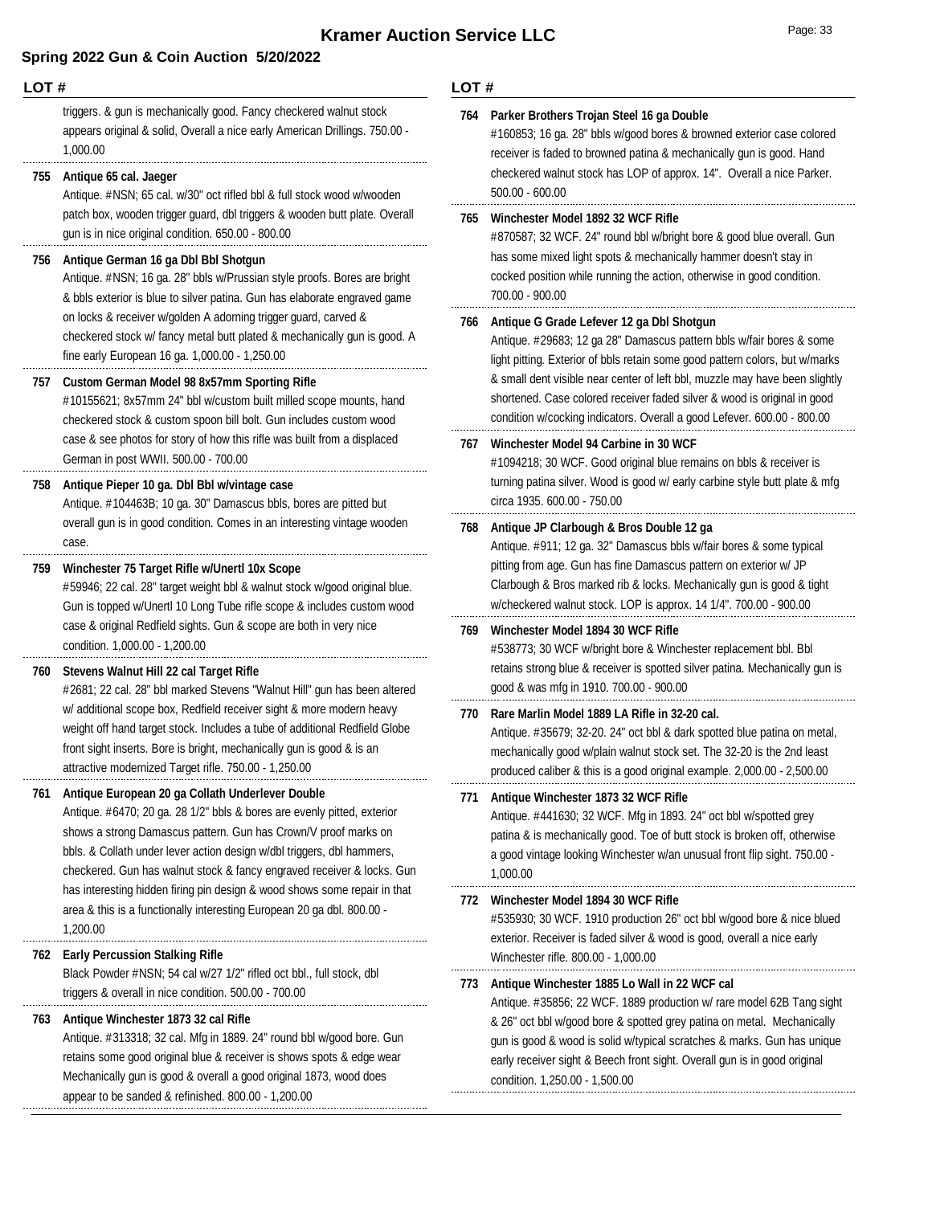#### **LOT #**

triggers. & gun is mechanically good. Fancy checkered walnut stock appears original & solid, Overall a nice early American Drillings. 750.00 - 1,000.00

#### **755 Antique 65 cal. Jaeger**

Antique. #NSN; 65 cal. w/30" oct rifled bbl & full stock wood w/wooden patch box, wooden trigger guard, dbl triggers & wooden butt plate. Overall gun is in nice original condition. 650.00 - 800.00

#### **756 Antique German 16 ga Dbl Bbl Shotgun**

Antique. #NSN; 16 ga. 28" bbls w/Prussian style proofs. Bores are bright & bbls exterior is blue to silver patina. Gun has elaborate engraved game on locks & receiver w/golden A adorning trigger guard, carved & checkered stock w/ fancy metal butt plated & mechanically gun is good. A fine early European 16 ga. 1,000.00 - 1,250.00

#### **757 Custom German Model 98 8x57mm Sporting Rifle**

#10155621; 8x57mm 24" bbl w/custom built milled scope mounts, hand checkered stock & custom spoon bill bolt. Gun includes custom wood case & see photos for story of how this rifle was built from a displaced German in post WWII. 500.00 - 700.00

#### **758 Antique Pieper 10 ga. Dbl Bbl w/vintage case**

Antique. #104463B; 10 ga. 30" Damascus bbls, bores are pitted but overall gun is in good condition. Comes in an interesting vintage wooden case.

#### **759 Winchester 75 Target Rifle w/Unertl 10x Scope**

#59946; 22 cal. 28" target weight bbl & walnut stock w/good original blue. Gun is topped w/Unertl 10 Long Tube rifle scope & includes custom wood case & original Redfield sights. Gun & scope are both in very nice condition. 1,000.00 - 1,200.00

#### **760 Stevens Walnut Hill 22 cal Target Rifle**

#2681; 22 cal. 28" bbl marked Stevens "Walnut Hill" gun has been altered w/ additional scope box, Redfield receiver sight & more modern heavy weight off hand target stock. Includes a tube of additional Redfield Globe front sight inserts. Bore is bright, mechanically gun is good & is an attractive modernized Target rifle. 750.00 - 1,250.00

#### **761 Antique European 20 ga Collath Underlever Double**

Antique. #6470; 20 ga. 28 1/2" bbls & bores are evenly pitted, exterior shows a strong Damascus pattern. Gun has Crown/V proof marks on bbls. & Collath under lever action design w/dbl triggers, dbl hammers, checkered. Gun has walnut stock & fancy engraved receiver & locks. Gun has interesting hidden firing pin design & wood shows some repair in that area & this is a functionally interesting European 20 ga dbl. 800.00 - 1,200.00

#### **762 Early Percussion Stalking Rifle**

Black Powder #NSN; 54 cal w/27 1/2" rifled oct bbl., full stock, dbl triggers & overall in nice condition. 500.00 - 700.00

#### **763 Antique Winchester 1873 32 cal Rifle**

Antique. #313318; 32 cal. Mfg in 1889. 24" round bbl w/good bore. Gun retains some good original blue & receiver is shows spots & edge wear Mechanically gun is good & overall a good original 1873, wood does appear to be sanded & refinished. 800.00 - 1,200.00

#### **LOT #**

|   | 764 | Parker Brothers Trojan Steel 16 ga Double<br>#160853; 16 ga. 28" bbls w/good bores & browned exterior case colored<br>receiver is faded to browned patina & mechanically gun is good. Hand<br>checkered walnut stock has LOP of approx. 14". Overall a nice Parker.<br>$500.00 - 600.00$                                                                                                                                                |
|---|-----|-----------------------------------------------------------------------------------------------------------------------------------------------------------------------------------------------------------------------------------------------------------------------------------------------------------------------------------------------------------------------------------------------------------------------------------------|
|   | 765 | Winchester Model 1892 32 WCF Rifle<br>#870587; 32 WCF. 24" round bbl w/bright bore & good blue overall. Gun<br>has some mixed light spots & mechanically hammer doesn't stay in<br>cocked position while running the action, otherwise in good condition.<br>700.00 - 900.00                                                                                                                                                            |
|   | 766 | Antique G Grade Lefever 12 ga Dbl Shotgun<br>Antique. #29683; 12 ga 28" Damascus pattern bbls w/fair bores & some<br>light pitting. Exterior of bbls retain some good pattern colors, but w/marks<br>& small dent visible near center of left bbl, muzzle may have been slightly<br>shortened. Case colored receiver faded silver & wood is original in good<br>condition w/cocking indicators. Overall a good Lefever. 600.00 - 800.00 |
|   | 767 | Winchester Model 94 Carbine in 30 WCF<br>#1094218; 30 WCF. Good original blue remains on bbls & receiver is<br>turning patina silver. Wood is good w/ early carbine style butt plate & mfg<br>circa 1935. 600.00 - 750.00                                                                                                                                                                                                               |
|   | 768 | Antique JP Clarbough & Bros Double 12 ga<br>Antique. #911; 12 ga. 32" Damascus bbls w/fair bores & some typical<br>pitting from age. Gun has fine Damascus pattern on exterior w/ JP<br>Clarbough & Bros marked rib & locks. Mechanically gun is good & tight<br>w/checkered walnut stock. LOP is approx. 14 1/4". 700.00 - 900.00                                                                                                      |
| l | 769 | Winchester Model 1894 30 WCF Rifle<br>#538773; 30 WCF w/bright bore & Winchester replacement bbl. Bbl<br>retains strong blue & receiver is spotted silver patina. Mechanically gun is<br>good & was mfg in 1910. 700.00 - 900.00                                                                                                                                                                                                        |
|   | 770 | Rare Marlin Model 1889 LA Rifle in 32-20 cal.<br>Antique. #35679; 32-20. 24" oct bbl & dark spotted blue patina on metal,<br>mechanically good w/plain walnut stock set. The 32-20 is the 2nd least<br>produced caliber & this is a good original example. 2,000.00 - 2,500.00                                                                                                                                                          |
|   | 771 | Antique Winchester 1873 32 WCF Rifle<br>Antique. #441630; 32 WCF. Mfg in 1893. 24" oct bbl w/spotted grey<br>patina & is mechanically good. Toe of butt stock is broken off, otherwise<br>a good vintage looking Winchester w/an unusual front flip sight. 750.00 -<br>1,000.00                                                                                                                                                         |
|   | 772 | Winchester Model 1894 30 WCF Rifle<br>#535930; 30 WCF. 1910 production 26" oct bbl w/good bore & nice blued<br>exterior. Receiver is faded silver & wood is good, overall a nice early<br>Winchester rifle. 800.00 - 1,000.00                                                                                                                                                                                                           |
|   | 773 | Antique Winchester 1885 Lo Wall in 22 WCF cal<br>Antique. #35856; 22 WCF. 1889 production w/ rare model 62B Tang sight<br>& 26" oct bbl w/good bore & spotted grey patina on metal. Mechanically<br>gun is good & wood is solid w/typical scratches & marks. Gun has unique<br>early receiver sight & Beech front sight. Overall gun is in good original<br>condition. 1,250.00 - 1,500.00                                              |
|   |     |                                                                                                                                                                                                                                                                                                                                                                                                                                         |

. . . . .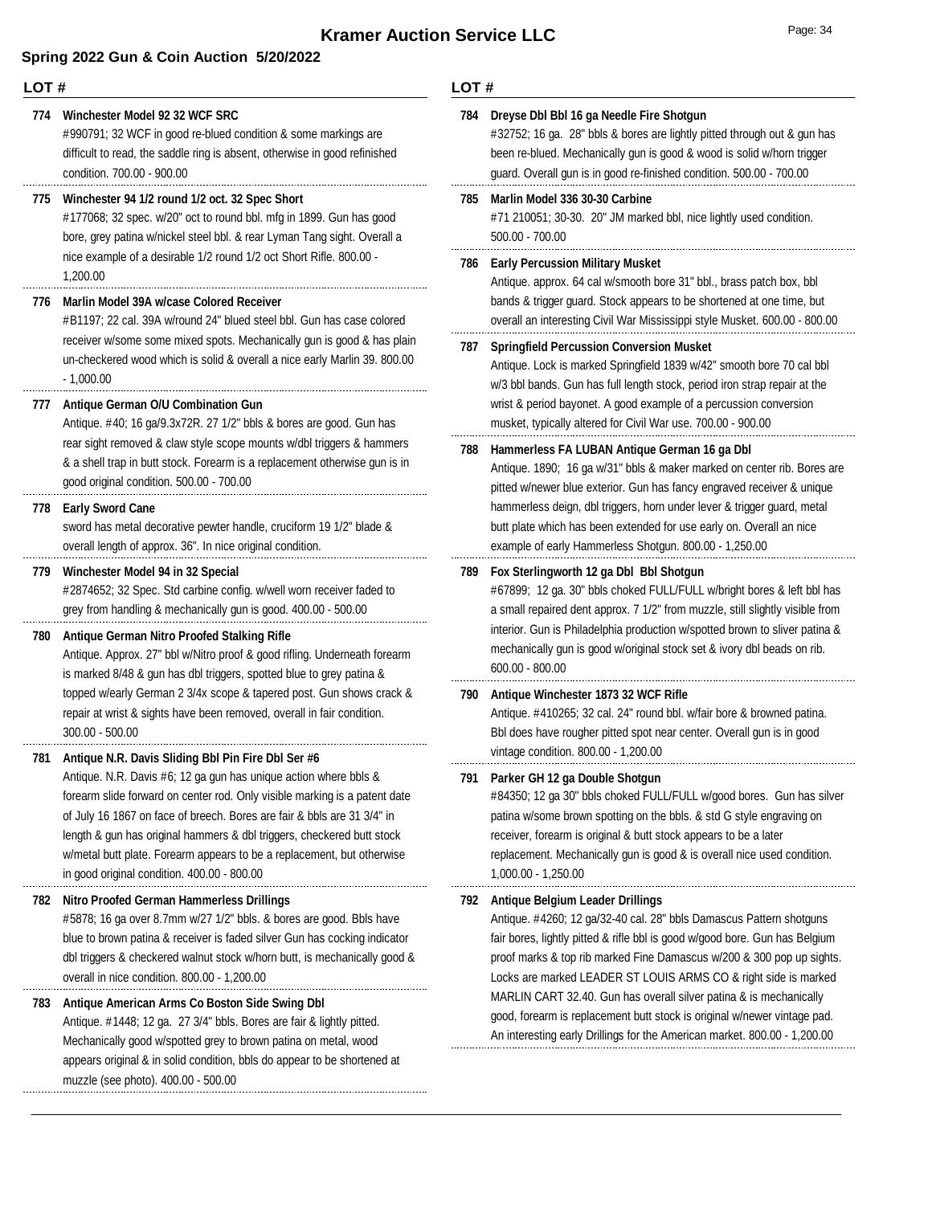#### **LOT #**

#### **774 Winchester Model 92 32 WCF SRC**

#990791; 32 WCF in good re-blued condition & some markings are difficult to read, the saddle ring is absent, otherwise in good refinished condition. 700.00 - 900.00

#### **775 Winchester 94 1/2 round 1/2 oct. 32 Spec Short**

#177068; 32 spec. w/20" oct to round bbl. mfg in 1899. Gun has good bore, grey patina w/nickel steel bbl. & rear Lyman Tang sight. Overall a nice example of a desirable 1/2 round 1/2 oct Short Rifle. 800.00 - 1,200.00

#### **776 Marlin Model 39A w/case Colored Receiver**

#B1197; 22 cal. 39A w/round 24" blued steel bbl. Gun has case colored receiver w/some some mixed spots. Mechanically gun is good & has plain un-checkered wood which is solid & overall a nice early Marlin 39. 800.00  $-1,000.00$ 

#### **777 Antique German O/U Combination Gun**

Antique. #40; 16 ga/9.3x72R. 27 1/2" bbls & bores are good. Gun has rear sight removed & claw style scope mounts w/dbl triggers & hammers & a shell trap in butt stock. Forearm is a replacement otherwise gun is in good original condition. 500.00 - 700.00

#### **778 Early Sword Cane**

sword has metal decorative pewter handle, cruciform 19 1/2" blade & overall length of approx. 36". In nice original condition.

#### **779 Winchester Model 94 in 32 Special**

#2874652; 32 Spec. Std carbine config. w/well worn receiver faded to grey from handling & mechanically gun is good. 400.00 - 500.00

#### **780 Antique German Nitro Proofed Stalking Rifle**

Antique. Approx. 27" bbl w/Nitro proof & good rifling. Underneath forearm is marked 8/48 & gun has dbl triggers, spotted blue to grey patina & topped w/early German 2 3/4x scope & tapered post. Gun shows crack & repair at wrist & sights have been removed, overall in fair condition. 300.00 - 500.00

#### **781 Antique N.R. Davis Sliding Bbl Pin Fire Dbl Ser #6**

Antique. N.R. Davis #6; 12 ga gun has unique action where bbls & forearm slide forward on center rod. Only visible marking is a patent date of July 16 1867 on face of breech. Bores are fair & bbls are 31 3/4" in length & gun has original hammers & dbl triggers, checkered butt stock w/metal butt plate. Forearm appears to be a replacement, but otherwise in good original condition. 400.00 - 800.00

#### **782 Nitro Proofed German Hammerless Drillings**

#5878; 16 ga over 8.7mm w/27 1/2" bbls. & bores are good. Bbls have blue to brown patina & receiver is faded silver Gun has cocking indicator dbl triggers & checkered walnut stock w/horn butt, is mechanically good & overall in nice condition. 800.00 - 1,200.00

#### **783 Antique American Arms Co Boston Side Swing Dbl**

Antique. #1448; 12 ga. 27 3/4" bbls. Bores are fair & lightly pitted. Mechanically good w/spotted grey to brown patina on metal, wood appears original & in solid condition, bbls do appear to be shortened at muzzle (see photo). 400.00 - 500.00

#### **LOT #**

| 784 | Dreyse Dbl Bbl 16 ga Needle Fire Shotgun<br>#32752; 16 ga. 28" bbls & bores are lightly pitted through out & gun has<br>been re-blued. Mechanically gun is good & wood is solid w/horn trigger<br>quard. Overall qun is in good re-finished condition. 500.00 - 700.00                                                                                                                                         |
|-----|----------------------------------------------------------------------------------------------------------------------------------------------------------------------------------------------------------------------------------------------------------------------------------------------------------------------------------------------------------------------------------------------------------------|
| 785 | Marlin Model 336 30-30 Carbine<br>#71 210051; 30-30. 20" JM marked bbl, nice lightly used condition.<br>500.00 - 700.00                                                                                                                                                                                                                                                                                        |
| 786 | <b>Early Percussion Military Musket</b><br>Antique. approx. 64 cal w/smooth bore 31" bbl., brass patch box, bbl<br>bands & trigger guard. Stock appears to be shortened at one time, but<br>overall an interesting Civil War Mississippi style Musket. 600.00 - 800.00                                                                                                                                         |
| 787 | <b>Springfield Percussion Conversion Musket</b><br>Antique. Lock is marked Springfield 1839 w/42" smooth bore 70 cal bbl<br>w/3 bbl bands. Gun has full length stock, period iron strap repair at the<br>wrist & period bayonet. A good example of a percussion conversion<br>musket, typically altered for Civil War use. 700.00 - 900.00                                                                     |
| 788 | Hammerless FA LUBAN Antique German 16 ga Dbl<br>Antique. 1890; 16 ga w/31" bbls & maker marked on center rib. Bores are<br>pitted w/newer blue exterior. Gun has fancy engraved receiver & unique<br>hammerless deign, dbl triggers, horn under lever & trigger guard, metal<br>butt plate which has been extended for use early on. Overall an nice<br>example of early Hammerless Shotgun. 800.00 - 1,250.00 |
| 789 | Fox Sterlingworth 12 ga Dbl Bbl Shotgun<br>#67899; 12 ga. 30" bbls choked FULL/FULL w/bright bores & left bbl has<br>a small repaired dent approx. 7 1/2" from muzzle, still slightly visible from<br>interior. Gun is Philadelphia production w/spotted brown to sliver patina &<br>mechanically gun is good w/original stock set & ivory dbl beads on rib.<br>$600.00 - 800.00$                              |
| 790 | Antique Winchester 1873 32 WCF Rifle<br>Antique. #410265; 32 cal. 24" round bbl. w/fair bore & browned patina.<br>Bbl does have rougher pitted spot near center. Overall gun is in good<br>vintage condition. 800.00 - 1,200.00                                                                                                                                                                                |
| 791 | Parker GH 12 ga Double Shotgun<br>#84350; 12 ga 30" bbls choked FULL/FULL w/good bores. Gun has silver<br>patina w/some brown spotting on the bbls. & std G style engraving on<br>receiver, forearm is original & butt stock appears to be a later<br>replacement. Mechanically gun is good & is overall nice used condition.<br>1.000.00 - 1.250.00                                                           |

#### **792 Antique Belgium Leader Drillings**

Antique. #4260; 12 ga/32-40 cal. 28" bbls Damascus Pattern shotguns fair bores, lightly pitted & rifle bbl is good w/good bore. Gun has Belgium proof marks & top rib marked Fine Damascus w/200 & 300 pop up sights. Locks are marked LEADER ST LOUIS ARMS CO & right side is marked MARLIN CART 32.40. Gun has overall silver patina & is mechanically good, forearm is replacement butt stock is original w/newer vintage pad. An interesting early Drillings for the American market. 800.00 - 1,200.00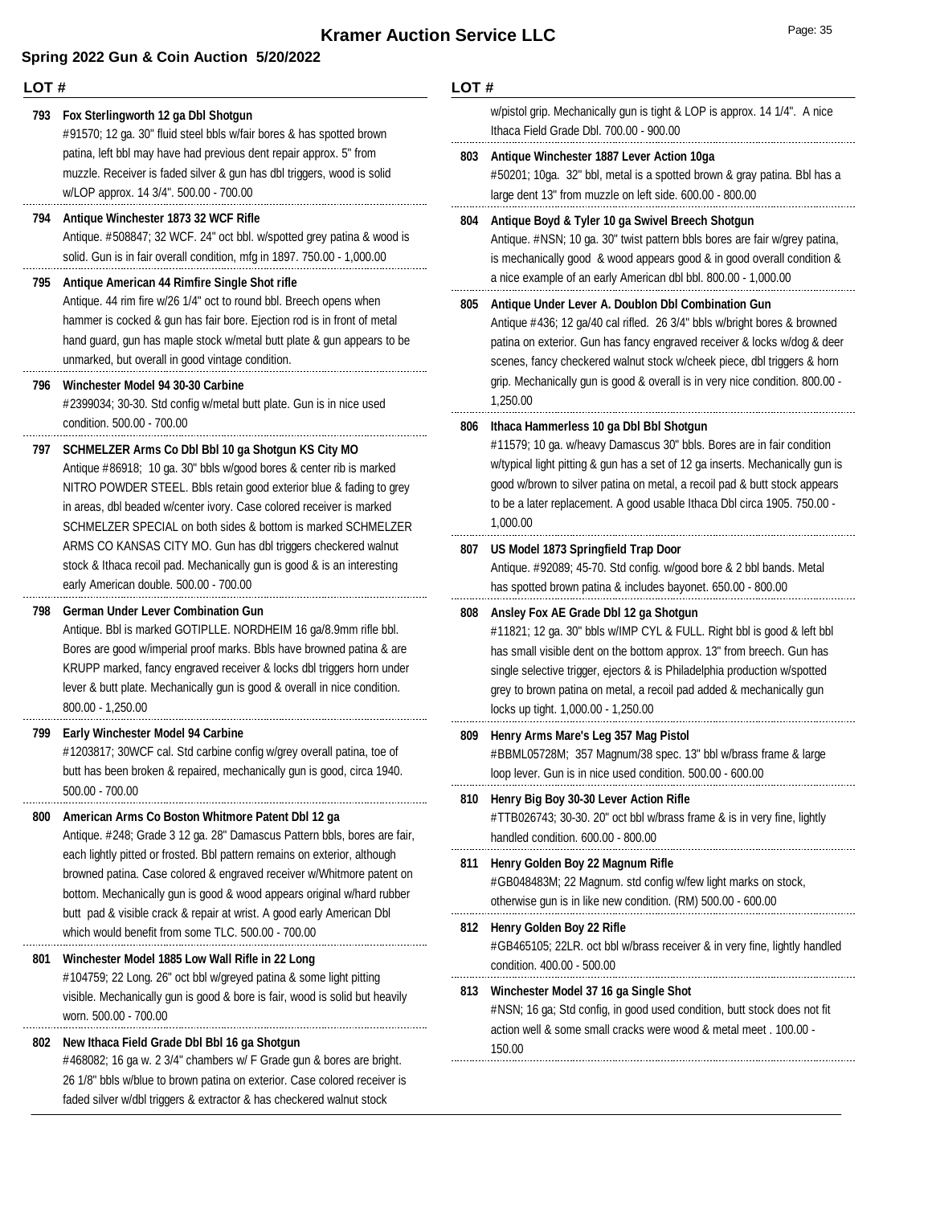### **LOT #**

### **793 Fox Sterlingworth 12 ga Dbl Shotgun**

#91570; 12 ga. 30" fluid steel bbls w/fair bores & has spotted brown patina, left bbl may have had previous dent repair approx. 5" from muzzle. Receiver is faded silver & gun has dbl triggers, wood is solid w/LOP approx. 14 3/4". 500.00 - 700.00

#### **794 Antique Winchester 1873 32 WCF Rifle**

Antique. #508847; 32 WCF. 24" oct bbl. w/spotted grey patina & wood is solid. Gun is in fair overall condition, mfg in 1897. 750.00 - 1,000.00

#### **795 Antique American 44 Rimfire Single Shot rifle**

Antique. 44 rim fire w/26 1/4" oct to round bbl. Breech opens when hammer is cocked & gun has fair bore. Ejection rod is in front of metal hand guard, gun has maple stock w/metal butt plate & gun appears to be unmarked, but overall in good vintage condition.

#### **796 Winchester Model 94 30-30 Carbine**

#2399034; 30-30. Std config w/metal butt plate. Gun is in nice used condition. 500.00 - 700.00

#### **797 SCHMELZER Arms Co Dbl Bbl 10 ga Shotgun KS City MO**

Antique #86918; 10 ga. 30" bbls w/good bores & center rib is marked NITRO POWDER STEEL. Bbls retain good exterior blue & fading to grey in areas, dbl beaded w/center ivory. Case colored receiver is marked SCHMELZER SPECIAL on both sides & bottom is marked SCHMELZER ARMS CO KANSAS CITY MO. Gun has dbl triggers checkered walnut stock & Ithaca recoil pad. Mechanically gun is good & is an interesting early American double. 500.00 - 700.00

### **798 German Under Lever Combination Gun**

Antique. Bbl is marked GOTIPLLE. NORDHEIM 16 ga/8.9mm rifle bbl. Bores are good w/imperial proof marks. Bbls have browned patina & are KRUPP marked, fancy engraved receiver & locks dbl triggers horn under lever & butt plate. Mechanically gun is good & overall in nice condition. 800.00 - 1,250.00

#### **799 Early Winchester Model 94 Carbine**

#1203817; 30WCF cal. Std carbine config w/grey overall patina, toe of butt has been broken & repaired, mechanically gun is good, circa 1940. 500.00 - 700.00

#### **800 American Arms Co Boston Whitmore Patent Dbl 12 ga**

Antique. #248; Grade 3 12 ga. 28" Damascus Pattern bbls, bores are fair, each lightly pitted or frosted. Bbl pattern remains on exterior, although browned patina. Case colored & engraved receiver w/Whitmore patent on bottom. Mechanically gun is good & wood appears original w/hard rubber butt pad & visible crack & repair at wrist. A good early American Dbl which would benefit from some TLC. 500.00 - 700.00

#### #104759; 22 Long. 26" oct bbl w/greyed patina & some light pitting visible. Mechanically gun is good & bore is fair, wood is solid but heavily worn. 500.00 - 700.00 **801 Winchester Model 1885 Low Wall Rifle in 22 Long**

#### **802 New Ithaca Field Grade Dbl Bbl 16 ga Shotgun**

#468082; 16 ga w. 2 3/4" chambers w/ F Grade gun & bores are bright. 26 1/8" bbls w/blue to brown patina on exterior. Case colored receiver is faded silver w/dbl triggers & extractor & has checkered walnut stock

#### **LOT #**

w/pistol grip. Mechanically gun is tight & LOP is approx. 14 1/4". A nice Ithaca Field Grade Dbl. 700.00 - 900.00

#### **803 Antique Winchester 1887 Lever Action 10ga**

#50201; 10ga. 32" bbl, metal is a spotted brown & gray patina. Bbl has a large dent 13" from muzzle on left side. 600.00 - 800.00

### **804 Antique Boyd & Tyler 10 ga Swivel Breech Shotgun**

Antique. #NSN; 10 ga. 30" twist pattern bbls bores are fair w/grey patina, is mechanically good & wood appears good & in good overall condition & a nice example of an early American dbl bbl. 800.00 - 1,000.00

### Antique #436; 12 ga/40 cal rifled. 26 3/4" bbls w/bright bores & browned patina on exterior. Gun has fancy engraved receiver & locks w/dog & deer scenes, fancy checkered walnut stock w/cheek piece, dbl triggers & horn grip. Mechanically gun is good & overall is in very nice condition. 800.00 - **805 Antique Under Lever A. Doublon Dbl Combination Gun**

#### **806 Ithaca Hammerless 10 ga Dbl Bbl Shotgun**

1,250.00

#11579; 10 ga. w/heavy Damascus 30" bbls. Bores are in fair condition w/typical light pitting & gun has a set of 12 ga inserts. Mechanically gun is good w/brown to silver patina on metal, a recoil pad & butt stock appears to be a later replacement. A good usable Ithaca Dbl circa 1905. 750.00 - 1,000.00

#### **807 US Model 1873 Springfield Trap Door**

Antique. #92089; 45-70. Std config. w/good bore & 2 bbl bands. Metal has spotted brown patina & includes bayonet. 650.00 - 800.00

#### **808 Ansley Fox AE Grade Dbl 12 ga Shotgun**

#11821; 12 ga. 30" bbls w/IMP CYL & FULL. Right bbl is good & left bbl has small visible dent on the bottom approx. 13" from breech. Gun has single selective trigger, ejectors & is Philadelphia production w/spotted grey to brown patina on metal, a recoil pad added & mechanically gun locks up tight. 1,000.00 - 1,250.00

#### **809 Henry Arms Mare's Leg 357 Mag Pistol**

#BBML05728M; 357 Magnum/38 spec. 13" bbl w/brass frame & large loop lever. Gun is in nice used condition. 500.00 - 600.00

### #TTB026743; 30-30. 20" oct bbl w/brass frame & is in very fine, lightly **810 Henry Big Boy 30-30 Lever Action Rifle**

handled condition. 600.00 - 800.00

### #GB048483M; 22 Magnum. std config w/few light marks on stock, otherwise gun is in like new condition. (RM) 500.00 - 600.00 **811 Henry Golden Boy 22 Magnum Rifle**

#GB465105; 22LR. oct bbl w/brass receiver & in very fine, lightly handled condition. 400.00 - 500.00 **812 Henry Golden Boy 22 Rifle**

#### **813 Winchester Model 37 16 ga Single Shot**

#NSN; 16 ga; Std config, in good used condition, butt stock does not fit action well & some small cracks were wood & metal meet . 100.00 - 150.00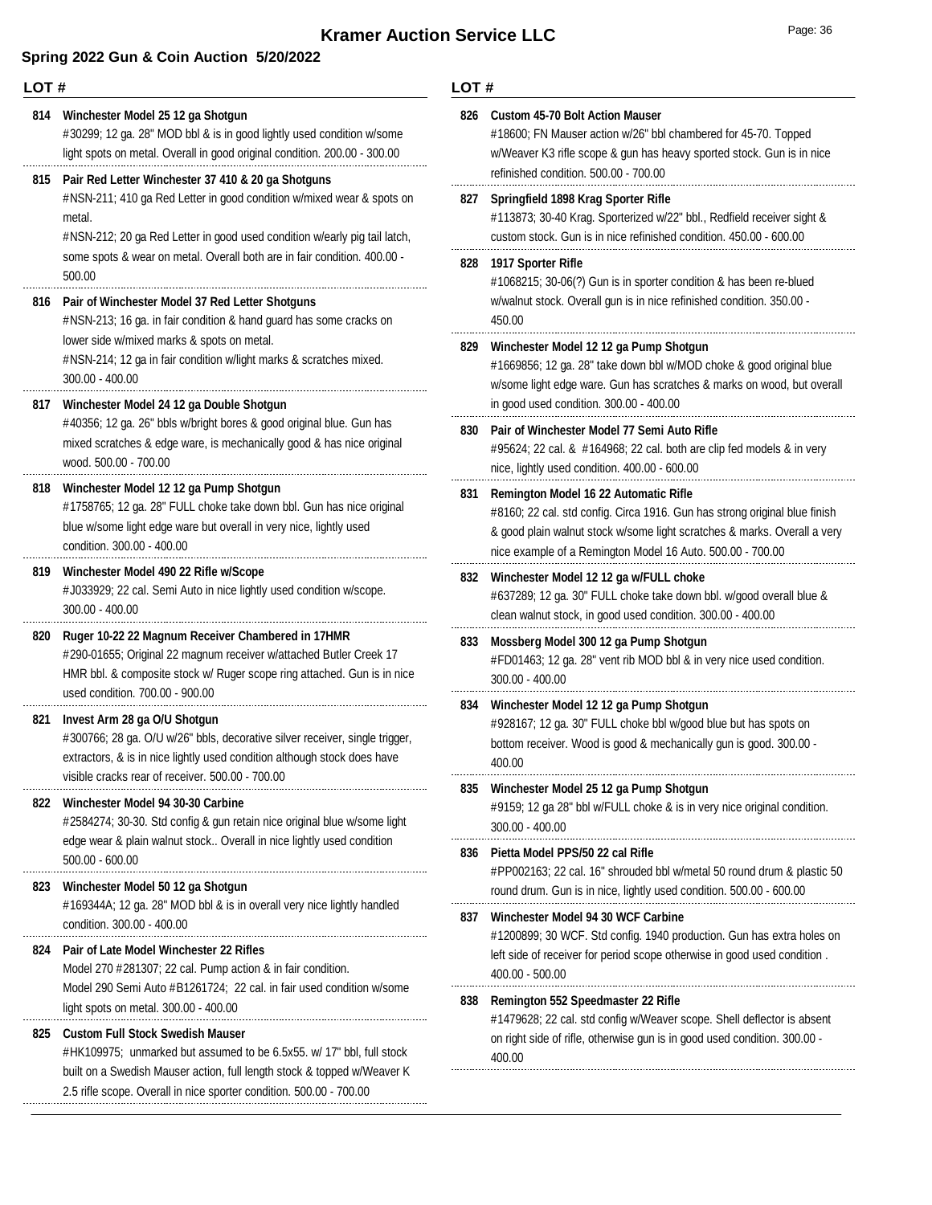| LOT#       |                                                                                                                                                                                                                                               | LOT# |                                                                                                                                                                                                                                                               |  |
|------------|-----------------------------------------------------------------------------------------------------------------------------------------------------------------------------------------------------------------------------------------------|------|---------------------------------------------------------------------------------------------------------------------------------------------------------------------------------------------------------------------------------------------------------------|--|
| 814<br>815 | Winchester Model 25 12 ga Shotgun<br>#30299; 12 ga. 28" MOD bbl & is in good lightly used condition w/some<br>light spots on metal. Overall in good original condition. 200.00 - 300.00<br>Pair Red Letter Winchester 37 410 & 20 ga Shotguns | 826  | <b>Custom 45-70 Bolt Action Mauser</b><br>#18600; FN Mauser action w/26" bbl chambered for 45-70. Topped<br>w/Weaver K3 rifle scope & gun has heavy sported stock. Gun is in nice<br>refinished condition. 500.00 - 700.00                                    |  |
|            | #NSN-211; 410 ga Red Letter in good condition w/mixed wear & spots on<br>metal.<br>#NSN-212; 20 ga Red Letter in good used condition w/early pig tail latch,<br>some spots & wear on metal. Overall both are in fair condition. 400.00 -      |      | 827 Springfield 1898 Krag Sporter Rifle<br>#113873; 30-40 Krag. Sporterized w/22" bbl., Redfield receiver sight &<br>custom stock. Gun is in nice refinished condition. 450.00 - 600.00                                                                       |  |
| 816        | 500.00<br>Pair of Winchester Model 37 Red Letter Shotguns<br>#NSN-213; 16 ga. in fair condition & hand guard has some cracks on                                                                                                               |      | 828 1917 Sporter Rifle<br>#1068215; 30-06(?) Gun is in sporter condition & has been re-blued<br>w/walnut stock. Overall gun is in nice refinished condition. 350.00 -<br>450.00                                                                               |  |
|            | lower side w/mixed marks & spots on metal.<br>#NSN-214; 12 ga in fair condition w/light marks & scratches mixed.<br>$300.00 - 400.00$                                                                                                         |      | 829 Winchester Model 12 12 ga Pump Shotgun<br>#1669856; 12 ga. 28" take down bbl w/MOD choke & good original blue<br>w/some light edge ware. Gun has scratches & marks on wood, but overall                                                                   |  |
|            | 817 Winchester Model 24 12 ga Double Shotgun<br>#40356; 12 ga. 26" bbls w/bright bores & good original blue. Gun has<br>mixed scratches & edge ware, is mechanically good & has nice original<br>wood. 500.00 - 700.00                        | 830  | in good used condition. 300.00 - 400.00<br>Pair of Winchester Model 77 Semi Auto Rifle<br>#95624; 22 cal. & #164968; 22 cal. both are clip fed models & in very<br>nice, lightly used condition. 400.00 - 600.00                                              |  |
| 818        | Winchester Model 12 12 ga Pump Shotgun<br>#1758765; 12 ga. 28" FULL choke take down bbl. Gun has nice original<br>blue w/some light edge ware but overall in very nice, lightly used<br>condition. 300.00 - 400.00                            | 831  | Remington Model 16 22 Automatic Rifle<br>#8160; 22 cal. std config. Circa 1916. Gun has strong original blue finish<br>& good plain walnut stock w/some light scratches & marks. Overall a very<br>nice example of a Remington Model 16 Auto. 500.00 - 700.00 |  |
| 819        | Winchester Model 490 22 Rifle w/Scope<br># J033929; 22 cal. Semi Auto in nice lightly used condition w/scope.<br>300.00 - 400.00                                                                                                              | 832  | Winchester Model 12 12 ga w/FULL choke<br>#637289; 12 ga. 30" FULL choke take down bbl. w/good overall blue &<br>clean walnut stock, in good used condition. 300.00 - 400.00                                                                                  |  |
| 820        | Ruger 10-22 22 Magnum Receiver Chambered in 17HMR<br>#290-01655; Original 22 magnum receiver w/attached Butler Creek 17<br>HMR bbl. & composite stock w/ Ruger scope ring attached. Gun is in nice<br>used condition. 700.00 - 900.00         | 833  | Mossberg Model 300 12 ga Pump Shotgun<br>#FD01463; 12 ga. 28" vent rib MOD bbl & in very nice used condition.<br>300.00 - 400.00                                                                                                                              |  |
|            | 821 Invest Arm 28 ga O/U Shotgun<br>#300766; 28 ga. O/U w/26" bbls, decorative silver receiver, single trigger,<br>extractors, & is in nice lightly used condition although stock does have                                                   | 834  | Winchester Model 12 12 ga Pump Shotgun<br>#928167; 12 ga. 30" FULL choke bbl w/good blue but has spots on<br>bottom receiver. Wood is good & mechanically gun is good. 300.00 -<br>400.00                                                                     |  |
|            | visible cracks rear of receiver. 500.00 - 700.00<br>822 Winchester Model 94 30-30 Carbine<br>#2584274; 30-30. Std config & gun retain nice original blue w/some light                                                                         |      | Winchester Model 25 12 ga Pump Shotgun<br>#9159; 12 ga 28" bbl w/FULL choke & is in very nice original condition.<br>$300.00 - 400.00$                                                                                                                        |  |
|            | edge wear & plain walnut stock Overall in nice lightly used condition<br>$500.00 - 600.00$<br>823 Winchester Model 50 12 ga Shotgun                                                                                                           | 836  | Pietta Model PPS/50 22 cal Rifle<br>#PP002163; 22 cal. 16" shrouded bbl w/metal 50 round drum & plastic 50<br>round drum. Gun is in nice, lightly used condition. 500.00 - 600.00                                                                             |  |
|            | #169344A; 12 ga. 28" MOD bbl & is in overall very nice lightly handled<br>condition. 300.00 - 400.00<br>Pair of Late Model Winchester 22 Rifles                                                                                               | 837  | Winchester Model 94 30 WCF Carbine<br>#1200899; 30 WCF. Std config. 1940 production. Gun has extra holes on                                                                                                                                                   |  |
| 824        | Model 270 #281307; 22 cal. Pump action & in fair condition.<br>Model 290 Semi Auto #B1261724; 22 cal. in fair used condition w/some                                                                                                           | 838  | left side of receiver for period scope otherwise in good used condition.<br>400.00 - 500.00<br>Remington 552 Speedmaster 22 Rifle                                                                                                                             |  |
| 825        | light spots on metal. 300.00 - 400.00<br><b>Custom Full Stock Swedish Mauser</b><br>#HK109975; unmarked but assumed to be 6.5x55. w/ 17" bbl, full stock<br>built on a Swedish Mauser action, full length stock & topped w/Weaver K           |      | #1479628; 22 cal. std config w/Weaver scope. Shell deflector is absent<br>on right side of rifle, otherwise gun is in good used condition. 300.00 -<br>400.00                                                                                                 |  |
|            | 2.5 rifle scope. Overall in nice sporter condition. 500.00 - 700.00                                                                                                                                                                           |      |                                                                                                                                                                                                                                                               |  |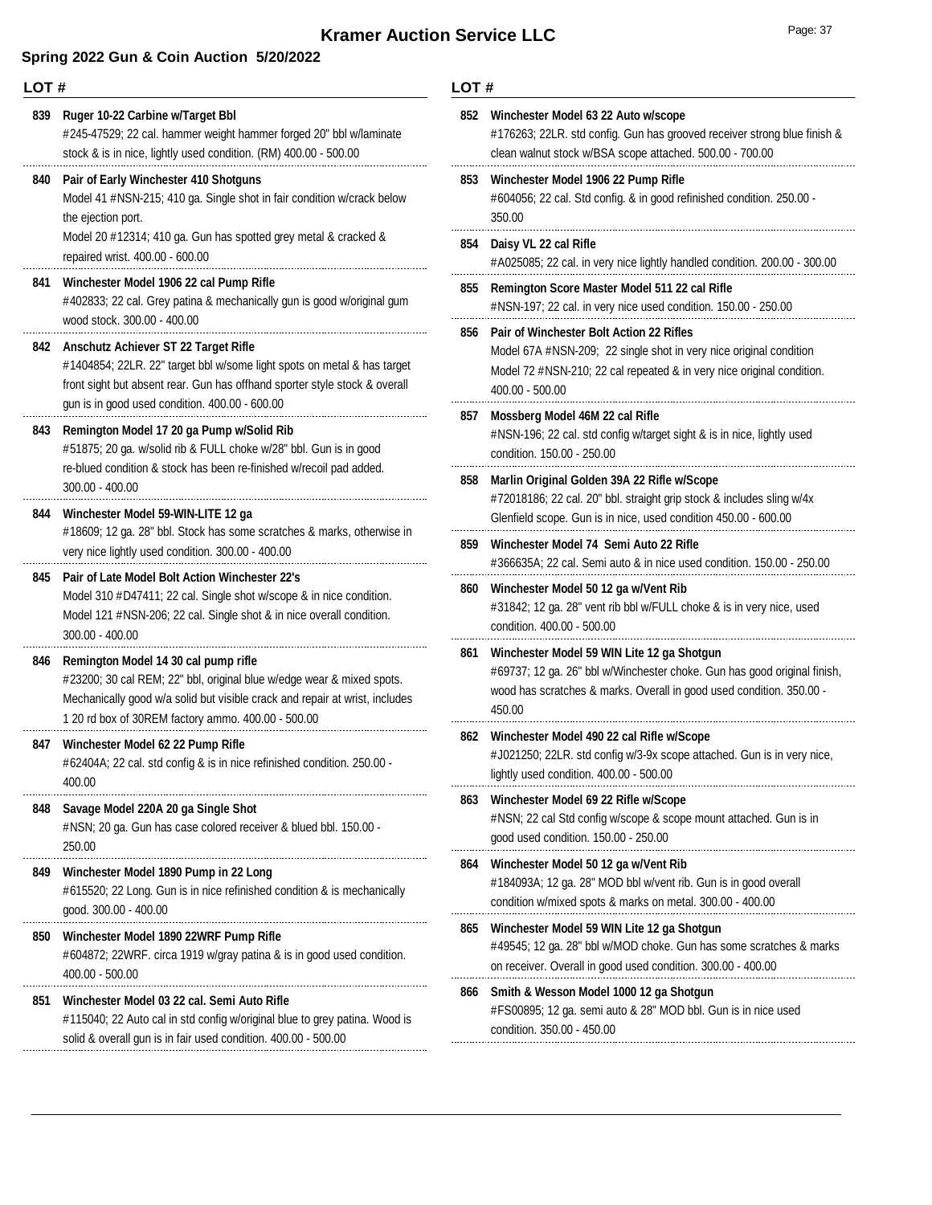| LOT# |                                                                                                                                                                                                                                                     |     | LOT#                                                                                                                                                                                                              |  |  |
|------|-----------------------------------------------------------------------------------------------------------------------------------------------------------------------------------------------------------------------------------------------------|-----|-------------------------------------------------------------------------------------------------------------------------------------------------------------------------------------------------------------------|--|--|
| 839  | Ruger 10-22 Carbine w/Target Bbl<br>#245-47529; 22 cal. hammer weight hammer forged 20" bbl w/laminate<br>stock & is in nice, lightly used condition. (RM) 400.00 - 500.00                                                                          |     | 852 Winchester Model 63 22 Auto w/scope<br>#176263; 22LR. std config. Gun has grooved receiver strong blue finish &<br>clean walnut stock w/BSA scope attached. 500.00 - 700.00                                   |  |  |
| 840  | Pair of Early Winchester 410 Shotguns<br>Model 41 #NSN-215; 410 ga. Single shot in fair condition w/crack below<br>the ejection port.                                                                                                               |     | 853 Winchester Model 1906 22 Pump Rifle<br>#604056; 22 cal. Std config. & in good refinished condition. 250.00 -<br>350.00                                                                                        |  |  |
|      | Model 20 #12314; 410 ga. Gun has spotted grey metal & cracked &<br>repaired wrist. 400.00 - 600.00                                                                                                                                                  |     | 854 Daisy VL 22 cal Rifle<br>#A025085; 22 cal. in very nice lightly handled condition. 200.00 - 300.00                                                                                                            |  |  |
|      | 841 Winchester Model 1906 22 cal Pump Rifle<br>#402833; 22 cal. Grey patina & mechanically gun is good w/original gum<br>wood stock. 300.00 - 400.00                                                                                                | 855 | Remington Score Master Model 511 22 cal Rifle<br>#NSN-197; 22 cal. in very nice used condition. 150.00 - 250.00                                                                                                   |  |  |
|      | 842 Anschutz Achiever ST 22 Target Rifle<br>#1404854; 22LR. 22" target bbl w/some light spots on metal & has target<br>front sight but absent rear. Gun has offhand sporter style stock & overall<br>gun is in good used condition. 400.00 - 600.00 | 856 | <b>Pair of Winchester Bolt Action 22 Rifles</b><br>Model 67A #NSN-209; 22 single shot in very nice original condition<br>Model 72 #NSN-210; 22 cal repeated & in very nice original condition.<br>400.00 - 500.00 |  |  |
| 843  | Remington Model 17 20 ga Pump w/Solid Rib<br>#51875; 20 ga. w/solid rib & FULL choke w/28" bbl. Gun is in good<br>re-blued condition & stock has been re-finished w/recoil pad added.                                                               |     | 857 Mossberg Model 46M 22 cal Rifle<br>#NSN-196; 22 cal. std config w/target sight & is in nice, lightly used<br>condition. 150.00 - 250.00                                                                       |  |  |
| 844  | $300.00 - 400.00$<br>Winchester Model 59-WIN-LITE 12 ga                                                                                                                                                                                             | 858 | Marlin Original Golden 39A 22 Rifle w/Scope<br>#72018186; 22 cal. 20" bbl. straight grip stock & includes sling w/4x<br>Glenfield scope. Gun is in nice, used condition 450.00 - 600.00                           |  |  |
|      | #18609; 12 ga. 28" bbl. Stock has some scratches & marks, otherwise in<br>very nice lightly used condition. 300.00 - 400.00                                                                                                                         | 859 | Winchester Model 74 Semi Auto 22 Rifle<br>#366635A; 22 cal. Semi auto & in nice used condition. 150.00 - 250.00                                                                                                   |  |  |
| 845  | <b>Pair of Late Model Bolt Action Winchester 22's</b><br>Model 310 #D47411; 22 cal. Single shot w/scope & in nice condition.<br>Model 121 #NSN-206; 22 cal. Single shot & in nice overall condition.<br>$300.00 - 400.00$                           | 860 | Winchester Model 50 12 ga w/Vent Rib<br>#31842; 12 ga. 28" vent rib bbl w/FULL choke & is in very nice, used<br>condition. 400.00 - 500.00                                                                        |  |  |
| 846  | Remington Model 14 30 cal pump rifle<br>#23200; 30 cal REM; 22" bbl, original blue w/edge wear & mixed spots.<br>Mechanically good w/a solid but visible crack and repair at wrist, includes<br>1 20 rd box of 30REM factory ammo. 400.00 - 500.00  | 861 | Winchester Model 59 WIN Lite 12 ga Shotgun<br>#69737; 12 ga. 26" bbl w/Winchester choke. Gun has good original finish,<br>wood has scratches & marks. Overall in good used condition. 350.00 -<br>450.00          |  |  |
|      | 847 Winchester Model 62 22 Pump Rifle<br>#62404A; 22 cal. std config & is in nice refinished condition. 250.00 -<br>400.00                                                                                                                          |     | 862 Winchester Model 490 22 cal Rifle w/Scope<br>#J021250; 22LR. std config w/3-9x scope attached. Gun is in very nice,<br>lightly used condition. 400.00 - 500.00                                                |  |  |
| 848  | Savage Model 220A 20 ga Single Shot<br>#NSN; 20 ga. Gun has case colored receiver & blued bbl. 150.00 -<br>250.00                                                                                                                                   | 863 | Winchester Model 69 22 Rifle w/Scope<br>#NSN; 22 cal Std config w/scope & scope mount attached. Gun is in<br>good used condition. 150.00 - 250.00                                                                 |  |  |
| 849  | Winchester Model 1890 Pump in 22 Long<br>#615520; 22 Long. Gun is in nice refinished condition & is mechanically<br>good. 300.00 - 400.00                                                                                                           | 864 | Winchester Model 50 12 ga w/Vent Rib<br>#184093A; 12 ga. 28" MOD bbl w/vent rib. Gun is in good overall<br>condition w/mixed spots & marks on metal. 300.00 - 400.00                                              |  |  |
| 850  | Winchester Model 1890 22WRF Pump Rifle<br>#604872; 22WRF. circa 1919 w/gray patina & is in good used condition.<br>$400.00 - 500.00$                                                                                                                | 865 | Winchester Model 59 WIN Lite 12 ga Shotgun<br>#49545; 12 ga. 28" bbl w/MOD choke. Gun has some scratches & marks<br>on receiver. Overall in good used condition. 300.00 - 400.00                                  |  |  |
| 851  | Winchester Model 03 22 cal. Semi Auto Rifle<br>#115040; 22 Auto cal in std config w/original blue to grey patina. Wood is<br>solid & overall gun is in fair used condition. 400.00 - 500.00                                                         |     | 866 Smith & Wesson Model 1000 12 ga Shotgun<br>#FS00895; 12 ga. semi auto & 28" MOD bbl. Gun is in nice used<br>condition. 350.00 - 450.00                                                                        |  |  |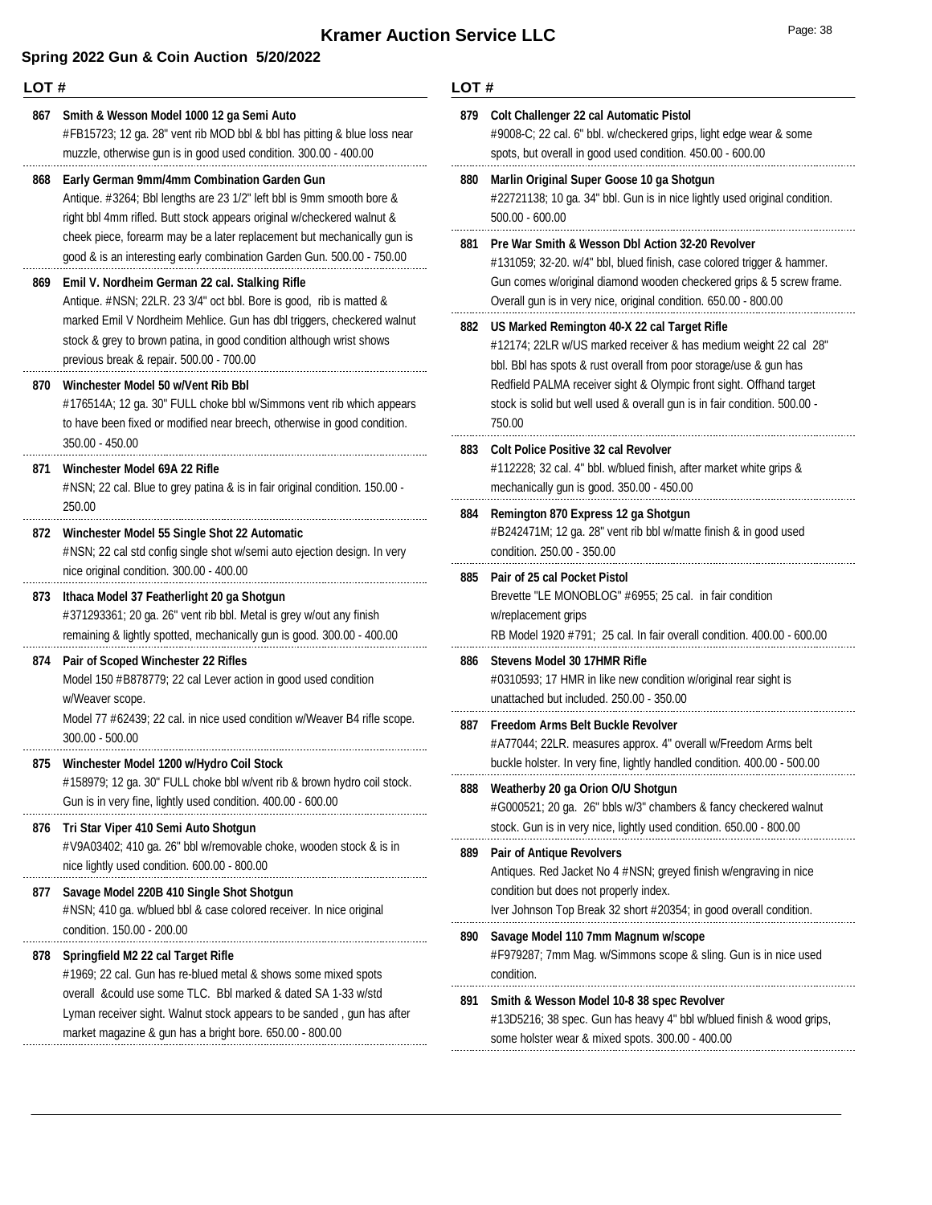|     | LOT#                                                                                                                                                                                                                                                                                                                                      |     | LOT#                                                                                                                                                                                                                                                                              |  |  |
|-----|-------------------------------------------------------------------------------------------------------------------------------------------------------------------------------------------------------------------------------------------------------------------------------------------------------------------------------------------|-----|-----------------------------------------------------------------------------------------------------------------------------------------------------------------------------------------------------------------------------------------------------------------------------------|--|--|
|     | 867 Smith & Wesson Model 1000 12 ga Semi Auto<br>#FB15723; 12 ga. 28" vent rib MOD bbl & bbl has pitting & blue loss near<br>muzzle, otherwise gun is in good used condition. 300.00 - 400.00                                                                                                                                             | 879 | Colt Challenger 22 cal Automatic Pistol<br>#9008-C; 22 cal. 6" bbl. w/checkered grips, light edge wear & some<br>spots, but overall in good used condition. 450.00 - 600.00                                                                                                       |  |  |
| 868 | Early German 9mm/4mm Combination Garden Gun<br>Antique. #3264; Bbl lengths are 23 1/2" left bbl is 9mm smooth bore &<br>right bbl 4mm rifled. Butt stock appears original w/checkered walnut &                                                                                                                                            | 880 | Marlin Original Super Goose 10 ga Shotgun<br>#22721138; 10 ga. 34" bbl. Gun is in nice lightly used original condition.<br>500.00 - 600.00                                                                                                                                        |  |  |
|     | cheek piece, forearm may be a later replacement but mechanically gun is<br>good & is an interesting early combination Garden Gun. 500.00 - 750.00                                                                                                                                                                                         | 881 | <b>Pre War Smith &amp; Wesson Dbl Action 32-20 Revolver</b><br>#131059; 32-20. w/4" bbl, blued finish, case colored trigger & hammer.<br>Gun comes w/original diamond wooden checkered grips & 5 screw frame.<br>Overall gun is in very nice, original condition. 650.00 - 800.00 |  |  |
|     | 869 Emil V. Nordheim German 22 cal. Stalking Rifle<br>Antique. #NSN; 22LR. 23 3/4" oct bbl. Bore is good, rib is matted &                                                                                                                                                                                                                 |     |                                                                                                                                                                                                                                                                                   |  |  |
|     | marked Emil V Nordheim Mehlice. Gun has dbl triggers, checkered walnut<br>stock & grey to brown patina, in good condition although wrist shows<br>previous break & repair. 500.00 - 700.00                                                                                                                                                |     | 882 US Marked Remington 40-X 22 cal Target Rifle<br>#12174; 22LR w/US marked receiver & has medium weight 22 cal 28"<br>bbl. Bbl has spots & rust overall from poor storage/use & gun has                                                                                         |  |  |
| 870 | Winchester Model 50 w/Vent Rib Bbl<br>#176514A; 12 ga. 30" FULL choke bbl w/Simmons vent rib which appears<br>to have been fixed or modified near breech, otherwise in good condition.                                                                                                                                                    |     | Redfield PALMA receiver sight & Olympic front sight. Offhand target<br>stock is solid but well used & overall gun is in fair condition. 500.00 -<br>750.00                                                                                                                        |  |  |
| 871 | 350.00 - 450.00<br>Winchester Model 69A 22 Rifle<br>#NSN; 22 cal. Blue to grey patina & is in fair original condition. 150.00 -                                                                                                                                                                                                           | 883 | <b>Colt Police Positive 32 cal Revolver</b><br>#112228; 32 cal. 4" bbl. w/blued finish, after market white grips &<br>mechanically gun is good. 350.00 - 450.00                                                                                                                   |  |  |
|     | 250.00<br>872 Winchester Model 55 Single Shot 22 Automatic<br>#NSN; 22 cal std config single shot w/semi auto ejection design. In very                                                                                                                                                                                                    | 884 | Remington 870 Express 12 ga Shotgun<br>#B242471M; 12 ga. 28" vent rib bbl w/matte finish & in good used<br>condition. 250.00 - 350.00                                                                                                                                             |  |  |
|     | nice original condition. 300.00 - 400.00<br>873 Ithaca Model 37 Featherlight 20 ga Shotgun<br>#371293361; 20 ga. 26" vent rib bbl. Metal is grey w/out any finish<br>remaining & lightly spotted, mechanically gun is good. 300.00 - 400.00                                                                                               | 885 | <b>Pair of 25 cal Pocket Pistol</b><br>Brevette "LE MONOBLOG" #6955; 25 cal. in fair condition<br>w/replacement grips<br>RB Model 1920 #791; 25 cal. In fair overall condition. 400.00 - 600.00                                                                                   |  |  |
| 874 | Pair of Scoped Winchester 22 Rifles<br>Model 150 #B878779; 22 cal Lever action in good used condition<br>w/Weaver scope.                                                                                                                                                                                                                  | 886 | Stevens Model 30 17HMR Rifle<br>#0310593; 17 HMR in like new condition w/original rear sight is<br>unattached but included. 250.00 - 350.00                                                                                                                                       |  |  |
|     | Model 77 #62439; 22 cal. in nice used condition w/Weaver B4 rifle scope.<br>$300.00 - 500.00$                                                                                                                                                                                                                                             | 887 | Freedom Arms Belt Buckle Revolver<br>#A77044; 22LR. measures approx. 4" overall w/Freedom Arms belt                                                                                                                                                                               |  |  |
|     | 875 Winchester Model 1200 w/Hydro Coil Stock<br>#158979; 12 ga. 30" FULL choke bbl w/vent rib & brown hydro coil stock.<br>Gun is in very fine, lightly used condition. 400.00 - 600.00                                                                                                                                                   | 888 | buckle holster. In very fine, lightly handled condition. 400.00 - 500.00<br>Weatherby 20 ga Orion O/U Shotgun<br>#G000521; 20 ga. 26" bbls w/3" chambers & fancy checkered walnut                                                                                                 |  |  |
| 876 | Tri Star Viper 410 Semi Auto Shotgun<br>#V9A03402; 410 ga. 26" bbl w/removable choke, wooden stock & is in                                                                                                                                                                                                                                | 889 | stock. Gun is in very nice, lightly used condition. 650.00 - 800.00<br><b>Pair of Antique Revolvers</b>                                                                                                                                                                           |  |  |
| 877 | nice lightly used condition. 600.00 - 800.00<br>Savage Model 220B 410 Single Shot Shotgun<br>#NSN; 410 ga. w/blued bbl & case colored receiver. In nice original                                                                                                                                                                          |     | Antiques. Red Jacket No 4 # NSN; greyed finish w/engraving in nice<br>condition but does not properly index.<br>Iver Johnson Top Break 32 short #20354; in good overall condition.                                                                                                |  |  |
| 878 | condition. 150.00 - 200.00<br>Springfield M2 22 cal Target Rifle<br>#1969; 22 cal. Gun has re-blued metal & shows some mixed spots<br>overall &could use some TLC. Bbl marked & dated SA 1-33 w/std<br>Lyman receiver sight. Walnut stock appears to be sanded, gun has after<br>market magazine & gun has a bright bore. 650.00 - 800.00 | 890 | Savage Model 110 7mm Magnum w/scope<br>#F979287; 7mm Mag. w/Simmons scope & sling. Gun is in nice used<br>condition.                                                                                                                                                              |  |  |
|     |                                                                                                                                                                                                                                                                                                                                           | 891 | Smith & Wesson Model 10-8 38 spec Revolver<br>#13D5216; 38 spec. Gun has heavy 4" bbl w/blued finish & wood grips,<br>some holster wear & mixed spots. 300.00 - 400.00                                                                                                            |  |  |
|     |                                                                                                                                                                                                                                                                                                                                           |     |                                                                                                                                                                                                                                                                                   |  |  |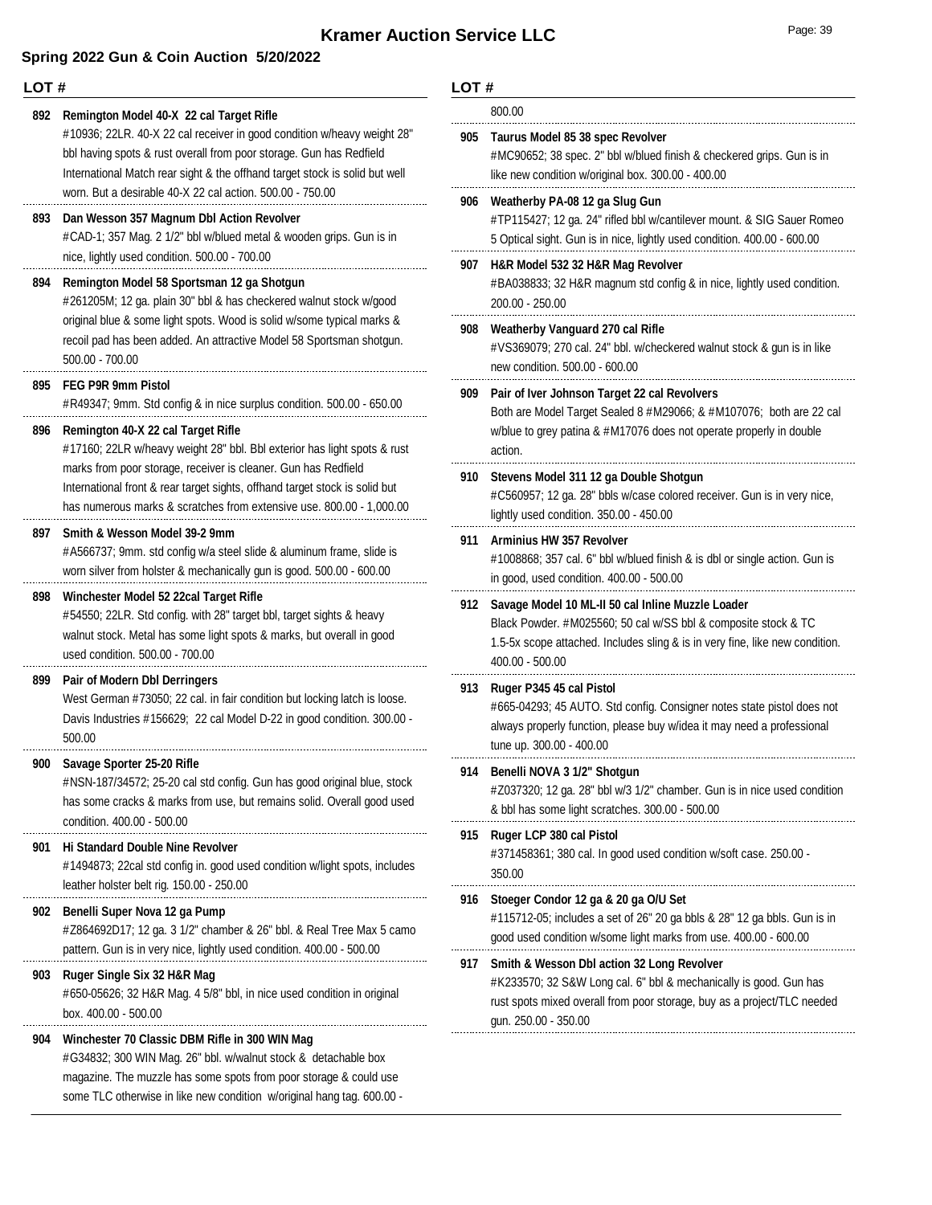### **Spring 2022 Gun & Coin Auction 5/20/2022**

#### **LOT #**

**892 Remington Model 40-X 22 cal Target Rifle** #10936; 22LR. 40-X 22 cal receiver in good condition w/heavy weight 28" bbl having spots & rust overall from poor storage. Gun has Redfield International Match rear sight & the offhand target stock is solid but well worn. But a desirable 40-X 22 cal action. 500.00 - 750.00 **893 Dan Wesson 357 Magnum Dbl Action Revolver** #CAD-1; 357 Mag. 2 1/2" bbl w/blued metal & wooden grips. Gun is in nice, lightly used condition. 500.00 - 700.00 **894 Remington Model 58 Sportsman 12 ga Shotgun** #261205M; 12 ga. plain 30" bbl & has checkered walnut stock w/good original blue & some light spots. Wood is solid w/some typical marks & recoil pad has been added. An attractive Model 58 Sportsman shotgun. 500.00 - 700.00 **895 FEG P9R 9mm Pistol** #R49347; 9mm. Std config & in nice surplus condition. 500.00 - 650.00 **896 Remington 40-X 22 cal Target Rifle** #17160; 22LR w/heavy weight 28" bbl. Bbl exterior has light spots & rust marks from poor storage, receiver is cleaner. Gun has Redfield International front & rear target sights, offhand target stock is solid but has numerous marks & scratches from extensive use. 800.00 - 1,000.00 **897 Smith & Wesson Model 39-2 9mm** #A566737; 9mm. std config w/a steel slide & aluminum frame, slide is worn silver from holster & mechanically gun is good. 500.00 - 600.00 **898 Winchester Model 52 22cal Target Rifle** #54550; 22LR. Std config. with 28" target bbl, target sights & heavy walnut stock. Metal has some light spots & marks, but overall in good used condition. 500.00 - 700.00 **899 Pair of Modern Dbl Derringers** West German #73050; 22 cal. in fair condition but locking latch is loose. Davis Industries #156629; 22 cal Model D-22 in good condition. 300.00 - 500.00 **900 Savage Sporter 25-20 Rifle** #NSN-187/34572; 25-20 cal std config. Gun has good original blue, stock has some cracks & marks from use, but remains solid. Overall good used condition. 400.00 - 500.00 **901 Hi Standard Double Nine Revolver** #1494873; 22cal std config in. good used condition w/light spots, includes leather holster belt rig. 150.00 - 250.00 **902 Benelli Super Nova 12 ga Pump** #Z864692D17; 12 ga. 3 1/2" chamber & 26" bbl. & Real Tree Max 5 camo pattern. Gun is in very nice, lightly used condition. 400.00 - 500.00 **903 Ruger Single Six 32 H&R Mag** #650-05626; 32 H&R Mag. 4 5/8" bbl, in nice used condition in original box. 400.00 - 500.00 **904 Winchester 70 Classic DBM Rifle in 300 WIN Mag** #G34832; 300 WIN Mag. 26" bbl. w/walnut stock & detachable box magazine. The muzzle has some spots from poor storage & could use

some TLC otherwise in like new condition w/original hang tag. 600.00 -

|     | 800.00                                                                                                                                                                                                                   |
|-----|--------------------------------------------------------------------------------------------------------------------------------------------------------------------------------------------------------------------------|
| 905 | Taurus Model 85 38 spec Revolver<br>#MC90652; 38 spec. 2" bbl w/blued finish & checkered grips. Gun is in<br>like new condition w/original box. 300.00 - 400.00                                                          |
| 906 | Weatherby PA-08 12 ga Slug Gun<br>#TP115427; 12 ga. 24" rifled bbl w/cantilever mount. & SIG Sauer Romeo<br>5 Optical sight. Gun is in nice, lightly used condition. 400.00 - 600.00                                     |
| 907 | H&R Model 532 32 H&R Mag Revolver<br>#BA038833; 32 H&R magnum std config & in nice, lightly used condition.<br>200.00 - 250.00                                                                                           |
| 908 | Weatherby Vanguard 270 cal Rifle<br>#VS369079; 270 cal. 24" bbl. w/checkered walnut stock & gun is in like<br>new condition. 500.00 - 600.00                                                                             |
| 909 | Pair of Iver Johnson Target 22 cal Revolvers<br>Both are Model Target Sealed 8 #M29066; & #M107076; both are 22 cal<br>w/blue to grey patina & #M17076 does not operate properly in double<br>action.                    |
| 910 | Stevens Model 311 12 ga Double Shotgun<br>#C560957; 12 ga. 28" bbls w/case colored receiver. Gun is in very nice,<br>lightly used condition. 350.00 - 450.00                                                             |
| 911 | <b>Arminius HW 357 Revolver</b><br>#1008868; 357 cal. 6" bbl w/blued finish & is dbl or single action. Gun is<br>in good, used condition. 400.00 - 500.00                                                                |
| 912 | Savage Model 10 ML-II 50 cal Inline Muzzle Loader<br>Black Powder. #M025560; 50 cal w/SS bbl & composite stock & TC<br>1.5-5x scope attached. Includes sling & is in very fine, like new condition.<br>$400.00 - 500.00$ |
| 913 | Ruger P345 45 cal Pistol<br>#665-04293; 45 AUTO. Std config. Consigner notes state pistol does not<br>always properly function, please buy w/idea it may need a professional<br>tune up. 300.00 - 400.00                 |
| 914 | Benelli NOVA 3 1/2" Shotgun<br>#Z037320; 12 ga. 28" bbl w/3 1/2" chamber. Gun is in nice used condition<br>& bbl has some light scratches. 300.00 - 500.00                                                               |
| 915 | Ruger LCP 380 cal Pistol<br>#371458361; 380 cal. In good used condition w/soft case. 250.00 -<br>350.00                                                                                                                  |
| 916 | Stoeger Condor 12 ga & 20 ga O/U Set<br>#115712-05; includes a set of 26" 20 ga bbls & 28" 12 ga bbls. Gun is in<br>good used condition w/some light marks from use. 400.00 - 600.00                                     |
| 917 | Smith & Wesson Dbl action 32 Long Revolver<br>#K233570; 32 S&W Long cal. 6" bbl & mechanically is good. Gun has<br>rust spots mixed overall from poor storage, buy as a project/TLC needed<br>gun. 250.00 - 350.00       |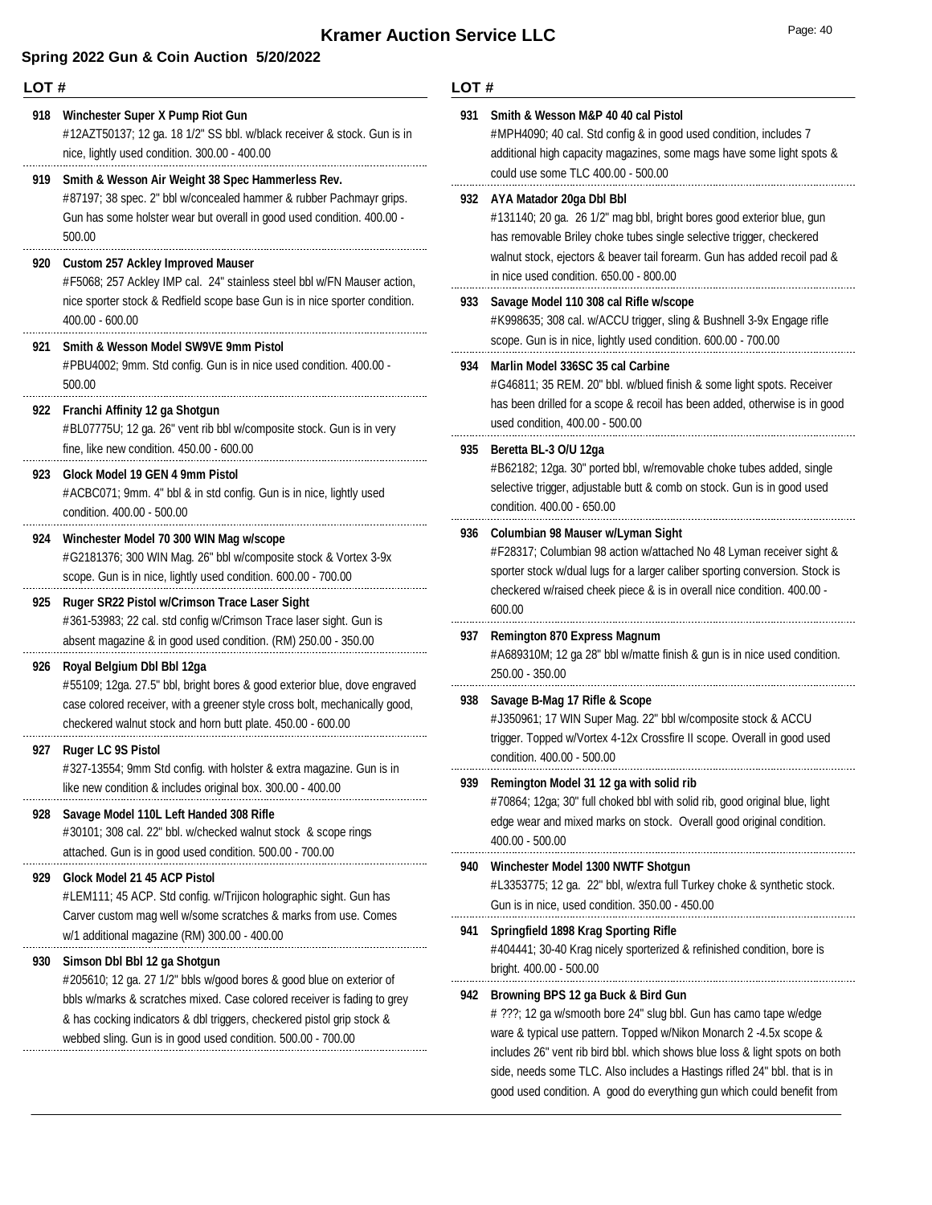### **Spring 2022 Gun & Coin Auction 5/20/2022**

|            | LOT#                                                                                                                                                                                                                                                                                      |     | LOT#                                                                                                                                                                                                                                                                                                                                                                 |  |  |
|------------|-------------------------------------------------------------------------------------------------------------------------------------------------------------------------------------------------------------------------------------------------------------------------------------------|-----|----------------------------------------------------------------------------------------------------------------------------------------------------------------------------------------------------------------------------------------------------------------------------------------------------------------------------------------------------------------------|--|--|
| 918<br>919 | Winchester Super X Pump Riot Gun<br>#12AZT50137; 12 ga. 18 1/2" SS bbl. w/black receiver & stock. Gun is in<br>nice, lightly used condition. 300.00 - 400.00<br>Smith & Wesson Air Weight 38 Spec Hammerless Rev.                                                                         | 931 | Smith & Wesson M&P 40 40 cal Pistol<br>#MPH4090; 40 cal. Std config & in good used condition, includes 7<br>additional high capacity magazines, some mags have some light spots &<br>could use some TLC 400.00 - 500.00                                                                                                                                              |  |  |
|            | #87197; 38 spec. 2" bbl w/concealed hammer & rubber Pachmayr grips.<br>Gun has some holster wear but overall in good used condition. 400.00 -<br>500.00                                                                                                                                   |     | 932 AYA Matador 20ga Dbl Bbl<br>#131140; 20 ga. 26 1/2" mag bbl, bright bores good exterior blue, gun<br>has removable Briley choke tubes single selective trigger, checkered<br>walnut stock, ejectors & beaver tail forearm. Gun has added recoil pad &<br>in nice used condition. 650.00 - 800.00                                                                 |  |  |
| 920        | <b>Custom 257 Ackley Improved Mauser</b><br>#F5068; 257 Ackley IMP cal. 24" stainless steel bbl w/FN Mauser action,                                                                                                                                                                       |     |                                                                                                                                                                                                                                                                                                                                                                      |  |  |
|            | nice sporter stock & Redfield scope base Gun is in nice sporter condition.<br>$400.00 - 600.00$                                                                                                                                                                                           |     | 933 Savage Model 110 308 cal Rifle w/scope<br>#K998635; 308 cal. w/ACCU trigger, sling & Bushnell 3-9x Engage rifle<br>scope. Gun is in nice, lightly used condition. 600.00 - 700.00                                                                                                                                                                                |  |  |
| 921        | <b>Smith &amp; Wesson Model SW9VE 9mm Pistol</b><br>#PBU4002; 9mm. Std config. Gun is in nice used condition. 400.00 -<br>500.00                                                                                                                                                          | 934 | Marlin Model 336SC 35 cal Carbine<br>#G46811; 35 REM. 20" bbl. w/blued finish & some light spots. Receiver                                                                                                                                                                                                                                                           |  |  |
|            | 922 Franchi Affinity 12 ga Shotgun<br>#BL07775U; 12 ga. 26" vent rib bbl w/composite stock. Gun is in very                                                                                                                                                                                |     | has been drilled for a scope & recoil has been added, otherwise is in good<br>used condition, 400.00 - 500.00                                                                                                                                                                                                                                                        |  |  |
| 923.       | fine, like new condition. 450.00 - 600.00<br>Glock Model 19 GEN 4 9mm Pistol<br>#ACBC071; 9mm. 4" bbl & in std config. Gun is in nice, lightly used<br>condition. 400.00 - 500.00                                                                                                         | 935 | Beretta BL-3 O/U 12ga<br>#B62182; 12ga. 30" ported bbl, w/removable choke tubes added, single<br>selective trigger, adjustable butt & comb on stock. Gun is in good used<br>condition. 400.00 - 650.00                                                                                                                                                               |  |  |
| 924        | Winchester Model 70 300 WIN Mag w/scope<br>#G2181376; 300 WIN Mag. 26" bbl w/composite stock & Vortex 3-9x<br>scope. Gun is in nice, lightly used condition. 600.00 - 700.00                                                                                                              |     | 936 Columbian 98 Mauser w/Lyman Sight<br>#F28317; Columbian 98 action w/attached No 48 Lyman receiver sight &<br>sporter stock w/dual lugs for a larger caliber sporting conversion. Stock is<br>checkered w/raised cheek piece & is in overall nice condition. 400.00 -                                                                                             |  |  |
| 925        | Ruger SR22 Pistol w/Crimson Trace Laser Sight<br>#361-53983; 22 cal. std config w/Crimson Trace laser sight. Gun is                                                                                                                                                                       |     | 600.00                                                                                                                                                                                                                                                                                                                                                               |  |  |
| 926        | absent magazine & in good used condition. (RM) 250.00 - 350.00<br>Royal Belgium Dbl Bbl 12ga                                                                                                                                                                                              | 937 | <b>Remington 870 Express Magnum</b><br>#A689310M; 12 ga 28" bbl w/matte finish & gun is in nice used condition.<br>250.00 - 350.00                                                                                                                                                                                                                                   |  |  |
|            | #55109; 12ga. 27.5" bbl, bright bores & good exterior blue, dove engraved<br>case colored receiver, with a greener style cross bolt, mechanically good,<br>checkered walnut stock and horn butt plate. 450.00 - 600.00                                                                    | 938 | Savage B-Mag 17 Rifle & Scope<br>#J350961; 17 WIN Super Mag. 22" bbl w/composite stock & ACCU<br>trigger. Topped w/Vortex 4-12x Crossfire II scope. Overall in good used                                                                                                                                                                                             |  |  |
|            | 927 Ruger LC 9S Pistol<br>#327-13554; 9mm Std config. with holster & extra magazine. Gun is in                                                                                                                                                                                            |     | condition. 400.00 - 500.00                                                                                                                                                                                                                                                                                                                                           |  |  |
| 928        | like new condition & includes original box. 300.00 - 400.00<br>Savage Model 110L Left Handed 308 Rifle<br>#30101; 308 cal. 22" bbl. w/checked walnut stock & scope rings<br>attached. Gun is in good used condition. 500.00 - 700.00                                                      |     | 939 Remington Model 31 12 ga with solid rib<br>#70864; 12ga; 30" full choked bbl with solid rib, good original blue, light<br>edge wear and mixed marks on stock. Overall good original condition.<br>400.00 - 500.00                                                                                                                                                |  |  |
| 929        | Glock Model 21 45 ACP Pistol<br>#LEM111; 45 ACP. Std config. w/Trijicon holographic sight. Gun has                                                                                                                                                                                        |     | 940 Winchester Model 1300 NWTF Shotgun<br>#L3353775; 12 ga. 22" bbl, w/extra full Turkey choke & synthetic stock.<br>Gun is in nice, used condition. 350.00 - 450.00                                                                                                                                                                                                 |  |  |
| 930        | Carver custom mag well w/some scratches & marks from use. Comes<br>w/1 additional magazine (RM) 300.00 - 400.00<br>Simson Dbl Bbl 12 ga Shotgun                                                                                                                                           | 941 | <b>Springfield 1898 Krag Sporting Rifle</b><br>#404441; 30-40 Krag nicely sporterized & refinished condition, bore is                                                                                                                                                                                                                                                |  |  |
|            | #205610; 12 ga. 27 1/2" bbls w/good bores & good blue on exterior of<br>bbls w/marks & scratches mixed. Case colored receiver is fading to grey<br>& has cocking indicators & dbl triggers, checkered pistol grip stock &<br>webbed sling. Gun is in good used condition. 500.00 - 700.00 | 942 | bright. 400.00 - 500.00<br>Browning BPS 12 ga Buck & Bird Gun<br># ???; 12 ga w/smooth bore 24" slug bbl. Gun has camo tape w/edge<br>ware & typical use pattern. Topped w/Nikon Monarch 2 -4.5x scope &<br>includes 26" vent rib bird bbl. which shows blue loss & light spots on both<br>side, needs some TLC. Also includes a Hastings rifled 24" bbl. that is in |  |  |

good used condition. A good do everything gun which could benefit from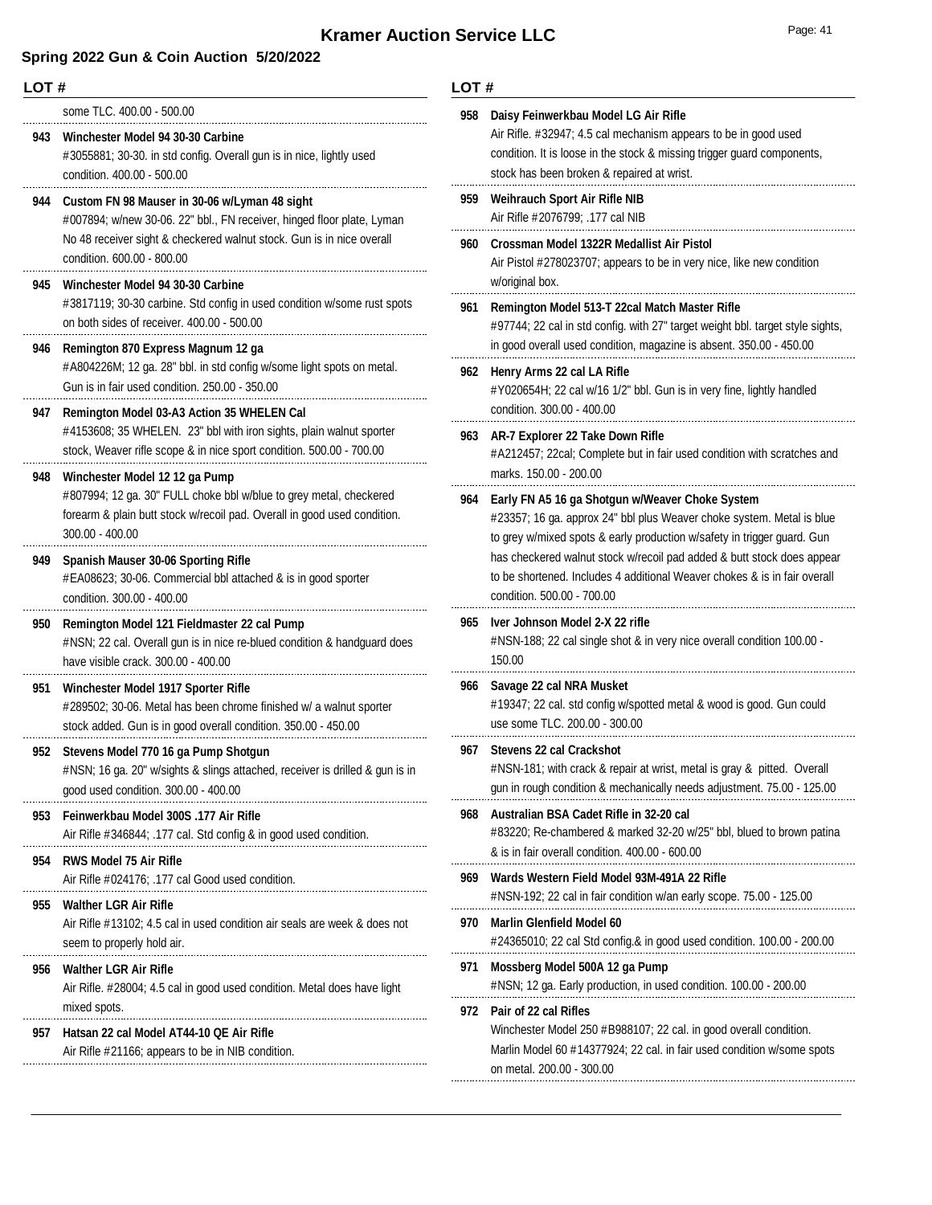|       | LOT#                                                                                                                                                                                                      |            | LOT#                                                                                                                                                                                                                             |  |  |
|-------|-----------------------------------------------------------------------------------------------------------------------------------------------------------------------------------------------------------|------------|----------------------------------------------------------------------------------------------------------------------------------------------------------------------------------------------------------------------------------|--|--|
|       | some TLC. 400.00 - 500.00<br>943 Winchester Model 94 30-30 Carbine<br>#3055881; 30-30. in std config. Overall gun is in nice, lightly used<br>condition. 400.00 - 500.00                                  | 958        | Daisy Feinwerkbau Model LG Air Rifle<br>Air Rifle. #32947; 4.5 cal mechanism appears to be in good used<br>condition. It is loose in the stock & missing trigger guard components,<br>stock has been broken & repaired at wrist. |  |  |
|       | 944 Custom FN 98 Mauser in 30-06 w/Lyman 48 sight<br>#007894; w/new 30-06. 22" bbl., FN receiver, hinged floor plate, Lyman                                                                               | 959.       | <b>Weihrauch Sport Air Rifle NIB</b><br>Air Rifle #2076799; .177 cal NIB                                                                                                                                                         |  |  |
|       | No 48 receiver sight & checkered walnut stock. Gun is in nice overall<br>condition. 600.00 - 800.00                                                                                                       |            | 960 Crossman Model 1322R Medallist Air Pistol<br>Air Pistol #278023707; appears to be in very nice, like new condition<br>w/original box.                                                                                        |  |  |
| 945.  | Winchester Model 94 30-30 Carbine<br>#3817119; 30-30 carbine. Std config in used condition w/some rust spots<br>on both sides of receiver. 400.00 - 500.00                                                | 961        | Remington Model 513-T 22cal Match Master Rifle<br>#97744; 22 cal in std config. with 27" target weight bbl. target style sights,                                                                                                 |  |  |
|       | 946 Remington 870 Express Magnum 12 ga<br>#A804226M; 12 ga. 28" bbl. in std config w/some light spots on metal.<br>Gun is in fair used condition. 250.00 - 350.00                                         |            | in good overall used condition, magazine is absent. 350.00 - 450.00<br>962 Henry Arms 22 cal LA Rifle<br>#Y020654H; 22 cal w/16 1/2" bbl. Gun is in very fine, lightly handled                                                   |  |  |
| 947   | Remington Model 03-A3 Action 35 WHELEN Cal<br>#4153608; 35 WHELEN. 23" bbl with iron sights, plain walnut sporter<br>stock, Weaver rifle scope & in nice sport condition. 500.00 - 700.00                 |            | condition. 300.00 - 400.00<br>963 AR-7 Explorer 22 Take Down Rifle<br>#A212457; 22cal; Complete but in fair used condition with scratches and                                                                                    |  |  |
|       | 948 Winchester Model 12 12 ga Pump<br>#807994; 12 ga. 30" FULL choke bbl w/blue to grey metal, checkered<br>forearm & plain butt stock w/recoil pad. Overall in good used condition.<br>$300.00 - 400.00$ | 964        | marks. 150.00 - 200.00<br>Early FN A5 16 ga Shotgun w/Weaver Choke System<br>#23357; 16 ga. approx 24" bbl plus Weaver choke system. Metal is blue<br>to grey w/mixed spots & early production w/safety in trigger guard. Gun    |  |  |
| 949   | <b>Spanish Mauser 30-06 Sporting Rifle</b><br>#EA08623; 30-06. Commercial bbl attached & is in good sporter<br>condition. 300.00 - 400.00                                                                 |            | has checkered walnut stock w/recoil pad added & butt stock does appear<br>to be shortened. Includes 4 additional Weaver chokes & is in fair overall<br>condition. 500.00 - 700.00                                                |  |  |
| 950   | Remington Model 121 Fieldmaster 22 cal Pump<br>#NSN; 22 cal. Overall gun is in nice re-blued condition & handguard does<br>have visible crack. 300.00 - 400.00                                            |            | 965 Iver Johnson Model 2-X 22 rifle<br>#NSN-188; 22 cal single shot & in very nice overall condition 100.00 -<br>150.00                                                                                                          |  |  |
| 951   | Winchester Model 1917 Sporter Rifle<br>#289502; 30-06. Metal has been chrome finished w/ a walnut sporter<br>stock added. Gun is in good overall condition. 350.00 - 450.00                               |            | 966 Savage 22 cal NRA Musket<br>#19347; 22 cal. std config w/spotted metal & wood is good. Gun could<br>use some TLC. 200.00 - 300.00                                                                                            |  |  |
| 952 - | Stevens Model 770 16 ga Pump Shotgun<br>#NSN; 16 ga. 20" w/sights & slings attached, receiver is drilled & gun is in<br>good used condition. 300.00 - 400.00                                              |            | 967 Stevens 22 cal Crackshot<br>#NSN-181; with crack & repair at wrist, metal is gray & pitted. Overall<br>gun in rough condition & mechanically needs adjustment. 75.00 - 125.00                                                |  |  |
| 953   | Feinwerkbau Model 300S .177 Air Rifle<br>Air Rifle #346844; .177 cal. Std config & in good used condition.                                                                                                | 968        | Australian BSA Cadet Rifle in 32-20 cal<br>#83220; Re-chambered & marked 32-20 w/25" bbl, blued to brown patina                                                                                                                  |  |  |
| 954   | <b>RWS Model 75 Air Rifle</b><br>Air Rifle #024176; .177 cal Good used condition.                                                                                                                         | 969<br>970 | & is in fair overall condition. 400.00 - 600.00<br>Wards Western Field Model 93M-491A 22 Rifle                                                                                                                                   |  |  |
| 955   | <b>Walther LGR Air Rifle</b><br>Air Rifle #13102; 4.5 cal in used condition air seals are week & does not<br>seem to properly hold air.                                                                   |            | #NSN-192; 22 cal in fair condition w/an early scope. 75.00 - 125.00<br><b>Marlin Glenfield Model 60</b><br>#24365010; 22 cal Std config.& in good used condition. 100.00 - 200.00                                                |  |  |
| 956   | <b>Walther LGR Air Rifle</b><br>Air Rifle. #28004; 4.5 cal in good used condition. Metal does have light                                                                                                  | 971        | Mossberg Model 500A 12 ga Pump                                                                                                                                                                                                   |  |  |
| 957   | mixed spots.<br>Hatsan 22 cal Model AT44-10 QE Air Rifle<br>Air Rifle #21166; appears to be in NIB condition.                                                                                             | 972        | Pair of 22 cal Rifles<br>Winchester Model 250 #B988107; 22 cal. in good overall condition.<br>Marlin Model 60 #14377924; 22 cal. in fair used condition w/some spots<br>on metal. 200.00 - 300.00                                |  |  |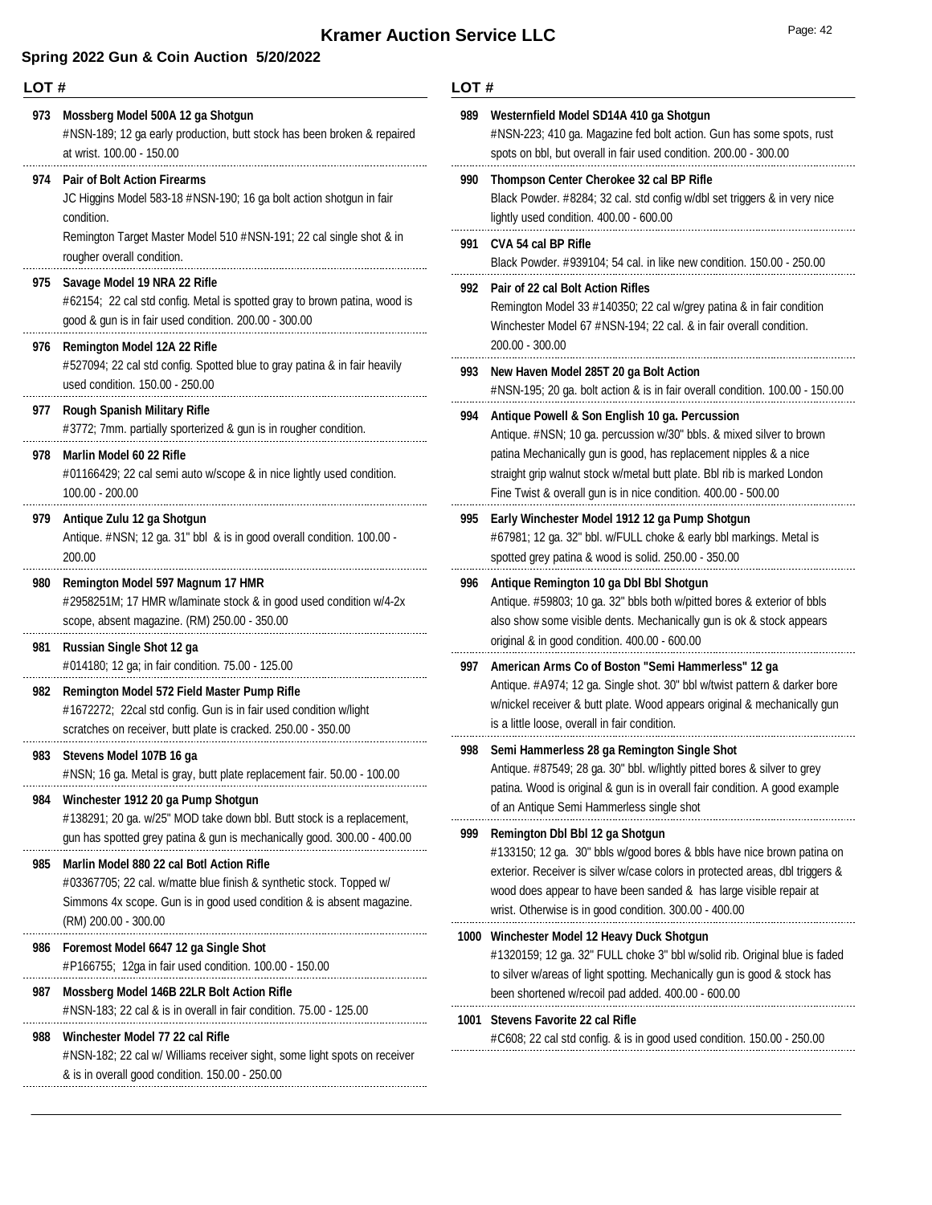**LOT #**

### **Spring 2022 Gun & Coin Auction 5/20/2022**

| 973  | Mossberg Model 500A 12 ga Shotgun<br>#NSN-189; 12 ga early production, butt stock has been broken & repaired<br>at wrist. 100.00 - 150.00                                                                                     | 989  | Westernfield Model SD14A 410 ga Shotgun<br>#NSN-223; 410 ga. Magazine fed bolt action. Gun has some spots, rust<br>spots on bbl, but overall in fair used condition. 200.00 - 300.00                                                                         |
|------|-------------------------------------------------------------------------------------------------------------------------------------------------------------------------------------------------------------------------------|------|--------------------------------------------------------------------------------------------------------------------------------------------------------------------------------------------------------------------------------------------------------------|
| 974. | <b>Pair of Bolt Action Firearms</b><br>JC Higgins Model 583-18 #NSN-190; 16 ga bolt action shotgun in fair<br>condition.<br>Remington Target Master Model 510 #NSN-191; 22 cal single shot & in<br>rougher overall condition. | 990  | Thompson Center Cherokee 32 cal BP Rifle<br>Black Powder. #8284; 32 cal. std config w/dbl set triggers & in very nice<br>lightly used condition. 400.00 - 600.00                                                                                             |
|      |                                                                                                                                                                                                                               | 991  | CVA 54 cal BP Rifle<br>Black Powder. #939104; 54 cal. in like new condition. 150.00 - 250.00                                                                                                                                                                 |
| 975  | Savage Model 19 NRA 22 Rifle<br>#62154; 22 cal std config. Metal is spotted gray to brown patina, wood is<br>good & gun is in fair used condition. 200.00 - 300.00                                                            |      | 992 Pair of 22 cal Bolt Action Rifles<br>Remington Model 33 #140350; 22 cal w/grey patina & in fair condition<br>Winchester Model 67 #NSN-194; 22 cal. & in fair overall condition.                                                                          |
| 976  | <b>Remington Model 12A 22 Rifle</b><br>#527094; 22 cal std config. Spotted blue to gray patina & in fair heavily<br>used condition. 150.00 - 250.00                                                                           | 993  | 200.00 - 300.00<br>New Haven Model 285T 20 ga Bolt Action<br>#NSN-195; 20 ga. bolt action & is in fair overall condition. 100.00 - 150.00                                                                                                                    |
| 977  | <b>Rough Spanish Military Rifle</b><br>#3772; 7mm. partially sporterized & gun is in rougher condition.                                                                                                                       | 994  | Antique Powell & Son English 10 ga. Percussion<br>Antique. #NSN; 10 ga. percussion w/30" bbls. & mixed silver to brown                                                                                                                                       |
| 978  | Marlin Model 60 22 Rifle<br>#01166429; 22 cal semi auto w/scope & in nice lightly used condition.<br>$100.00 - 200.00$                                                                                                        |      | patina Mechanically gun is good, has replacement nipples & a nice<br>straight grip walnut stock w/metal butt plate. Bbl rib is marked London<br>Fine Twist & overall gun is in nice condition. 400.00 - 500.00                                               |
| 979  | Antique Zulu 12 ga Shotgun<br>Antique. #NSN; 12 ga. 31" bbl & is in good overall condition. 100.00 -<br>200.00                                                                                                                | 995  | Early Winchester Model 1912 12 ga Pump Shotgun<br>#67981; 12 ga. 32" bbl. w/FULL choke & early bbl markings. Metal is<br>spotted grey patina & wood is solid. 250.00 - 350.00                                                                                |
| 980  | Remington Model 597 Magnum 17 HMR<br>#2958251M; 17 HMR w/laminate stock & in good used condition w/4-2x<br>scope, absent magazine. (RM) 250.00 - 350.00                                                                       | 996  | Antique Remington 10 ga Dbl Bbl Shotgun<br>Antique. #59803; 10 ga. 32" bbls both w/pitted bores & exterior of bbls<br>also show some visible dents. Mechanically gun is ok & stock appears                                                                   |
| 981  | Russian Single Shot 12 ga<br>#014180; 12 ga; in fair condition. 75.00 - 125.00                                                                                                                                                | 997  | original & in good condition. 400.00 - 600.00<br>American Arms Co of Boston "Semi Hammerless" 12 ga                                                                                                                                                          |
| 982  | Remington Model 572 Field Master Pump Rifle<br>#1672272; 22cal std config. Gun is in fair used condition w/light<br>scratches on receiver, butt plate is cracked. 250.00 - 350.00                                             |      | Antique. #A974; 12 ga. Single shot. 30" bbl w/twist pattern & darker bore<br>w/nickel receiver & butt plate. Wood appears original & mechanically gun<br>is a little loose, overall in fair condition.                                                       |
| 983  | Stevens Model 107B 16 ga<br>#NSN; 16 ga. Metal is gray, butt plate replacement fair. 50.00 - 100.00                                                                                                                           | 998  | Semi Hammerless 28 ga Remington Single Shot<br>Antique. #87549; 28 ga. 30" bbl. w/lightly pitted bores & silver to grey<br>patina. Wood is original & gun is in overall fair condition. A good example<br>of an Antique Semi Hammerless single shot          |
| 984  | Winchester 1912 20 ga Pump Shotgun<br>#138291; 20 ga. w/25" MOD take down bbl. Butt stock is a replacement,                                                                                                                   |      |                                                                                                                                                                                                                                                              |
|      | gun has spotted grey patina & gun is mechanically good. 300.00 - 400.00                                                                                                                                                       | 999. | Remington Dbl Bbl 12 ga Shotgun<br>#133150; 12 ga. 30" bbls w/good bores & bbls have nice brown patina on                                                                                                                                                    |
| 985  | Marlin Model 880 22 cal Botl Action Rifle<br>#03367705; 22 cal. w/matte blue finish & synthetic stock. Topped w/<br>Simmons 4x scope. Gun is in good used condition & is absent magazine.<br>(RM) 200.00 - 300.00             |      | exterior. Receiver is silver w/case colors in protected areas, dbl triggers &<br>wood does appear to have been sanded & has large visible repair at<br>wrist. Otherwise is in good condition. 300.00 - 400.00                                                |
| 986  | Foremost Model 6647 12 ga Single Shot<br>#P166755; 12ga in fair used condition. 100.00 - 150.00                                                                                                                               |      | 1000 Winchester Model 12 Heavy Duck Shotgun<br>#1320159; 12 ga. 32" FULL choke 3" bbl w/solid rib. Original blue is faded<br>to silver w/areas of light spotting. Mechanically gun is good & stock has<br>been shortened w/recoil pad added. 400.00 - 600.00 |
| 987  | Mossberg Model 146B 22LR Bolt Action Rifle                                                                                                                                                                                    |      |                                                                                                                                                                                                                                                              |
| 988  | #NSN-183; 22 cal & is in overall in fair condition. 75.00 - 125.00<br>Winchester Model 77 22 cal Rifle                                                                                                                        |      | 1001 Stevens Favorite 22 cal Rifle<br>#C608; 22 cal std config. & is in good used condition. 150.00 - 250.00                                                                                                                                                 |
|      | #NSN-182; 22 cal w/ Williams receiver sight, some light spots on receiver<br>& is in overall good condition. 150.00 - 250.00                                                                                                  |      |                                                                                                                                                                                                                                                              |